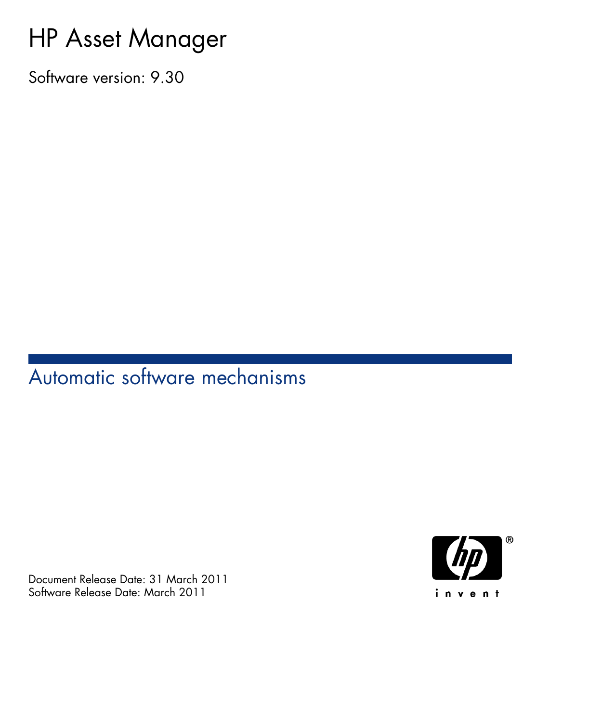# HP Asset Manager

Software version: 9.30

# Automatic software mechanisms

Document Release Date: 31 March 2011 Software Release Date: March 2011

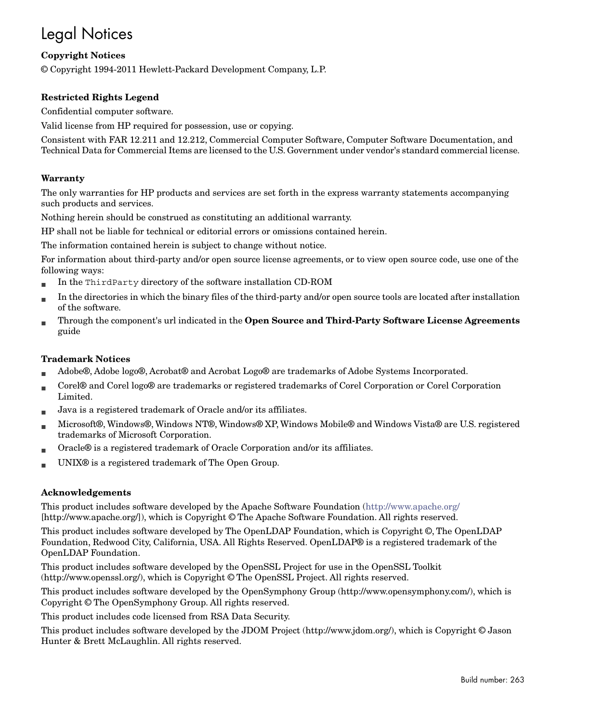# Legal Notices

#### **Copyright Notices**

© Copyright 1994-2011 Hewlett-Packard Development Company, L.P.

#### **Restricted Rights Legend**

Confidential computer software.

Valid license from HP required for possession, use or copying.

Consistent with FAR 12.211 and 12.212, Commercial Computer Software, Computer Software Documentation, and Technical Data for Commercial Items are licensed to the U.S. Government under vendor's standard commercial license.

#### **Warranty**

The only warranties for HP products and services are set forth in the express warranty statements accompanying such products and services.

Nothing herein should be construed as constituting an additional warranty.

HP shall not be liable for technical or editorial errors or omissions contained herein.

The information contained herein is subject to change without notice.

For information about third-party and/or open source license agreements, or to view open source code, use one of the following ways:

- <sup>n</sup> In the ThirdParty directory of the software installation CD-ROM
- n In the directories in which the binary files of the third-party and/or open source tools are located after installation of the software.
- n Through the component's url indicated in the **Open Source and Third-Party Software License Agreements** guide

#### **Trademark Notices**

- n Adobe®, Adobe logo®, Acrobat® and Acrobat Logo® are trademarks of Adobe Systems Incorporated.
- n Corel® and Corel logo® are trademarks or registered trademarks of Corel Corporation or Corel Corporation Limited.
- Java is a registered trademark of Oracle and/or its affiliates.
- n Microsoft®, Windows®, Windows NT®, Windows® XP, Windows Mobile® and Windows Vista® are U.S. registered trademarks of Microsoft Corporation.
- Oracle® is a registered trademark of Oracle Corporation and/or its affiliates.
- UNIX<sup>®</sup> is a registered trademark of The Open Group.

#### **Acknowledgements**

This product includes software developed by the Apache Software Foundation [\(http://www.apache.org/](http://www.apache.org/) [http://www.apache.org/]), which is Copyright © The Apache Software Foundation. All rights reserved.

This product includes software developed by The OpenLDAP Foundation, which is Copyright ©, The OpenLDAP Foundation, Redwood City, California, USA. All Rights Reserved. OpenLDAP® is a registered trademark of the OpenLDAP Foundation.

This product includes software developed by the OpenSSL Project for use in the OpenSSL Toolkit (http://www.openssl.org/), which is Copyright © The OpenSSL Project. All rights reserved.

This product includes software developed by the OpenSymphony Group (http://www.opensymphony.com/), which is Copyright © The OpenSymphony Group. All rights reserved.

This product includes code licensed from RSA Data Security.

This product includes software developed by the JDOM Project (http://www.jdom.org/), which is Copyright © Jason Hunter & Brett McLaughlin. All rights reserved.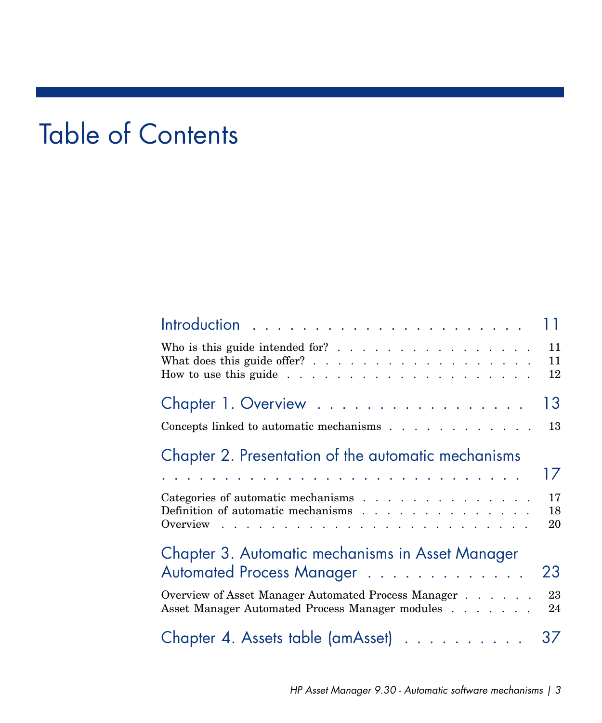# Table of Contents

|                                                                                                                                                                         | 11             |
|-------------------------------------------------------------------------------------------------------------------------------------------------------------------------|----------------|
|                                                                                                                                                                         | 11<br>11<br>12 |
| Chapter 1. Overview                                                                                                                                                     | 13             |
| Concepts linked to automatic mechanisms $\ldots$                                                                                                                        | 13             |
| Chapter 2. Presentation of the automatic mechanisms                                                                                                                     |                |
| المتعاونة والمتعاونة والمتعاونة والمتعاونة والمتعاونة والمتعاونة والمتعاونة والمتعاونة والمتعاونة والمتعاونة                                                            | 17             |
| Categories of automatic mechanisms<br>Definition of automatic mechanisms<br>Overview<br>the contract of the contract of the contract of the contract of the contract of | 17<br>18<br>20 |
| Chapter 3. Automatic mechanisms in Asset Manager<br>Automated Process Manager                                                                                           | 23             |
| Overview of Asset Manager Automated Process Manager<br>Asset Manager Automated Process Manager modules                                                                  | 23<br>24       |
| Chapter 4. Assets table (amAsset)                                                                                                                                       | 37             |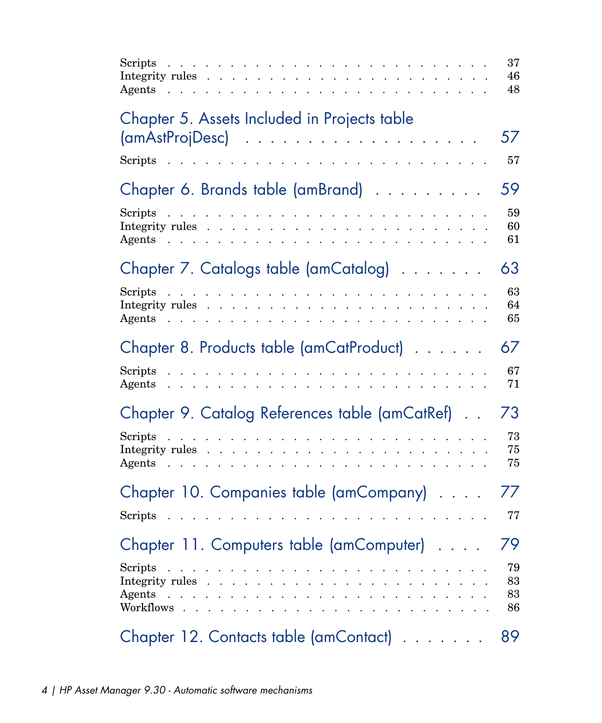|                                                                                                                                                                                                    | 37<br>46<br>48       |
|----------------------------------------------------------------------------------------------------------------------------------------------------------------------------------------------------|----------------------|
| Chapter 5. Assets Included in Projects table                                                                                                                                                       | 57                   |
|                                                                                                                                                                                                    | 57                   |
| Chapter 6. Brands table (amBrand)                                                                                                                                                                  | 59                   |
| Scripts<br>the contract of the contract of the contract of the contract of                                                                                                                         | 59<br>60<br>61       |
| Chapter 7. Catalogs table (amCatalog)                                                                                                                                                              | 63                   |
| Scripts<br>the contract of the contract of the contract of the contract of the contract of                                                                                                         | 63<br>64<br>65       |
| Chapter 8. Products table (amCatProduct)                                                                                                                                                           | 67                   |
| Scripts<br>والمتعاون والمتعاون والمتعاونة والمتعاونة والمتعاونة والمتعاونة والمتعاونة والمتعاونة<br>Agents<br>والمتعاون والمتعاون والمتعاون والمتعاونة والمتعاونة والمتعاونة والمتعاونة والمتعاونة | 67<br>71             |
| Chapter 9. Catalog References table (amCatRef)                                                                                                                                                     | 73                   |
| Scripts<br>والمتواطن والمتواطن والمتواطن والمتواطن والمتواطن والمتواطن والمتواطن والمتواطن والمتواطن                                                                                               | 73<br>75<br>75       |
| Chapter 10. Companies table (amCompany)                                                                                                                                                            | 77                   |
|                                                                                                                                                                                                    | 77                   |
| Chapter 11. Computers table (amComputer)                                                                                                                                                           | 79                   |
| Scripts<br>Integrity rules<br>Agents.<br>Workflows.                                                                                                                                                | 79<br>83<br>83<br>86 |
| Chapter 12. Contacts table (amContact)                                                                                                                                                             | 89                   |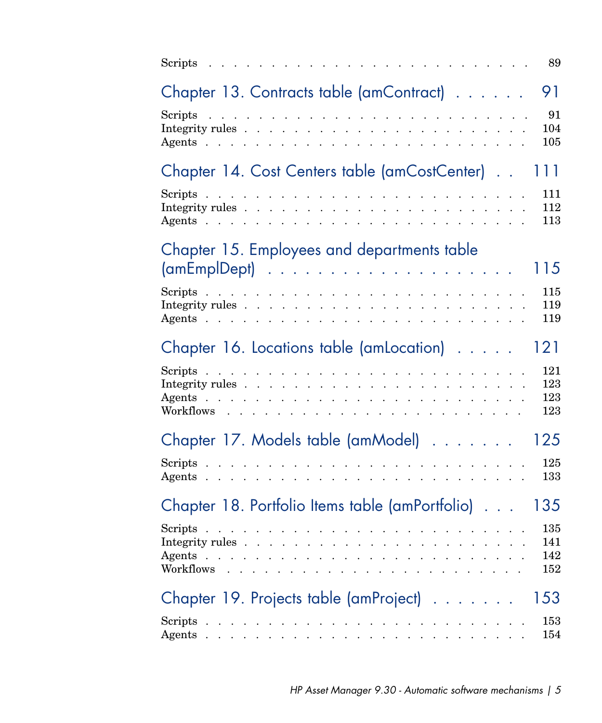| Scripts<br>the contract of the contract of the contract of the contract of the contract of the contract of the contract of | 89                       |
|----------------------------------------------------------------------------------------------------------------------------|--------------------------|
| Chapter 13. Contracts table (amContract) $\ldots \ldots$<br>91                                                             |                          |
|                                                                                                                            | 91<br>104<br>105         |
| Chapter 14. Cost Centers table (amCostCenter).<br>111                                                                      |                          |
|                                                                                                                            | 111<br>112<br>113        |
| Chapter 15. Employees and departments table<br>115                                                                         |                          |
|                                                                                                                            | 115<br>119<br>119        |
| Chapter 16. Locations table (amLocation) $\ldots$ .<br>121                                                                 |                          |
|                                                                                                                            | 121<br>123<br>123<br>123 |
| Chapter 17. Models table (amModel)<br>125                                                                                  |                          |
|                                                                                                                            | 125<br>133               |
| Chapter 18. Portfolio Items table (amPortfolio).<br>135                                                                    |                          |
| Scripts<br>the contract of the contract of the contract of the contract of the contract of the contract of the contract of | 135<br>141<br>142<br>152 |
| Chapter 19. Projects table (amProject)<br>153                                                                              |                          |
|                                                                                                                            | 153<br>154               |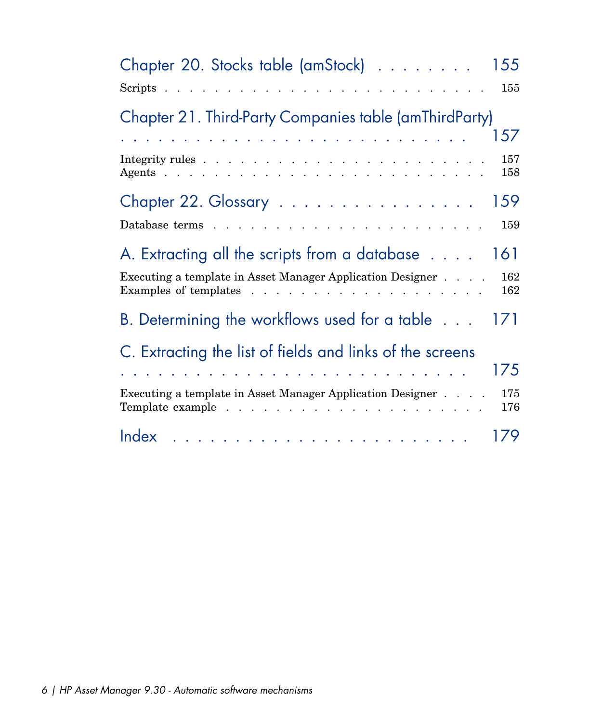| Chapter 20. Stocks table (amStock)                                                                                           | 155        |
|------------------------------------------------------------------------------------------------------------------------------|------------|
|                                                                                                                              | 155        |
| Chapter 21. Third-Party Companies table (amThirdParty)                                                                       |            |
| والمتعاون والمتعاون والمتعاون والمتعاونة والمتعاونة والمتعاونة والمتعاونة والمتعاونة والمتعاونة والمتعاونة                   | 157        |
|                                                                                                                              | 157<br>158 |
| Chapter 22. Glossary                                                                                                         | 159        |
|                                                                                                                              | 159        |
| A. Extracting all the scripts from a database                                                                                | 161        |
| Executing a template in Asset Manager Application Designer                                                                   | 162<br>162 |
| B. Determining the workflows used for a table                                                                                | 171        |
| C. Extracting the list of fields and links of the screens                                                                    |            |
| والمتواطن والمتواطن والمتواطن والمتواطن والمتواطن والمتواطن والمتواطن والمتواطن والمتواطن والمتواطن                          | 175        |
| Executing a template in Asset Manager Application Designer                                                                   | 175<br>176 |
| المناطق والمناطق والمناطق والمناطق والمناطق والمناطق والمناطق والمناطق والمناطق والمناطق والمناطق والمناطق والمناطق<br>Index | 179        |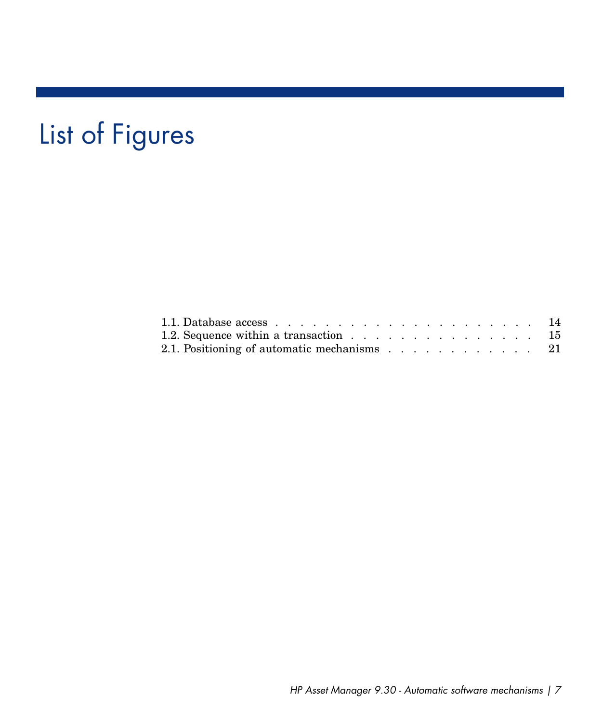# List of Figures

| 1.2. Sequence within a transaction 15       |  |  |  |  |  |  |  |
|---------------------------------------------|--|--|--|--|--|--|--|
| 2.1. Positioning of automatic mechanisms 21 |  |  |  |  |  |  |  |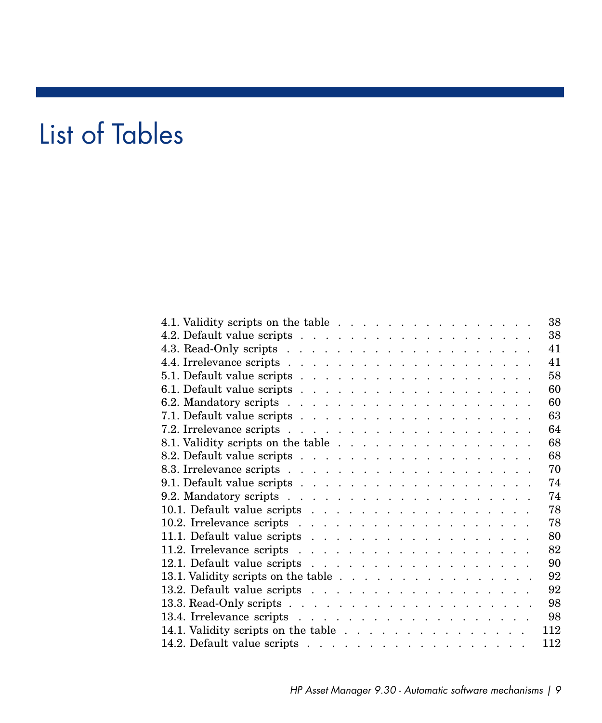# List of Tables

| 4.1. Validity scripts on the table $\ldots$ $\ldots$ $\ldots$ $\ldots$ $\ldots$ $\ldots$<br>38           |
|----------------------------------------------------------------------------------------------------------|
| 38                                                                                                       |
| 41                                                                                                       |
| 41                                                                                                       |
| 58<br>5.1. Default value scripts $\ldots$ $\ldots$ $\ldots$ $\ldots$ $\ldots$ $\ldots$ $\ldots$ $\ldots$ |
| 60<br>6.1. Default value scripts $\ldots$ $\ldots$ $\ldots$ $\ldots$ $\ldots$ $\ldots$ $\ldots$ $\ldots$ |
| 60                                                                                                       |
| 63<br>7.1. Default value scripts $\ldots$ $\ldots$ $\ldots$ $\ldots$ $\ldots$ $\ldots$ $\ldots$ $\ldots$ |
| 64                                                                                                       |
| 68                                                                                                       |
| 68                                                                                                       |
| 70                                                                                                       |
| 74                                                                                                       |
| 74                                                                                                       |
| 78                                                                                                       |
| 78                                                                                                       |
| 80                                                                                                       |
| 82                                                                                                       |
| 90                                                                                                       |
| 92                                                                                                       |
| 92                                                                                                       |
| 98                                                                                                       |
| 98                                                                                                       |
| 112<br>14.1. Validity scripts on the table                                                               |
| 112                                                                                                      |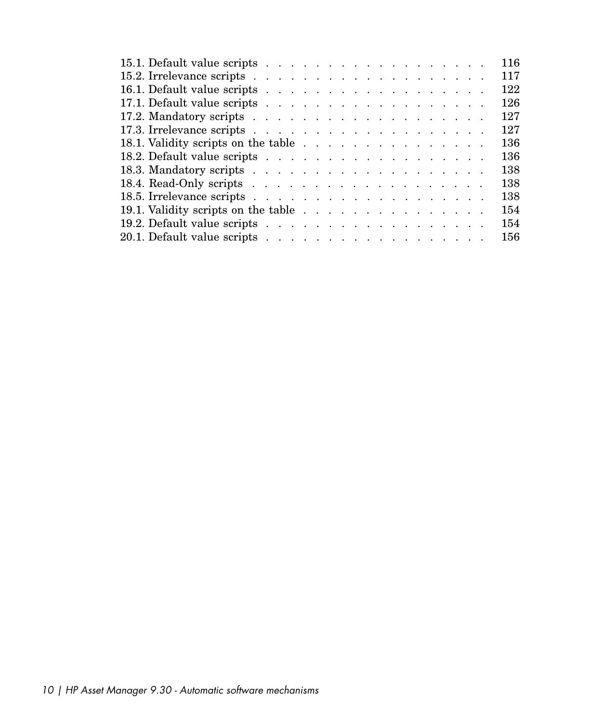|                                     | 116 |  |
|-------------------------------------|-----|--|
|                                     | 117 |  |
|                                     | 122 |  |
|                                     | 126 |  |
|                                     | 127 |  |
|                                     | 127 |  |
| 18.1. Validity scripts on the table | 136 |  |
|                                     | 136 |  |
|                                     | 138 |  |
|                                     | 138 |  |
|                                     | 138 |  |
| 19.1. Validity scripts on the table | 154 |  |
|                                     | 154 |  |
|                                     | 156 |  |
|                                     |     |  |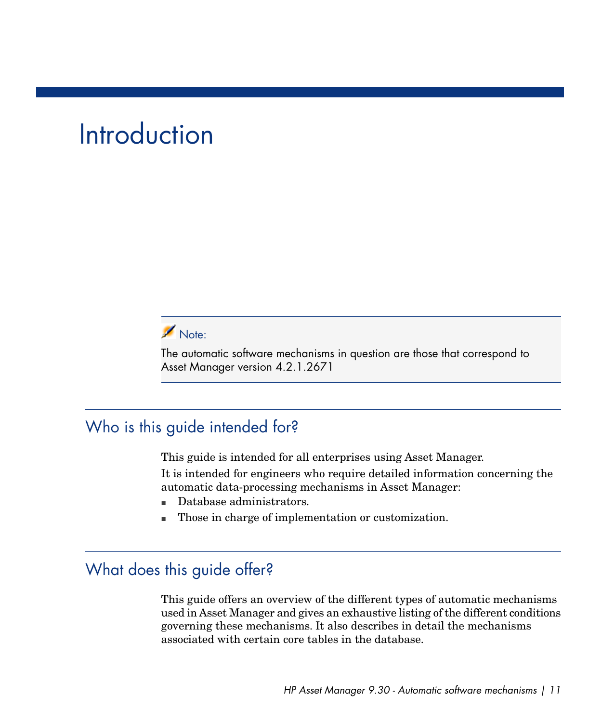# **Introduction**

# <span id="page-10-0"></span>Note:

<span id="page-10-1"></span>The automatic software mechanisms in question are those that correspond to Asset Manager version 4.2.1.2671

# Who is this guide intended for?

This guide is intended for all enterprises using Asset Manager.

<span id="page-10-2"></span>It is intended for engineers who require detailed information concerning the automatic data-processing mechanisms in Asset Manager:

- Database administrators.
- Those in charge of implementation or customization.

# What does this guide offer?

This guide offers an overview of the different types of automatic mechanisms used in Asset Manager and gives an exhaustive listing of the different conditions governing these mechanisms. It also describes in detail the mechanisms associated with certain core tables in the database.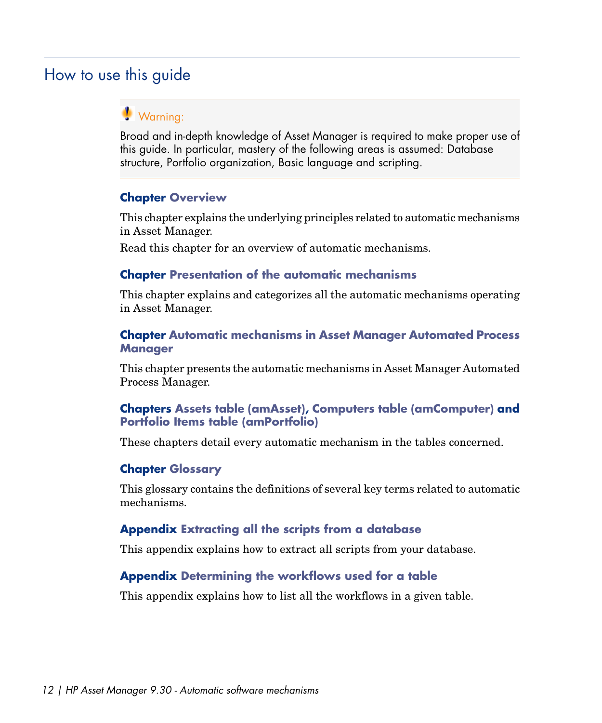# How to use this guide

## <span id="page-11-0"></span>Warning:

Broad and in-depth knowledge of Asset Manager is required to make proper use of this guide. In particular, mastery of the following areas is assumed: Database structure, Portfolio organization, Basic language and scripting.

### **Chapter [Overview](#page-12-0)**

This chapter explains the underlying principles related to automatic mechanisms in Asset Manager.

Read this chapter for an overview of automatic mechanisms.

### **Chapter [Presentation of the automatic mechanisms](#page-16-0)**

This chapter explains and categorizes all the automatic mechanisms operating in Asset Manager.

### **Chapter [Automatic mechanisms in Asset Manager Automated Process](#page-22-0) [Manager](#page-22-0)**

This chapter presents the automatic mechanisms in Asset Manager Automated Process Manager.

### **Chapters [Assets table \(amAsset\),](#page-36-0) [Computers table \(amComputer\)](#page-78-0) and [Portfolio Items table \(amPortfolio\)](#page-134-0)**

These chapters detail every automatic mechanism in the tables concerned.

#### **Chapter [Glossary](#page-158-0)**

This glossary contains the definitions of several key terms related to automatic mechanisms.

#### **Appendix [Extracting all the scripts from a database](#page-160-0)**

This appendix explains how to extract all scripts from your database.

## **Appendix [Determining the workflows used for a table](#page-170-0)**

This appendix explains how to list all the workflows in a given table.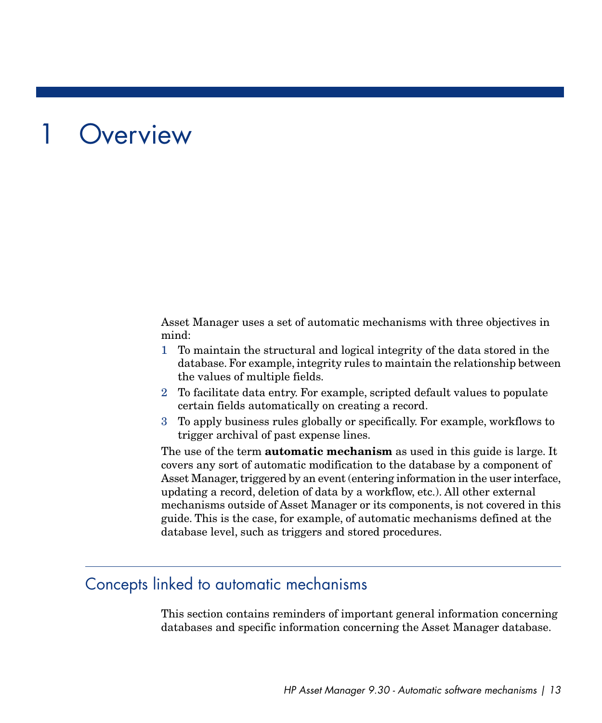# **Overview**

<span id="page-12-0"></span>Asset Manager uses a set of automatic mechanisms with three objectives in mind:

- 1 To maintain the structural and logical integrity of the data stored in the database. For example, integrity rules to maintain the relationship between the values of multiple fields.
- 2 To facilitate data entry. For example, scripted default values to populate certain fields automatically on creating a record.
- 3 To apply business rules globally or specifically. For example, workflows to trigger archival of past expense lines.

<span id="page-12-1"></span>The use of the term **automatic mechanism** as used in this guide is large. It covers any sort of automatic modification to the database by a component of Asset Manager, triggered by an event (entering information in the user interface, updating a record, deletion of data by a workflow, etc.). All other external mechanisms outside of Asset Manager or its components, is not covered in this guide. This is the case, for example, of automatic mechanisms defined at the database level, such as triggers and stored procedures.

# Concepts linked to automatic mechanisms

This section contains reminders of important general information concerning databases and specific information concerning the Asset Manager database.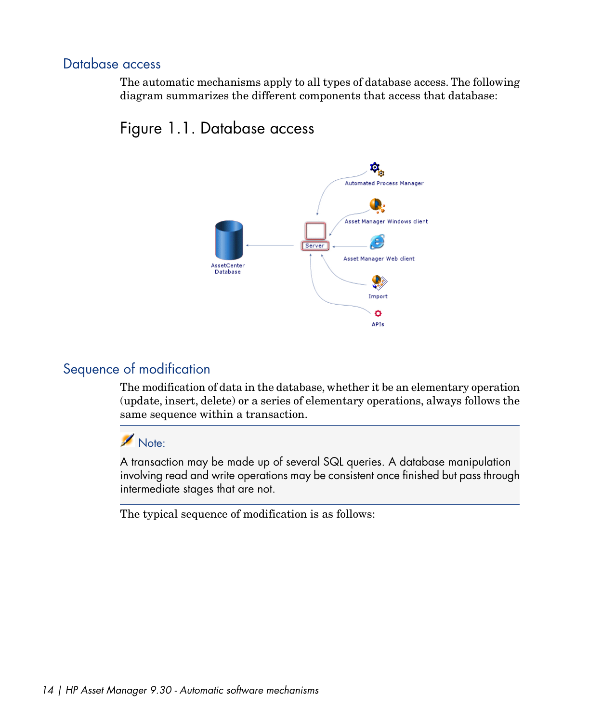## Database access

The automatic mechanisms apply to all types of database access. The following diagram summarizes the different components that access that database:

# <span id="page-13-0"></span>Figure 1.1. Database access



## Sequence of modification

The modification of data in the database, whether it be an elementary operation (update, insert, delete) or a series of elementary operations, always follows the same sequence within a transaction.



A transaction may be made up of several SQL queries. A database manipulation involving read and write operations may be consistent once finished but pass through intermediate stages that are not.

The typical sequence of modification is as follows: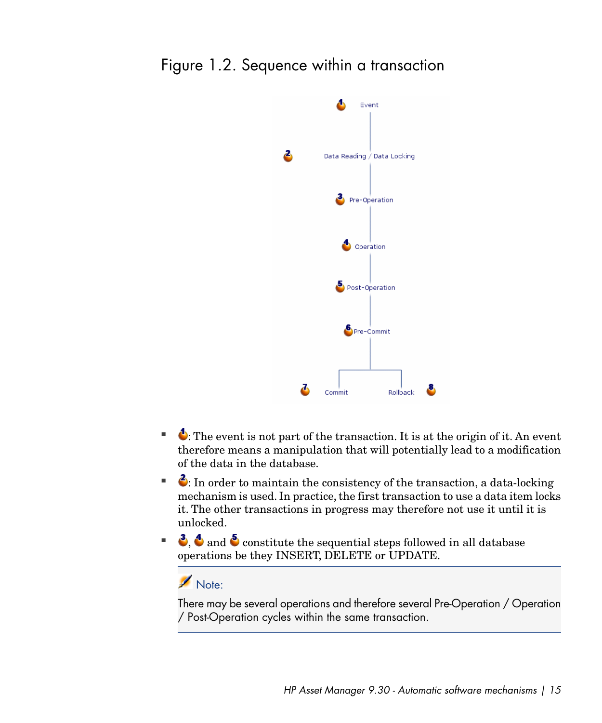# <span id="page-14-0"></span>Figure 1.2. Sequence within a transaction



- $\bullet$ : The event is not part of the transaction. It is at the origin of it. An event therefore means a manipulation that will potentially lead to a modification of the data in the database.
- $\bullet$ : In order to maintain the consistency of the transaction, a data-locking mechanism is used. In practice, the first transaction to use a data item locks it. The other transactions in progress may therefore not use it until it is unlocked.
- $\partial$ ,  $\partial$  and  $\partial$  constitute the sequential steps followed in all database operations be they INSERT, DELETE or UPDATE.

# Note:

There may be several operations and therefore several Pre-Operation / Operation / Post-Operation cycles within the same transaction.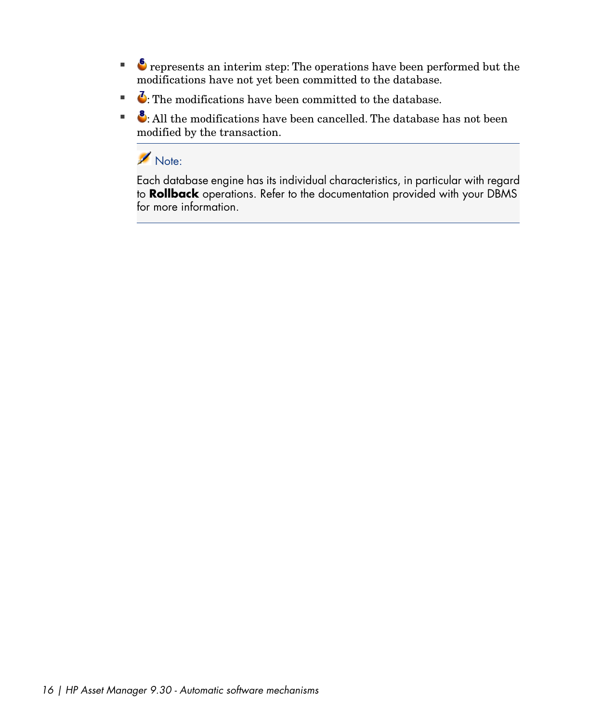- **•**  $\bullet$  represents an interim step: The operations have been performed but the modifications have not yet been committed to the database.
- $\bullet$ : The modifications have been committed to the database.
- $\bullet$ : All the modifications have been cancelled. The database has not been modified by the transaction.

# Note:

Each database engine has its individual characteristics, in particular with regard to **Rollback** operations. Refer to the documentation provided with your DBMS for more information.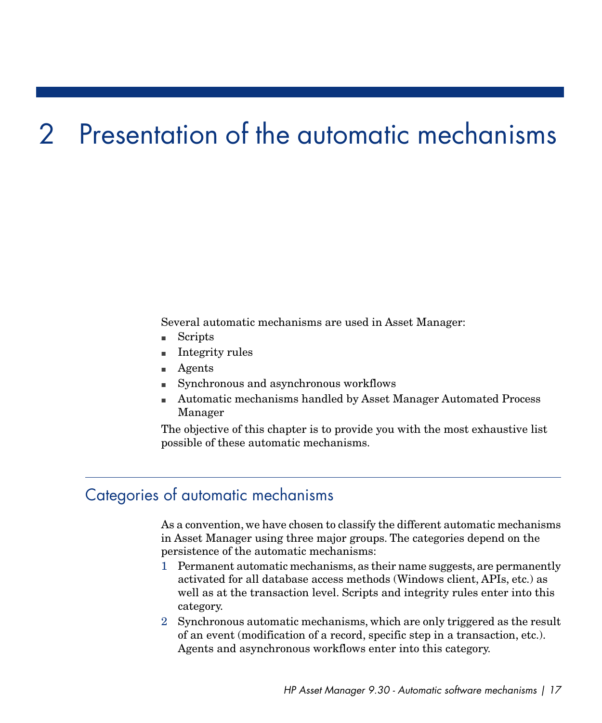# 2 Presentation of the automatic mechanisms

<span id="page-16-0"></span>Several automatic mechanisms are used in Asset Manager:

- <sup>n</sup> Scripts
- $\blacksquare$  Integrity rules
- $A$ gents
- Synchronous and asynchronous workflows
- <span id="page-16-1"></span><sup>n</sup> Automatic mechanisms handled by Asset Manager Automated Process Manager

The objective of this chapter is to provide you with the most exhaustive list possible of these automatic mechanisms.

# Categories of automatic mechanisms

As a convention, we have chosen to classify the different automatic mechanisms in Asset Manager using three major groups. The categories depend on the persistence of the automatic mechanisms:

- 1 Permanent automatic mechanisms, as their name suggests, are permanently activated for all database access methods (Windows client, APIs, etc.) as well as at the transaction level. Scripts and integrity rules enter into this category.
- 2 Synchronous automatic mechanisms, which are only triggered as the result of an event (modification of a record, specific step in a transaction, etc.). Agents and asynchronous workflows enter into this category.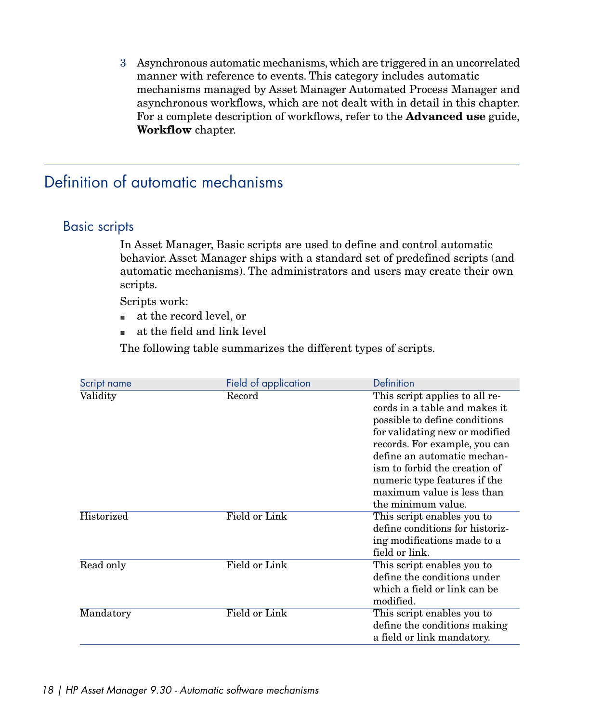<span id="page-17-0"></span>3 Asynchronous automatic mechanisms, which are triggered in an uncorrelated manner with reference to events. This category includes automatic mechanisms managed by Asset Manager Automated Process Manager and asynchronous workflows, which are not dealt with in detail in this chapter. For a complete description of workflows, refer to the **Advanced use** guide, **Workflow** chapter.

# Definition of automatic mechanisms

## Basic scripts

In Asset Manager, Basic scripts are used to define and control automatic behavior. Asset Manager ships with a standard set of predefined scripts (and automatic mechanisms). The administrators and users may create their own scripts.

Scripts work:

- <sup>n</sup> at the record level, or
- <sup>n</sup> at the field and link level

The following table summarizes the different types of scripts.

| Script name | Field of application | Definition                                                                                                                                                                                                                                                                                                              |
|-------------|----------------------|-------------------------------------------------------------------------------------------------------------------------------------------------------------------------------------------------------------------------------------------------------------------------------------------------------------------------|
| Validity    | Record               | This script applies to all re-<br>cords in a table and makes it<br>possible to define conditions<br>for validating new or modified<br>records. For example, you can<br>define an automatic mechan-<br>ism to forbid the creation of<br>numeric type features if the<br>maximum value is less than<br>the minimum value. |
| Historized  | Field or Link        | This script enables you to<br>define conditions for historiz-<br>ing modifications made to a<br>field or link.                                                                                                                                                                                                          |
| Read only   | Field or Link        | This script enables you to<br>define the conditions under<br>which a field or link can be<br>modified.                                                                                                                                                                                                                  |
| Mandatory   | Field or Link        | This script enables you to<br>define the conditions making<br>a field or link mandatory.                                                                                                                                                                                                                                |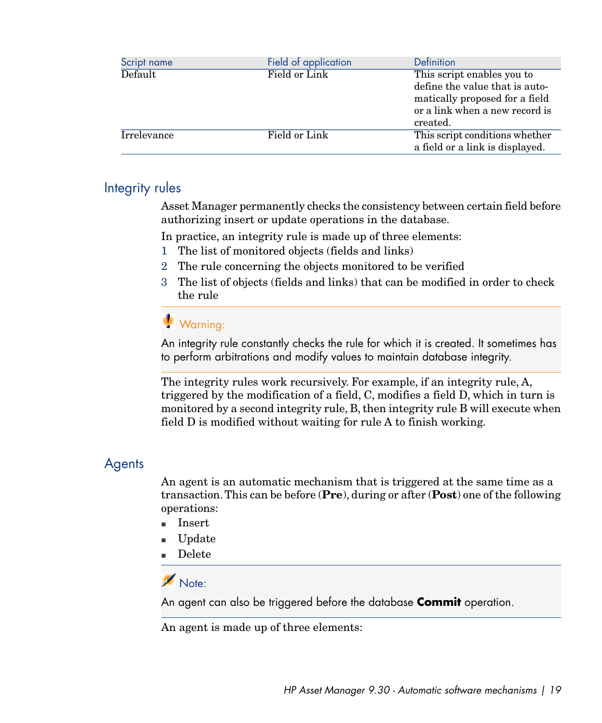| Script name | Field of application | <b>Definition</b>               |
|-------------|----------------------|---------------------------------|
| Default     | Field or Link        | This script enables you to      |
|             |                      | define the value that is auto-  |
|             |                      | matically proposed for a field  |
|             |                      | or a link when a new record is  |
|             |                      | created.                        |
| Irrelevance | Field or Link        | This script conditions whether  |
|             |                      | a field or a link is displayed. |

## Integrity rules

Asset Manager permanently checks the consistency between certain field before authorizing insert or update operations in the database.

In practice, an integrity rule is made up of three elements:

- 1 The list of monitored objects (fields and links)
- 2 The rule concerning the objects monitored to be verified
- 3 The list of objects (fields and links) that can be modified in order to check the rule

# Warning:

An integrity rule constantly checks the rule for which it is created. It sometimes has to perform arbitrations and modify values to maintain database integrity.

The integrity rules work recursively. For example, if an integrity rule, A, triggered by the modification of a field, C, modifies a field D, which in turn is monitored by a second integrity rule, B, then integrity rule B will execute when field D is modified without waiting for rule A to finish working.

## **Agents**

An agent is an automatic mechanism that is triggered at the same time as a transaction.This can be before (**Pre**), during or after (**Post**) one of the following operations:

- n Insert
- Update
- <sup>n</sup> Delete

Note:

An agent can also be triggered before the database **Commit** operation.

An agent is made up of three elements: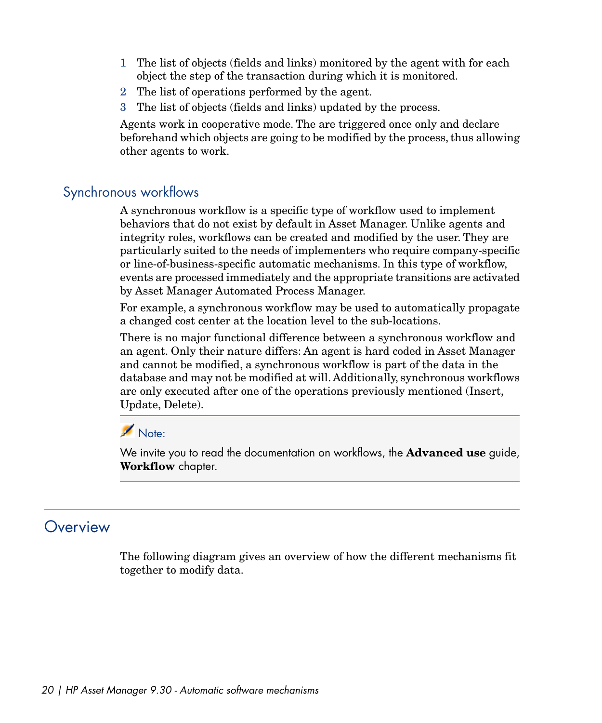- 1 The list of objects (fields and links) monitored by the agent with for each object the step of the transaction during which it is monitored.
- 2 The list of operations performed by the agent.
- 3 The list of objects (fields and links) updated by the process.

Agents work in cooperative mode. The are triggered once only and declare beforehand which objects are going to be modified by the process, thus allowing other agents to work.

## Synchronous workflows

A synchronous workflow is a specific type of workflow used to implement behaviors that do not exist by default in Asset Manager. Unlike agents and integrity roles, workflows can be created and modified by the user. They are particularly suited to the needs of implementers who require company-specific or line-of-business-specific automatic mechanisms. In this type of workflow, events are processed immediately and the appropriate transitions are activated by Asset Manager Automated Process Manager.

For example, a synchronous workflow may be used to automatically propagate a changed cost center at the location level to the sub-locations.

There is no major functional difference between a synchronous workflow and an agent. Only their nature differs: An agent is hard coded in Asset Manager and cannot be modified, a synchronous workflow is part of the data in the database and may not be modified at will. Additionally, synchronous workflows are only executed after one of the operations previously mentioned (Insert, Update, Delete).

## <span id="page-19-0"></span>Note:

We invite you to read the documentation on workflows, the **Advanced use** guide, **Workflow** chapter.

## **Overview**

The following diagram gives an overview of how the different mechanisms fit together to modify data.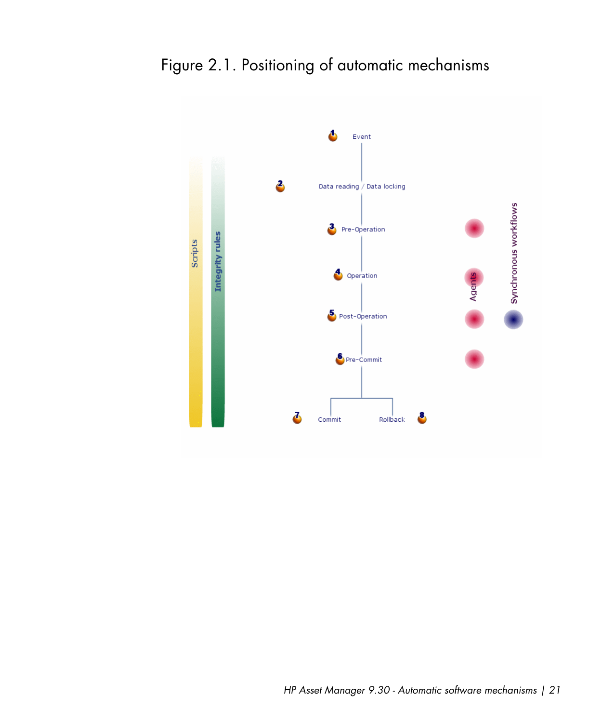

<span id="page-20-0"></span>Figure 2.1. Positioning of automatic mechanisms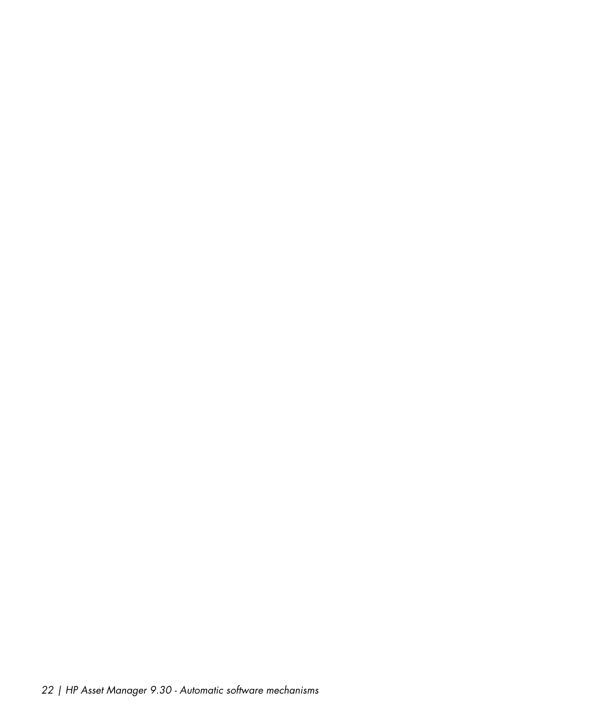*22 | HP Asset Manager 9.30 - Automatic software mechanisms*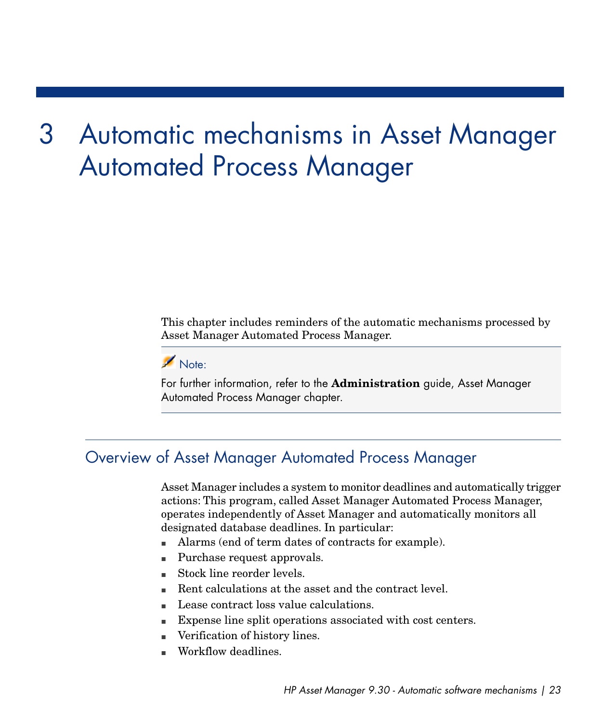# Automatic mechanisms in Asset Manager 3Automated Process Manager

<span id="page-22-0"></span>This chapter includes reminders of the automatic mechanisms processed by Asset Manager Automated Process Manager.



<span id="page-22-1"></span>For further information, refer to the **Administration** guide, Asset Manager Automated Process Manager chapter.

# Overview of Asset Manager Automated Process Manager

Asset Manager includes a system to monitor deadlines and automatically trigger actions: This program, called Asset Manager Automated Process Manager, operates independently of Asset Manager and automatically monitors all designated database deadlines. In particular:

- Alarms (end of term dates of contracts for example).
- Purchase request approvals.
- Stock line reorder levels.
- Rent calculations at the asset and the contract level.
- Lease contract loss value calculations.
- Expense line split operations associated with cost centers.
- Verification of history lines.
- Workflow deadlines.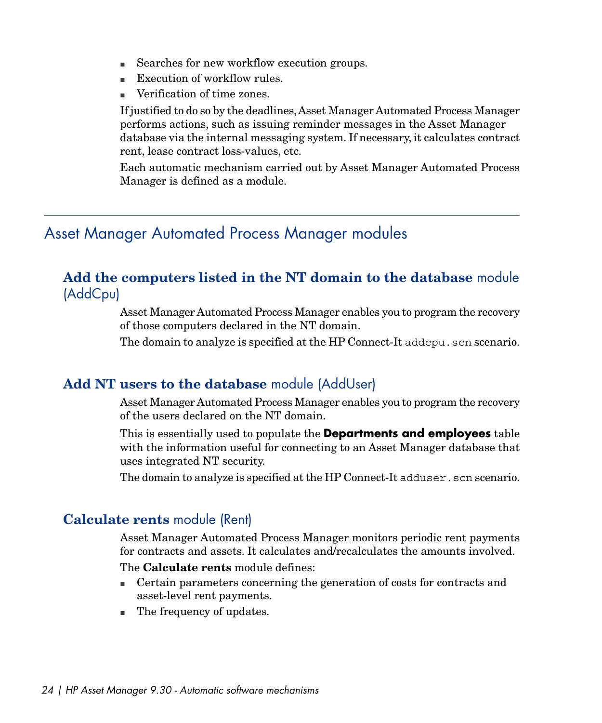- Searches for new workflow execution groups.
- Execution of workflow rules.
- Verification of time zones.

If justified to do so by the deadlines,Asset Manager Automated Process Manager performs actions, such as issuing reminder messages in the Asset Manager database via the internal messaging system. If necessary, it calculates contract rent, lease contract loss-values, etc.

<span id="page-23-0"></span>Each automatic mechanism carried out by Asset Manager Automated Process Manager is defined as a module.

# Asset Manager Automated Process Manager modules

## **Add the computers listed in the NT domain to the database** module (AddCpu)

Asset Manager Automated Process Manager enables you to program the recovery of those computers declared in the NT domain.

The domain to analyze is specified at the HP Connect-It addcpu.scn scenario.

## **Add NT users to the database** module (AddUser)

Asset Manager Automated Process Manager enables you to program the recovery of the users declared on the NT domain.

This is essentially used to populate the **Departments and employees** table with the information useful for connecting to an Asset Manager database that uses integrated NT security.

The domain to analyze is specified at the HP Connect-It adduser. scn scenario.

## **Calculate rents** module (Rent)

Asset Manager Automated Process Manager monitors periodic rent payments for contracts and assets. It calculates and/recalculates the amounts involved.

The **Calculate rents** module defines:

- <sup>n</sup> Certain parameters concerning the generation of costs for contracts and asset-level rent payments.
- The frequency of updates.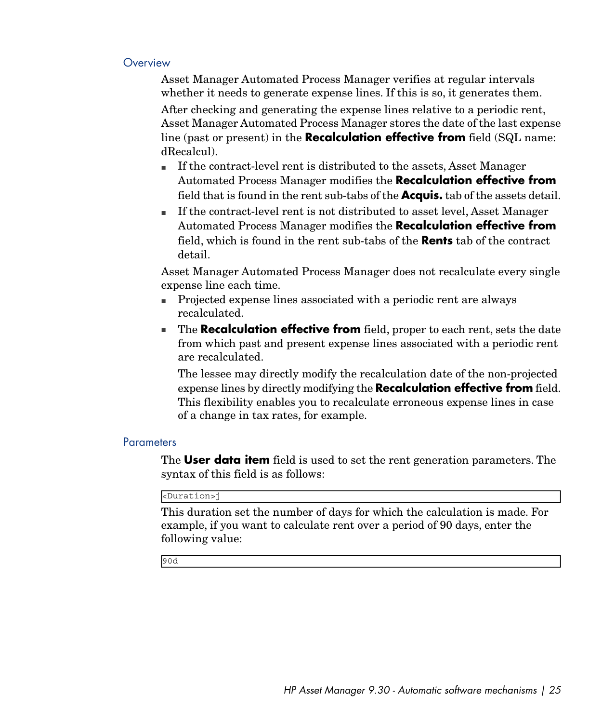#### **Overview**

Asset Manager Automated Process Manager verifies at regular intervals whether it needs to generate expense lines. If this is so, it generates them.

After checking and generating the expense lines relative to a periodic rent, Asset Manager Automated Process Manager stores the date of the last expense line (past or present) in the **Recalculation effective from** field (SQL name: dRecalcul).

- <sup>n</sup> If the contract-level rent is distributed to the assets, Asset Manager Automated Process Manager modifies the **Recalculation effective from** field that is found in the rent sub-tabs of the **Acquis.** tab of the assets detail.
- <sup>n</sup> If the contract-level rent is not distributed to asset level, Asset Manager Automated Process Manager modifies the **Recalculation effective from** field, which is found in the rent sub-tabs of the **Rents** tab of the contract detail.

Asset Manager Automated Process Manager does not recalculate every single expense line each time.

- n Projected expense lines associated with a periodic rent are always recalculated.
- **n The Recalculation effective from** field, proper to each rent, sets the date from which past and present expense lines associated with a periodic rent are recalculated.

The lessee may directly modify the recalculation date of the non-projected expense lines by directly modifying the **Recalculation effective from** field. This flexibility enables you to recalculate erroneous expense lines in case of a change in tax rates, for example.

#### **Parameters**

The **User data item** field is used to set the rent generation parameters. The syntax of this field is as follows:

#### <Duration>j

This duration set the number of days for which the calculation is made. For example, if you want to calculate rent over a period of 90 days, enter the following value:

90d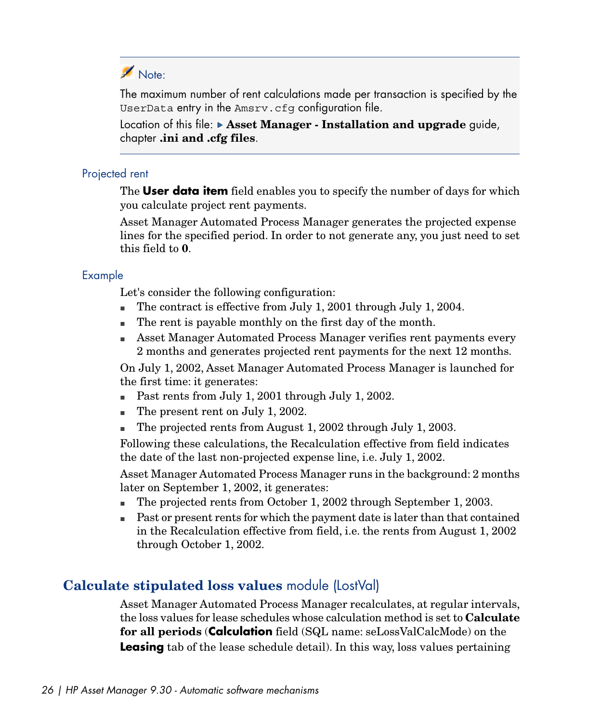# Note:

The maximum number of rent calculations made per transaction is specified by the UserData entry in the Amsrv.cfg configuration file.

Location of this file: **Asset Manager - Installation and upgrade** guide, chapter **.ini and .cfg files**.

## Projected rent

The **User data item** field enables you to specify the number of days for which you calculate project rent payments.

Asset Manager Automated Process Manager generates the projected expense lines for the specified period. In order to not generate any, you just need to set this field to **0**.

## Example

Let's consider the following configuration:

- $\blacksquare$  The contract is effective from July 1, 2001 through July 1, 2004.
- The rent is payable monthly on the first day of the month.
- <sup>n</sup> Asset Manager Automated Process Manager verifies rent payments every 2 months and generates projected rent payments for the next 12 months.

On July 1, 2002, Asset Manager Automated Process Manager is launched for the first time: it generates:

- **Past rents from July 1, 2001 through July 1, 2002.**
- The present rent on July 1, 2002.
- The projected rents from August 1, 2002 through July 1, 2003.

Following these calculations, the Recalculation effective from field indicates the date of the last non-projected expense line, i.e. July 1, 2002.

Asset Manager Automated Process Manager runs in the background: 2 months later on September 1, 2002, it generates:

- The projected rents from October 1, 2002 through September 1, 2003.
- <sup>n</sup> Past or present rents for which the payment date is later than that contained in the Recalculation effective from field, i.e. the rents from August 1, 2002 through October 1, 2002.

# **Calculate stipulated loss values** module (LostVal)

Asset Manager Automated Process Manager recalculates, at regular intervals, the loss values for lease schedules whose calculation method is set to **Calculate for all periods** (**Calculation** field (SQL name: seLossValCalcMode) on the **Leasing** tab of the lease schedule detail). In this way, loss values pertaining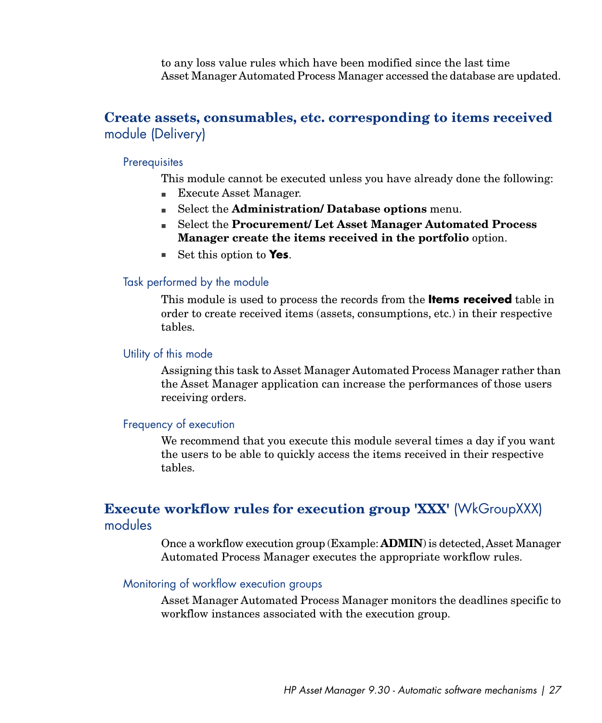to any loss value rules which have been modified since the last time Asset Manager Automated Process Manager accessed the database are updated.

## **Create assets, consumables, etc. corresponding to items received** module (Delivery)

#### **Prerequisites**

This module cannot be executed unless you have already done the following:

- Execute Asset Manager.
- <sup>n</sup> Select the **Administration/ Database options** menu.
- <sup>n</sup> Select the **Procurement/ Let Asset Manager Automated Process Manager create the items received in the portfolio** option.
- <sup>n</sup> Set this option to **Yes**.

#### Task performed by the module

This module is used to process the records from the **Items received** table in order to create received items (assets, consumptions, etc.) in their respective tables.

#### Utility of this mode

Assigning this task to Asset Manager Automated Process Manager rather than the Asset Manager application can increase the performances of those users receiving orders.

#### Frequency of execution

We recommend that you execute this module several times a day if you want the users to be able to quickly access the items received in their respective tables.

## **Execute workflow rules for execution group 'XXX'** (WkGroupXXX) modules

Once a workflow execution group (Example: **ADMIN**) is detected, Asset Manager Automated Process Manager executes the appropriate workflow rules.

#### Monitoring of workflow execution groups

Asset Manager Automated Process Manager monitors the deadlines specific to workflow instances associated with the execution group.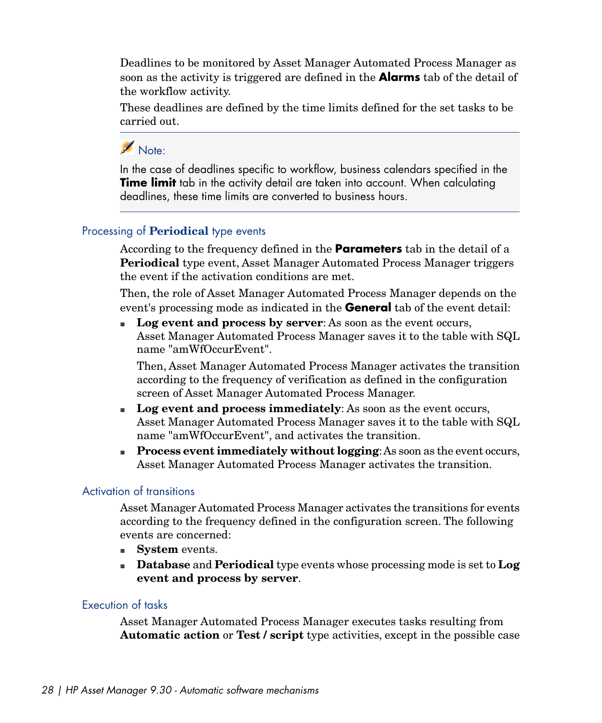Deadlines to be monitored by Asset Manager Automated Process Manager as soon as the activity is triggered are defined in the **Alarms** tab of the detail of the workflow activity.

These deadlines are defined by the time limits defined for the set tasks to be carried out.

# Note:

In the case of deadlines specific to workflow, business calendars specified in the **Time limit** tab in the activity detail are taken into account. When calculating deadlines, these time limits are converted to business hours.

## Processing of **Periodical** type events

According to the frequency defined in the **Parameters** tab in the detail of a **Periodical** type event, Asset Manager Automated Process Manager triggers the event if the activation conditions are met.

Then, the role of Asset Manager Automated Process Manager depends on the event's processing mode as indicated in the **General** tab of the event detail:

**Log event and process by server**: As soon as the event occurs, Asset Manager Automated Process Manager saves it to the table with SQL name "amWfOccurEvent".

Then, Asset Manager Automated Process Manager activates the transition according to the frequency of verification as defined in the configuration screen of Asset Manager Automated Process Manager.

- **Log event and process immediately**: As soon as the event occurs, Asset Manager Automated Process Manager saves it to the table with SQL name "amWfOccurEvent", and activates the transition.
- **Process event immediately without logging**: As soon as the event occurs, Asset Manager Automated Process Manager activates the transition.

## Activation of transitions

Asset Manager Automated Process Manager activates the transitions for events according to the frequency defined in the configuration screen. The following events are concerned:

- **No. System** events.
- <sup>n</sup> **Database** and **Periodical** type events whose processing mode is set to **Log event and process by server**.

#### Execution of tasks

Asset Manager Automated Process Manager executes tasks resulting from **Automatic action** or **Test / script** type activities, except in the possible case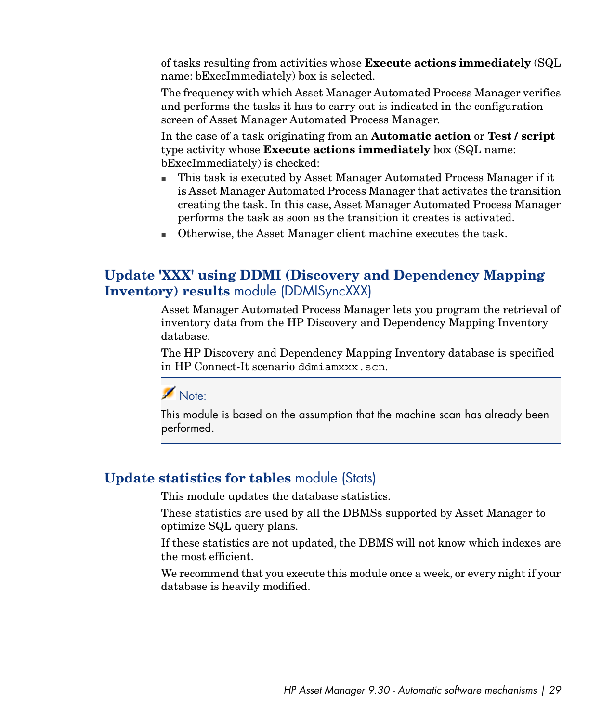of tasks resulting from activities whose **Execute actions immediately** (SQL name: bExecImmediately) box is selected.

The frequency with which Asset Manager Automated Process Manager verifies and performs the tasks it has to carry out is indicated in the configuration screen of Asset Manager Automated Process Manager.

In the case of a task originating from an **Automatic action** or **Test / script** type activity whose **Execute actions immediately** box (SQL name: bExecImmediately) is checked:

- <sup>n</sup> This task is executed by Asset Manager Automated Process Manager if it is Asset Manager Automated Process Manager that activates the transition creating the task. In this case, Asset Manager Automated Process Manager performs the task as soon as the transition it creates is activated.
- <sup>n</sup> Otherwise, the Asset Manager client machine executes the task.

## **Update 'XXX' using DDMI (Discovery and Dependency Mapping Inventory) results** module (DDMISyncXXX)

Asset Manager Automated Process Manager lets you program the retrieval of inventory data from the HP Discovery and Dependency Mapping Inventory database.

The HP Discovery and Dependency Mapping Inventory database is specified in HP Connect-It scenario ddmiamxxx.scn.

Note:

This module is based on the assumption that the machine scan has already been performed.

## **Update statistics for tables** module (Stats)

This module updates the database statistics.

These statistics are used by all the DBMSs supported by Asset Manager to optimize SQL query plans.

If these statistics are not updated, the DBMS will not know which indexes are the most efficient.

We recommend that you execute this module once a week, or every night if your database is heavily modified.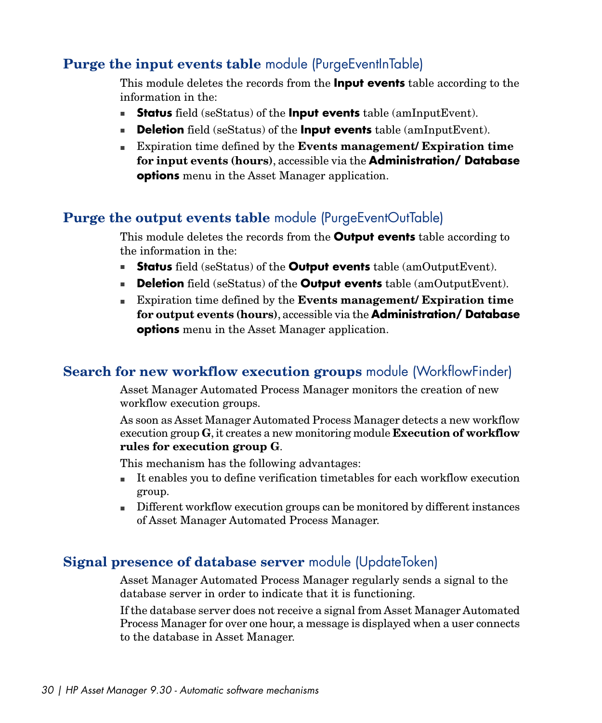## **Purge the input events table** module (PurgeEventInTable)

This module deletes the records from the **Input events** table according to the information in the:

- <sup>n</sup> **Status** field (seStatus) of the **Input events** table (amInputEvent).
- **Deletion** field (seStatus) of the **Input events** table (amInputEvent).
- <sup>n</sup> Expiration time defined by the **Events management/ Expiration time for input events (hours)**, accessible via the **Administration/ Database options** menu in the Asset Manager application.

## Purge the output events table module (PurgeEventOutTable)

This module deletes the records from the **Output events** table according to the information in the:

- <sup>n</sup> **Status** field (seStatus) of the **Output events** table (amOutputEvent).
- **Deletion** field (seStatus) of the **Output events** table (amOutputEvent).
- <sup>n</sup> Expiration time defined by the **Events management/ Expiration time for output events (hours)**, accessible via the **Administration/ Database options** menu in the Asset Manager application.

## **Search for new workflow execution groups** module (WorkflowFinder)

Asset Manager Automated Process Manager monitors the creation of new workflow execution groups.

As soon as Asset Manager Automated Process Manager detects a new workflow execution group **G**, it creates a new monitoring module **Execution of workflow rules for execution group G**.

This mechanism has the following advantages:

- <sup>n</sup> It enables you to define verification timetables for each workflow execution group.
- n Different workflow execution groups can be monitored by different instances of Asset Manager Automated Process Manager.

## **Signal presence of database server** module (UpdateToken)

Asset Manager Automated Process Manager regularly sends a signal to the database server in order to indicate that it is functioning.

If the database server does not receive a signal from Asset Manager Automated Process Manager for over one hour, a message is displayed when a user connects to the database in Asset Manager.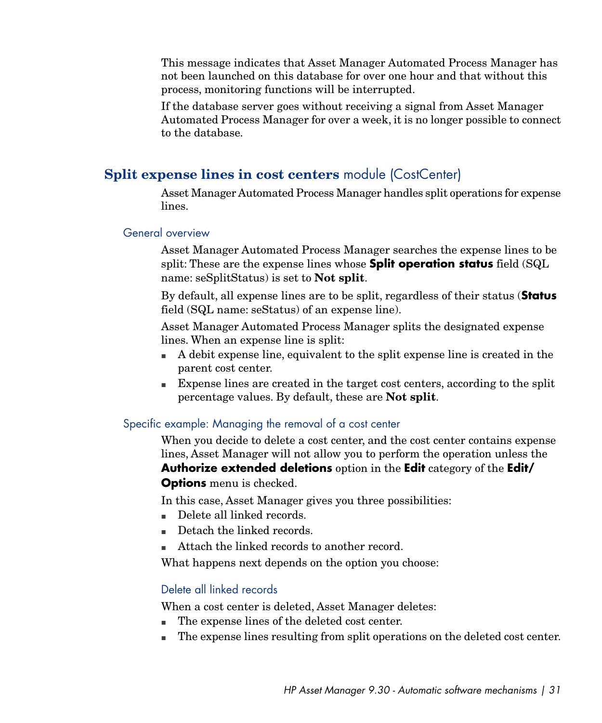This message indicates that Asset Manager Automated Process Manager has not been launched on this database for over one hour and that without this process, monitoring functions will be interrupted.

If the database server goes without receiving a signal from Asset Manager Automated Process Manager for over a week, it is no longer possible to connect to the database.

## **Split expense lines in cost centers** module (CostCenter)

Asset Manager Automated Process Manager handles split operations for expense lines.

#### General overview

Asset Manager Automated Process Manager searches the expense lines to be split: These are the expense lines whose **Split operation status** field (SQL name: seSplitStatus) is set to **Not split**.

By default, all expense lines are to be split, regardless of their status (**Status** field (SQL name: seStatus) of an expense line).

Asset Manager Automated Process Manager splits the designated expense lines. When an expense line is split:

- <sup>n</sup> A debit expense line, equivalent to the split expense line is created in the parent cost center.
- <sup>n</sup> Expense lines are created in the target cost centers, according to the split percentage values. By default, these are **Not split**.

#### Specific example: Managing the removal of a cost center

When you decide to delete a cost center, and the cost center contains expense lines, Asset Manager will not allow you to perform the operation unless the **Authorize extended deletions** option in the **Edit** category of the **Edit/ Options** menu is checked.

In this case, Asset Manager gives you three possibilities:

- Delete all linked records.
- Detach the linked records.
- <sup>n</sup> Attach the linked records to another record.

What happens next depends on the option you choose:

#### Delete all linked records

When a cost center is deleted, Asset Manager deletes:

- n The expense lines of the deleted cost center.
- <sup>n</sup> The expense lines resulting from split operations on the deleted cost center.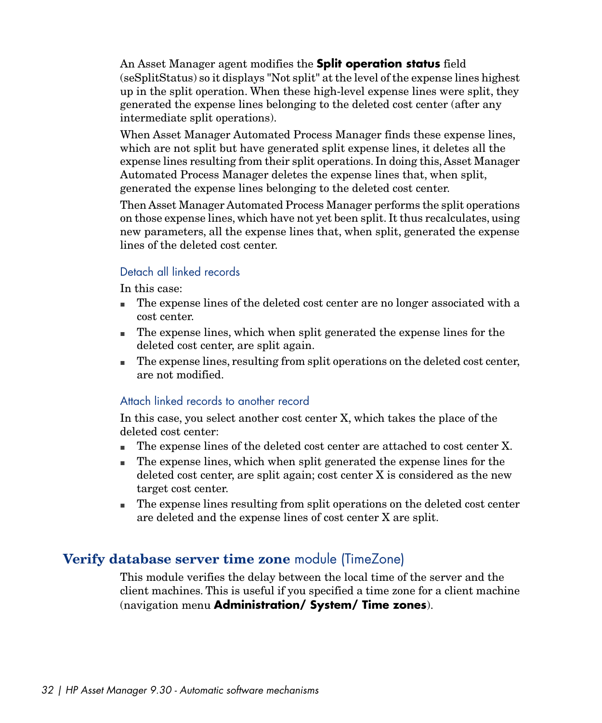An Asset Manager agent modifies the **Split operation status** field (seSplitStatus) so it displays "Not split" at the level of the expense lines highest up in the split operation. When these high-level expense lines were split, they generated the expense lines belonging to the deleted cost center (after any intermediate split operations).

When Asset Manager Automated Process Manager finds these expense lines, which are not split but have generated split expense lines, it deletes all the expense lines resulting from their split operations. In doing this,Asset Manager Automated Process Manager deletes the expense lines that, when split, generated the expense lines belonging to the deleted cost center.

Then Asset Manager Automated Process Manager performs the split operations on those expense lines, which have not yet been split. It thus recalculates, using new parameters, all the expense lines that, when split, generated the expense lines of the deleted cost center.

#### Detach all linked records

In this case:

- <sup>n</sup> The expense lines of the deleted cost center are no longer associated with a cost center.
- $\blacksquare$  The expense lines, which when split generated the expense lines for the deleted cost center, are split again.
- $\blacksquare$  The expense lines, resulting from split operations on the deleted cost center, are not modified.

#### Attach linked records to another record

In this case, you select another cost center X, which takes the place of the deleted cost center:

- n The expense lines of the deleted cost center are attached to cost center X.
- $\blacksquare$  The expense lines, which when split generated the expense lines for the deleted cost center, are split again; cost center X is considered as the new target cost center.
- <sup>n</sup> The expense lines resulting from split operations on the deleted cost center are deleted and the expense lines of cost center X are split.

## **Verify database server time zone** module (TimeZone)

This module verifies the delay between the local time of the server and the client machines. This is useful if you specified a time zone for a client machine (navigation menu **Administration/ System/ Time zones**).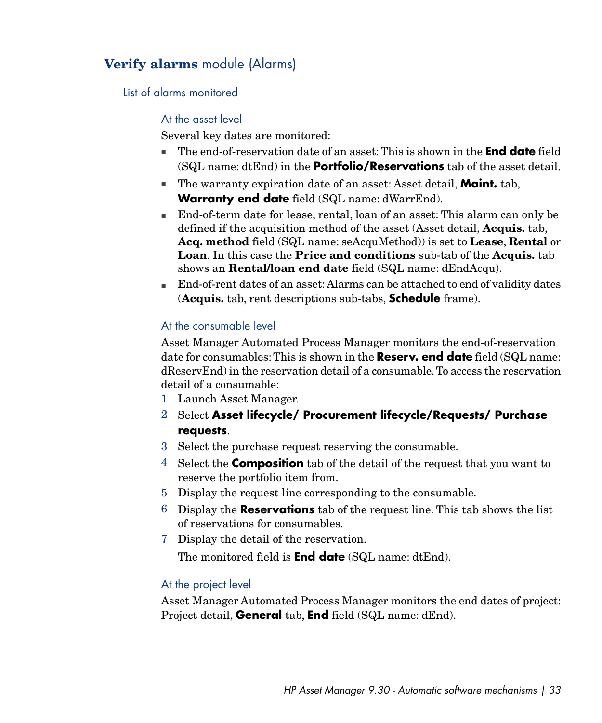## **Verify alarms** module (Alarms)

List of alarms monitored

#### At the asset level

Several key dates are monitored:

- <sup>n</sup> The end-of-reservation date of an asset: This is shown in the **End date** field (SQL name: dtEnd) in the **Portfolio/Reservations** tab of the asset detail.
- <sup>n</sup> The warranty expiration date of an asset: Asset detail, **Maint.** tab, **Warranty end date** field (SQL name: dWarrEnd).
- <sup>n</sup> End-of-term date for lease, rental, loan of an asset: This alarm can only be defined if the acquisition method of the asset (Asset detail, **Acquis.** tab, **Acq. method** field (SQL name: seAcquMethod)) is set to **Lease**, **Rental** or **Loan**. In this case the **Price and conditions** sub-tab of the **Acquis.** tab shows an **Rental/loan end date** field (SQL name: dEndAcqu).
- <sup>n</sup> End-of-rent dates of an asset:Alarms can be attached to end of validity dates (**Acquis.** tab, rent descriptions sub-tabs, **Schedule** frame).

#### At the consumable level

Asset Manager Automated Process Manager monitors the end-of-reservation date for consumables:This is shown in the **Reserv. end date** field (SQL name: dReservEnd) in the reservation detail of a consumable.To access the reservation detail of a consumable:

- 1 Launch Asset Manager.
- 2 Select **Asset lifecycle/ Procurement lifecycle/Requests/ Purchase requests**.
- 3 Select the purchase request reserving the consumable.
- 4 Select the **Composition** tab of the detail of the request that you want to reserve the portfolio item from.
- 5 Display the request line corresponding to the consumable.
- 6 Display the **Reservations** tab of the request line. This tab shows the list of reservations for consumables.
- 7 Display the detail of the reservation.

The monitored field is **End date** (SQL name: dtEnd).

#### At the project level

Asset Manager Automated Process Manager monitors the end dates of project: Project detail, **General** tab, **End** field (SQL name: dEnd).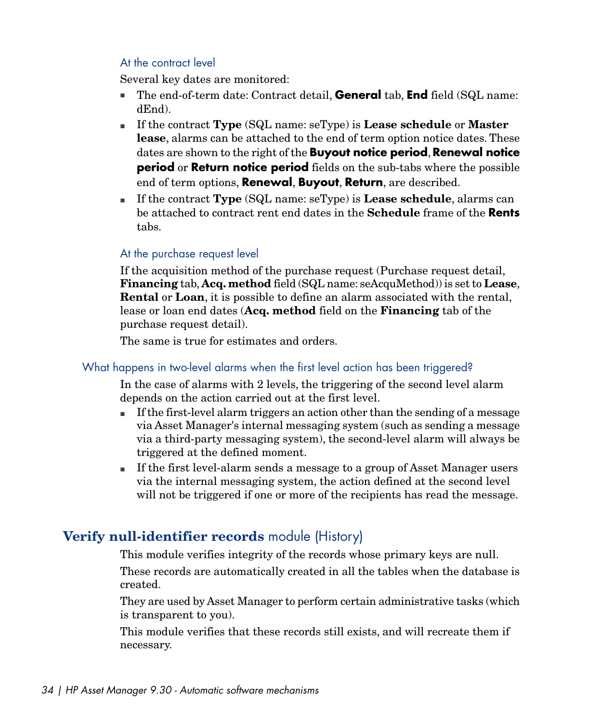## At the contract level

Several key dates are monitored:

- n The end-of-term date: Contract detail, **General** tab, **End** field (SQL name: dEnd).
- <sup>n</sup> If the contract **Type** (SQL name: seType) is **Lease schedule** or **Master lease**, alarms can be attached to the end of term option notice dates. These dates are shown to the right of the **Buyout notice period**,**Renewal notice period** or **Return notice period** fields on the sub-tabs where the possible end of term options, **Renewal**, **Buyout**, **Return**, are described.
- <sup>n</sup> If the contract **Type** (SQL name: seType) is **Lease schedule**, alarms can be attached to contract rent end dates in the **Schedule** frame of the **Rents** tabs.

### At the purchase request level

If the acquisition method of the purchase request (Purchase request detail, **Financing** tab, **Acq. method** field (SQL name: seAcquMethod)) is set to **Lease**, **Rental** or **Loan**, it is possible to define an alarm associated with the rental, lease or loan end dates (**Acq. method** field on the **Financing** tab of the purchase request detail).

The same is true for estimates and orders.

### What happens in two-level alarms when the first level action has been triggered?

In the case of alarms with 2 levels, the triggering of the second level alarm depends on the action carried out at the first level.

- $\blacksquare$  If the first-level alarm triggers an action other than the sending of a message via Asset Manager's internal messaging system (such as sending a message via a third-party messaging system), the second-level alarm will always be triggered at the defined moment.
- <sup>n</sup> If the first level-alarm sends a message to a group of Asset Manager users via the internal messaging system, the action defined at the second level will not be triggered if one or more of the recipients has read the message.

# **Verify null-identifier records** module (History)

This module verifies integrity of the records whose primary keys are null.

These records are automatically created in all the tables when the database is created.

They are used by Asset Manager to perform certain administrative tasks (which is transparent to you).

This module verifies that these records still exists, and will recreate them if necessary.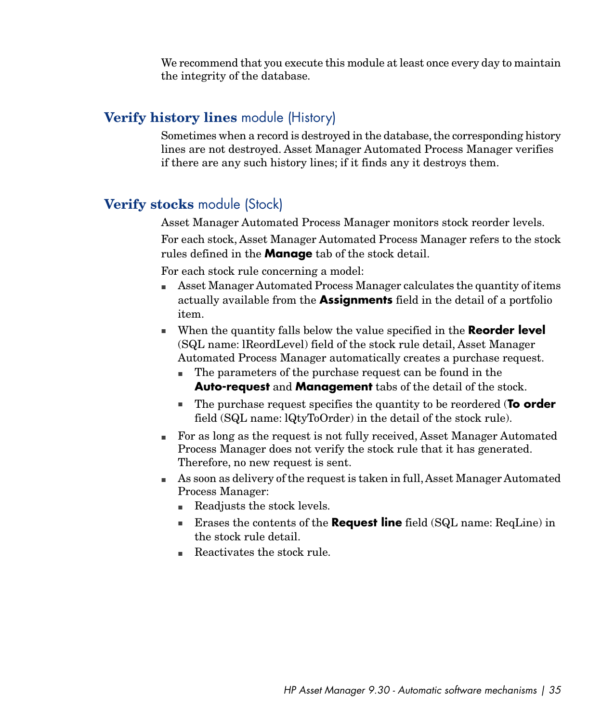We recommend that you execute this module at least once every day to maintain the integrity of the database.

## **Verify history lines** module (History)

Sometimes when a record is destroyed in the database, the corresponding history lines are not destroyed. Asset Manager Automated Process Manager verifies if there are any such history lines; if it finds any it destroys them.

## **Verify stocks** module (Stock)

Asset Manager Automated Process Manager monitors stock reorder levels. For each stock, Asset Manager Automated Process Manager refers to the stock rules defined in the **Manage** tab of the stock detail.

For each stock rule concerning a model:

- <sup>n</sup> Asset Manager Automated Process Manager calculates the quantity of items actually available from the **Assignments** field in the detail of a portfolio item.
- <sup>n</sup> When the quantity falls below the value specified in the **Reorder level** (SQL name: lReordLevel) field of the stock rule detail, Asset Manager Automated Process Manager automatically creates a purchase request.
	- <sup>n</sup> The parameters of the purchase request can be found in the **Auto-request** and **Management** tabs of the detail of the stock.
	- <sup>n</sup> The purchase request specifies the quantity to be reordered (**To order** field (SQL name: lQtyToOrder) in the detail of the stock rule).
- <sup>n</sup> For as long as the request is not fully received, Asset Manager Automated Process Manager does not verify the stock rule that it has generated. Therefore, no new request is sent.
- $\blacksquare$  As soon as delivery of the request is taken in full, Asset Manager Automated Process Manager:
	- <sup>n</sup> Readjusts the stock levels.
	- <sup>n</sup> Erases the contents of the **Request line** field (SQL name: ReqLine) in the stock rule detail.
	- <sup>n</sup> Reactivates the stock rule.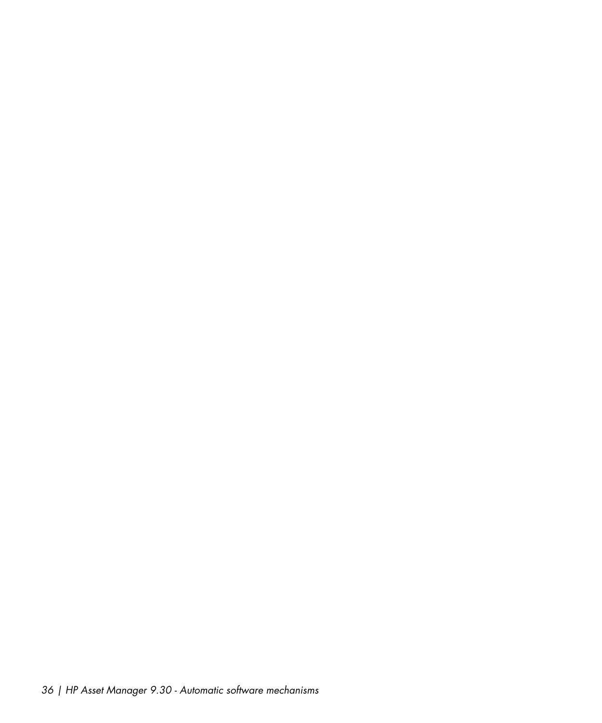*36 | HP Asset Manager 9.30 - Automatic software mechanisms*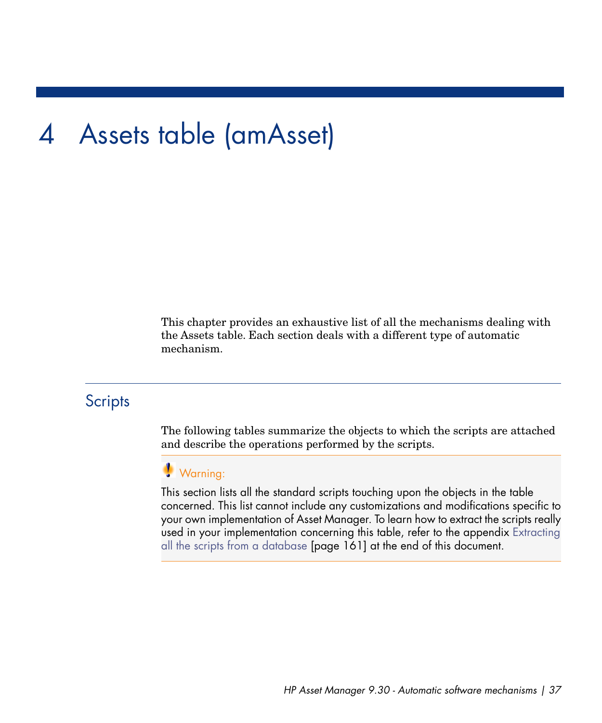# 4 Assets table (amAsset)

This chapter provides an exhaustive list of all the mechanisms dealing with the Assets table. Each section deals with a different type of automatic mechanism.

### **Scripts**

The following tables summarize the objects to which the scripts are attached and describe the operations performed by the scripts.

## Warning: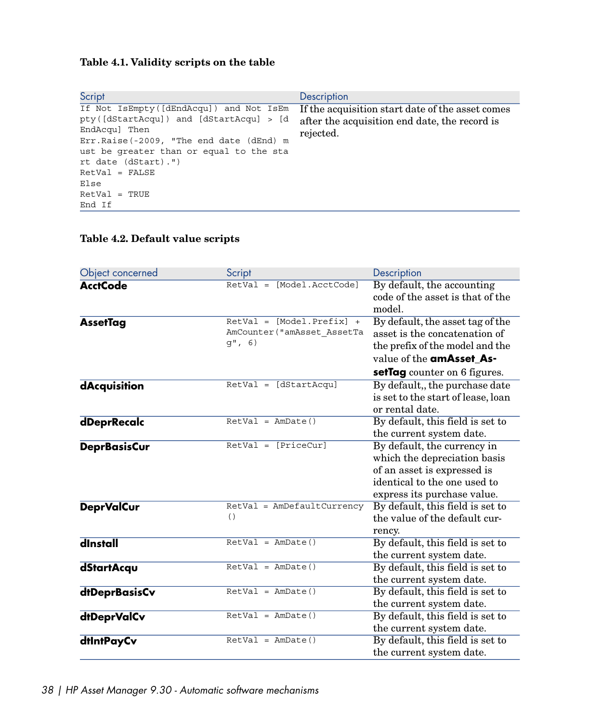#### **Table 4.1. Validity scripts on the table**

| Script                                                                                                                                                                                                                                                                       | Description                                                                                                    |
|------------------------------------------------------------------------------------------------------------------------------------------------------------------------------------------------------------------------------------------------------------------------------|----------------------------------------------------------------------------------------------------------------|
| If Not IsEmpty ([dEndAcqu]) and Not IsEm<br>pty([dStartAcqu]) and [dStartAcqu] > [d<br>EndAcqu] Then<br>Err. Raise (-2009, "The end date (dEnd) m<br>ust be greater than or equal to the sta<br>rt date (dStart).")<br>$RetVal = FALSE$<br>Else<br>$RetVal = TRUE$<br>End If | If the acquisition start date of the asset comes<br>after the acquisition end date, the record is<br>rejected. |

#### **Table 4.2. Default value scripts**

| Object concerned    | Script                                                                   | Description                                                                                                                                                             |
|---------------------|--------------------------------------------------------------------------|-------------------------------------------------------------------------------------------------------------------------------------------------------------------------|
| <b>AcctCode</b>     | RetVal = [Model.AcctCode]                                                | By default, the accounting<br>code of the asset is that of the<br>model.                                                                                                |
| <b>AssetTag</b>     | $RetVal = [Model.Prefix] +$<br>AmCounter ("amAsset AssetTa<br>$g''$ , 6) | By default, the asset tag of the<br>asset is the concatenation of<br>the prefix of the model and the<br>value of the <b>amAsset As-</b><br>setTag counter on 6 figures. |
| dAcquisition        | $RetVal = [dStartAcqu]$                                                  | By default,, the purchase date<br>is set to the start of lease, loan<br>or rental date.                                                                                 |
| dDeprRecalc         | $RetVal = Ambate()$                                                      | By default, this field is set to<br>the current system date.                                                                                                            |
| <b>DeprBasisCur</b> | $RetVal = [PriceCur]$                                                    | By default, the currency in<br>which the depreciation basis<br>of an asset is expressed is<br>identical to the one used to<br>express its purchase value.               |
| <b>DeprValCur</b>   | RetVal = AmDefaultCurrency<br>( )                                        | By default, this field is set to<br>the value of the default cur-<br>rency.                                                                                             |
| dinstall            | $RetVal = Ambate()$                                                      | By default, this field is set to<br>the current system date.                                                                                                            |
| dStartAcqu          | $RetVal = Ambate()$                                                      | By default, this field is set to<br>the current system date.                                                                                                            |
| dtDeprBasisCv       | $RetVal = Ambate()$                                                      | By default, this field is set to<br>the current system date.                                                                                                            |
| dtDeprValCv         | $RetVal = Ambate()$                                                      | By default, this field is set to<br>the current system date.                                                                                                            |
| dtIntPayCv          | $RetVal = Ambate()$                                                      | By default, this field is set to<br>the current system date.                                                                                                            |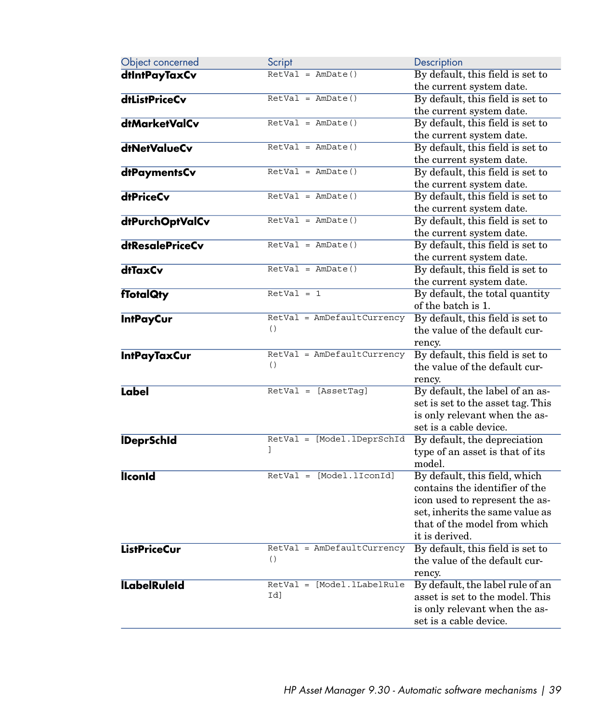| Object concerned    | Script                         | Description                       |
|---------------------|--------------------------------|-----------------------------------|
| dtIntPayTaxCv       | $RetVal = Ambate()$            | By default, this field is set to  |
|                     |                                | the current system date.          |
| dtListPriceCv       | $RetVal = Ambate()$            | By default, this field is set to  |
|                     |                                | the current system date.          |
| dtMarketValCv       | $RetVal = Ambate()$            | By default, this field is set to  |
|                     |                                | the current system date.          |
| dtNetValueCv        | $RetVal = \overline{AmDate()}$ | By default, this field is set to  |
|                     |                                | the current system date.          |
| dtPaymentsCv        | $RetVal = Ambate()$            | By default, this field is set to  |
|                     |                                | the current system date.          |
| <b>dtPriceCv</b>    | $RetVal = Ambate()$            | By default, this field is set to  |
|                     |                                | the current system date.          |
| dtPurchOptValCv     | $RetVal = Ambate()$            | By default, this field is set to  |
|                     |                                | the current system date.          |
| dtResalePriceCv     | $RetVal = Ambate()$            | By default, this field is set to  |
|                     |                                | the current system date.          |
| dtTaxCv             | $RetVal = Ambate()$            | By default, this field is set to  |
|                     |                                | the current system date.          |
| fTotalQty           | $RetVal = 1$                   | By default, the total quantity    |
|                     |                                | of the batch is 1.                |
| <b>IntPayCur</b>    | RetVal = AmDefaultCurrency     | By default, this field is set to  |
|                     | ( )                            | the value of the default cur-     |
|                     |                                | rency.                            |
| <b>IntPayTaxCur</b> | RetVal = AmDefaultCurrency     | By default, this field is set to  |
|                     | ( )                            | the value of the default cur-     |
|                     |                                | rency.                            |
| Label               | RetVal = [AssetTag]            | By default, the label of an as-   |
|                     |                                | set is set to the asset tag. This |
|                     |                                | is only relevant when the as-     |
|                     |                                | set is a cable device.            |
| <b>IDeprSchid</b>   | RetVal = [Model.lDeprSchId     | By default, the depreciation      |
|                     | 1                              | type of an asset is that of its   |
|                     |                                | model.                            |
| <b>Ilconid</b>      | RetVal = [Model.lIconId]       | By default, this field, which     |
|                     |                                | contains the identifier of the    |
|                     |                                | icon used to represent the as-    |
|                     |                                | set, inherits the same value as   |
|                     |                                | that of the model from which      |
|                     |                                | it is derived.                    |
| <b>ListPriceCur</b> | RetVal = AmDefaultCurrency     | By default, this field is set to  |
|                     | $\left( \right)$               | the value of the default cur-     |
|                     |                                | rency.                            |
| <b>ILabelRuleId</b> | RetVal = [Model.lLabelRule     | By default, the label rule of an  |
|                     | Id]                            | asset is set to the model. This   |
|                     |                                | is only relevant when the as-     |
|                     |                                | set is a cable device.            |
|                     |                                |                                   |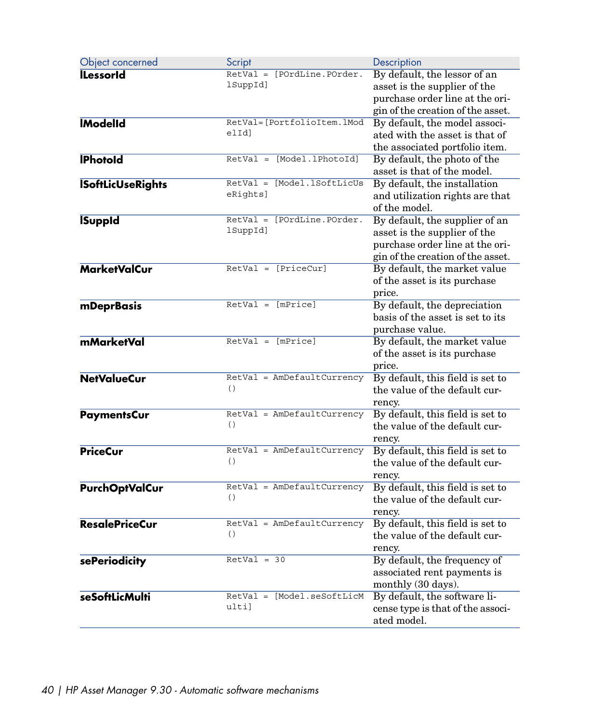| Object concerned         | Script                                 | Description                                                       |
|--------------------------|----------------------------------------|-------------------------------------------------------------------|
| lLessorId                | RetVal = [POrdLine.POrder.             | By default, the lessor of an                                      |
|                          | lSuppId]                               | asset is the supplier of the                                      |
|                          |                                        | purchase order line at the ori-                                   |
|                          |                                        | gin of the creation of the asset.                                 |
| <b>ModelId</b>           | RetVal=[PortfolioItem.lMod             | By default, the model associ-                                     |
|                          | elId]                                  | ated with the asset is that of                                    |
|                          |                                        | the associated portfolio item.                                    |
| <b>IPhotoId</b>          | RetVal = [Model.lPhotoId]              | By default, the photo of the                                      |
|                          |                                        | asset is that of the model.                                       |
| <b>ISoftLicUseRights</b> | RetVal = [Model.lSoftLicUs<br>eRights] | By default, the installation<br>and utilization rights are that   |
|                          |                                        | of the model.                                                     |
| <b>SuppId</b>            | RetVal = [POrdLine.POrder.             | By default, the supplier of an                                    |
|                          | lSuppId]                               | asset is the supplier of the                                      |
|                          |                                        | purchase order line at the ori-                                   |
|                          |                                        | gin of the creation of the asset.                                 |
| <b>MarketValCur</b>      | $RetVal = [PriceCur]$                  | By default, the market value                                      |
|                          |                                        | of the asset is its purchase                                      |
|                          |                                        | price.                                                            |
| <b>mDeprBasis</b>        | $RetVal = [mPrice]$                    | By default, the depreciation                                      |
|                          |                                        | basis of the asset is set to its                                  |
|                          |                                        | purchase value.                                                   |
| <b>mMarketVal</b>        | $RetVal = [mPrice]$                    | By default, the market value                                      |
|                          |                                        | of the asset is its purchase                                      |
|                          |                                        | price.                                                            |
| <b>NetValueCur</b>       | RetVal = AmDefaultCurrency             | By default, this field is set to                                  |
|                          | ( )                                    | the value of the default cur-                                     |
|                          |                                        | rency.                                                            |
| <b>PaymentsCur</b>       | RetVal = AmDefaultCurrency<br>( )      | By default, this field is set to                                  |
|                          |                                        | the value of the default cur-                                     |
|                          |                                        | rency.                                                            |
| <b>PriceCur</b>          | RetVal = AmDefaultCurrency<br>( )      | By default, this field is set to<br>the value of the default cur- |
|                          |                                        | rency.                                                            |
| <b>PurchOptValCur</b>    | RetVal = AmDefaultCurrency             | By default, this field is set to                                  |
|                          | ( )                                    | the value of the default cur-                                     |
|                          |                                        | rency.                                                            |
| <b>ResalePriceCur</b>    | RetVal = AmDefaultCurrency             | By default, this field is set to                                  |
|                          | ( )                                    | the value of the default cur-                                     |
|                          |                                        | rency.                                                            |
| sePeriodicity            | $RetVal = 30$                          | By default, the frequency of                                      |
|                          |                                        | associated rent payments is                                       |
|                          |                                        | monthly (30 days).                                                |
| seSoftLicMulti           | RetVal = [Model.seSoftLicM             | By default, the software li-                                      |
|                          | ulti]                                  | cense type is that of the associ-                                 |
|                          |                                        | ated model.                                                       |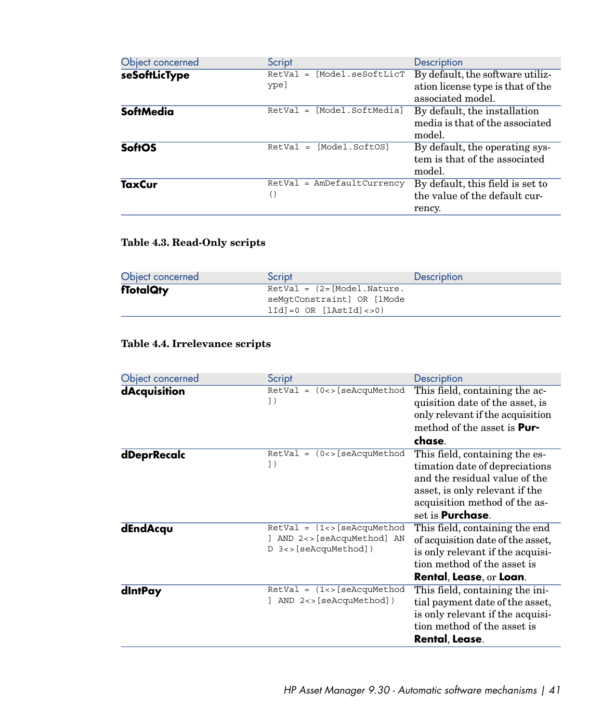| Object concerned | Script                                     | Description                                                                                |
|------------------|--------------------------------------------|--------------------------------------------------------------------------------------------|
| seSoftLicType    | [Model.seSoftLicT<br>RetVal<br>$=$<br>ype] | By default, the software utiliz-<br>ation license type is that of the<br>associated model. |
| <b>SoftMedia</b> | [Model.SoftMedia]<br>$RetVal =$            | By default, the installation<br>media is that of the associated<br>model.                  |
| <b>SoftOS</b>    | [Model.SoftOS]<br>RetVal<br>$=$            | By default, the operating sys-<br>tem is that of the associated<br>model.                  |
| <b>TaxCur</b>    | RetVal = AmDefaultCurrency<br>( )          | By default, this field is set to<br>the value of the default cur-<br>rency.                |

### **Table 4.3. Read-Only scripts**

| Object concerned | Script                                                                                     | Description |
|------------------|--------------------------------------------------------------------------------------------|-------------|
| fTotalQty        | $RetVal = (2 = [Model.Nature.$<br>seMqtConstraint] OR [lMode<br>$ld = 0$ OR $[lastId] < 0$ |             |

### **Table 4.4. Irrelevance scripts**

| Object concerned | Script                                                                                     | Description                                                                                                                                                                                      |
|------------------|--------------------------------------------------------------------------------------------|--------------------------------------------------------------------------------------------------------------------------------------------------------------------------------------------------|
| dAcquisition     | $RetVal = (0 \leq s)$ [seAcquMethod<br>$\left  \ \right $                                  | This field, containing the ac-<br>quisition date of the asset, is<br>only relevant if the acquisition<br>method of the asset is <b>Pur-</b><br>chase.                                            |
| dDeprRecalc      | $RetVal = (0 \leq s)$ [seAcquMethod<br>$\left  \ \right\rangle$                            | This field, containing the es-<br>timation date of depreciations<br>and the residual value of the<br>asset, is only relevant if the<br>acquisition method of the as-<br>set is <b>Purchase</b> . |
| dEndAcqu         | $RetVal = (1 \leq s)$ [seAcquMethod<br>AND 2<>[seAcquMethod] AN<br>3<>[seAcquMethod])<br>D | This field, containing the end<br>of acquisition date of the asset,<br>is only relevant if the acquisi-<br>tion method of the asset is<br>Rental, Lease, or Loan.                                |
| dIntPay          | $RetVal = (1 \leftarrow [seAcquMethod$<br>AND 2<>[seAcquMethod])                           | This field, containing the ini-<br>tial payment date of the asset,<br>is only relevant if the acquisi-<br>tion method of the asset is<br>Rental, Lease.                                          |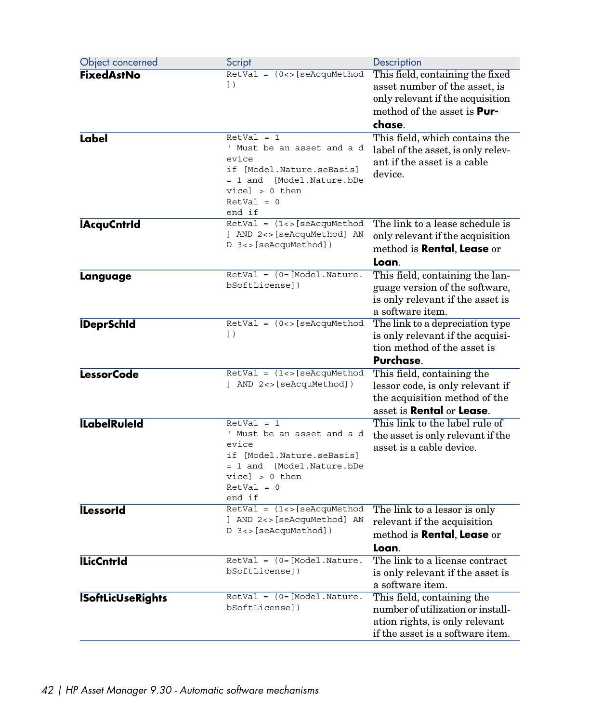| Object concerned         | Script                                                                                                                                                           | Description                                                                                                                                           |
|--------------------------|------------------------------------------------------------------------------------------------------------------------------------------------------------------|-------------------------------------------------------------------------------------------------------------------------------------------------------|
| <b>FixedAstNo</b>        | $RetVal = (0 \leq s)$ [seAcquMethod]<br>$\left  \ \right\rangle$                                                                                                 | This field, containing the fixed<br>asset number of the asset, is<br>only relevant if the acquisition<br>method of the asset is <b>Pur-</b><br>chase. |
| Label                    | $RetVal = 1$<br>' Must be an asset and a d<br>evice<br>if [Model.Nature.seBasis]<br>= 1 and [Model.Nature.bDe<br>$vice] > 0$ then<br>$RetVal = 0$<br>end if      | This field, which contains the<br>label of the asset, is only relev-<br>ant if the asset is a cable<br>device.                                        |
| <b>IAcquCntrid</b>       | $RetVal = (1 \Leftrightarrow [seAcquMethod$<br>] AND 2<>[seAcquMethod] AN<br>D 3<>[seAcquMethod])                                                                | The link to a lease schedule is<br>only relevant if the acquisition<br>method is <b>Rental</b> , Lease or<br>Loan.                                    |
| Language                 | $RetVal = (0 = [Model.Nature.$<br>bSoftLicense])                                                                                                                 | This field, containing the lan-<br>guage version of the software,<br>is only relevant if the asset is<br>a software item.                             |
| <b>IDeprSchid</b>        | $RetVal = (0 \Leftrightarrow [seAcquMethod$<br>$\left  \ \right\rangle$                                                                                          | The link to a depreciation type<br>is only relevant if the acquisi-<br>tion method of the asset is<br>Purchase.                                       |
| <b>LessorCode</b>        | $RetVal = (1 \Leftrightarrow [seAcquMethod$<br>] AND 2<>[seAcquMethod])                                                                                          | This field, containing the<br>lessor code, is only relevant if<br>the acquisition method of the<br>asset is <b>Rental</b> or Lease.                   |
| <b>ILabelRuleId</b>      | $RetVal = 1$<br>' Must be an asset and a d<br>evice<br>if [Model.Nature.seBasis]<br>$= 1$ and<br>[Model.Nature.bDe<br>$vice] > 0$ then<br>$RetVal = 0$<br>end if | This link to the label rule of<br>the asset is only relevant if the<br>asset is a cable device.                                                       |
| <b>ILessorId</b>         | $RetVal = (1 \Leftrightarrow [seAcquMethod$<br>] AND 2<>[seAcquMethod] AN<br>D 3<>[seAcquMethod])                                                                | The link to a lessor is only<br>relevant if the acquisition<br>method is <b>Rental</b> , Lease or<br>Loan.                                            |
| <b>ILicCntrId</b>        | $RetVal = (0 = [Model.Nature.$<br>bSoftLicensel)                                                                                                                 | The link to a license contract<br>is only relevant if the asset is<br>a software item.                                                                |
| <b>ISoftLicUseRights</b> | $RetVal = (0 = [Model.Nature.$<br>bSoftLicense])                                                                                                                 | This field, containing the<br>number of utilization or install-<br>ation rights, is only relevant<br>if the asset is a software item.                 |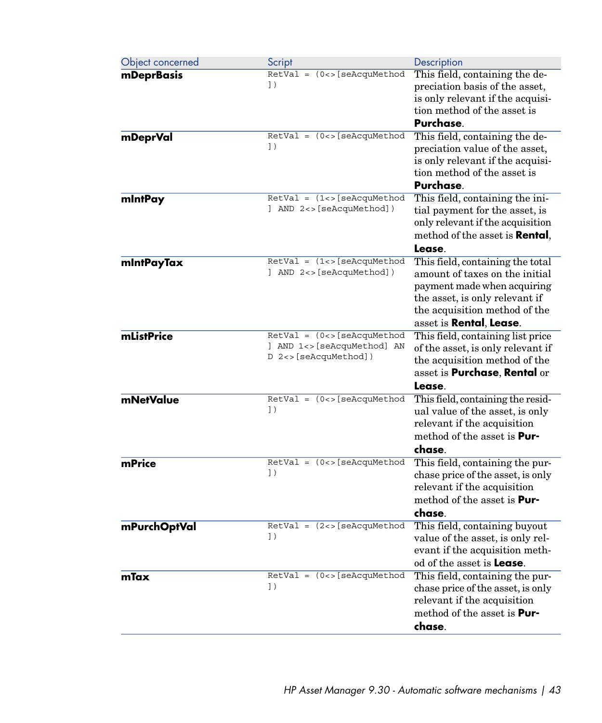| Object concerned  | Script                                                                                            | Description                                                                                                                                                                                     |
|-------------------|---------------------------------------------------------------------------------------------------|-------------------------------------------------------------------------------------------------------------------------------------------------------------------------------------------------|
| mDeprBasis        | $RetVal = (0 \leq s[seAcquMethod$<br>1)                                                           | This field, containing the de-<br>preciation basis of the asset,<br>is only relevant if the acquisi-<br>tion method of the asset is<br>Purchase.                                                |
| mDeprVal          | $RetVal = (0 \Leftrightarrow [seAcquMethod$<br>1)                                                 | This field, containing the de-<br>preciation value of the asset,<br>is only relevant if the acquisi-<br>tion method of the asset is<br>Purchase.                                                |
| mintPay           | $RetVal = (1 \Leftrightarrow [seAcquMethod$<br>] AND 2<>[seAcquMethod])                           | This field, containing the ini-<br>tial payment for the asset, is<br>only relevant if the acquisition<br>method of the asset is <b>Rental</b> ,<br>Lease.                                       |
| mintPayTax        | $RetVal = (1 \Leftrightarrow [seAcquMethod$<br>] AND 2<>[seAcquMethod])                           | This field, containing the total<br>amount of taxes on the initial<br>payment made when acquiring<br>the asset, is only relevant if<br>the acquisition method of the<br>asset is Rental, Lease. |
| <b>mListPrice</b> | $RetVal = (0 \Leftrightarrow [seAcquMethod$<br>] AND 1<>[seAcquMethod] AN<br>D 2<>[seAcquMethod]) | This field, containing list price<br>of the asset, is only relevant if<br>the acquisition method of the<br>asset is Purchase, Rental or<br>Lease.                                               |
| <b>mNetValue</b>  | $RetVal = (0 \Leftrightarrow [seAcquMethod$<br>1)                                                 | This field, containing the resid-<br>ual value of the asset, is only<br>relevant if the acquisition<br>method of the asset is <b>Pur-</b><br>chase.                                             |
| mPrice            | $RetVal = (0 \leq s)$ [seAcquMethod<br>$\left  \ \right\rangle$                                   | This field, containing the pur-<br>chase price of the asset, is only<br>relevant if the acquisition<br>method of the asset is Pur-<br>chase.                                                    |
| mPurchOptVal      | $RetVal = (2 \lt b)$ [seAcquMethod<br>$\left  \ \right\rangle$                                    | This field, containing buyout<br>value of the asset, is only rel-<br>evant if the acquisition meth-<br>od of the asset is Lease.                                                                |
| mTax              | $RetVal = (0 \Leftrightarrow [seAcquMethod$<br>J)                                                 | This field, containing the pur-<br>chase price of the asset, is only<br>relevant if the acquisition<br>method of the asset is Pur-<br>chase.                                                    |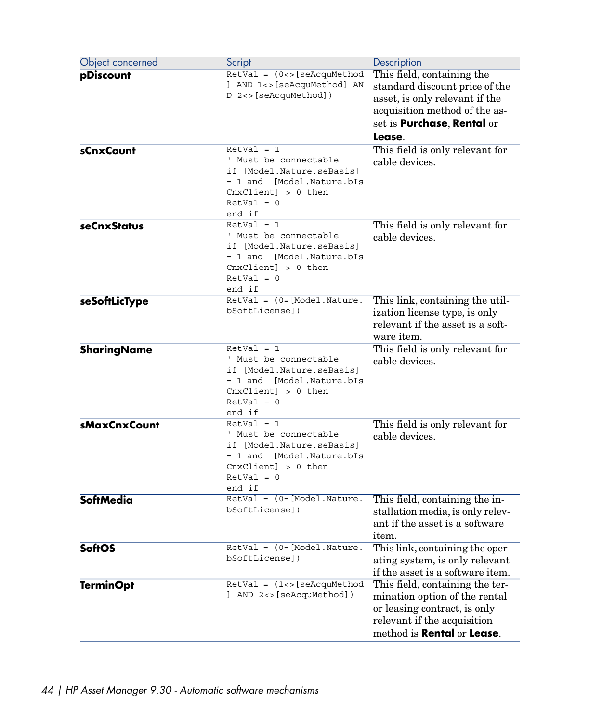| Object concerned    | Script                                                                                                                                             | Description                                                                                                                                                             |
|---------------------|----------------------------------------------------------------------------------------------------------------------------------------------------|-------------------------------------------------------------------------------------------------------------------------------------------------------------------------|
| pDiscount           | $RetVal = (0 \Leftrightarrow [seAcquMethod$<br>] AND 1<>[seAcquMethod] AN<br>D 2<>[seAcquMethod])                                                  | This field, containing the<br>standard discount price of the<br>asset, is only relevant if the<br>acquisition method of the as-<br>set is Purchase, Rental or<br>Lease. |
| sCnxCount           | $RetVal = 1$<br>' Must be connectable<br>if [Model.Nature.seBasis]<br>= 1 and [Model.Nature.bIs<br>$CrxClient] > 0$ then<br>$RetVal = 0$<br>end if | This field is only relevant for<br>cable devices.                                                                                                                       |
| seCnxStatus         | $RetVal = 1$<br>' Must be connectable<br>if [Model.Nature.seBasis]<br>= 1 and [Model.Nature.bIs<br>$CrxClient] > 0$ then<br>$RetVal = 0$<br>end if | This field is only relevant for<br>cable devices.                                                                                                                       |
| seSoftLicType       | $RetVal = (0 = [Model.Nature.$<br>bSoftLicense])                                                                                                   | This link, containing the util-<br>ization license type, is only<br>relevant if the asset is a soft-<br>ware item.                                                      |
| <b>SharingName</b>  | $RetVal = 1$<br>' Must be connectable<br>if [Model.Nature.seBasis]<br>= 1 and [Model.Nature.bIs<br>$CrxClient] > 0$ then<br>$RetVal = 0$<br>end if | This field is only relevant for<br>cable devices.                                                                                                                       |
| <b>sMaxCnxCount</b> | $RetVal = 1$<br>' Must be connectable<br>if [Model.Nature.seBasis]<br>= 1 and [Model.Nature.bIs<br>$CrxClient] > 0$ then<br>$RetVal = 0$<br>end if | This field is only relevant for<br>cable devices.                                                                                                                       |
| <b>SoftMedia</b>    | $RetVal = (0 = [Model.Nature.$<br>bSoftLicense])                                                                                                   | This field, containing the in-<br>stallation media, is only relev-<br>ant if the asset is a software<br>item.                                                           |
| <b>SoftOS</b>       | $RetVal = (0 = [Model.Nature.$<br>bSoftLicense])                                                                                                   | This link, containing the oper-<br>ating system, is only relevant<br>if the asset is a software item.                                                                   |
| <b>TerminOpt</b>    | $RetVal = (1 \Leftrightarrow [seAcquMethod$<br>] AND 2<>[seAcquMethod])                                                                            | This field, containing the ter-<br>mination option of the rental<br>or leasing contract, is only<br>relevant if the acquisition<br>method is <b>Rental</b> or Lease.    |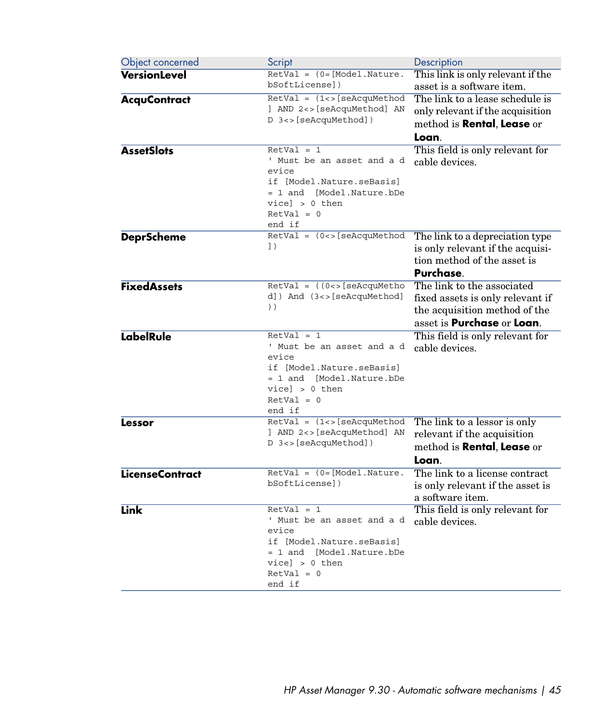| Object concerned       | Script                                             | Description                               |
|------------------------|----------------------------------------------------|-------------------------------------------|
| <b>VersionLevel</b>    | $RetVal = (0 = [Model.Nature.$                     | This link is only relevant if the         |
|                        | bSoftLicense])                                     | asset is a software item.                 |
| <b>AcquContract</b>    | $RetVal = (1 \Leftrightarrow [seAcquMethod$        | The link to a lease schedule is           |
|                        | ] AND 2<>[seAcquMethod] AN<br>D 3<>[seAcquMethod]) | only relevant if the acquisition          |
|                        |                                                    | method is <b>Rental</b> , Lease or        |
|                        |                                                    | Loan.                                     |
| <b>AssetSlots</b>      | $RetVal = 1$                                       | This field is only relevant for           |
|                        | ' Must be an asset and a d                         | cable devices.                            |
|                        | evice<br>if [Model.Nature.seBasis]                 |                                           |
|                        | = 1 and [Model.Nature.bDe                          |                                           |
|                        | $vice] > 0$ then                                   |                                           |
|                        | $RetVal = 0$                                       |                                           |
|                        | end if                                             |                                           |
| <b>DeprScheme</b>      | $RetVal = (0 \leq s)$ [seAcquMethod                | The link to a depreciation type           |
|                        | 1)                                                 | is only relevant if the acquisi-          |
|                        |                                                    | tion method of the asset is               |
|                        |                                                    | Purchase.                                 |
| <b>FixedAssets</b>     | $RetVal = ((0 \leq) [seAcquMethod$                 | The link to the associated                |
|                        | d]) And (3<>[seAcquMethod]<br>$)$ )                | fixed assets is only relevant if          |
|                        |                                                    | the acquisition method of the             |
|                        |                                                    | asset is <b>Purchase</b> or <b>Loan</b> . |
| <b>LabelRule</b>       | $RetVal = 1$                                       | This field is only relevant for           |
|                        | ' Must be an asset and a d<br>evice                | cable devices.                            |
|                        | if [Model.Nature.seBasis]                          |                                           |
|                        | = 1 and [Model.Nature.bDe                          |                                           |
|                        | $vice] > 0$ then                                   |                                           |
|                        | $RetVal = 0$                                       |                                           |
|                        | end if                                             |                                           |
| Lessor                 | $RetVal = (1 \Leftrightarrow [seAcquMethod$        | The link to a lessor is only              |
|                        | ] AND 2<>[seAcquMethod] AN<br>D 3<>[seAcquMethod]) | relevant if the acquisition               |
|                        |                                                    | method is Rental, Lease or                |
|                        |                                                    | Loan.                                     |
| <b>LicenseContract</b> | $RetVal = (0 = [Model.Nature.$                     | The link to a license contract            |
|                        | bSoftLicensel)                                     | is only relevant if the asset is          |
|                        |                                                    | a software item.                          |
| Link                   | $RetVal = 1$                                       | This field is only relevant for           |
|                        | ' Must be an asset and a d<br>evice                | cable devices.                            |
|                        | if [Model.Nature.seBasis]                          |                                           |
|                        | = 1 and [Model.Nature.bDe                          |                                           |
|                        | $vice] > 0$ then                                   |                                           |
|                        | $RetVal = 0$                                       |                                           |
|                        | end if                                             |                                           |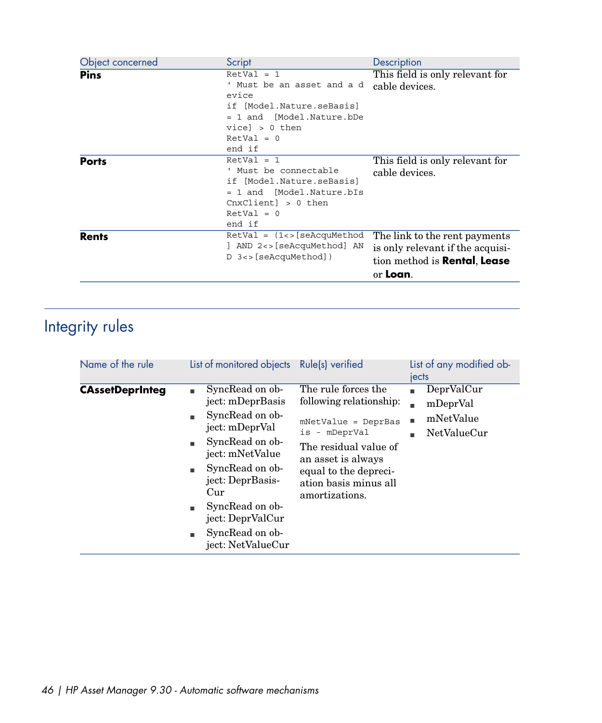| Object concerned | Script                                                                                                                                                    | Description                                                                                                                   |
|------------------|-----------------------------------------------------------------------------------------------------------------------------------------------------------|-------------------------------------------------------------------------------------------------------------------------------|
| <b>Pins</b>      | $RetVal = 1$<br>Must be an asset and a d<br>evice<br>if [Model.Nature.seBasis]<br>= 1 and [Model.Nature.bDe<br>$vice] > 0$ then<br>$RetVal = 0$<br>end if | This field is only relevant for<br>cable devices.                                                                             |
| <b>Ports</b>     | $RetVal = 1$<br>Must be connectable<br>if [Model.Nature.seBasis]<br>= 1 and [Model.Nature.bIs<br>$CrxClient > 0$ then<br>$RetVal = 0$<br>end if           | This field is only relevant for<br>cable devices.                                                                             |
| Rents            | $RetVal = (1 \Leftrightarrow [seAcquMethod$<br>] AND 2<>[seAcquMethod] AN<br>$D \text{ } 3 \lt 5$ [seAcquMethod])                                         | The link to the rent payments<br>is only relevant if the acquisi-<br>tion method is <b>Rental</b> , Lease<br>or <b>Loan</b> . |

# Integrity rules

| Name of the rule       | List of monitored objects                                                                                                                                                                                                                                       | Rule(s) verified                                                                                                                                                                                          | List of any modified ob-<br>jects                  |
|------------------------|-----------------------------------------------------------------------------------------------------------------------------------------------------------------------------------------------------------------------------------------------------------------|-----------------------------------------------------------------------------------------------------------------------------------------------------------------------------------------------------------|----------------------------------------------------|
| <b>CAssetDeprinteg</b> | SyncRead on ob-<br>٠<br>ject: mDeprBasis<br>SyncRead on ob-<br>٠<br>ject: mDeprVal<br>SyncRead on ob-<br>٠<br>ject: mNetValue<br>SyncRead on ob-<br>٠<br>ject: DeprBasis-<br>Cur<br>SyncRead on ob-<br>ject: DeprValCur<br>SyncRead on ob-<br>ject: NetValueCur | The rule forces the<br>following relationship:<br>mNetValue = DeprBas<br>is - mDeprVal<br>The residual value of<br>an asset is always<br>equal to the depreci-<br>ation basis minus all<br>amortizations. | DeprValCur<br>mDeprVal<br>mNetValue<br>NetValueCur |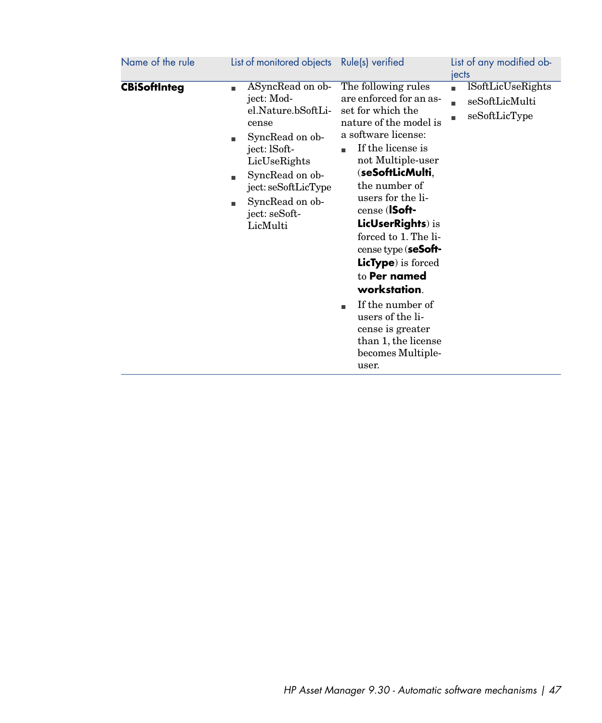| Name of the rule    | List of monitored objects                                                                                                                                                                                                      | Rule(s) verified                                                                                                                                                                                                                                                                                                                                                                                                                                                                                         | List of any modified ob-<br>jects                           |
|---------------------|--------------------------------------------------------------------------------------------------------------------------------------------------------------------------------------------------------------------------------|----------------------------------------------------------------------------------------------------------------------------------------------------------------------------------------------------------------------------------------------------------------------------------------------------------------------------------------------------------------------------------------------------------------------------------------------------------------------------------------------------------|-------------------------------------------------------------|
| <b>CBiSoftInteg</b> | ASyncRead on ob-<br>٠<br>ject: Mod-<br>el.Nature.bSoftLi-<br>cense<br>SyncRead on ob-<br>٠<br>ject: ISoft-<br>LicUseRights<br>SyncRead on ob-<br>٠<br>ject: seSoftLicType<br>SyncRead on ob-<br>٠<br>ject: seSoft-<br>LicMulti | The following rules<br>are enforced for an as-<br>set for which the<br>nature of the model is<br>a software license:<br>If the license is<br>not Multiple-user<br>(seSoftLicMulti,<br>the number of<br>users for the li-<br>cense ( <b>Soft-</b><br>LicUserRights) is<br>forced to 1. The li-<br>cense type (seSoft-<br><b>LicType</b> ) is forced<br>to Per named<br>workstation.<br>If the number of<br>٠<br>users of the li-<br>cense is greater<br>than 1, the license<br>becomes Multiple-<br>user. | <b>lSoftLicUseRights</b><br>seSoftLicMulti<br>seSoftLicType |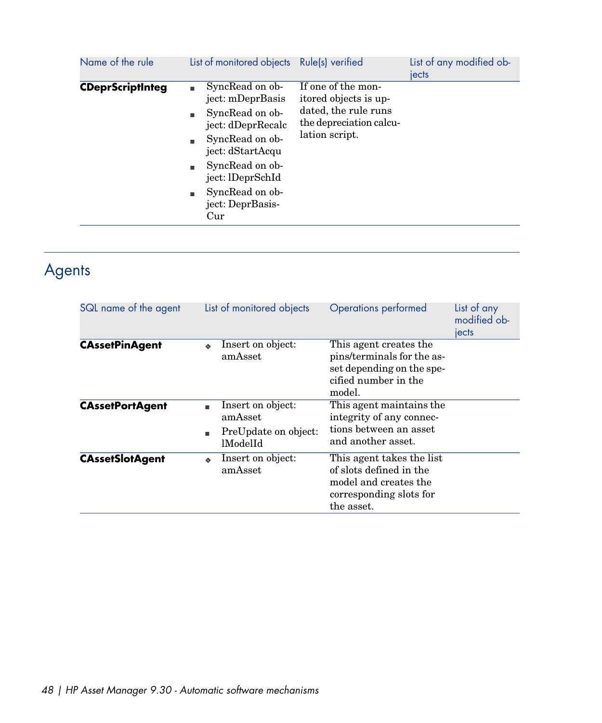| If one of the mon-<br>SyncRead on ob-<br><b>CDeprScriptInteg</b><br>٠<br>ject: mDeprBasis<br>itored objects is up-<br>dated, the rule runs<br>SyncRead on ob-<br>٠<br>the depreciation calcu-<br>ject: dDeprRecalc<br>lation script.<br>SyncRead on ob-<br>٠<br>ject: dStartAcqu<br>SyncRead on ob-<br>٠<br>ject: lDeprSchId<br>SyncRead on ob-<br>٠<br>ject: DeprBasis-<br>Cur | Name of the rule | List of monitored objects Rule(s) verified | List of any modified ob-<br>jects |
|---------------------------------------------------------------------------------------------------------------------------------------------------------------------------------------------------------------------------------------------------------------------------------------------------------------------------------------------------------------------------------|------------------|--------------------------------------------|-----------------------------------|
|                                                                                                                                                                                                                                                                                                                                                                                 |                  |                                            |                                   |

| SQL name of the agent  |   | List of monitored objects                                               | Operations performed                                                                                                   | List of any<br>modified ob-<br>iects |
|------------------------|---|-------------------------------------------------------------------------|------------------------------------------------------------------------------------------------------------------------|--------------------------------------|
| <b>CAssetPinAgent</b>  | ۰ | Insert on object:<br>amAsset                                            | This agent creates the<br>pins/terminals for the as-<br>set depending on the spe-<br>cified number in the<br>model.    |                                      |
| <b>CAssetPortAgent</b> | ٠ | Insert on object:<br>amAsset<br>PreUpdate on object:<br><b>IModelId</b> | This agent maintains the<br>integrity of any connec-<br>tions between an asset<br>and another asset.                   |                                      |
| <b>CAssetSlotAgent</b> | ۰ | Insert on object:<br>amAsset                                            | This agent takes the list<br>of slots defined in the<br>model and creates the<br>corresponding slots for<br>the asset. |                                      |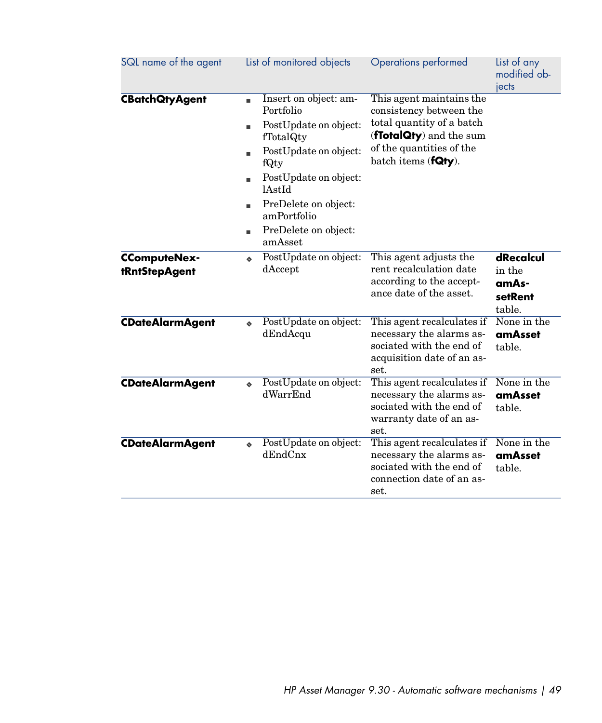| SQL name of the agent                       |                            | List of monitored objects                                                                                                                                                                                                     | <b>Operations performed</b>                                                                                                                                             | List of any<br>modified ob-<br><b>iects</b>       |
|---------------------------------------------|----------------------------|-------------------------------------------------------------------------------------------------------------------------------------------------------------------------------------------------------------------------------|-------------------------------------------------------------------------------------------------------------------------------------------------------------------------|---------------------------------------------------|
| <b>CBatchQtyAgent</b>                       | ٠<br>٠<br>٠<br>٠<br>٠<br>٠ | Insert on object: am-<br>Portfolio<br>PostUpdate on object:<br>fTotalQty<br>PostUpdate on object:<br>fQty<br>PostUpdate on object:<br><b>lAstId</b><br>PreDelete on object:<br>amPortfolio<br>PreDelete on object:<br>amAsset | This agent maintains the<br>consistency between the<br>total quantity of a batch<br>( <b>fTotalQty</b> ) and the sum<br>of the quantities of the<br>batch items (fQty). |                                                   |
| <b>CComputeNex-</b><br><b>tRntStepAgent</b> |                            | PostUpdate on object:<br>dAccept                                                                                                                                                                                              | This agent adjusts the<br>rent recalculation date<br>according to the accept-<br>ance date of the asset.                                                                | dRecalcul<br>in the<br>amAs-<br>setRent<br>table. |
| <b>CDateAlarmAgent</b>                      |                            | PostUpdate on object:<br>dEndAcqu                                                                                                                                                                                             | This agent recalculates if<br>necessary the alarms as-<br>sociated with the end of<br>acquisition date of an as-<br>set.                                                | None in the<br>amAsset<br>table.                  |
| <b>CDateAlarmAgent</b>                      |                            | PostUpdate on object:<br>dWarrEnd                                                                                                                                                                                             | This agent recalculates if<br>necessary the alarms as-<br>sociated with the end of<br>warranty date of an as-<br>set.                                                   | None in the<br>amAsset<br>table.                  |
| <b>CDateAlarmAgent</b>                      | ó                          | PostUpdate on object:<br>dEndCnx                                                                                                                                                                                              | This agent recalculates if<br>necessary the alarms as-<br>sociated with the end of<br>connection date of an as-<br>set.                                                 | None in the<br>amAsset<br>table.                  |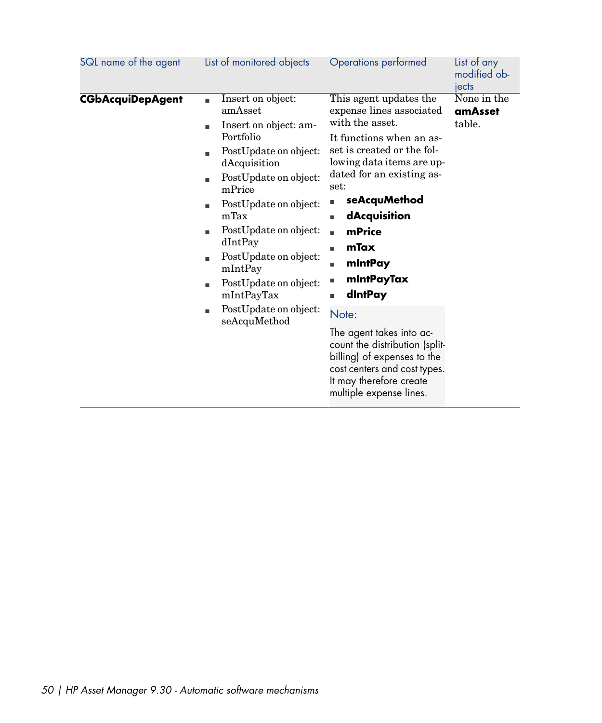| SQL name of the agent   | List of monitored objects                                                                                                                                                                                                                                                                                                                              | Operations performed                                                                                                                                                                                                                                                                                                                                                                                                                                                                          | List of any<br>modified ob-<br>jects |
|-------------------------|--------------------------------------------------------------------------------------------------------------------------------------------------------------------------------------------------------------------------------------------------------------------------------------------------------------------------------------------------------|-----------------------------------------------------------------------------------------------------------------------------------------------------------------------------------------------------------------------------------------------------------------------------------------------------------------------------------------------------------------------------------------------------------------------------------------------------------------------------------------------|--------------------------------------|
| <b>CGbAcquiDepAgent</b> | Insert on object:<br>٠<br>amAsset<br>Insert on object: am-<br>Portfolio<br>PostUpdate on object:<br>٠<br>dAcquisition<br>PostUpdate on object:<br>mPrice<br>PostUpdate on object:<br>mTax<br>PostUpdate on object:<br>dIntPay<br>PostUpdate on object:<br>mIntPay<br>PostUpdate on object:<br>٠<br>mIntPayTax<br>PostUpdate on object:<br>seAcquMethod | This agent updates the<br>expense lines associated<br>with the asset.<br>It functions when an as-<br>set is created or the fol-<br>lowing data items are up-<br>dated for an existing as-<br>set:<br>seAcquMethod<br>dAcquisition<br>mPrice<br>mTax<br>ш<br>mIntPay<br>■<br>mIntPayTax<br>dIntPay<br>Note:<br>The agent takes into ac-<br>count the distribution (split-<br>billing) of expenses to the<br>cost centers and cost types.<br>It may therefore create<br>multiple expense lines. | None in the<br>amAsset<br>table.     |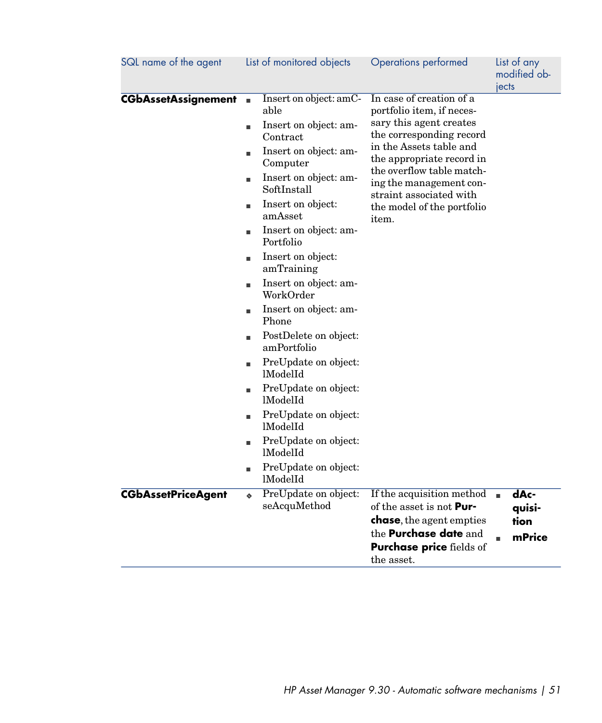| SQL name of the agent      | List of monitored objects                                                                                                                                                                                                                                                                                                                                                                                                                                                                                                                                                                                                                                             | Operations performed                                                                                                                                                                                                                                                                           | List of any<br>modified ob-<br>iects  |
|----------------------------|-----------------------------------------------------------------------------------------------------------------------------------------------------------------------------------------------------------------------------------------------------------------------------------------------------------------------------------------------------------------------------------------------------------------------------------------------------------------------------------------------------------------------------------------------------------------------------------------------------------------------------------------------------------------------|------------------------------------------------------------------------------------------------------------------------------------------------------------------------------------------------------------------------------------------------------------------------------------------------|---------------------------------------|
| <b>CGbAssetAssignement</b> | Insert on object: amC-<br>$\blacksquare$<br>able<br>Insert on object: am-<br>٠<br>Contract<br>Insert on object: am-<br>٠<br>Computer<br>Insert on object: am-<br>٠<br>SoftInstall<br>Insert on object:<br>٠<br>amAsset<br>Insert on object: am-<br>٠<br>Portfolio<br>Insert on object:<br>٠<br>amTraining<br>Insert on object: am-<br>٠<br>WorkOrder<br>Insert on object: am-<br>٠<br>Phone<br>PostDelete on object:<br>٠<br>amPortfolio<br>PreUpdate on object:<br><b>lModelId</b><br>PreUpdate on object:<br>٠<br>lModelId<br>PreUpdate on object:<br>٠<br><b>lModelId</b><br>PreUpdate on object:<br>٠<br><b>lModelId</b><br>PreUpdate on object:<br>٠<br>lModelId | In case of creation of a<br>portfolio item, if neces-<br>sary this agent creates<br>the corresponding record<br>in the Assets table and<br>the appropriate record in<br>the overflow table match-<br>ing the management con-<br>straint associated with<br>the model of the portfolio<br>item. |                                       |
| <b>CGbAssetPriceAgent</b>  | PreUpdate on object:<br>$\ddot{\bullet}$<br>seAcquMethod                                                                                                                                                                                                                                                                                                                                                                                                                                                                                                                                                                                                              | If the acquisition method<br>of the asset is not <b>Pur-</b><br>chase, the agent empties<br>the <b>Purchase date</b> and<br>Purchase price fields of<br>the asset.                                                                                                                             | dAc-<br>٠<br>quisi-<br>tion<br>mPrice |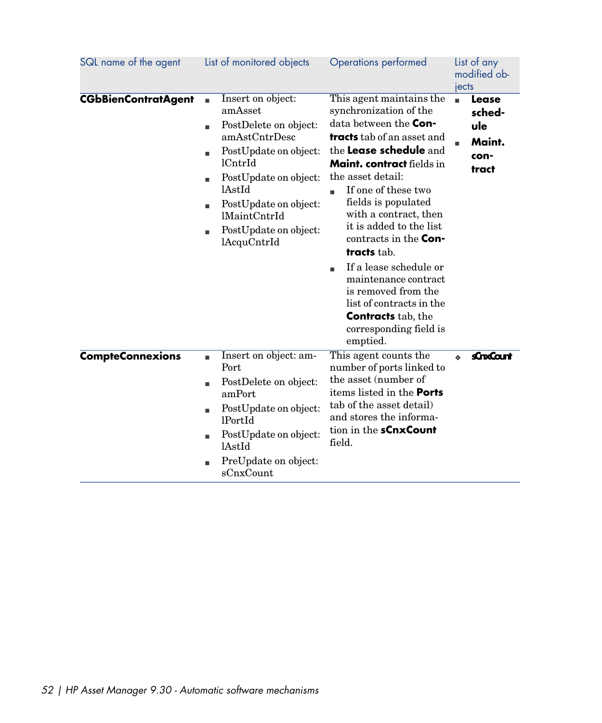| SQL name of the agent      | List of monitored objects                                                                                                                                                                                                                            | Operations performed                                                                                                                                                                                                                                                                                                                                                                                                                                                                                                                | List of any<br>modified ob-<br>jects                   |
|----------------------------|------------------------------------------------------------------------------------------------------------------------------------------------------------------------------------------------------------------------------------------------------|-------------------------------------------------------------------------------------------------------------------------------------------------------------------------------------------------------------------------------------------------------------------------------------------------------------------------------------------------------------------------------------------------------------------------------------------------------------------------------------------------------------------------------------|--------------------------------------------------------|
| <b>CGbBienContratAgent</b> | Insert on object:<br>٠<br>amAsset<br>PostDelete on object:<br>٠<br>amAstCntrDesc<br>PostUpdate on object:<br>lCntrId<br>PostUpdate on object:<br>٠<br>lAstId<br>PostUpdate on object:<br><b>IMaintCntrId</b><br>PostUpdate on object:<br>lAcquCntrId | This agent maintains the<br>synchronization of the<br>data between the <b>Con-</b><br><b>tracts</b> tab of an asset and<br>the Lease schedule and<br><b>Maint. contract</b> fields in<br>the asset detail:<br>If one of these two<br>fields is populated<br>with a contract, then<br>it is added to the list<br>contracts in the <b>Con-</b><br>tracts tab.<br>If a lease schedule or<br>maintenance contract<br>is removed from the<br>list of contracts in the<br><b>Contracts</b> tab, the<br>corresponding field is<br>emptied. | Lease<br>٠<br>sched-<br>ule<br>Maint.<br>con-<br>tract |
| <b>CompteConnexions</b>    | Insert on object: am-<br>٠<br>Port<br>PostDelete on object:<br>amPort<br>PostUpdate on object:<br>٠<br><b>IPortId</b><br>PostUpdate on object:<br><b>lAstId</b><br>PreUpdate on object:<br>sCnxCount                                                 | This agent counts the<br>number of ports linked to<br>the asset (number of<br>items listed in the <b>Ports</b><br>tab of the asset detail)<br>and stores the informa-<br>tion in the sCnxCount<br>field.                                                                                                                                                                                                                                                                                                                            | <b>sCnxCart</b><br>$\ddot{\bullet}$                    |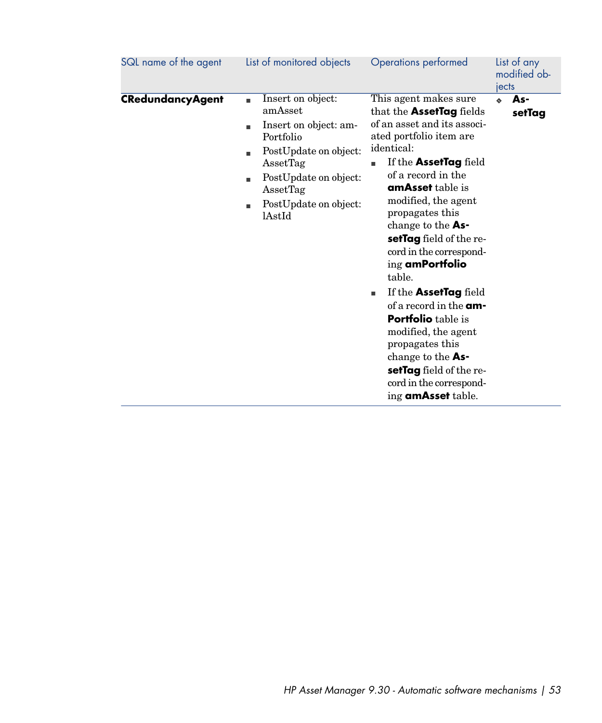| SQL name of the agent   | List of monitored objects                                                                                                                                                            | Operations performed                                                                                                                                                                                                                                                                                                                                                                                                                                                                                                                                                                                                      | List of any<br>modified ob-<br>jects |
|-------------------------|--------------------------------------------------------------------------------------------------------------------------------------------------------------------------------------|---------------------------------------------------------------------------------------------------------------------------------------------------------------------------------------------------------------------------------------------------------------------------------------------------------------------------------------------------------------------------------------------------------------------------------------------------------------------------------------------------------------------------------------------------------------------------------------------------------------------------|--------------------------------------|
| <b>CRedundancyAgent</b> | Insert on object:<br>٠<br>amAsset<br>Insert on object: am-<br>Portfolio<br>PostUpdate on object:<br>AssetTag<br>PostUpdate on object:<br>AssetTag<br>PostUpdate on object:<br>lAstId | This agent makes sure<br>that the <b>AssetTag</b> fields<br>of an asset and its associ-<br>ated portfolio item are<br>identical:<br>If the <b>AssetTag</b> field<br>٠.<br>of a record in the<br><b>amAsset</b> table is<br>modified, the agent<br>propagates this<br>change to the As-<br>setTag field of the re-<br>cord in the correspond-<br>ing amPortfolio<br>table.<br>If the <b>AssetTag</b> field<br>٠<br>of a record in the $am-$<br><b>Portfolio</b> table is<br>modified, the agent<br>propagates this<br>change to the <b>As-</b><br>setTag field of the re-<br>cord in the correspond-<br>ing amAsset table. | As-<br>ó<br>setTag                   |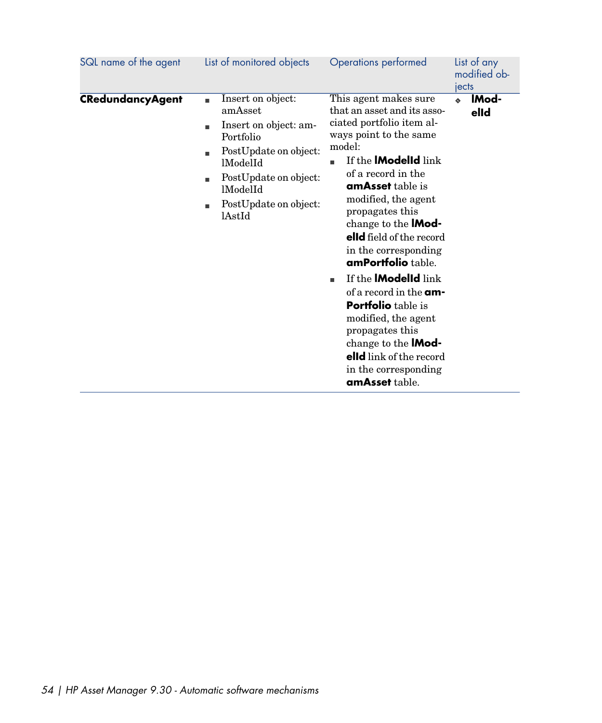| SQL name of the agent   | List of monitored objects                                                                                                                                                                               | Operations performed                                                                                                                                                                                                                                                                                                                                                                                                                                                                                                                                                                                | List of any<br>modified ob-<br>iects |
|-------------------------|---------------------------------------------------------------------------------------------------------------------------------------------------------------------------------------------------------|-----------------------------------------------------------------------------------------------------------------------------------------------------------------------------------------------------------------------------------------------------------------------------------------------------------------------------------------------------------------------------------------------------------------------------------------------------------------------------------------------------------------------------------------------------------------------------------------------------|--------------------------------------|
| <b>CRedundancyAgent</b> | Insert on object:<br>٠<br>amAsset<br>Insert on object: am-<br>Portfolio<br>PostUpdate on object:<br>٠<br><b>IModelId</b><br>PostUpdate on object:<br><b>IModelId</b><br>PostUpdate on object:<br>lAstId | This agent makes sure<br>that an asset and its asso-<br>ciated portfolio item al-<br>ways point to the same<br>model:<br>If the <b>IModelId</b> link<br>of a record in the<br><b>amAsset</b> table is<br>modified, the agent<br>propagates this<br>change to the <b>IMod</b> -<br>elld field of the record<br>in the corresponding<br>amPortfolio table.<br>If the <b>IModelId</b> link<br>of a record in the <b>am-</b><br><b>Portfolio</b> table is<br>modified, the agent<br>propagates this<br>change to the <b>IMod</b> -<br>elld link of the record<br>in the corresponding<br>amAsset table. | IMod-<br>$\bullet$<br>elld           |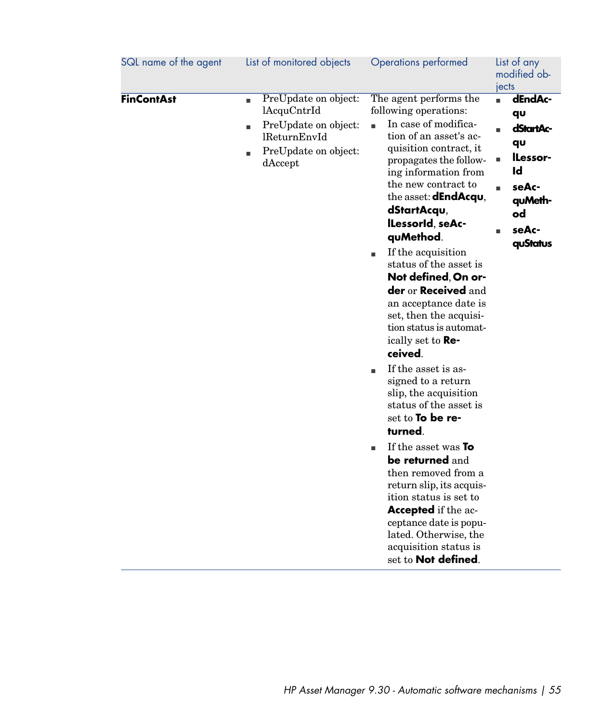| SQL name of the agent | List of monitored objects                                                                                                | <b>Operations performed</b>                                                                                                                                                                                                                                                                                                                                                                                                                                                                                                                                                                                                                                                                                                                                                                                                                                                                                    | List of any<br>modified ob-<br>iects                                                                              |
|-----------------------|--------------------------------------------------------------------------------------------------------------------------|----------------------------------------------------------------------------------------------------------------------------------------------------------------------------------------------------------------------------------------------------------------------------------------------------------------------------------------------------------------------------------------------------------------------------------------------------------------------------------------------------------------------------------------------------------------------------------------------------------------------------------------------------------------------------------------------------------------------------------------------------------------------------------------------------------------------------------------------------------------------------------------------------------------|-------------------------------------------------------------------------------------------------------------------|
| <b>FinContAst</b>     | PreUpdate on object:<br>٠<br>lAcquCntrId<br>PreUpdate on object:<br>٠<br>lReturnEnvId<br>PreUpdate on object:<br>dAccept | The agent performs the<br>following operations:<br>In case of modifica-<br>tion of an asset's ac-<br>quisition contract, it<br>propagates the follow-<br>ing information from<br>the new contract to<br>the asset: <b>dEndAcqu</b> ,<br>dStartAcqu,<br>ILessorId, seAc-<br>quMethod.<br>If the acquisition<br>۰.<br>status of the asset is<br>Not defined, On or-<br>der or Received and<br>an acceptance date is<br>set, then the acquisi-<br>tion status is automat-<br>ically set to <b>Re-</b><br>ceived.<br>If the asset is as-<br>٠<br>signed to a return<br>slip, the acquisition<br>status of the asset is<br>set to To be re-<br>turned.<br>If the asset was <b>To</b><br>٠<br>be returned and<br>then removed from a<br>return slip, its acquis-<br>ition status is set to<br>Accepted if the ac-<br>ceptance date is popu-<br>lated. Otherwise, the<br>acquisition status is<br>set to Not defined. | dEndAc-<br>٠<br>qu<br>dStartAc-<br>×.<br>qu<br>lLessor-<br>Id<br>seAc-<br>٠<br>quMeth-<br>od<br>seAc-<br>quStatus |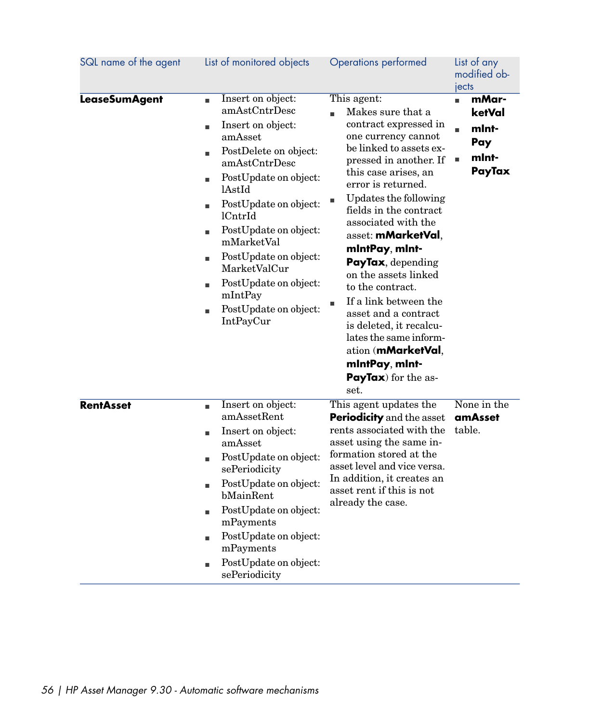| SQL name of the agent | List of monitored objects                                                                                                                                                                                                                                                                                                                                                                      | <b>Operations performed</b>                                                                                                                                                                                                                                                                                                                                                                                                                                                                                                                         | List of any<br>modified ob-<br>iects                                |
|-----------------------|------------------------------------------------------------------------------------------------------------------------------------------------------------------------------------------------------------------------------------------------------------------------------------------------------------------------------------------------------------------------------------------------|-----------------------------------------------------------------------------------------------------------------------------------------------------------------------------------------------------------------------------------------------------------------------------------------------------------------------------------------------------------------------------------------------------------------------------------------------------------------------------------------------------------------------------------------------------|---------------------------------------------------------------------|
| <b>LeaseSumAgent</b>  | Insert on object:<br>$\blacksquare$<br>amAstCntrDesc<br>Insert on object:<br>٠<br>amAsset<br>PostDelete on object:<br>٠<br>amAstCntrDesc<br>PostUpdate on object:<br>Ű.<br>1AstId<br>PostUpdate on object:<br>٠<br>lCntrId<br>PostUpdate on object:<br>٠<br>mMarketVal<br>PostUpdate on object:<br>MarketValCur<br>PostUpdate on object:<br>٠<br>mIntPay<br>PostUpdate on object:<br>IntPayCur | This agent:<br>Makes sure that a<br>contract expressed in<br>one currency cannot<br>be linked to assets ex-<br>pressed in another. If<br>this case arises, an<br>error is returned.<br>Updates the following<br>fields in the contract<br>associated with the<br>asset: mMarketVal,<br>mintPay, mint-<br>PayTax, depending<br>on the assets linked<br>to the contract.<br>If a link between the<br>asset and a contract<br>is deleted, it recalcu-<br>lates the same inform-<br>ation (mMarketVal,<br>mintPay, mint-<br>PayTax) for the as-<br>set. | mMar-<br>Ű.<br>ketVal<br>mlnt-<br>×.<br>Pay<br>mlnt-<br>ш<br>PayTax |
| <b>RentAsset</b>      | Insert on object:<br>٠<br>amAssetRent<br>Insert on object:<br>٠<br>amAsset<br>PostUpdate on object:<br>٠<br>sePeriodicity<br>PostUpdate on object:<br>٠<br>bMainRent<br>PostUpdate on object:<br>٠<br>mPayments<br>PostUpdate on object:<br>٠<br>mPayments<br>PostUpdate on object:<br>sePeriodicity                                                                                           | This agent updates the<br><b>Periodicity</b> and the asset<br>rents associated with the<br>asset using the same in-<br>formation stored at the<br>asset level and vice versa.<br>In addition, it creates an<br>asset rent if this is not<br>already the case.                                                                                                                                                                                                                                                                                       | None in the<br>amAsset<br>table.                                    |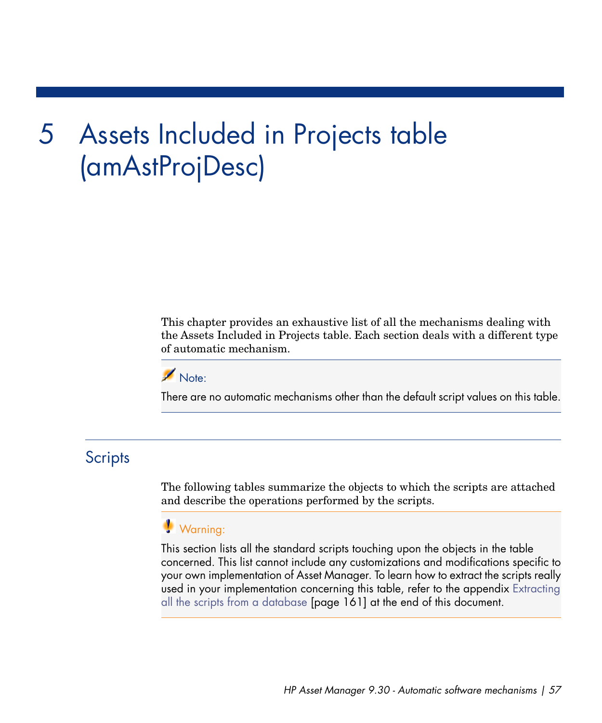# Assets Included in Projects table 5(amAstProjDesc)

This chapter provides an exhaustive list of all the mechanisms dealing with the Assets Included in Projects table. Each section deals with a different type of automatic mechanism.

## Note:

There are no automatic mechanisms other than the default script values on this table.

### **Scripts**

The following tables summarize the objects to which the scripts are attached and describe the operations performed by the scripts.

## Warning: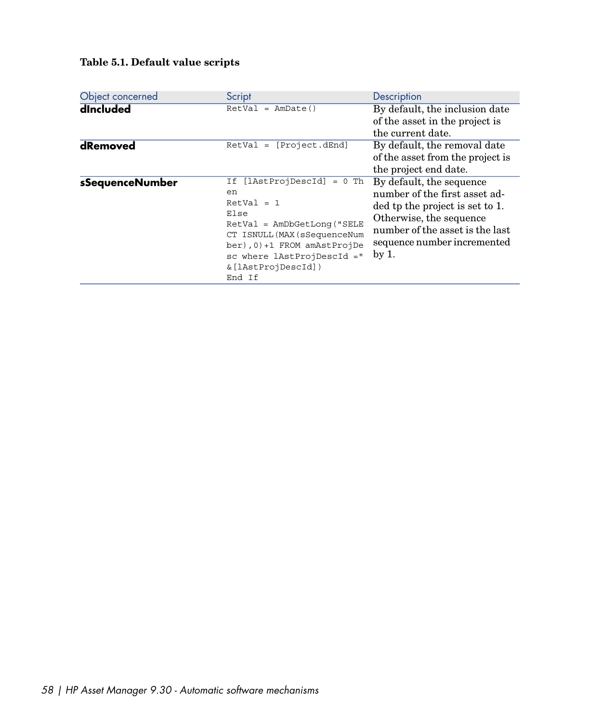### **Table 5.1. Default value scripts**

| Object concerned | Script                                                                                                                                                                                                                      | Description                                                                                                                                                                                          |
|------------------|-----------------------------------------------------------------------------------------------------------------------------------------------------------------------------------------------------------------------------|------------------------------------------------------------------------------------------------------------------------------------------------------------------------------------------------------|
| dIncluded        | $RetVal = Ambate()$                                                                                                                                                                                                         | By default, the inclusion date<br>of the asset in the project is                                                                                                                                     |
| dRemoved         | $RetVal = [Project.dEnd]$                                                                                                                                                                                                   | the current date.<br>By default, the removal date                                                                                                                                                    |
|                  |                                                                                                                                                                                                                             | of the asset from the project is<br>the project end date.                                                                                                                                            |
| sSequenceNumber  | If [lAstProjDescId]<br>$= 0 Th$<br>en<br>$RetVal = 1$<br>Else<br>RetVal = AmDbGetLong ("SELE<br>CT ISNULL (MAX (sSequenceNum<br>ber), 0) +1 FROM amAstProjDe<br>sc where lAstProjDescId ="<br>& [lAstProjDescId])<br>End If | By default, the sequence<br>number of the first asset ad-<br>ded tp the project is set to 1.<br>Otherwise, the sequence<br>number of the asset is the last<br>sequence number incremented<br>$by1$ . |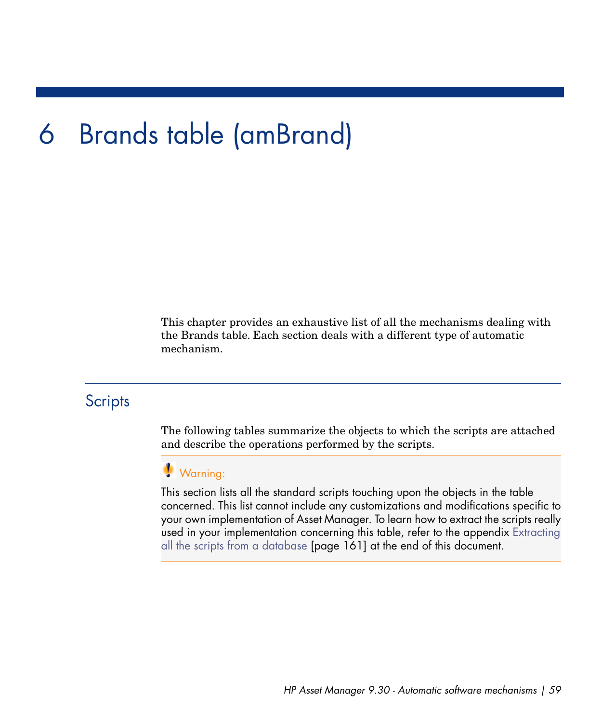# 6 Brands table (amBrand)

This chapter provides an exhaustive list of all the mechanisms dealing with the Brands table. Each section deals with a different type of automatic mechanism.

### **Scripts**

The following tables summarize the objects to which the scripts are attached and describe the operations performed by the scripts.

### Warning: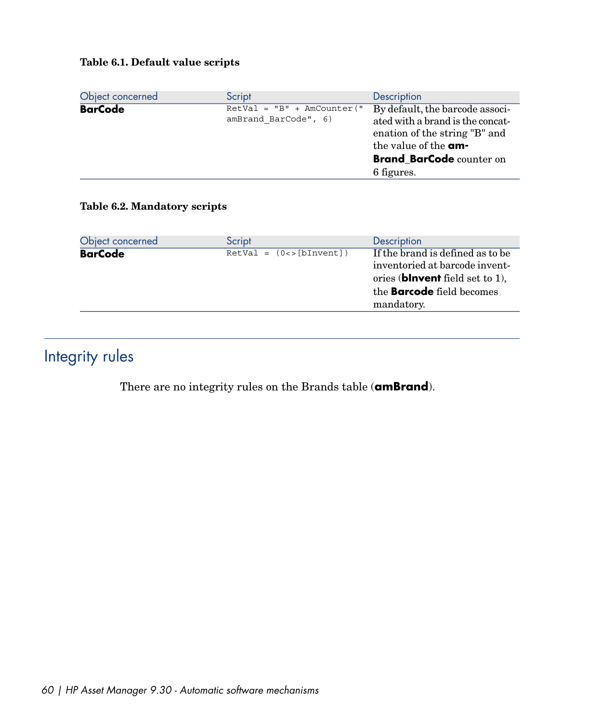#### **Table 6.1. Default value scripts**

| Object concerned | Script                                               | <b>Description</b>                                                                                                                                                                   |
|------------------|------------------------------------------------------|--------------------------------------------------------------------------------------------------------------------------------------------------------------------------------------|
| <b>BarCode</b>   | $RetVal = "B" + AmCounter("$<br>amBrand BarCode", 6) | By default, the barcode associ-<br>ated with a brand is the concat-<br>enation of the string "B" and<br>the value of the <b>am-</b><br><b>Brand BarCode counter on</b><br>6 figures. |

#### **Table 6.2. Mandatory scripts**

| Object concerned | Script                        | Description                                                                                                                                                     |
|------------------|-------------------------------|-----------------------------------------------------------------------------------------------------------------------------------------------------------------|
| <b>BarCode</b>   | $RetVal = (0 \leq  bInvent])$ | If the brand is defined as to be<br>inventoried at barcode invent-<br>ories ( <b>blnvent</b> field set to 1),<br>the <b>Barcode</b> field becomes<br>mandatory. |
|                  |                               |                                                                                                                                                                 |

# Integrity rules

There are no integrity rules on the Brands table (**amBrand**).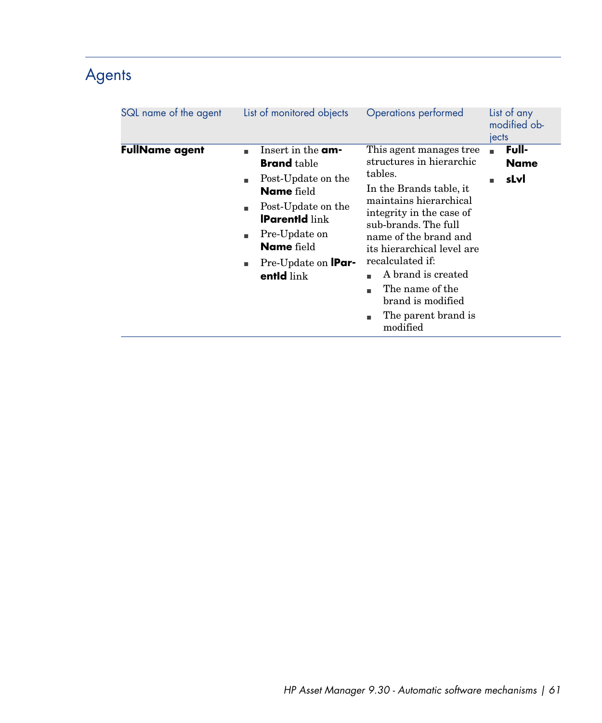| SQL name of the agent | List of monitored objects                                                                                                                                                                                                           | Operations performed                                                                                                                                                                                                                                                                                                                                     | List of any<br>modified ob-<br>jects   |
|-----------------------|-------------------------------------------------------------------------------------------------------------------------------------------------------------------------------------------------------------------------------------|----------------------------------------------------------------------------------------------------------------------------------------------------------------------------------------------------------------------------------------------------------------------------------------------------------------------------------------------------------|----------------------------------------|
| <b>FullName agent</b> | Insert in the $am-$<br><b>Brand</b> table<br>Post-Update on the<br>٠<br><b>Name</b> field<br>Post-Update on the<br>٠<br><b>IParentId</b> link<br>Pre-Update on<br>٠<br><b>Name</b> field<br>Pre-Update on IPar-<br>٠.<br>entid link | This agent manages tree<br>structures in hierarchic<br>tables.<br>In the Brands table, it<br>maintains hierarchical<br>integrity in the case of<br>sub-brands. The full<br>name of the brand and<br>its hierarchical level are<br>recalculated if:<br>A brand is created<br>The name of the<br>brand is modified<br>The parent brand is<br>٠<br>modified | Full-<br>٠<br><b>Name</b><br>sLvl<br>٠ |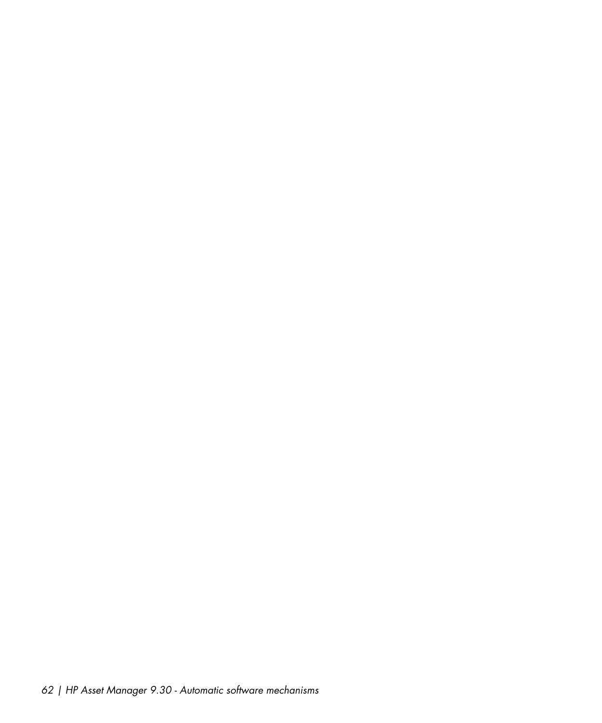*62 | HP Asset Manager 9.30 - Automatic software mechanisms*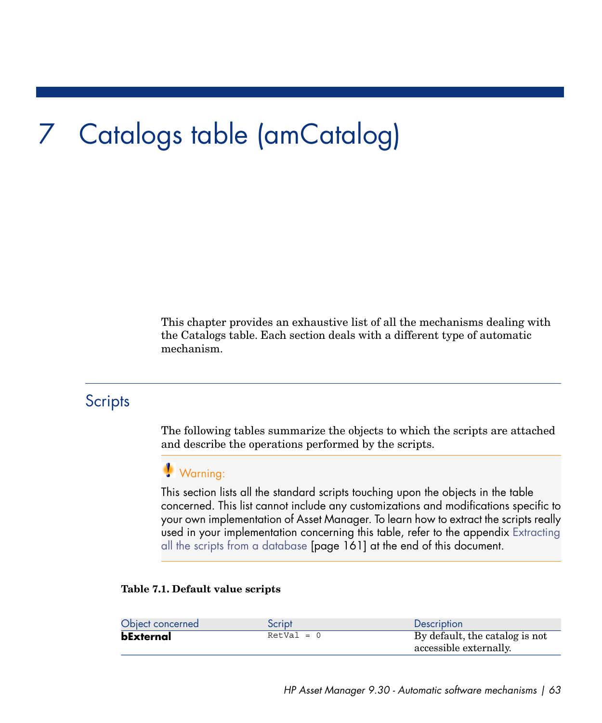# 7 Catalogs table (amCatalog)

This chapter provides an exhaustive list of all the mechanisms dealing with the Catalogs table. Each section deals with a different type of automatic mechanism.

### **Scripts**

The following tables summarize the objects to which the scripts are attached and describe the operations performed by the scripts.

## Warning:

This section lists all the standard scripts touching upon the objects in the table concerned. This list cannot include any customizations and modifications specific to your own implementation of Asset Manager. To learn how to extract the scripts really used in your implementation concerning this table, refer to the appendix [Extracting](#page-160-0) [all the scripts from a database](#page-160-0) [page 161] at the end of this document.

#### **Table 7.1. Default value scripts**

| Object concerned | Script       | <b>Description</b>                                       |
|------------------|--------------|----------------------------------------------------------|
| bExternal        | $RetVal = 0$ | By default, the catalog is not<br>accessible externally. |
|                  |              |                                                          |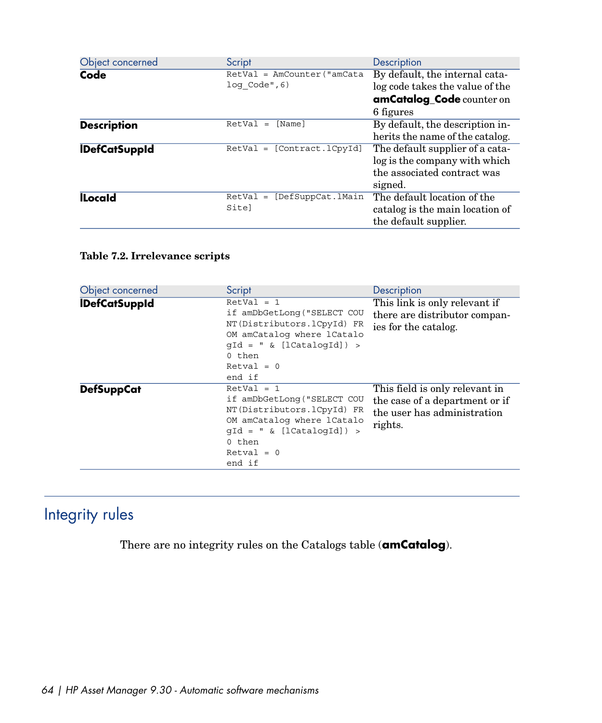| Object concerned     | Script                                         | Description                                                                                                 |
|----------------------|------------------------------------------------|-------------------------------------------------------------------------------------------------------------|
| Code                 | $RetVal = AmCounter("amCata)$<br>log Code", 6) | By default, the internal cata-<br>log code takes the value of the<br>amCatalog_Code counter on<br>6 figures |
| <b>Description</b>   | RetVal<br>[Name]<br>$=$                        | By default, the description in-<br>herits the name of the catalog.                                          |
| <b>IDefCatSuppId</b> | [Contract.lCpyId]<br>RetVal<br>$=$             | The default supplier of a cata-<br>log is the company with which<br>the associated contract was<br>signed.  |
| <b>ILocald</b>       | [DefSuppCat.lMain<br>RetVal<br>$=$<br>Site]    | The default location of the<br>catalog is the main location of<br>the default supplier.                     |

#### **Table 7.2. Irrelevance scripts**

| Object concerned     | Script                                                                                                                                                                       | Description                                                                                                |
|----------------------|------------------------------------------------------------------------------------------------------------------------------------------------------------------------------|------------------------------------------------------------------------------------------------------------|
| <b>IDefCatSuppId</b> | $RetVal = 1$<br>if amDbGetLonq("SELECT COU<br>NT (Distributors. 1CpyId) FR<br>OM amCatalog where lCatalo<br>$qId = " & [lCatalogId]) >$<br>0 then<br>$Retval = 0$<br>end if  | This link is only relevant if<br>there are distributor compan-<br>ies for the catalog.                     |
| <b>DefSuppCat</b>    | $RetVal = 1$<br>if amDbGetLong ("SELECT COU<br>NT (Distributors. 1CpyId) FR<br>OM amCatalog where lCatalo<br>$qId = " & [lCatalogId]) >$<br>0 then<br>$Retval = 0$<br>end if | This field is only relevant in<br>the case of a department or if<br>the user has administration<br>rights. |

# Integrity rules

There are no integrity rules on the Catalogs table (**amCatalog**).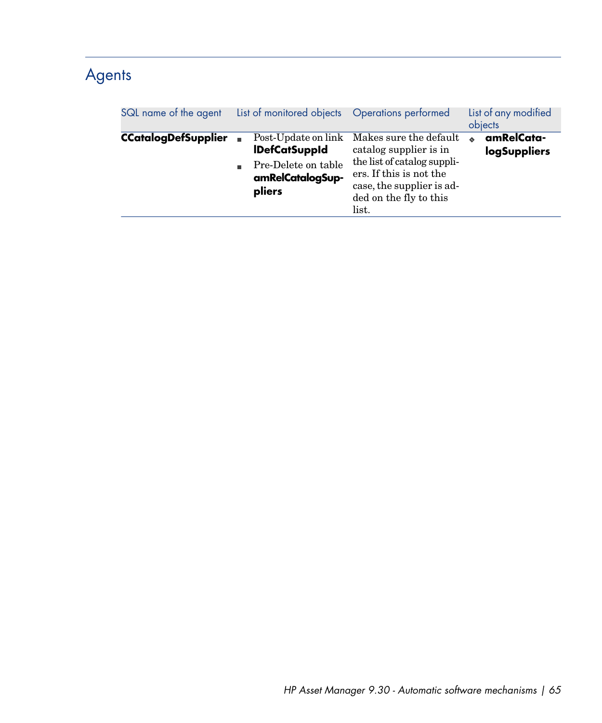| SQL name of the agent      |                                                                                                  | List of monitored objects  Operations performed                                                                                                                            | List of any modified<br>objects |
|----------------------------|--------------------------------------------------------------------------------------------------|----------------------------------------------------------------------------------------------------------------------------------------------------------------------------|---------------------------------|
| <b>CCatalogDefSupplier</b> | Post-Update on link<br><b>IDefCatSuppId</b><br>Pre-Delete on table<br>amRelCatalogSup-<br>pliers | Makes sure the default<br>catalog supplier is in<br>the list of catalog suppli-<br>ers. If this is not the<br>case, the supplier is ad-<br>ded on the fly to this<br>list. | amRelCata-<br>logSuppliers      |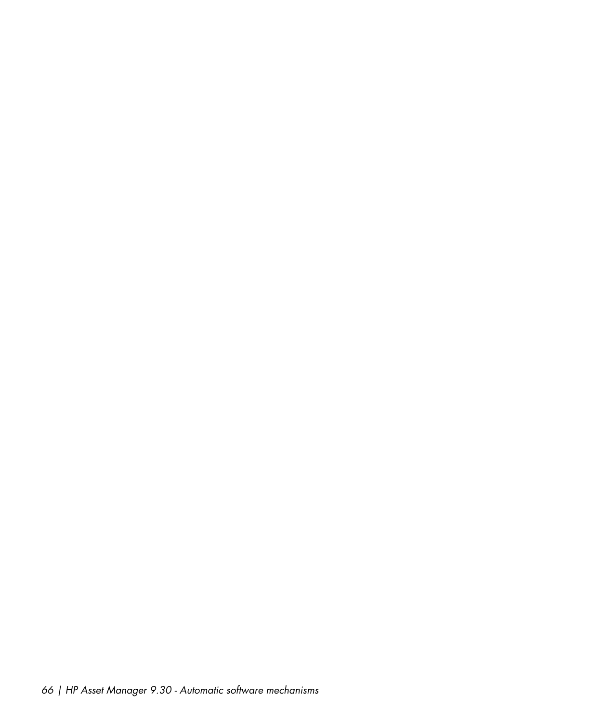*66 | HP Asset Manager 9.30 - Automatic software mechanisms*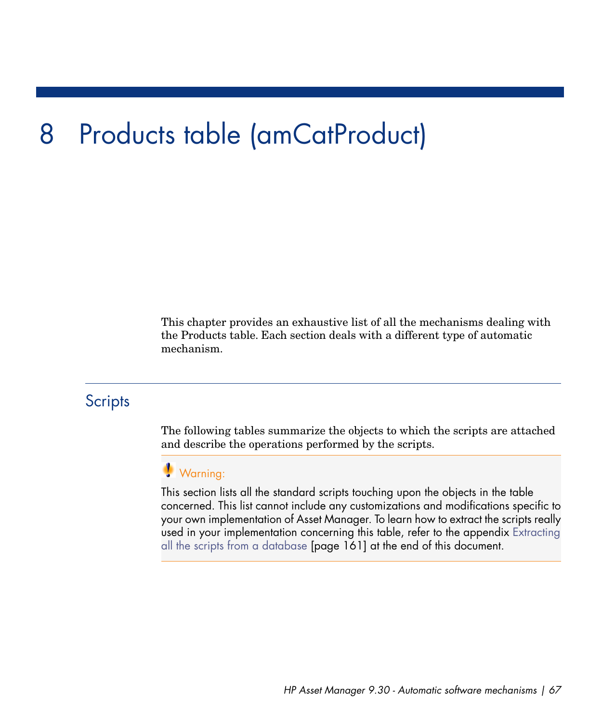# 8 Products table (amCatProduct)

This chapter provides an exhaustive list of all the mechanisms dealing with the Products table. Each section deals with a different type of automatic mechanism.

### **Scripts**

The following tables summarize the objects to which the scripts are attached and describe the operations performed by the scripts.

## Warning: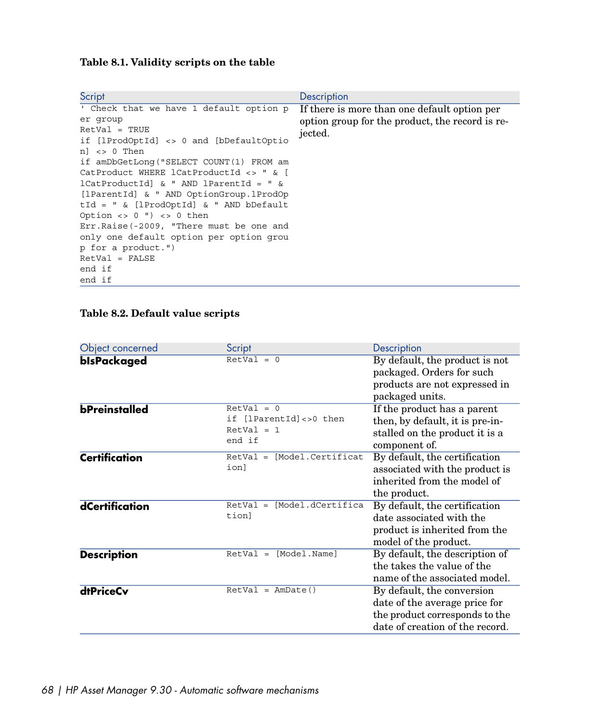### **Table 8.1. Validity scripts on the table**

| Script                                                                                                                                                                                                                                                                              | Description                                                |
|-------------------------------------------------------------------------------------------------------------------------------------------------------------------------------------------------------------------------------------------------------------------------------------|------------------------------------------------------------|
| Check that we have 1 default option p If there is more than one default option per<br>er group<br>$RetVal = TRUE$<br>if [lProdOptId] <> 0 and [bDefaultOptio<br>$n$ $\leftrightarrow$ 0 Then<br>if amDbGetLong ("SELECT COUNT(1) FROM am<br>CatProduct WHERE 1CatProductId <> " & [ | option group for the product, the record is re-<br>jected. |
| $lCatProductId]$ & " AND lParentId = " &<br>[lParentId] & " AND OptionGroup.lProdOp<br>$tId = " & [lProdOptId] & " AND bDefault$<br>Option $\langle 50 \rangle$ ") $\langle 50 \rangle$ then<br>Err. Raise (-2009, "There must be one and                                           |                                                            |
| only one default option per option grou<br>p for a product.")<br>$RetVal = FALSE$<br>end if<br>end if                                                                                                                                                                               |                                                            |

#### **Table 8.2. Default value scripts**

| Object concerned     | Script                                                             | Description                                                                                                                      |
|----------------------|--------------------------------------------------------------------|----------------------------------------------------------------------------------------------------------------------------------|
| bisPackaged          | $RetVal = 0$                                                       | By default, the product is not<br>packaged. Orders for such<br>products are not expressed in<br>packaged units.                  |
| bPreinstalled        | $RetVal = 0$<br>if [lParentId] <> 0 then<br>$RetVal = 1$<br>end if | If the product has a parent<br>then, by default, it is pre-in-<br>stalled on the product it is a<br>component of.                |
| <b>Certification</b> | RetVal = [Model.Certificat<br>ionl                                 | By default, the certification<br>associated with the product is<br>inherited from the model of<br>the product.                   |
| dCertification       | [Model.dCertifica<br>$RetVal =$<br>tionl                           | By default, the certification<br>date associated with the<br>product is inherited from the<br>model of the product.              |
| <b>Description</b>   | $RetVal = [Model.Name]$                                            | By default, the description of<br>the takes the value of the<br>name of the associated model.                                    |
| dtPriceCv            | $RetVal = Ambate()$                                                | By default, the conversion<br>date of the average price for<br>the product corresponds to the<br>date of creation of the record. |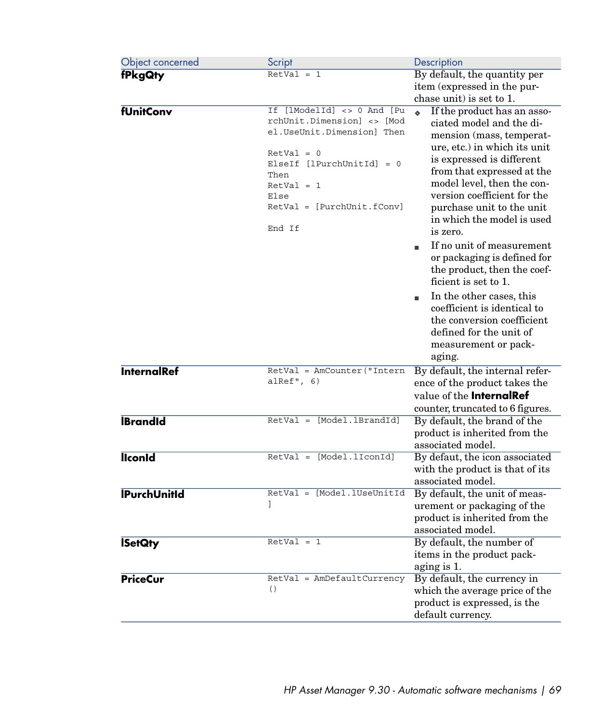| Object concerned    | Script                                                                                                                                                                                                          | Description                                                                                                                                                                                                                                                                                                                                                                                                                                                                                                                                                                       |
|---------------------|-----------------------------------------------------------------------------------------------------------------------------------------------------------------------------------------------------------------|-----------------------------------------------------------------------------------------------------------------------------------------------------------------------------------------------------------------------------------------------------------------------------------------------------------------------------------------------------------------------------------------------------------------------------------------------------------------------------------------------------------------------------------------------------------------------------------|
| fPkgQty             | $RetVal = 1$                                                                                                                                                                                                    | By default, the quantity per                                                                                                                                                                                                                                                                                                                                                                                                                                                                                                                                                      |
|                     |                                                                                                                                                                                                                 | item (expressed in the pur-                                                                                                                                                                                                                                                                                                                                                                                                                                                                                                                                                       |
|                     |                                                                                                                                                                                                                 | chase unit) is set to 1.                                                                                                                                                                                                                                                                                                                                                                                                                                                                                                                                                          |
| fUnitConv           | If [lModelId] <> 0 And [Pu<br>rchUnit.Dimension] <> [Mod<br>el.UseUnit.Dimension] Then<br>$RetVal = 0$<br>ElseIf $[1PurchUnitId] = 0$<br>Then<br>$RetVal = 1$<br>Else<br>$RetVal = [PurchUnit.fConv]$<br>End If | If the product has an asso-<br>ciated model and the di-<br>mension (mass, temperat-<br>ure, etc.) in which its unit<br>is expressed is different<br>from that expressed at the<br>model level, then the con-<br>version coefficient for the<br>purchase unit to the unit<br>in which the model is used<br>is zero.<br>If no unit of measurement<br>or packaging is defined for<br>the product, then the coef-<br>ficient is set to 1.<br>In the other cases, this<br>coefficient is identical to<br>the conversion coefficient<br>defined for the unit of<br>measurement or pack- |
| <b>InternalRef</b>  | RetVal = AmCounter ("Intern<br>alkef", 6)                                                                                                                                                                       | aging.<br>By default, the internal refer-<br>ence of the product takes the<br>value of the <b>InternalRef</b>                                                                                                                                                                                                                                                                                                                                                                                                                                                                     |
|                     |                                                                                                                                                                                                                 | counter, truncated to 6 figures.                                                                                                                                                                                                                                                                                                                                                                                                                                                                                                                                                  |
| <b>BrandId</b>      | [Model.1BrandId]<br>$RetVal =$                                                                                                                                                                                  | By default, the brand of the<br>product is inherited from the<br>associated model.                                                                                                                                                                                                                                                                                                                                                                                                                                                                                                |
| <b>Ilconid</b>      | $RetVal = [Model.IiconId]$                                                                                                                                                                                      | By defaut, the icon associated<br>with the product is that of its<br>associated model.                                                                                                                                                                                                                                                                                                                                                                                                                                                                                            |
| <b>IPurchUnitId</b> | RetVal = [Model.lUseUnitId<br>1                                                                                                                                                                                 | By default, the unit of meas-<br>urement or packaging of the<br>product is inherited from the<br>associated model.                                                                                                                                                                                                                                                                                                                                                                                                                                                                |
| <b>ISetQty</b>      | $RetVal = 1$                                                                                                                                                                                                    | By default, the number of<br>items in the product pack-<br>aging is 1.                                                                                                                                                                                                                                                                                                                                                                                                                                                                                                            |
| <b>PriceCur</b>     | RetVal = AmDefaultCurrency<br>$\left( \right)$                                                                                                                                                                  | By default, the currency in<br>which the average price of the<br>product is expressed, is the<br>default currency.                                                                                                                                                                                                                                                                                                                                                                                                                                                                |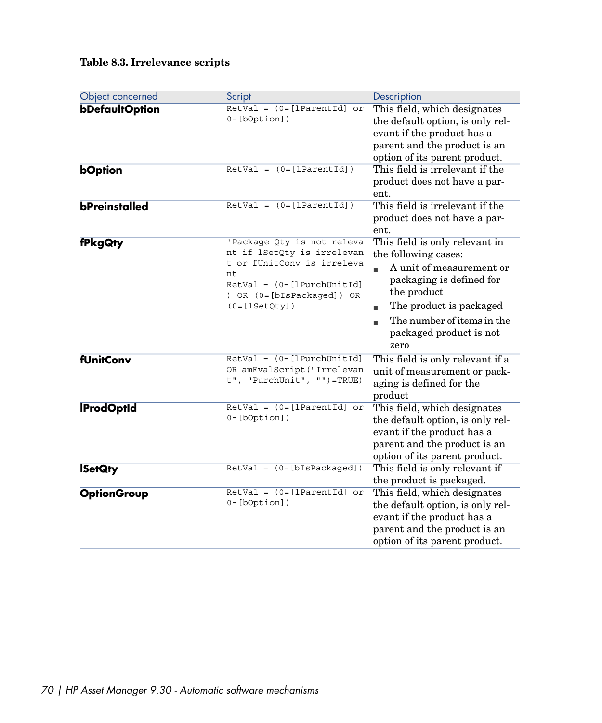### **Table 8.3. Irrelevance scripts**

| Object concerned      | Script                                                                                                                                                                           | Description                                                                                                                                                                                                                         |
|-----------------------|----------------------------------------------------------------------------------------------------------------------------------------------------------------------------------|-------------------------------------------------------------------------------------------------------------------------------------------------------------------------------------------------------------------------------------|
| <b>bDefaultOption</b> | $RetVal = (0 = [1ParentId] or$<br>$0 = [bOption]$ )                                                                                                                              | This field, which designates<br>the default option, is only rel-<br>evant if the product has a<br>parent and the product is an<br>option of its parent product.                                                                     |
| bOption               | $RetVal = (0 = [1ParentId])$                                                                                                                                                     | This field is irrelevant if the<br>product does not have a par-<br>ent.                                                                                                                                                             |
| bPreinstalled         | $RetVal = (0 = [1ParentId])$                                                                                                                                                     | This field is irrelevant if the<br>product does not have a par-<br>ent.                                                                                                                                                             |
| fPkgQty               | 'Package Qty is not releva<br>nt if lSetOty is irrelevan<br>t or fUnitConv is irreleva<br>nt<br>$RetVal = (0 = [1PurchUnitId]$<br>) OR (0=[bIsPackaged]) OR<br>$(0 = [lsetQty])$ | This field is only relevant in<br>the following cases:<br>A unit of measurement or<br>packaging is defined for<br>the product<br>The product is packaged<br>٠<br>The number of items in the<br>٠<br>packaged product is not<br>zero |
| <b>fUnitConv</b>      | $RetVal = (0 = [1PurchUnitId]$<br>OR amEvalScript ("Irrelevan<br>t", "PurchUnit", "")=TRUE)                                                                                      | This field is only relevant if a<br>unit of measurement or pack-<br>aging is defined for the<br>product                                                                                                                             |
| <b>IProdOptId</b>     | $RetVal = (0 = [1ParentId] or$<br>$0 = [bOption]$ )                                                                                                                              | This field, which designates<br>the default option, is only rel-<br>evant if the product has a<br>parent and the product is an<br>option of its parent product.                                                                     |
| <b>ISetQty</b>        | $RetVal = (0 = [bIsPackaged])$                                                                                                                                                   | This field is only relevant if<br>the product is packaged.                                                                                                                                                                          |
| <b>OptionGroup</b>    | $RetVal = (0 = [1ParentId] or$<br>$0 = [bOption]$ )                                                                                                                              | This field, which designates<br>the default option, is only rel-<br>evant if the product has a<br>parent and the product is an<br>option of its parent product.                                                                     |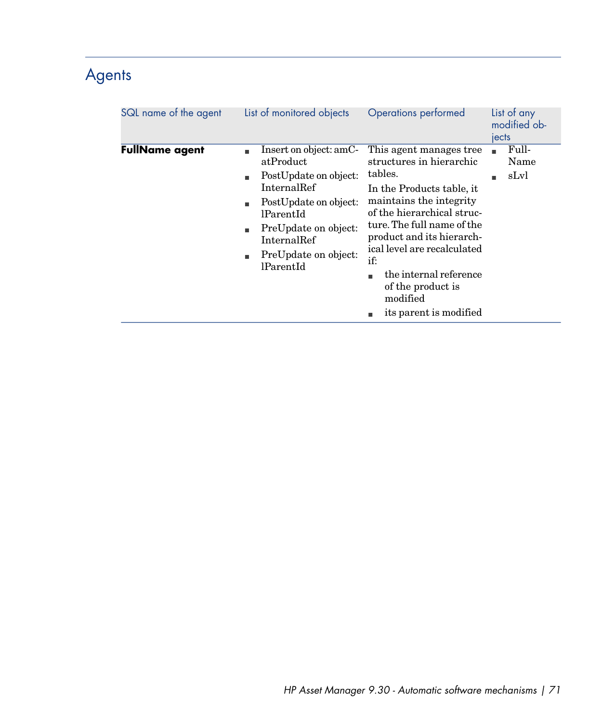| SQL name of the agent | List of monitored objects                                                                                                                                                                                                            | Operations performed                                                                                                                                                                                                                                                                                                                            | List of any<br>modified ob-<br>jects |
|-----------------------|--------------------------------------------------------------------------------------------------------------------------------------------------------------------------------------------------------------------------------------|-------------------------------------------------------------------------------------------------------------------------------------------------------------------------------------------------------------------------------------------------------------------------------------------------------------------------------------------------|--------------------------------------|
| <b>FullName agent</b> | Insert on object: amC-<br>٠<br>atProduct<br>PostUpdate on object:<br>٠<br>InternalRef<br>PostUpdate on object:<br>٠<br><b>lParentId</b><br>PreUpdate on object:<br>٠<br>InternalRef<br>PreUpdate on object:<br>٠<br><b>lParentId</b> | This agent manages tree<br>structures in hierarchic<br>tables.<br>In the Products table, it<br>maintains the integrity<br>of the hierarchical struc-<br>ture. The full name of the<br>product and its hierarch-<br>ical level are recalculated<br>if:<br>the internal reference<br>٠<br>of the product is<br>modified<br>its parent is modified | Full-<br>Name<br>sLyl                |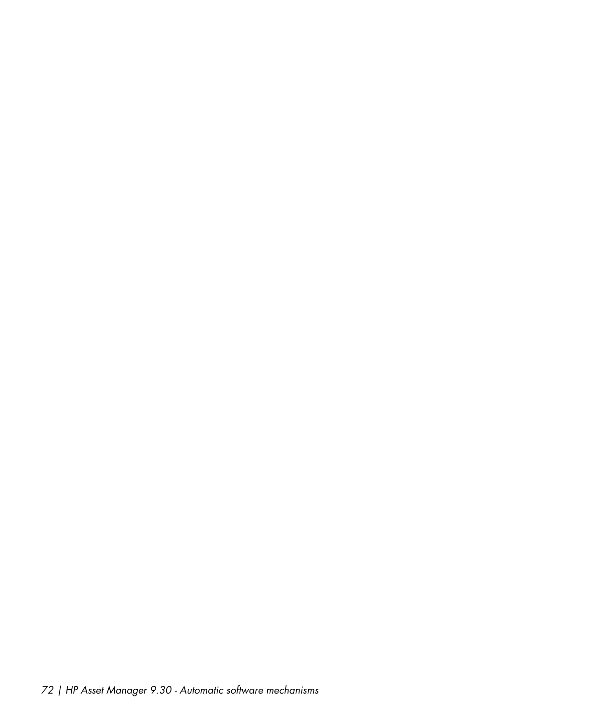*72 | HP Asset Manager 9.30 - Automatic software mechanisms*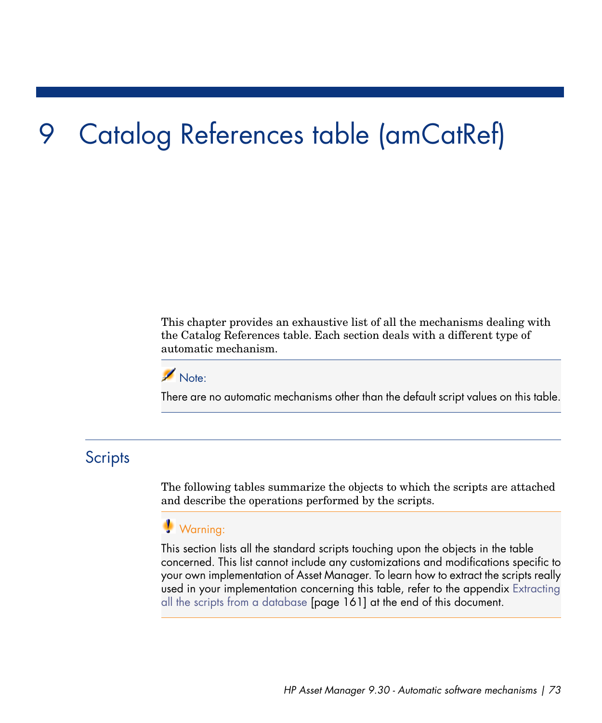# 9 Catalog References table (amCatRef)

This chapter provides an exhaustive list of all the mechanisms dealing with the Catalog References table. Each section deals with a different type of automatic mechanism.



There are no automatic mechanisms other than the default script values on this table.

## **Scripts**

The following tables summarize the objects to which the scripts are attached and describe the operations performed by the scripts.

## Warning: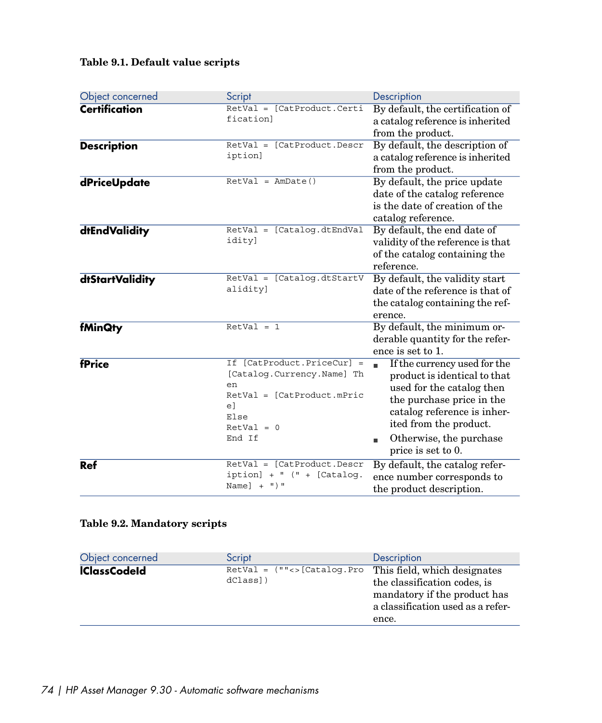#### **Table 9.1. Default value scripts**

| Object concerned     | Script                                                                                                                                  | Description                                                                                                                                                                                                                           |
|----------------------|-----------------------------------------------------------------------------------------------------------------------------------------|---------------------------------------------------------------------------------------------------------------------------------------------------------------------------------------------------------------------------------------|
| <b>Certification</b> | RetVal = [CatProduct.Certi<br>fication]                                                                                                 | By default, the certification of<br>a catalog reference is inherited<br>from the product.                                                                                                                                             |
| <b>Description</b>   | RetVal = [CatProduct.Descr<br>iption]                                                                                                   | By default, the description of<br>a catalog reference is inherited<br>from the product.                                                                                                                                               |
| dPriceUpdate         | $RetVal = Ambate()$                                                                                                                     | By default, the price update<br>date of the catalog reference<br>is the date of creation of the<br>catalog reference.                                                                                                                 |
| dtEndValidity        | RetVal = [Catalog.dtEndVal<br>idity]                                                                                                    | By default, the end date of<br>validity of the reference is that<br>of the catalog containing the<br>reference.                                                                                                                       |
| dtStartValidity      | RetVal = [Catalog.dtStartV<br>alidity]                                                                                                  | By default, the validity start<br>date of the reference is that of<br>the catalog containing the ref-<br>erence.                                                                                                                      |
| fMinQty              | $RetVal = 1$                                                                                                                            | By default, the minimum or-<br>derable quantity for the refer-<br>ence is set to 1.                                                                                                                                                   |
| fPrice               | If [CatProduct.PriceCur] =<br>[Catalog.Currency.Name] Th<br>en<br>RetVal = [CatProduct.mPric<br>$e$ ]<br>Else<br>$RetVal = 0$<br>End If | If the currency used for the<br>product is identical to that<br>used for the catalog then<br>the purchase price in the<br>catalog reference is inher-<br>ited from the product.<br>Otherwise, the purchase<br>٠<br>price is set to 0. |
| <b>Ref</b>           | RetVal = [CatProduct.Descr<br>iption] $+$ " (" $+$ [Cataloq.<br>Name] $+$ ")"                                                           | By default, the catalog refer-<br>ence number corresponds to<br>the product description.                                                                                                                                              |

#### **Table 9.2. Mandatory scripts**

| Object concerned    | Script                                      | Description                                                                                                                                |
|---------------------|---------------------------------------------|--------------------------------------------------------------------------------------------------------------------------------------------|
| <b>IClassCodeId</b> | $RetVal = ("" <> [Catalog.Pro]$<br>dClass]) | This field, which designates<br>the classification codes, is<br>mandatory if the product has<br>a classification used as a refer-<br>ence. |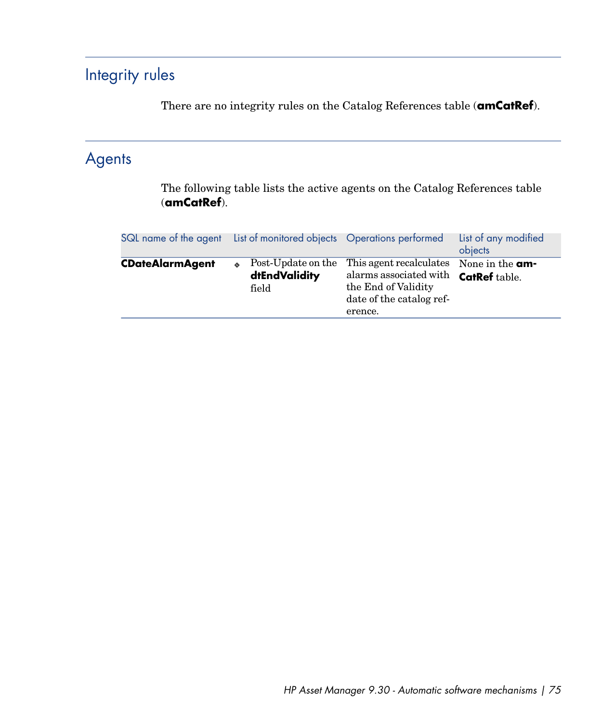## Integrity rules

There are no integrity rules on the Catalog References table (**amCatRef**).

## Agents

The following table lists the active agents on the Catalog References table (**amCatRef**).

| SQL name of the agent List of monitored objects Operations performed |                                                     |                                                                                                                                               | List of any modified<br>objects |
|----------------------------------------------------------------------|-----------------------------------------------------|-----------------------------------------------------------------------------------------------------------------------------------------------|---------------------------------|
| <b>CDateAlarmAgent</b>                                               | Post-Update on the<br><b>dtEndValidity</b><br>field | This agent recalculates None in the am-<br>alarms associated with CatRef table.<br>the End of Validity<br>date of the catalog ref-<br>erence. |                                 |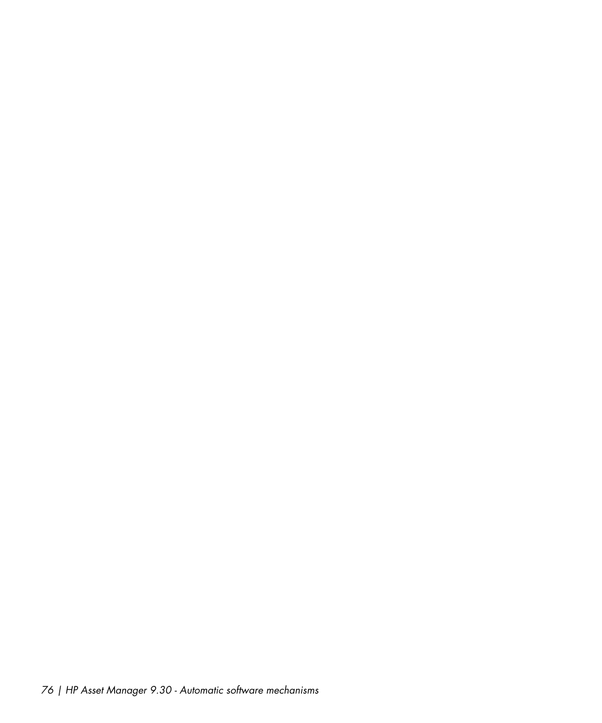*76 | HP Asset Manager 9.30 - Automatic software mechanisms*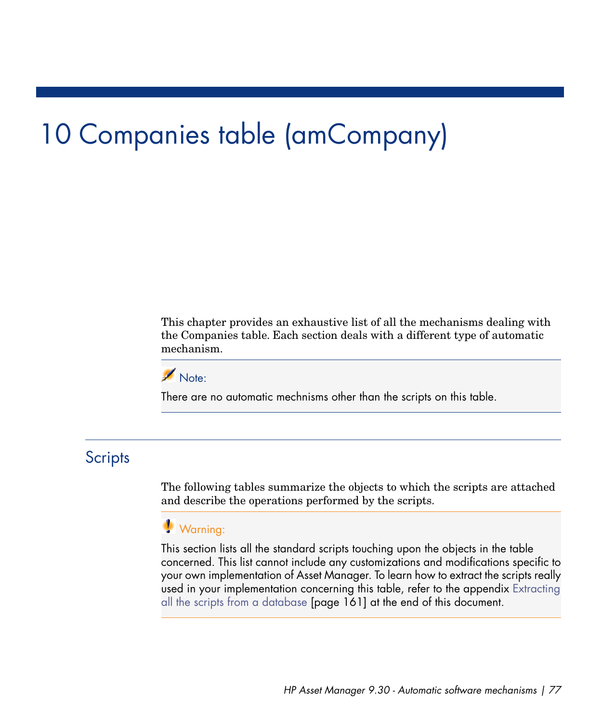# 10 Companies table (amCompany)

This chapter provides an exhaustive list of all the mechanisms dealing with the Companies table. Each section deals with a different type of automatic mechanism.

## Note:

There are no automatic mechnisms other than the scripts on this table.

## **Scripts**

The following tables summarize the objects to which the scripts are attached and describe the operations performed by the scripts.

## Warning: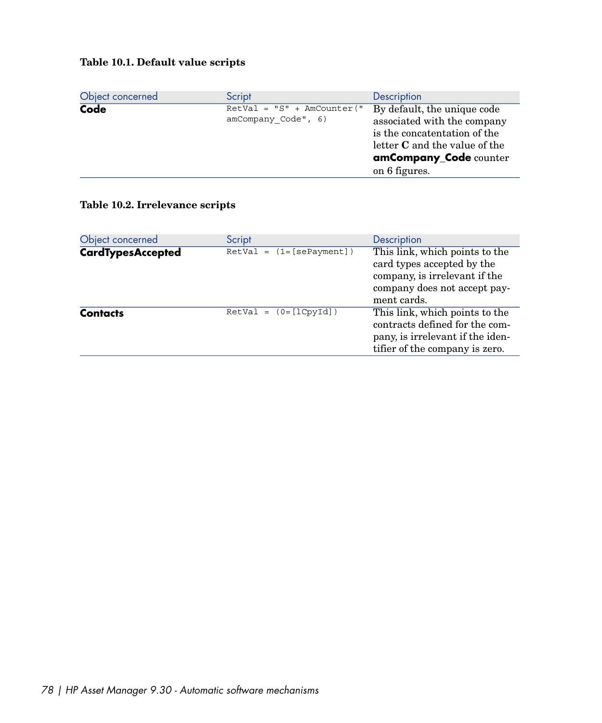### **Table 10.1. Default value scripts**

| Object concerned | Script                                              | Description                                                                                                                                                              |
|------------------|-----------------------------------------------------|--------------------------------------------------------------------------------------------------------------------------------------------------------------------------|
| Code             | $RetVal = "S" + AmCounter("$<br>amCompany Code", 6) | By default, the unique code<br>associated with the company<br>is the concatentation of the<br>letter $C$ and the value of the<br>amCompany_Code counter<br>on 6 figures. |

### **Table 10.2. Irrelevance scripts**

| Object concerned         | Script                       | Description                                                                                                                                  |
|--------------------------|------------------------------|----------------------------------------------------------------------------------------------------------------------------------------------|
| <b>CardTypesAccepted</b> | $RetVal = (1 = [sePayment])$ | This link, which points to the<br>card types accepted by the<br>company, is irrelevant if the<br>company does not accept pay-<br>ment cards. |
| <b>Contacts</b>          | $RetVal = (0 = [1CpyId])$    | This link, which points to the<br>contracts defined for the com-<br>pany, is irrelevant if the iden-<br>tifier of the company is zero.       |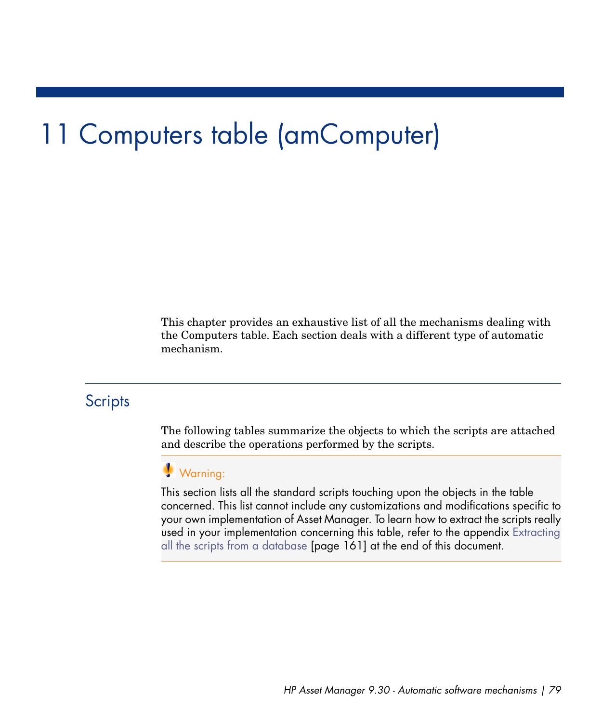# 11 Computers table (amComputer)

This chapter provides an exhaustive list of all the mechanisms dealing with the Computers table. Each section deals with a different type of automatic mechanism.

## **Scripts**

The following tables summarize the objects to which the scripts are attached and describe the operations performed by the scripts.

## Warning: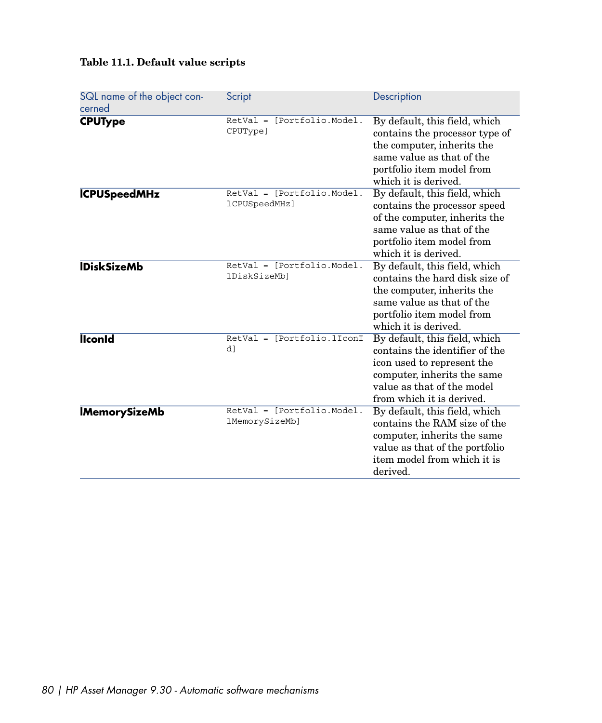### **Table 11.1. Default value scripts**

| SQL name of the object con-<br>cerned | Script                                         | Description                                                                                                                                                                             |
|---------------------------------------|------------------------------------------------|-----------------------------------------------------------------------------------------------------------------------------------------------------------------------------------------|
| <b>CPUType</b>                        | RetVal = [Portfolio.Model.<br>CPUType]         | By default, this field, which<br>contains the processor type of<br>the computer, inherits the<br>same value as that of the<br>portfolio item model from<br>which it is derived.         |
| <b>ICPUSpeedMHz</b>                   | RetVal = [Portfolio.Model.<br>lCPUSpeedMHz]    | By default, this field, which<br>contains the processor speed<br>of the computer, inherits the<br>same value as that of the<br>portfolio item model from<br>which it is derived.        |
| <b>IDiskSizeMb</b>                    | $RetVal = [Portfolio.Mode].$<br>1DiskSizeMbl   | By default, this field, which<br>contains the hard disk size of<br>the computer, inherits the<br>same value as that of the<br>portfolio item model from<br>which it is derived.         |
| liconid                               | RetVal = [Portfolio.lIconI<br>d1               | By default, this field, which<br>contains the identifier of the<br>icon used to represent the<br>computer, inherits the same<br>value as that of the model<br>from which it is derived. |
| <b>IMemorySizeMb</b>                  | $RetVal = [Portfolio.Model.$<br>lMemorySizeMb] | By default, this field, which<br>contains the RAM size of the<br>computer, inherits the same<br>value as that of the portfolio<br>item model from which it is<br>derived.               |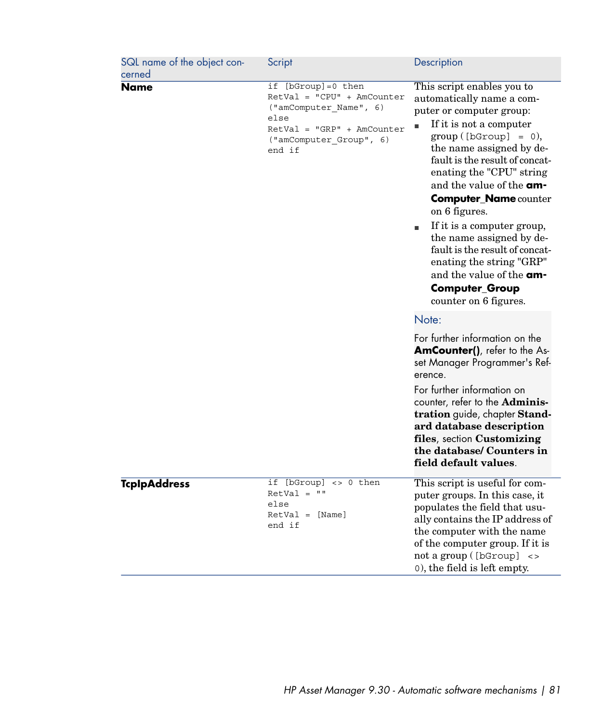| SQL name of the object con-<br>cerned | Script                                                                                                                                                | Description                                                                                                                                                                                                                                                                                                                                                                                                                                                                                                                      |
|---------------------------------------|-------------------------------------------------------------------------------------------------------------------------------------------------------|----------------------------------------------------------------------------------------------------------------------------------------------------------------------------------------------------------------------------------------------------------------------------------------------------------------------------------------------------------------------------------------------------------------------------------------------------------------------------------------------------------------------------------|
| Name                                  | if [bGroup]=0 then<br>RetVal = "CPU" + AmCounter<br>("amComputer Name", 6)<br>else<br>RetVal = "GRP" + AmCounter<br>("amComputer Group", 6)<br>end if | This script enables you to<br>automatically name a com-<br>puter or computer group:<br>If it is not a computer<br>٠<br>$group([bGroup] = 0),$<br>the name assigned by de-<br>fault is the result of concat-<br>enating the "CPU" string<br>and the value of the <b>am-</b><br><b>Computer_Name</b> counter<br>on 6 figures.<br>If it is a computer group,<br>m.<br>the name assigned by de-<br>fault is the result of concat-<br>enating the string "GRP"<br>and the value of the am-<br>Computer_Group<br>counter on 6 figures. |
|                                       |                                                                                                                                                       | Note:                                                                                                                                                                                                                                                                                                                                                                                                                                                                                                                            |
|                                       |                                                                                                                                                       | For further information on the<br><b>AmCounter()</b> , refer to the As-<br>set Manager Programmer's Ref-<br>erence.                                                                                                                                                                                                                                                                                                                                                                                                              |
|                                       |                                                                                                                                                       | For further information on<br>counter, refer to the Adminis-<br>tration guide, chapter Stand-<br>ard database description<br>files, section Customizing<br>the database/ Counters in<br>field default values.                                                                                                                                                                                                                                                                                                                    |
| <b>TcpIpAddress</b>                   | if $[bGroup] \iff 0$ then<br>$RetVal = ""$<br>else<br>$RetVal = [Name]$<br>end if                                                                     | This script is useful for com-<br>puter groups. In this case, it<br>populates the field that usu-<br>ally contains the IP address of<br>the computer with the name<br>of the computer group. If it is<br>$not a group([bGroup] \leq)$<br>0), the field is left empty.                                                                                                                                                                                                                                                            |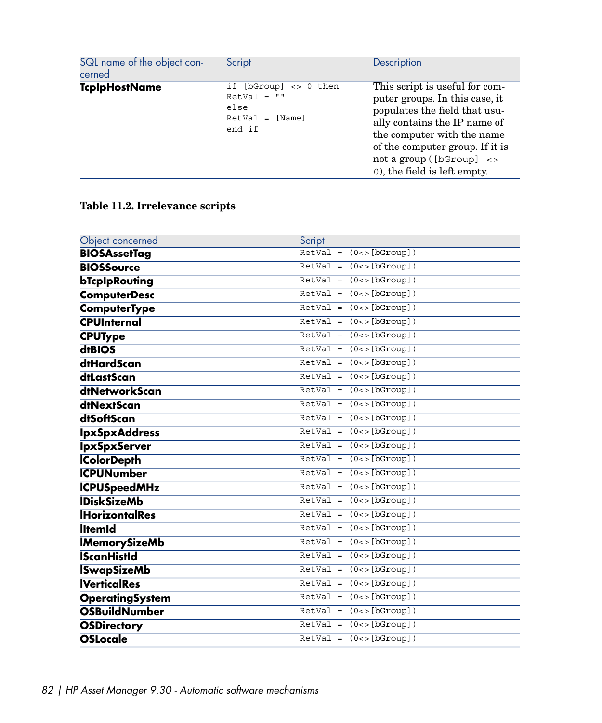| SQL name of the object con-<br>cerned | Script                                                                            | Description                                                                                                                                                                                                                                                         |
|---------------------------------------|-----------------------------------------------------------------------------------|---------------------------------------------------------------------------------------------------------------------------------------------------------------------------------------------------------------------------------------------------------------------|
| <b>TcplpHostName</b>                  | if $[bGroup] \iff 0$ then<br>$RetVal = ""$<br>else<br>$RetVal = [Name]$<br>end if | This script is useful for com-<br>puter groups. In this case, it<br>populates the field that usu-<br>ally contains the IP name of<br>the computer with the name<br>of the computer group. If it is<br>not a group ( $[bGroup] \leq$<br>0), the field is left empty. |

### **Table 11.2. Irrelevance scripts**

| Object concerned       | Script                                  |
|------------------------|-----------------------------------------|
| <b>BIOSAssetTag</b>    | $RetVal = (0 \Leftrightarrow [bGroup])$ |
| <b>BIOSSource</b>      | $RetVal = (0 \leq [bGroup])$            |
| bTcpIpRouting          | $RetVal = (0 \Leftrightarrow [bGroup])$ |
| <b>ComputerDesc</b>    | $RetVal = (0 \Leftrightarrow [bGroup])$ |
| <b>ComputerType</b>    | $RetVal = (0 \Leftrightarrow [bGroup])$ |
| <b>CPUInternal</b>     | $RetVal = (0 \Leftrightarrow [bGroup])$ |
| <b>CPUType</b>         | $RetVal = (0 \Leftrightarrow [bGroup])$ |
| dtBIOS                 | $RetVal = (0 \Leftrightarrow [bGroup])$ |
| dtHardScan             | $RetVal = (0 \leq [bGroup])$            |
| dtLastScan             | $RetVal = (0 \Leftrightarrow [bGroup])$ |
| <b>dtNetworkScan</b>   | $RetVal = (0 \Leftrightarrow [bGroup])$ |
| dtNextScan             | $RetVal = (0 \Leftrightarrow [bGroup])$ |
| dtSoftScan             | $RetVal = (0 \leq [bGroup])$            |
| <b>IpxSpxAddress</b>   | $RetVal = (0 \Leftrightarrow [bGroup])$ |
| <b>IpxSpxServer</b>    | $RetVal = (0 \leq [bGroup])$            |
| <b>IColorDepth</b>     | $RetVal = (0 \Leftrightarrow [bGroup])$ |
| <b>ICPUNumber</b>      | $RetVal = (0 \leq [bGroup])$            |
| <b>ICPUSpeedMHz</b>    | $RetVal = (0 \Leftrightarrow [bGroup])$ |
| <b>DiskSizeMb</b>      | $RetVal = (0 \Leftrightarrow [bGroup])$ |
| <b>IHorizontalRes</b>  | $RetVal = (0 \Leftrightarrow [bGroup])$ |
| <b>IltemId</b>         | $RetVal = (0 \Leftrightarrow [bGroup])$ |
| <b>IMemorySizeMb</b>   | $RetVal = (0 \leq [bGroup])$            |
| <b>IScanHistId</b>     | $RetVal = (0 \Leftrightarrow [bGroup])$ |
| <b>ISwapSizeMb</b>     | $RetVal = (0 \Leftrightarrow [bGroup])$ |
| <b>VerticalRes</b>     | $RetVal = (0 \leq [bGroup])$            |
| <b>OperatingSystem</b> | $RetVal = (0 \Leftrightarrow [bGroup])$ |
| <b>OSBuildNumber</b>   | $RetVal = (0 \Leftrightarrow [bGroup])$ |
| <b>OSDirectory</b>     | $RetVal = (0 \Leftrightarrow [bGroup])$ |
| <b>OSLocale</b>        | $RetVal = (0 \Leftrightarrow [bGroup])$ |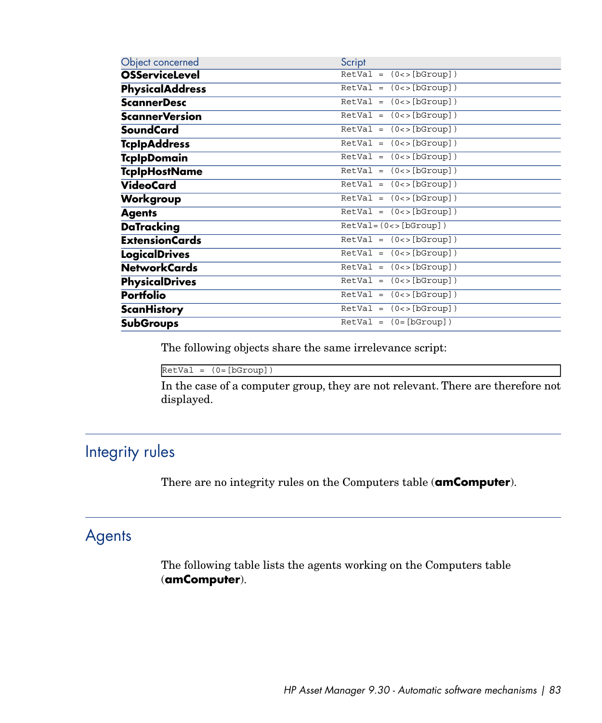| Object concerned       | Script                                  |
|------------------------|-----------------------------------------|
| <b>OSServiceLevel</b>  | $RetVal = (0 \Leftrightarrow [bGroup])$ |
| <b>PhysicalAddress</b> | $RetVal = (0 \leq [bGroup])$            |
| <b>ScannerDesc</b>     | $RetVal = (0 \leq [bGroup])$            |
| <b>ScannerVersion</b>  | $RetVal = (0 \leq [bGroup])$            |
| SoundCard              | $RetVal = (0 \leq [bGroup])$            |
| <b>TcplpAddress</b>    | $RetVal = (0 \leq [bGroup])$            |
| <b>TcplpDomain</b>     | $RetVal = (0 \leq [bGroup])$            |
| <b>TcplpHostName</b>   | $RetVal = (0 \leq [bGroup])$            |
| <b>VideoCard</b>       | $RetVal = (0 \leq [bGroup])$            |
| Workgroup              | $RetVal = (0 \leq [bGroup])$            |
| <b>Agents</b>          | $RetVal = (0 \leq [bGroup])$            |
| <b>DaTracking</b>      | $RetVal = (0 \lt  [bGroup])$            |
| <b>ExtensionCards</b>  | $RetVal = (0 \leq [bGroup])$            |
| <b>LogicalDrives</b>   | $RetVal = (0 \leq [bGroup])$            |
| <b>NetworkCards</b>    | $RetVal = (0 \leq [bGroup])$            |
| <b>PhysicalDrives</b>  | $RetVal = (0 \leq [bGroup])$            |
| Portfolio              | $RetVal = (0 \leq [bGroup])$            |
| <b>ScanHistory</b>     | $RetVal = (0 \leq [bGroup])$            |
| <b>SubGroups</b>       | $RetVal = (0 = [bGroup])$               |

The following objects share the same irrelevance script:

```
RetVal = (0 = [bGroup])
```
In the case of a computer group, they are not relevant. There are therefore not displayed.

## Integrity rules

There are no integrity rules on the Computers table (**amComputer**).

## Agents

The following table lists the agents working on the Computers table (**amComputer**).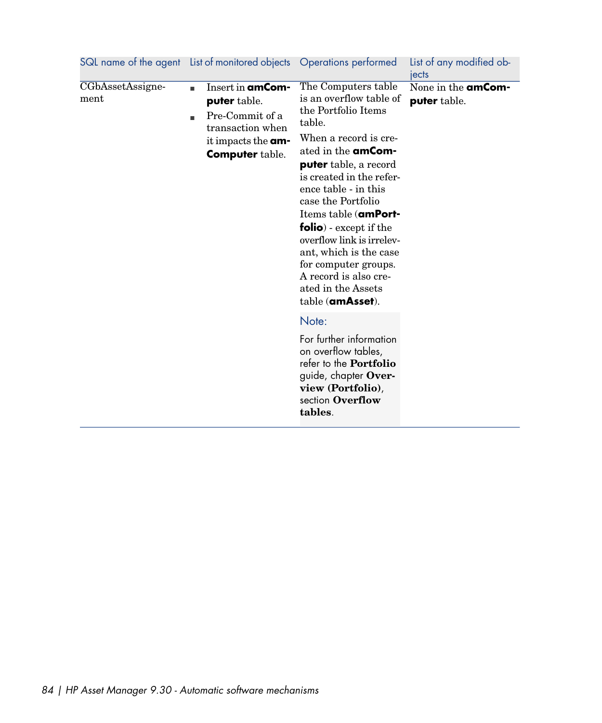|                          | SQL name of the agent List of monitored objects                                                                                                    | Operations performed                                                                                                                                                                                                                                                                                                                                                                                                                                                | List of any modified ob-<br>jects                |
|--------------------------|----------------------------------------------------------------------------------------------------------------------------------------------------|---------------------------------------------------------------------------------------------------------------------------------------------------------------------------------------------------------------------------------------------------------------------------------------------------------------------------------------------------------------------------------------------------------------------------------------------------------------------|--------------------------------------------------|
| CGbAssetAssigne-<br>ment | Insert in <b>amCom-</b><br>۰.<br><b>puter</b> table.<br>Pre-Commit of a<br>transaction when<br>it impacts the <b>am-</b><br><b>Computer</b> table. | The Computers table<br>is an overflow table of<br>the Portfolio Items<br>table.<br>When a record is cre-<br>ated in the <b>amCom-</b><br><b>puter</b> table, a record<br>is created in the refer-<br>ence table - in this<br>case the Portfolio<br>Items table ( <b>amPort-</b><br><b>folio</b> ) - except if the<br>overflow link is irrelev-<br>ant, which is the case<br>for computer groups.<br>A record is also cre-<br>ated in the Assets<br>table (amAsset). | None in the <b>amCom-</b><br><b>puter</b> table. |
|                          |                                                                                                                                                    | Note:                                                                                                                                                                                                                                                                                                                                                                                                                                                               |                                                  |
|                          |                                                                                                                                                    | For further information<br>on overflow tables,<br>refer to the <b>Portfolio</b><br>guide, chapter Over-<br>view (Portfolio),<br>section Overflow<br>tables.                                                                                                                                                                                                                                                                                                         |                                                  |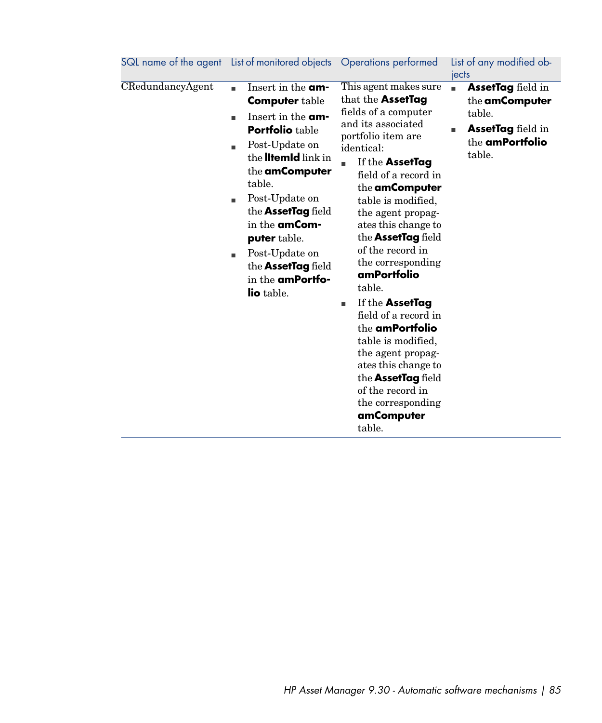|                  | SQL name of the agent List of monitored objects                                                                                                                                                                                                                                                                                                                              | Operations performed                                                                                                                                                                                                                                                                                                                                                                                                                                                                                                                                                                                                    | List of any modified ob-<br>jects                                                                                    |
|------------------|------------------------------------------------------------------------------------------------------------------------------------------------------------------------------------------------------------------------------------------------------------------------------------------------------------------------------------------------------------------------------|-------------------------------------------------------------------------------------------------------------------------------------------------------------------------------------------------------------------------------------------------------------------------------------------------------------------------------------------------------------------------------------------------------------------------------------------------------------------------------------------------------------------------------------------------------------------------------------------------------------------------|----------------------------------------------------------------------------------------------------------------------|
| CRedundancyAgent | Insert in the $am-$<br><b>Computer</b> table<br>Insert in the $am-$<br>٠<br><b>Portfolio</b> table<br>Post-Update on<br>٠<br>the <b>litemid</b> link in<br>the amComputer<br>table.<br>Post-Update on<br>٠<br>the <b>AssetTag</b> field<br>in the <b>amCom-</b><br>puter table.<br>Post-Update on<br>٠<br>the <b>AssetTag</b> field<br>in the <b>amPortfo-</b><br>lio table. | This agent makes sure<br>that the <b>AssetTag</b><br>fields of a computer<br>and its associated<br>portfolio item are<br>identical:<br>If the AssetTag<br>٠<br>field of a record in<br>the amComputer<br>table is modified,<br>the agent propag-<br>ates this change to<br>the <b>AssetTag</b> field<br>of the record in<br>the corresponding<br>amPortfolio<br>table.<br>If the <b>AssetTag</b><br>٠<br>field of a record in<br>the <b>amPortfolio</b><br>table is modified,<br>the agent propag-<br>ates this change to<br>the AssetTag field<br>of the record in<br>the corresponding<br><b>amComputer</b><br>table. | <b>AssetTag</b> field in<br>the amComputer<br>table.<br><b>AssetTag</b> field in<br>the <b>amPortfolio</b><br>table. |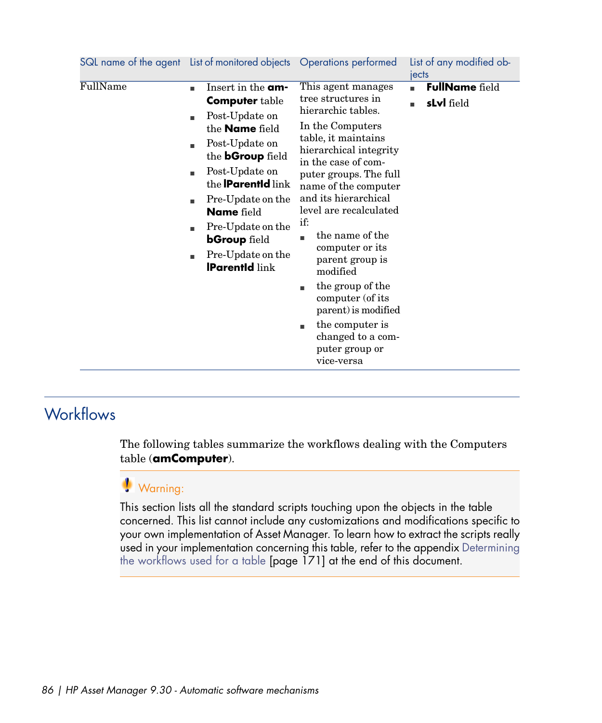|          | SQL name of the agent List of monitored objects Operations performed                                                                                                                                                                                                                                                              |                                                                                                                                                                                                                                                                                                                                                                                                                                                                                        | List of any modified ob-<br>iects |
|----------|-----------------------------------------------------------------------------------------------------------------------------------------------------------------------------------------------------------------------------------------------------------------------------------------------------------------------------------|----------------------------------------------------------------------------------------------------------------------------------------------------------------------------------------------------------------------------------------------------------------------------------------------------------------------------------------------------------------------------------------------------------------------------------------------------------------------------------------|-----------------------------------|
| FullName | Insert in the <b>am-</b><br>٠<br><b>Computer</b> table<br>Post-Update on<br>the <b>Name</b> field<br>Post-Update on<br>the <b>bGroup</b> field<br>Post-Update on<br>the <b>IParentId</b> link<br>Pre-Update on the<br><b>Name</b> field<br>Pre-Update on the<br><b>bGroup</b> field<br>Pre-Update on the<br><b>IParentId</b> link | This agent manages<br>tree structures in<br>hierarchic tables.<br>In the Computers<br>table, it maintains<br>hierarchical integrity<br>in the case of com-<br>puter groups. The full<br>name of the computer<br>and its hierarchical<br>level are recalculated<br>if:<br>the name of the<br>computer or its<br>parent group is<br>modified<br>the group of the<br>٠<br>computer (of its<br>parent) is modified<br>the computer is<br>changed to a com-<br>puter group or<br>vice-versa | FullName field<br>sLvl field      |

## **Workflows**

The following tables summarize the workflows dealing with the Computers table (**amComputer**).

## Warning: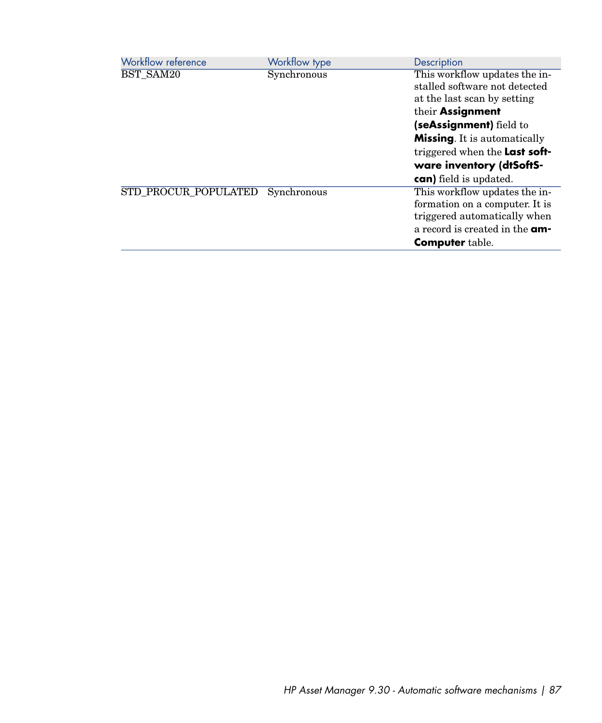| <b>Workflow reference</b> | Workflow type | Description                           |
|---------------------------|---------------|---------------------------------------|
| BST_SAM20                 | Synchronous   | This workflow updates the in-         |
|                           |               | stalled software not detected         |
|                           |               | at the last scan by setting           |
|                           |               | their Assignment                      |
|                           |               | (seAssignment) field to               |
|                           |               | <b>Missing.</b> It is automatically   |
|                           |               | triggered when the Last soft-         |
|                           |               | ware inventory (dtSoftS-              |
|                           |               | <b>can)</b> field is updated.         |
| STD_PROCUR_POPULATED      | Synchronous   | This workflow updates the in-         |
|                           |               | formation on a computer. It is        |
|                           |               | triggered automatically when          |
|                           |               | a record is created in the <b>am-</b> |
|                           |               | <b>Computer</b> table.                |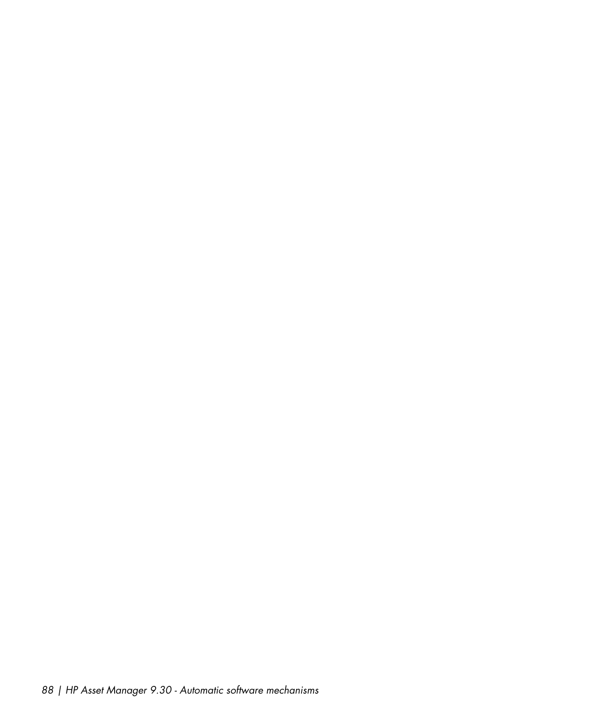*88 | HP Asset Manager 9.30 - Automatic software mechanisms*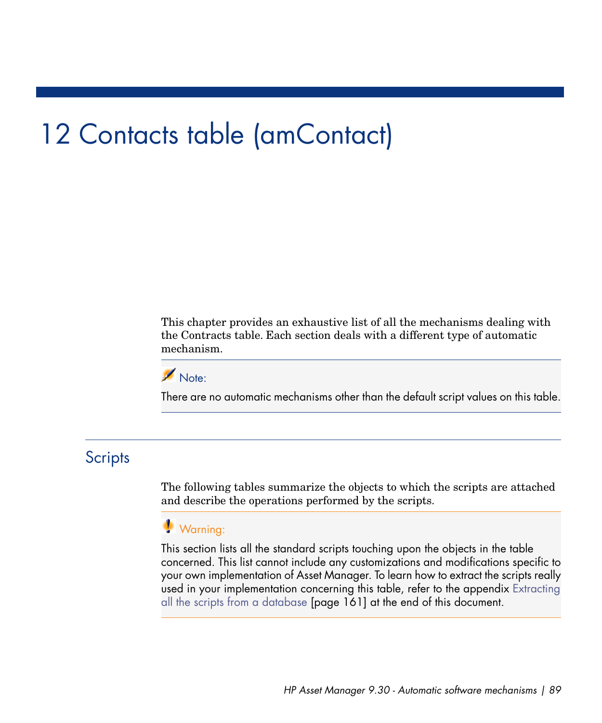# 12 Contacts table (amContact)

This chapter provides an exhaustive list of all the mechanisms dealing with the Contracts table. Each section deals with a different type of automatic mechanism.

## Note:

There are no automatic mechanisms other than the default script values on this table.

## **Scripts**

The following tables summarize the objects to which the scripts are attached and describe the operations performed by the scripts.

## Warning: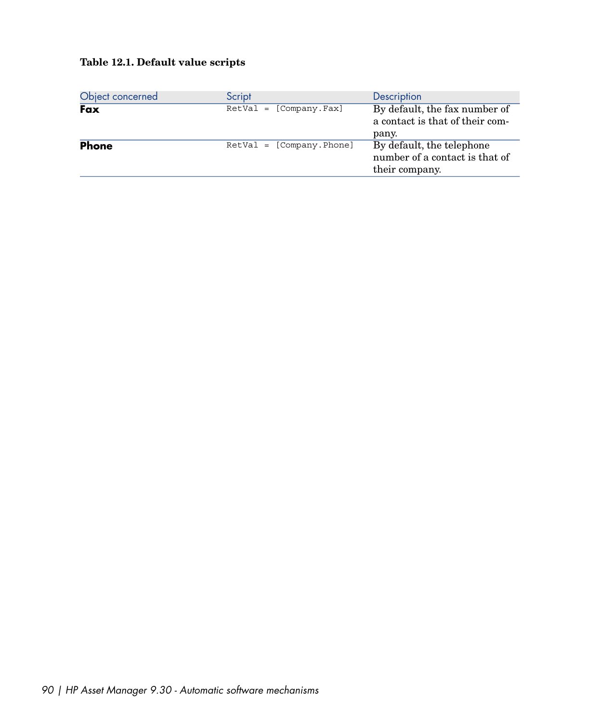### **Table 12.1. Default value scripts**

| Object concerned | Script                      | Description                                                                   |
|------------------|-----------------------------|-------------------------------------------------------------------------------|
| <b>Fax</b>       | $RetVal = [Compar, Fax]$    | By default, the fax number of<br>a contact is that of their com-<br>pany.     |
| <b>Phone</b>     | $RetVal = [Compary. Phone]$ | By default, the telephone<br>number of a contact is that of<br>their company. |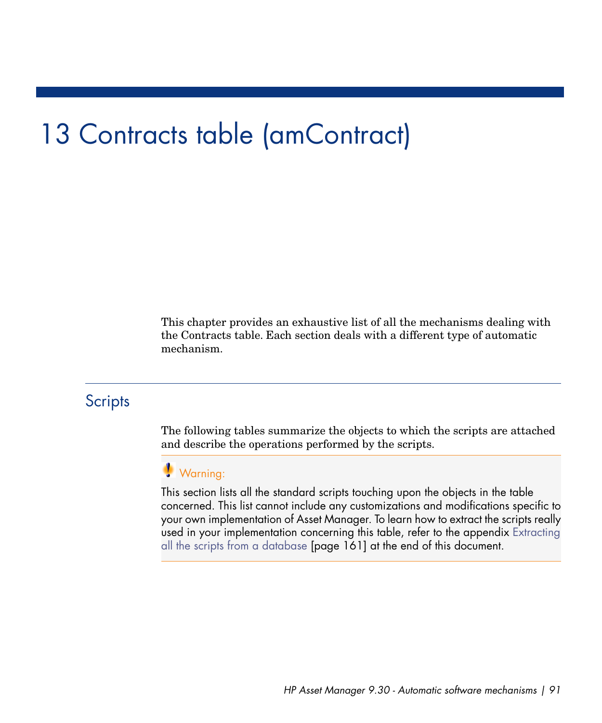## 13 Contracts table (amContract)

This chapter provides an exhaustive list of all the mechanisms dealing with the Contracts table. Each section deals with a different type of automatic mechanism.

## **Scripts**

The following tables summarize the objects to which the scripts are attached and describe the operations performed by the scripts.

## Warning: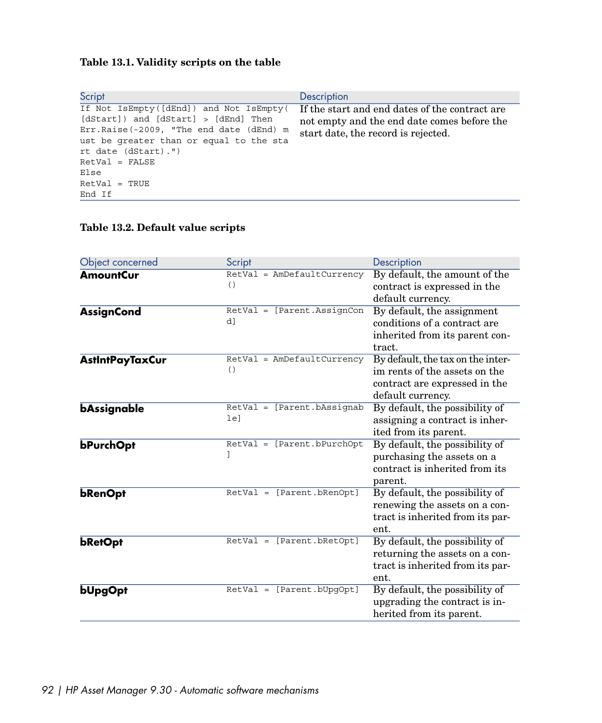### **Table 13.1. Validity scripts on the table**

| Script                                                                                                                                                                                                                                               | Description                                                                                                                          |
|------------------------------------------------------------------------------------------------------------------------------------------------------------------------------------------------------------------------------------------------------|--------------------------------------------------------------------------------------------------------------------------------------|
| If Not IsEmpty([dEnd]) and Not IsEmpty(<br>$[distart]$ ) and $[distart] > [dEnd]$ Then<br>Err. Raise (-2009, "The end date (dEnd) m<br>ust be greater than or equal to the sta<br>rt date (dStart).")<br>$RetVal = FALSE$<br>Else<br>$RetVal = TRUE$ | If the start and end dates of the contract are<br>not empty and the end date comes before the<br>start date, the record is rejected. |
| End If                                                                                                                                                                                                                                               |                                                                                                                                      |

### **Table 13.2. Default value scripts**

| Object concerned  | Script                            | Description                                                                                                              |
|-------------------|-----------------------------------|--------------------------------------------------------------------------------------------------------------------------|
| <b>AmountCur</b>  | RetVal = AmDefaultCurrency<br>( ) | By default, the amount of the<br>contract is expressed in the<br>default currency.                                       |
| <b>AssignCond</b> | RetVal = [Parent.AssignCon<br>d1  | By default, the assignment<br>conditions of a contract are<br>inherited from its parent con-<br>tract.                   |
| AstIntPayTaxCur   | RetVal = AmDefaultCurrency<br>( ) | By default, the tax on the inter-<br>im rents of the assets on the<br>contract are expressed in the<br>default currency. |
| bAssignable       | RetVal = [Parent.bAssignab<br>le] | By default, the possibility of<br>assigning a contract is inher-<br>ited from its parent.                                |
| <b>bPurchOpt</b>  | RetVal = [Parent.bPurchOpt        | By default, the possibility of<br>purchasing the assets on a<br>contract is inherited from its<br>parent.                |
| <b>bRenOpt</b>    | RetVal = [Parent.bRenOpt]         | By default, the possibility of<br>renewing the assets on a con-<br>tract is inherited from its par-<br>ent.              |
| <b>bRetOpt</b>    | RetVal = [Parent.bRetOpt]         | By default, the possibility of<br>returning the assets on a con-<br>tract is inherited from its par-<br>ent.             |
| bUpgOpt           | RetVal = [Parent.bUpgOpt]         | By default, the possibility of<br>upgrading the contract is in-<br>herited from its parent.                              |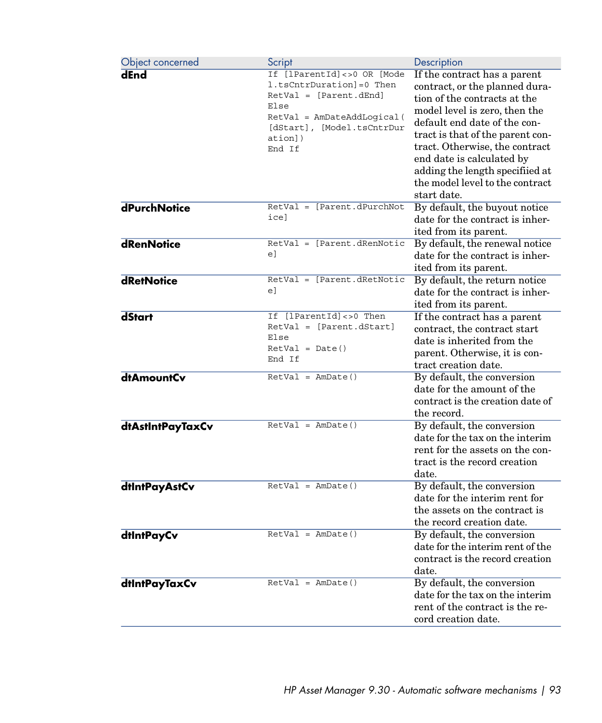| Object concerned  | Script                                                                                                                                                                        | Description                                                                                                                                                                                                                                                                                                                                             |
|-------------------|-------------------------------------------------------------------------------------------------------------------------------------------------------------------------------|---------------------------------------------------------------------------------------------------------------------------------------------------------------------------------------------------------------------------------------------------------------------------------------------------------------------------------------------------------|
| dEnd              | If [lParentId] <> 0 OR [Mode<br>1.tsCntrDuration]=0 Then<br>$RetVal = [Parent.dEnd]$<br>Else<br>RetVal = AmDateAddLogical(<br>[dStart], [Model.tsCntrDur<br>ationl)<br>End If | If the contract has a parent<br>contract, or the planned dura-<br>tion of the contracts at the<br>model level is zero, then the<br>default end date of the con-<br>tract is that of the parent con-<br>tract. Otherwise, the contract<br>end date is calculated by<br>adding the length specifiied at<br>the model level to the contract<br>start date. |
| dPurchNotice      | RetVal = [Parent.dPurchNot<br>icel                                                                                                                                            | By default, the buyout notice<br>date for the contract is inher-<br>ited from its parent.                                                                                                                                                                                                                                                               |
| dRenNotice        | RetVal = [Parent.dRenNotic<br>$e$ ]                                                                                                                                           | By default, the renewal notice<br>date for the contract is inher-<br>ited from its parent.                                                                                                                                                                                                                                                              |
| <b>dRetNotice</b> | RetVal = [Parent.dRetNotic<br>$e$ ]                                                                                                                                           | By default, the return notice<br>date for the contract is inher-<br>ited from its parent.                                                                                                                                                                                                                                                               |
| dStart            | If [lParentId] <> 0 Then<br>RetVal = [Parent.dStart]<br>Else<br>$RetVal = Date()$<br>End If                                                                                   | If the contract has a parent<br>contract, the contract start<br>date is inherited from the<br>parent. Otherwise, it is con-<br>tract creation date.                                                                                                                                                                                                     |
| dtAmountCv        | $RetVal = AmDate()$                                                                                                                                                           | By default, the conversion<br>date for the amount of the<br>contract is the creation date of<br>the record.                                                                                                                                                                                                                                             |
| dtAstIntPayTaxCv  | $RetVal = Ambate()$                                                                                                                                                           | By default, the conversion<br>date for the tax on the interim<br>rent for the assets on the con-<br>tract is the record creation<br>date.                                                                                                                                                                                                               |
| dtIntPayAstCv     | $RetVal = Ambate()$                                                                                                                                                           | By default, the conversion<br>date for the interim rent for<br>the assets on the contract is<br>the record creation date.                                                                                                                                                                                                                               |
| dtIntPayCv        | $RetVal = Ambate()$                                                                                                                                                           | By default, the conversion<br>date for the interim rent of the<br>contract is the record creation<br>date.                                                                                                                                                                                                                                              |
| dtIntPayTaxCv     | $RetVal = AmDate()$                                                                                                                                                           | By default, the conversion<br>date for the tax on the interim<br>rent of the contract is the re-<br>cord creation date.                                                                                                                                                                                                                                 |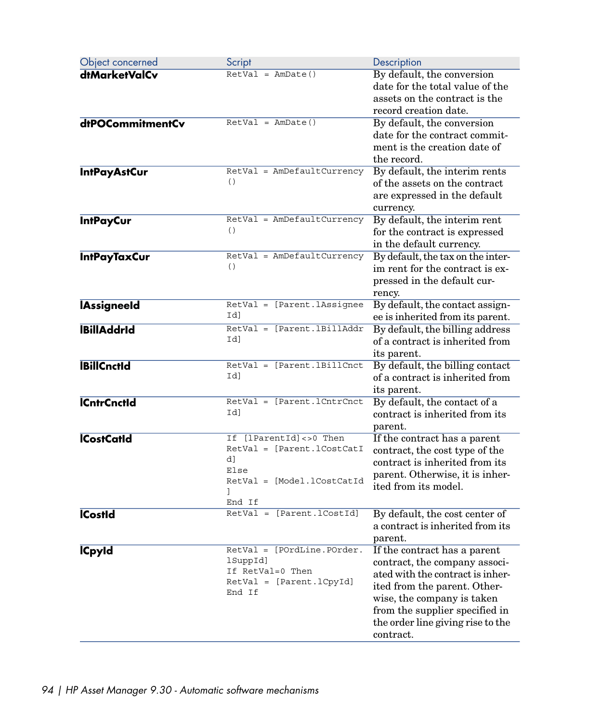| Object concerned    | Script                                                                                                       | Description                                                                                                                                                                                                                                         |
|---------------------|--------------------------------------------------------------------------------------------------------------|-----------------------------------------------------------------------------------------------------------------------------------------------------------------------------------------------------------------------------------------------------|
| dtMarketValCv       | $RetVal = Ambate()$                                                                                          | By default, the conversion<br>date for the total value of the<br>assets on the contract is the<br>record creation date.                                                                                                                             |
| dtPOCommitmentCv    | $RetVal = Ambate()$                                                                                          | By default, the conversion<br>date for the contract commit-<br>ment is the creation date of<br>the record.                                                                                                                                          |
| <b>IntPayAstCur</b> | RetVal = AmDefaultCurrency<br>$\left( \right)$                                                               | By default, the interim rents<br>of the assets on the contract<br>are expressed in the default<br>currency.                                                                                                                                         |
| <b>IntPayCur</b>    | RetVal = AmDefaultCurrency<br>$\left( \right)$                                                               | By default, the interim rent<br>for the contract is expressed<br>in the default currency.                                                                                                                                                           |
| <b>IntPayTaxCur</b> | RetVal = AmDefaultCurrency<br>$\left( \right)$                                                               | By default, the tax on the inter-<br>im rent for the contract is ex-<br>pressed in the default cur-<br>rency.                                                                                                                                       |
| <b>IAssigneeld</b>  | RetVal = [Parent.lAssignee<br>Idl                                                                            | By default, the contact assign-<br>ee is inherited from its parent.                                                                                                                                                                                 |
| <b>IBillAddrId</b>  | RetVal = [Parent.lBillAddr<br>Id]                                                                            | By default, the billing address<br>of a contract is inherited from<br>its parent.                                                                                                                                                                   |
| <b>IBillCnctId</b>  | RetVal = [Parent.1BillCnct<br>Id]                                                                            | By default, the billing contact<br>of a contract is inherited from<br>its parent.                                                                                                                                                                   |
| <b>CntrCnctId</b>   | RetVal = [Parent.lCntrCnct<br>Id]                                                                            | By default, the contact of a<br>contract is inherited from its<br>parent.                                                                                                                                                                           |
| <b>ICostCatId</b>   | If [lParentId] <> 0 Then<br>RetVal = [Parent.lCostCatI<br>d]<br>Else<br>RetVal = [Model.lCostCatId<br>End If | If the contract has a parent<br>contract, the cost type of the<br>contract is inherited from its<br>parent. Otherwise, it is inher-<br>ited from its model.                                                                                         |
| <b>ICostId</b>      | RetVal = [Parent.lCostId]                                                                                    | By default, the cost center of<br>a contract is inherited from its<br>parent.                                                                                                                                                                       |
| <b>ICpyId</b>       | RetVal = [POrdLine.POrder.<br>1SuppId]<br>If RetVal=0 Then<br>$RetVal = [Parent.lCpyId]$<br>End If           | If the contract has a parent<br>contract, the company associ-<br>ated with the contract is inher-<br>ited from the parent. Other-<br>wise, the company is taken<br>from the supplier specified in<br>the order line giving rise to the<br>contract. |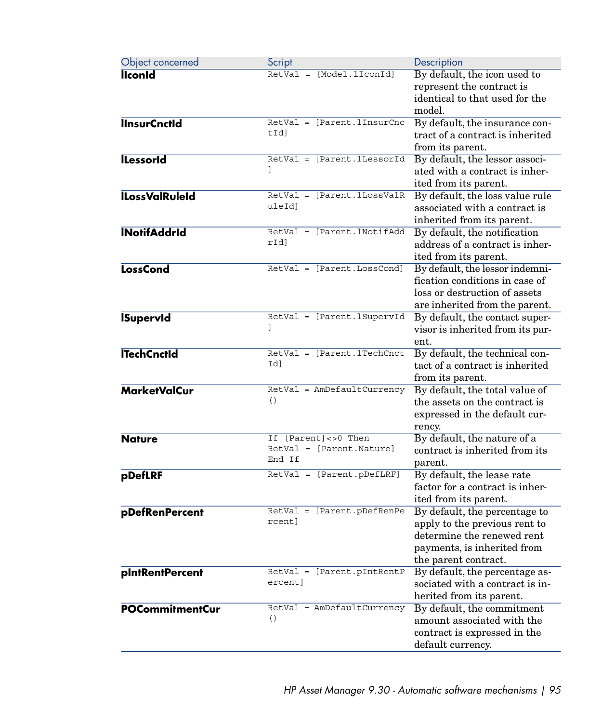| Object concerned       | Script                                          | Description                                                     |
|------------------------|-------------------------------------------------|-----------------------------------------------------------------|
| liconid                | RetVal = [Model.lIconId]                        | By default, the icon used to                                    |
|                        |                                                 | represent the contract is                                       |
|                        |                                                 | identical to that used for the                                  |
|                        |                                                 | model.                                                          |
| <b>IlnsurCnctId</b>    | $RetVal = [Parent.lInsurCnc]$<br>tId]           | By default, the insurance con-                                  |
|                        |                                                 | tract of a contract is inherited                                |
| <b>ILessorId</b>       | RetVal = [Parent.lLessorId]                     | from its parent.<br>By default, the lessor associ-              |
|                        | 1                                               | ated with a contract is inher-                                  |
|                        |                                                 | ited from its parent.                                           |
| <b>ILossValRuleId</b>  | RetVal = [Parent.lLossValR                      | By default, the loss value rule                                 |
|                        | uleId]                                          | associated with a contract is                                   |
|                        |                                                 | inherited from its parent.                                      |
| <b>NotifAddrId</b>     | RetVal = [Parent.lNotifAdd                      | By default, the notification                                    |
|                        | rId]                                            | address of a contract is inher-                                 |
|                        |                                                 | ited from its parent.                                           |
| <b>LossCond</b>        | RetVal = [Parent.LossCond]                      | By default, the lessor indemni-                                 |
|                        |                                                 | fication conditions in case of                                  |
|                        |                                                 | loss or destruction of assets                                   |
|                        |                                                 | are inherited from the parent.                                  |
| <b>ISupervid</b>       | RetVal = [Parent.lSupervId                      | By default, the contact super-                                  |
|                        | 1                                               | visor is inherited from its par-                                |
|                        |                                                 | ent.                                                            |
| <b>TechCnctId</b>      | RetVal = [Parent. 1TechCnct<br>Id]              | By default, the technical con-                                  |
|                        |                                                 | tact of a contract is inherited                                 |
|                        | RetVal = AmDefaultCurrency                      | from its parent.                                                |
| <b>MarketValCur</b>    | $\left( \right)$                                | By default, the total value of<br>the assets on the contract is |
|                        |                                                 | expressed in the default cur-                                   |
|                        |                                                 | rency.                                                          |
| <b>Nature</b>          | If [Parent] <> 0 Then                           | By default, the nature of a                                     |
|                        | RetVal = [Parent.Nature]                        | contract is inherited from its                                  |
|                        | End If                                          | parent.                                                         |
| pDefLRF                | RetVal = [Parent.pDefLRF]                       | By default, the lease rate                                      |
|                        |                                                 | factor for a contract is inher-                                 |
|                        |                                                 | ited from its parent.                                           |
| <b>pDefRenPercent</b>  | RetVal = [Parent.pDefRenPe                      | By default, the percentage to                                   |
|                        | rcent]                                          | apply to the previous rent to                                   |
|                        |                                                 | determine the renewed rent                                      |
|                        |                                                 | payments, is inherited from                                     |
|                        |                                                 | the parent contract.                                            |
| <b>pIntRentPercent</b> | $RetVal = [Parent.pIntRentP]$                   | By default, the percentage as-                                  |
|                        | ercent]                                         | sociated with a contract is in-                                 |
|                        |                                                 | herited from its parent.                                        |
| <b>POCommitmentCur</b> | RetVal = AmDefaultCurrency<br>$\langle \rangle$ | By default, the commitment                                      |
|                        |                                                 | amount associated with the                                      |
|                        |                                                 | contract is expressed in the<br>default currency.               |
|                        |                                                 |                                                                 |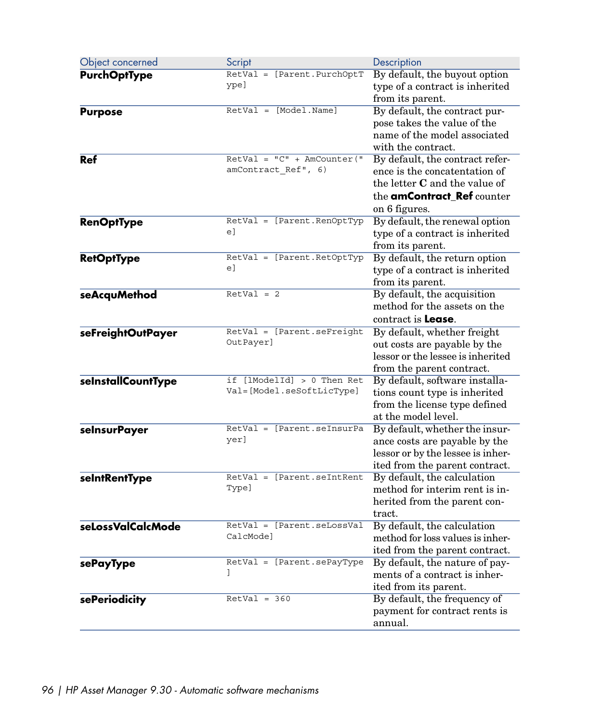| Object concerned    | Script                                  | Description                                                     |
|---------------------|-----------------------------------------|-----------------------------------------------------------------|
| <b>PurchOptType</b> | RetVal = [Parent.PurchOptT              | By default, the buyout option                                   |
|                     | ype]                                    | type of a contract is inherited                                 |
|                     |                                         | from its parent.                                                |
| <b>Purpose</b>      | $RetVal = [Model.Name]$                 | By default, the contract pur-                                   |
|                     |                                         | pose takes the value of the                                     |
|                     |                                         | name of the model associated                                    |
|                     |                                         | with the contract.                                              |
| <b>Ref</b>          | $RetVal = "C" + AmCounter("$            | By default, the contract refer-                                 |
|                     | amContract Ref", 6)                     | ence is the concatentation of                                   |
|                     |                                         | the letter $C$ and the value of                                 |
|                     |                                         | the amContract_Ref counter                                      |
|                     |                                         | on 6 figures.                                                   |
| <b>RenOptType</b>   | RetVal = [Parent.RenOptTyp              | By default, the renewal option                                  |
|                     | $e$ ]                                   | type of a contract is inherited                                 |
|                     |                                         | from its parent.                                                |
| <b>RetOptType</b>   | RetVal = [Parent.RetOptTyp              | By default, the return option                                   |
|                     | e <sup>1</sup>                          | type of a contract is inherited                                 |
|                     |                                         | from its parent.                                                |
| seAcquMethod        | $RetVal = 2$                            | By default, the acquisition                                     |
|                     |                                         | method for the assets on the                                    |
|                     |                                         | contract is Lease.                                              |
| seFreightOutPayer   | RetVal = [Parent.seFreight              | By default, whether freight                                     |
|                     | OutPayer]                               | out costs are payable by the                                    |
|                     |                                         | lessor or the lessee is inherited                               |
|                     |                                         | from the parent contract.                                       |
| seInstallCountType  | if [lModelId] > 0 Then Ret              | By default, software installa-                                  |
|                     | Val=[Model.seSoftLicType]               | tions count type is inherited                                   |
|                     |                                         | from the license type defined                                   |
|                     |                                         | at the model level.                                             |
| selnsurPayer        | RetVal = [Parent.seInsurPa              | By default, whether the insur-                                  |
|                     | yer]                                    | ance costs are payable by the                                   |
|                     |                                         | lessor or by the lessee is inher-                               |
|                     |                                         | ited from the parent contract.                                  |
| seIntRentType       | RetVal = [Parent.seIntRent              | By default, the calculation                                     |
|                     | Type]                                   | method for interim rent is in-                                  |
|                     |                                         | herited from the parent con-                                    |
|                     |                                         | tract.                                                          |
| seLossValCalcMode   | RetVal = [Parent.seLossVal<br>CalcMode] | By default, the calculation                                     |
|                     |                                         | method for loss values is inher-                                |
|                     |                                         | ited from the parent contract.                                  |
| sePayType           | RetVal = [Parent.sePayType              | By default, the nature of pay-<br>ments of a contract is inher- |
|                     |                                         | ited from its parent.                                           |
|                     | $RetVal = 360$                          |                                                                 |
| sePeriodicity       |                                         | By default, the frequency of<br>payment for contract rents is   |
|                     |                                         | annual.                                                         |
|                     |                                         |                                                                 |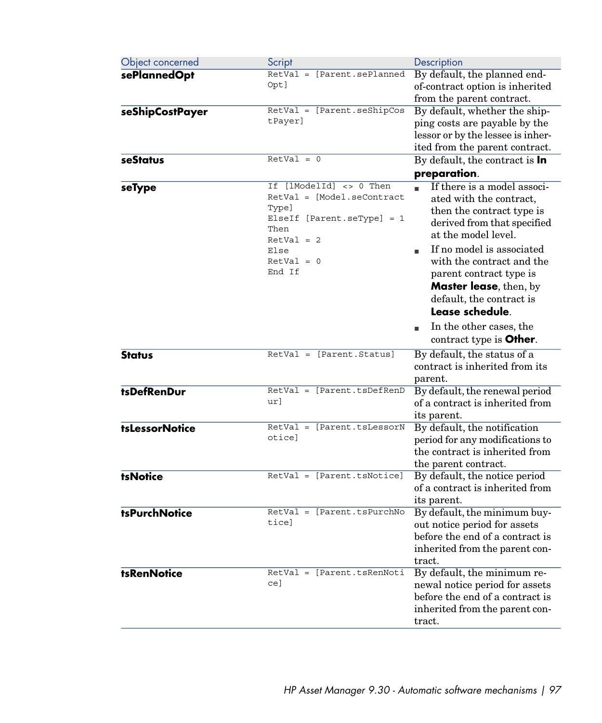| Object concerned      | Script                                                                                                                                                 | Description                                                                                                                                                                                                                                                                                                                                                         |
|-----------------------|--------------------------------------------------------------------------------------------------------------------------------------------------------|---------------------------------------------------------------------------------------------------------------------------------------------------------------------------------------------------------------------------------------------------------------------------------------------------------------------------------------------------------------------|
| sePlannedOpt          | RetVal = [Parent.sePlanned<br>Opt]                                                                                                                     | By default, the planned end-<br>of-contract option is inherited<br>from the parent contract.                                                                                                                                                                                                                                                                        |
| seShipCostPayer       | $RetVal = [Parent.seshipCos$<br>tPayer]                                                                                                                | By default, whether the ship-<br>ping costs are payable by the<br>lessor or by the lessee is inher-<br>ited from the parent contract.                                                                                                                                                                                                                               |
| <b>seStatus</b>       | $RetVal = 0$                                                                                                                                           | By default, the contract is In<br>preparation.                                                                                                                                                                                                                                                                                                                      |
| seType                | If [lModelId] <> 0 Then<br>RetVal = [Model.seContract<br>Type]<br>ElseIf [Parent.seType] = 1<br>Then<br>$RetVal = 2$<br>Else<br>$RetVal = 0$<br>End If | If there is a model associ-<br>ated with the contract,<br>then the contract type is<br>derived from that specified<br>at the model level.<br>If no model is associated<br>×.<br>with the contract and the<br>parent contract type is<br>Master lease, then, by<br>default, the contract is<br>Lease schedule.<br>In the other cases, the<br>contract type is Other. |
| Status                | RetVal = [Parent.Status]                                                                                                                               | By default, the status of a<br>contract is inherited from its<br>parent.                                                                                                                                                                                                                                                                                            |
| <b>tsDefRenDur</b>    | RetVal = [Parent.tsDefRenD<br>ur]                                                                                                                      | By default, the renewal period<br>of a contract is inherited from<br>its parent.                                                                                                                                                                                                                                                                                    |
| <b>tsLessorNotice</b> | RetVal = [Parent.tsLessorN<br>oticel                                                                                                                   | By default, the notification<br>period for any modifications to<br>the contract is inherited from<br>the parent contract.                                                                                                                                                                                                                                           |
| <b>tsNotice</b>       | $RetVal = [Parent.tsNotice]$                                                                                                                           | By default, the notice period<br>of a contract is inherited from<br>its parent.                                                                                                                                                                                                                                                                                     |
| <b>tsPurchNotice</b>  | RetVal = [Parent.tsPurchNo<br>ticel                                                                                                                    | By default, the minimum buy-<br>out notice period for assets<br>before the end of a contract is<br>inherited from the parent con-<br>tract.                                                                                                                                                                                                                         |
| <b>tsRenNotice</b>    | RetVal = [Parent.tsRenNoti<br>ce]                                                                                                                      | By default, the minimum re-<br>newal notice period for assets<br>before the end of a contract is<br>inherited from the parent con-<br>tract.                                                                                                                                                                                                                        |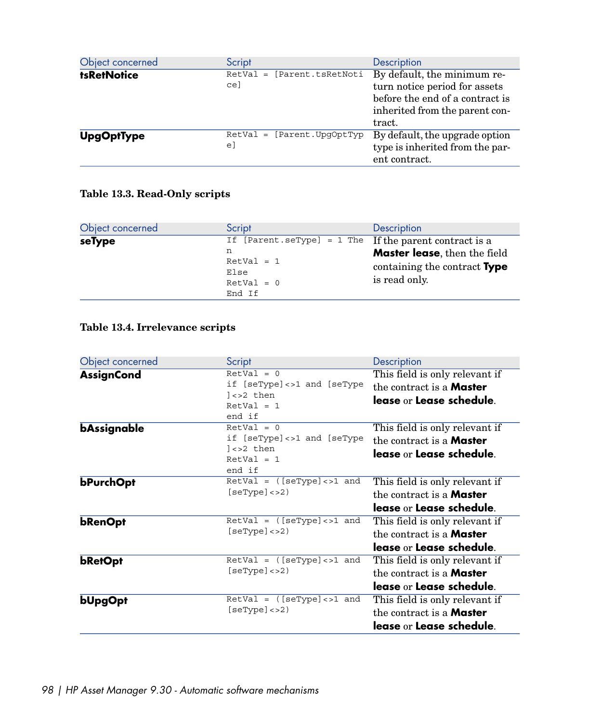| Object concerned   | Script                              | Description                                                                                                                                 |
|--------------------|-------------------------------------|---------------------------------------------------------------------------------------------------------------------------------------------|
| <b>tsRetNotice</b> | RetVal = [Parent.tsRetNoti<br>cel   | By default, the minimum re-<br>turn notice period for assets<br>before the end of a contract is<br>inherited from the parent con-<br>tract. |
| <b>UpgOptType</b>  | RetVal = [Parent.UpqOptTyp<br>$e$ ] | By default, the upgrade option<br>type is inherited from the par-<br>ent contract.                                                          |

#### **Table 13.3. Read-Only scripts**

| Object concerned | Script                                                      | Description                                                                   |
|------------------|-------------------------------------------------------------|-------------------------------------------------------------------------------|
| seType           | If [Parent seType] = 1 The If the parent contract is a<br>n |                                                                               |
|                  | $RetVal = 1$<br>Else<br>$RetVal = 0$<br>End If              | Master lease, then the field<br>containing the contract Type<br>is read only. |

#### **Table 13.4. Irrelevance scripts**

| Object concerned  | Script                                                                                 | Description                                                                                   |
|-------------------|----------------------------------------------------------------------------------------|-----------------------------------------------------------------------------------------------|
| <b>AssignCond</b> | $RetVal = 0$<br>if [seType]<>1 and [seType<br>$l \ll 2$ then<br>$RetVal = 1$<br>end if | This field is only relevant if<br>the contract is a <b>Master</b><br>lease or Lease schedule. |
| bAssignable       | $RetVal = 0$<br>if [seType]<>1 and [seType<br>$l \ll 2$ then<br>$RetVal = 1$<br>end if | This field is only relevant if<br>the contract is a <b>Master</b><br>lease or Lease schedule. |
| bPurchOpt         | $RetVal = ([settype]<>1$ and<br>[server] < 2)                                          | This field is only relevant if<br>the contract is a <b>Master</b><br>lease or Lease schedule. |
| <b>bRenOpt</b>    | $RetVal = ([setype]<>1$ and<br>[server] < 2)                                           | This field is only relevant if<br>the contract is a <b>Moster</b><br>lease or Lease schedule. |
| <b>bRetOpt</b>    | $RetVal = ([setype]<>1$ and<br>[server] < 2)                                           | This field is only relevant if<br>the contract is a <b>Master</b><br>lease or Lease schedule. |
| bUpgOpt           | $RetVal = ([settype]<>1$ and<br>[server] < 2)                                          | This field is only relevant if<br>the contract is a <b>Master</b><br>lease or Lease schedule. |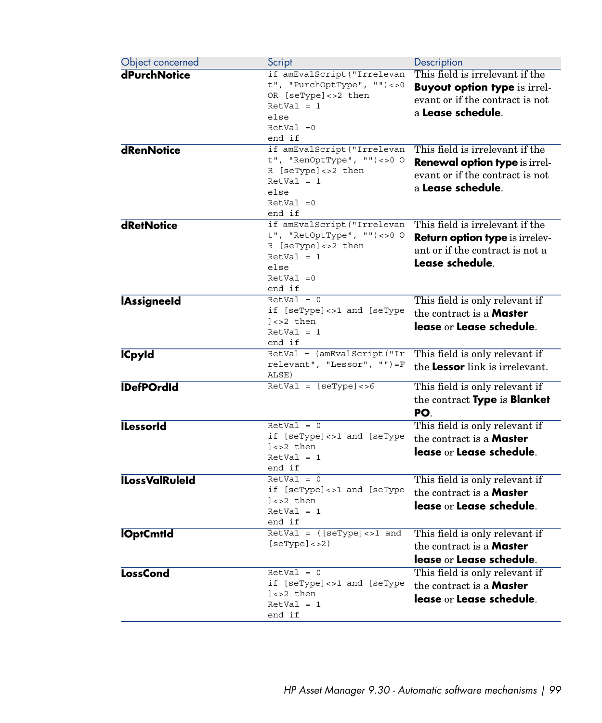| Object concerned      | Script                                                                                                                                | Description                                                                                                                            |
|-----------------------|---------------------------------------------------------------------------------------------------------------------------------------|----------------------------------------------------------------------------------------------------------------------------------------|
| dPurchNotice          | if amEvalScript ("Irrelevan<br>t", "PurchOptType", "") <> 0<br>OR [seType] <>2 then<br>$RetVal = 1$<br>else<br>$RetVal = 0$<br>end if | This field is irrelevant if the<br><b>Buyout option type is irrel-</b><br>evant or if the contract is not<br>a <b>Legse schedule</b> . |
| dRenNotice            | if amEvalScript ("Irrelevan<br>t", "RenOptType", "") <> 0 0<br>R [seType] <> 2 then<br>$RetVal = 1$<br>else<br>$RetVal = 0$<br>end if | This field is irrelevant if the<br><b>Renewal option type is irrel-</b><br>evant or if the contract is not<br>a Lease schedule.        |
| <b>dRetNotice</b>     | if amEvalScript ("Irrelevan<br>t", "RetOptType", "") <> 0 0<br>R [seType] <> 2 then<br>$RetVal = 1$<br>else<br>$RetVal = 0$<br>end if | This field is irrelevant if the<br>Return option type is irrelev-<br>ant or if the contract is not a<br>Lease schedule.                |
| <b>IAssigneeld</b>    | $RetVal = 0$<br>if [seType]<>1 and [seType<br>$\vert$ <>2 then<br>$RetVal = 1$<br>end if                                              | This field is only relevant if<br>the contract is a <b>Master</b><br>lease or Lease schedule.                                          |
| <b>CpyId</b>          | RetVal = (amEvalScript("Ir<br>relevant", "Lessor", "")=F<br>ALSE)                                                                     | This field is only relevant if<br>the Lessor link is irrelevant.                                                                       |
| <b>IDefPOrdId</b>     | $RetVal = [seType] \Leftrightarrow$                                                                                                   | This field is only relevant if<br>the contract Type is Blanket<br>PO.                                                                  |
| <b>ILessorId</b>      | $RetVal = 0$<br>if [seType]<>1 and [seType<br>$\vert$ <>2 then<br>$RetVal = 1$<br>end if                                              | This field is only relevant if<br>the contract is a <b>Master</b><br>lease or Lease schedule.                                          |
| <b>ILossValRuleId</b> | $RetVal = 0$<br>if [seType]<>1 and [seType<br>$\left]$ <>2 then<br>$RetVal = 1$<br>end if                                             | This field is only relevant if<br>the contract is a <b>Master</b><br>lease or Lease schedule.                                          |
| <b>IOptCmtId</b>      | $RetVal = ([serype] \leq 1$ and<br>[serype] < >2)                                                                                     | This field is only relevant if<br>the contract is a <b>Master</b><br>lease or Lease schedule.                                          |
| <b>LossCond</b>       | $RetVal = 0$<br>if [seType]<>1 and [seType<br>$\vert$ <>2 then<br>$RetVal = 1$<br>end if                                              | This field is only relevant if<br>the contract is a <b>Master</b><br>lease or Lease schedule.                                          |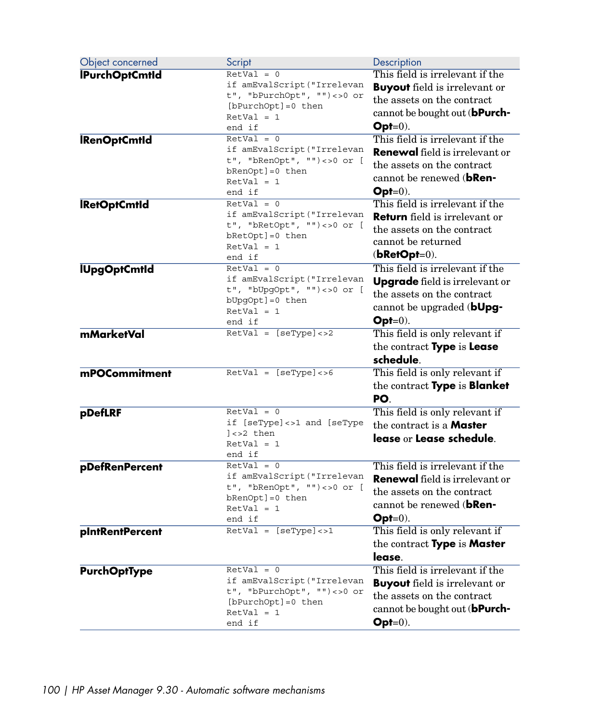| Object concerned      | Script                                                                                                                              | Description                                                                                                                                                           |
|-----------------------|-------------------------------------------------------------------------------------------------------------------------------------|-----------------------------------------------------------------------------------------------------------------------------------------------------------------------|
| <b>IPurchOptCmtId</b> | $RetVal = 0$<br>if amEvalScript ("Irrelevan<br>$t$ ", "bPurchOp $t$ ", "") <> 0 or<br>[bPurchOpt] =0 then<br>$RetVal = 1$<br>end if | This field is irrelevant if the<br><b>Buyout</b> field is irrelevant or<br>the assets on the contract<br>cannot be bought out ( <b>bPurch-</b><br>$\mathsf{Opt}=0$ ). |
| <b>IRenOptCmtId</b>   | $RetVal = 0$<br>if amEvalScript ("Irrelevan<br>t", "bRenOpt", "") <> 0 or [<br>bRenOpt]=0 then<br>$RetVal = 1$<br>end if            | This field is irrelevant if the<br><b>Renewal</b> field is irrelevant or<br>the assets on the contract<br>cannot be renewed ( <b>bRen-</b><br>$\mathsf{Opt}=0$ ).     |
| <b>IRetOptCmtId</b>   | $RetVal = 0$<br>if amEvalScript ("Irrelevan<br>t", "bRetOpt", "") <> 0 or [<br>$bRetOpt]=0$ then<br>$RetVal = 1$<br>end if          | This field is irrelevant if the<br><b>Return</b> field is irrelevant or<br>the assets on the contract<br>cannot be returned<br>$(berOpt=0).$                          |
| <b>IUpgOptCmtId</b>   | $RetVal = 0$<br>if amEvalScript ("Irrelevan<br>t", "bUpgOpt", "") <> 0 or [<br>bUpgOpt]=0 then<br>$RetVal = 1$<br>end if            | This field is irrelevant if the<br><b>Upgrade</b> field is irrelevant or<br>the assets on the contract<br>cannot be upgraded (bUpg-<br>$Opt=0$ ).                     |
| <b>mMarketVal</b>     | $RetVal = [serype] \ll 2$                                                                                                           | This field is only relevant if<br>the contract Type is Lease<br>schedule.                                                                                             |
| <b>mPOCommitment</b>  | $RetVal = [serype] < >6$                                                                                                            | This field is only relevant if<br>the contract Type is Blanket<br>PO.                                                                                                 |
| pDefLRF               | $RetVal = 0$<br>if [seType]<>1 and [seType<br>$l \ll 2$ then<br>$RetVal = 1$<br>end if                                              | This field is only relevant if<br>the contract is a <b>Master</b><br>lease or Lease schedule.                                                                         |
| pDefRenPercent        | $RetVal = 0$<br>if amEvalScript ("Irrelevan<br>t", "bRenOpt", "") <> 0 or [<br>$bRenOpt]=0$ then<br>$RetVal = 1$<br>end if          | This field is irrelevant if the<br><b>Renewal</b> field is irrelevant or<br>the assets on the contract<br>cannot be renewed ( <b>bRen-</b><br>$\text{Opt}=0$ ).       |
| pIntRentPercent       | $RetVal = [seType]>1$                                                                                                               | This field is only relevant if<br>the contract Type is Master<br>lease.                                                                                               |
| <b>PurchOptType</b>   | $RetVal = 0$<br>if amEvalScript ("Irrelevan<br>t", "bPurchOpt", "") <> 0 or<br>[bPurchOpt] =0 then<br>$RetVal = 1$<br>end if        | This field is irrelevant if the<br><b>Buyout</b> field is irrelevant or<br>the assets on the contract<br>cannot be bought out ( <b>bPurch</b> -<br>$Opt=0$ ).         |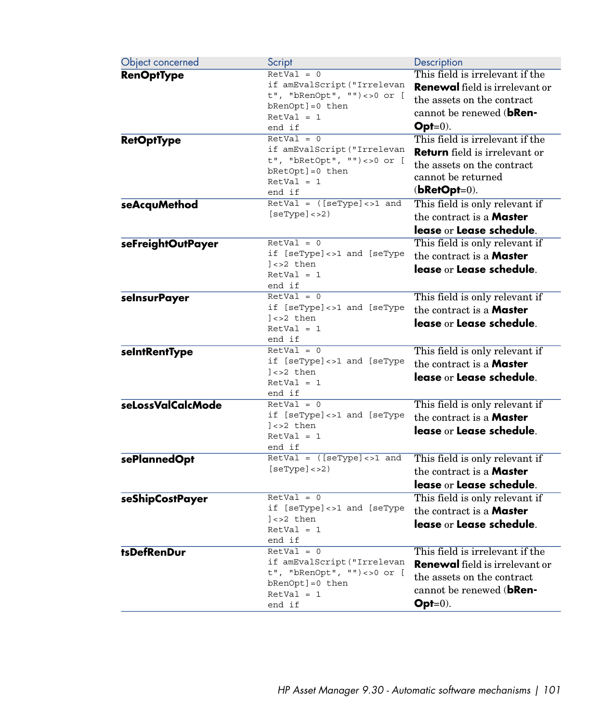| Object concerned    | Script                                                                                                                              | Description                                                                                                                                                     |
|---------------------|-------------------------------------------------------------------------------------------------------------------------------------|-----------------------------------------------------------------------------------------------------------------------------------------------------------------|
| <b>RenOptType</b>   | $RetVal = 0$<br>if amEvalScript ("Irrelevan<br>t", "bRenOpt", "") <> 0 or [<br>bRenOpt]=0 then<br>$RetVal = 1$<br>end if            | This field is irrelevant if the<br><b>Renewal</b> field is irrelevant or<br>the assets on the contract<br>cannot be renewed ( <b>bRen-</b><br>$\text{Opt}=0$ ). |
| <b>RetOptType</b>   | $RetVal = 0$<br>if amEvalScript ("Irrelevan<br>t", "bRetOpt", "") <> 0 or [<br>$bRetOpt]=0$ then<br>$RetVal = 1$<br>end if          | This field is irrelevant if the<br><b>Return</b> field is irrelevant or<br>the assets on the contract<br>cannot be returned<br>$(bRetOpt=0).$                   |
| <b>seAcquMethod</b> | $RetVal = ([serype] \leq 1$ and<br>[serverype] < 2)                                                                                 | This field is only relevant if<br>the contract is a <b>Master</b><br>lease or Lease schedule.                                                                   |
| seFreightOutPayer   | $RetVal = 0$<br>if [seType] <>1 and [seType<br>$l \ll 2$ then<br>$RetVal = 1$<br>end if                                             | This field is only relevant if<br>the contract is a <b>Master</b><br>lease or Lease schedule.                                                                   |
| selnsurPayer        | $RetVal = 0$<br>if [seType] <>1 and [seType<br>$l \ll 2$ then<br>$RetVal = 1$<br>end if                                             | This field is only relevant if<br>the contract is a <b>Master</b><br>lease or Lease schedule.                                                                   |
| seIntRentType       | $RetVal = 0$<br>if [seType] <>1 and [seType<br>$\vert$ <>2 then<br>$RetVal = 1$<br>end if                                           | This field is only relevant if<br>the contract is a <b>Master</b><br>lease or Lease schedule.                                                                   |
| seLossValCalcMode   | $RetVal = 0$<br>if [seType] <>1 and [seType<br>$\vert$ <>2 then<br>$RetVal = 1$<br>end if                                           | This field is only relevant if<br>the contract is a <b>Master</b><br>lease or Lease schedule.                                                                   |
| sePlannedOpt        | $RetVal = ([serype] \leq 1$ and<br>[setype] < >2)                                                                                   | This field is only relevant if<br>the contract is a <b>Master</b><br>lease or Lease schedule.                                                                   |
| seShipCostPayer     | $RetVal = 0$<br>if [seType]<>1 and [seType<br>$\vert$ <>2 then<br>$RetVal = 1$<br>end if                                            | This field is only relevant if<br>the contract is a <b>Master</b><br>lease or Lease schedule.                                                                   |
| <b>tsDefRenDur</b>  | $RetVal = 0$<br>if amEvalScript ("Irrelevan<br>$t", "bRenOpt", "") \leq 0 \text{ or }$<br>bRenOpt]=0 then<br>$RetVal = 1$<br>end if | This field is irrelevant if the<br><b>Renewal</b> field is irrelevant or<br>the assets on the contract<br>cannot be renewed ( <b>bRen-</b><br>$Opt=0$ ).        |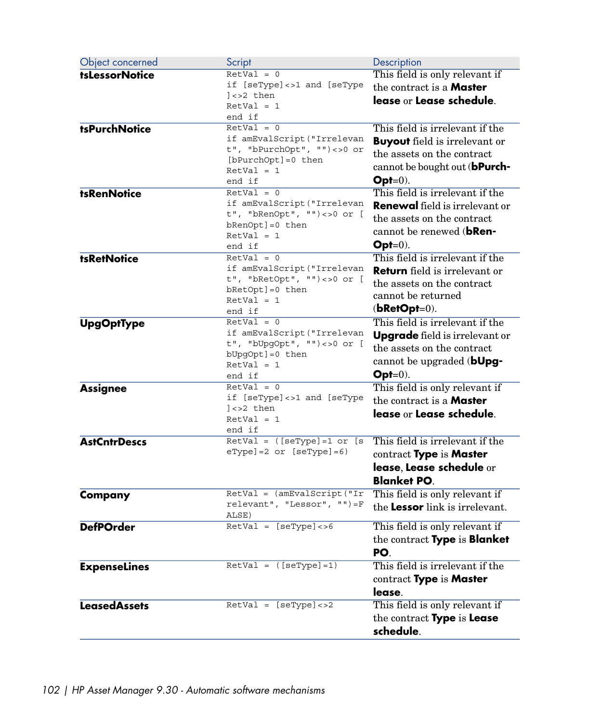| Object concerned      | Script                                                                                                                               | Description                                                                                                                                                      |
|-----------------------|--------------------------------------------------------------------------------------------------------------------------------------|------------------------------------------------------------------------------------------------------------------------------------------------------------------|
| <b>tsLessorNotice</b> | $RetVal = 0$<br>if [seType]<>1 and [seType<br>] <sub>&lt;2</sub> then<br>$RetVal = 1$<br>end if                                      | This field is only relevant if<br>the contract is a <b>Master</b><br>lease or Lease schedule.                                                                    |
| <b>tsPurchNotice</b>  | $RetVal = 0$<br>if amEvalScript ("Irrelevan<br>$t$ ", "bPurchOp $t$ ", "") <> 0 or<br>[bPurchOpt] = 0 then<br>$RetVal = 1$<br>end if | This field is irrelevant if the<br><b>Buyout</b> field is irrelevant or<br>the assets on the contract<br>cannot be bought out ( <b>bPurch</b> -<br>$Opt=0$ .     |
| <b>tsRenNotice</b>    | $RetVal = 0$<br>if amEvalScript ("Irrelevan<br>t", "bRenOpt", "") <> 0 or [<br>bRenOpt]=0 then<br>$RetVal = 1$<br>end if             | This field is irrelevant if the<br><b>Renewal</b> field is irrelevant or<br>the assets on the contract<br>cannot be renewed ( <b>bRen-</b><br>$\mathsf{Opt}=0$ . |
| <b>tsRetNotice</b>    | $RetVal = 0$<br>if amEvalScript ("Irrelevan<br>$t$ ", "bRetOpt", "") <> 0 or [<br>$bRetOpt]=0$ then<br>$RetVal = 1$<br>end if        | This field is irrelevant if the<br><b>Return</b> field is irrelevant or<br>the assets on the contract<br>cannot be returned<br>$(bfRefOpt=0)$ .                  |
| <b>UpgOptType</b>     | $RetVal = 0$<br>if amEvalScript ("Irrelevan<br>t", "bUpgOpt", "") <> 0 or [<br>bUpgOpt]=0 then<br>$RetVal = 1$<br>end if             | This field is irrelevant if the<br><b>Upgrade</b> field is irrelevant or<br>the assets on the contract<br>cannot be upgraded (bUpg-<br>$Opt=0$ .                 |
| <b>Assignee</b>       | $RetVal = 0$<br>if [seType]<>1 and [seType<br>$\vert$ <>2 then<br>$RetVal = 1$<br>end if                                             | This field is only relevant if<br>the contract is a <b>Master</b><br>lease or Lease schedule.                                                                    |
| <b>AstCntrDescs</b>   | $RetVal = ([serype]=1 or [s$<br>$eType]=2$ or $[seType]=6$ )                                                                         | This field is irrelevant if the<br>contract Type is Master<br>lease, Lease schedule or<br>Blanket PO.                                                            |
| Company               | RetVal = (amEvalScript("Ir<br>relevant", "Lessor", "")=F<br>ALSE)                                                                    | This field is only relevant if<br>the Lessor link is irrelevant.                                                                                                 |
| <b>DefPOrder</b>      | $RetVal = [seType]<$                                                                                                                 | This field is only relevant if<br>the contract Type is Blanket<br>PO.                                                                                            |
| <b>ExpenseLines</b>   | $RetVal = ([setype]=1)$                                                                                                              | This field is irrelevant if the<br>contract Type is Master<br>lease.                                                                                             |
| <b>LeasedAssets</b>   | $RetVal = [serype] < >2$                                                                                                             | This field is only relevant if<br>the contract Type is Lease<br>schedule.                                                                                        |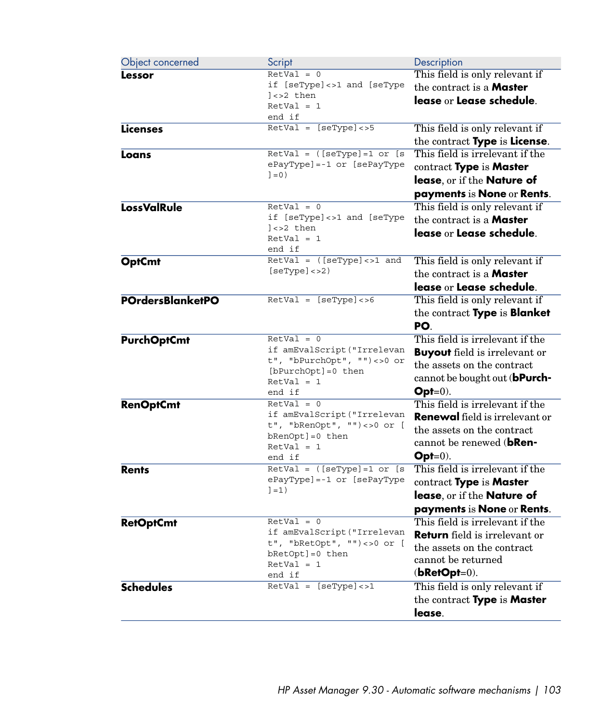| Object concerned        | Script                                                      | Description                                           |
|-------------------------|-------------------------------------------------------------|-------------------------------------------------------|
| Lessor                  | $RetVal = 0$                                                | This field is only relevant if                        |
|                         | if [seType]<>1 and [seType                                  | the contract is a <b>Master</b>                       |
|                         | $] < >2$ then<br>$RetVal = 1$<br>end if                     | lease or Lease schedule.                              |
| Licenses                | $RetVal = [serype] < >5$                                    | This field is only relevant if                        |
|                         |                                                             | the contract Type is License.                         |
| Loans                   | $RetVal = ([setype]=1 or [s]$                               | This field is irrelevant if the                       |
|                         | $ePayType] = -1$ or [ $sePayType$ ]<br>$] = 0)$             | contract Type is Master                               |
|                         |                                                             | lease, or if the Nature of                            |
|                         |                                                             | payments is None or Rents.                            |
| <b>LossValRule</b>      | $RetVal = 0$                                                | This field is only relevant if                        |
|                         | if [seType]<>1 and [seType<br>] <sub>2</sub> then           | the contract is a <b>Master</b>                       |
|                         | $RetVal = 1$                                                | lease or Lease schedule.                              |
|                         | end if                                                      |                                                       |
| <b>OptCmt</b>           | $RetVal = ([setype]<>1$ and                                 | This field is only relevant if                        |
|                         | [serype] < >2)                                              | the contract is a <b>Master</b>                       |
|                         |                                                             | lease or Lease schedule.                              |
| <b>POrdersBlanketPO</b> | $RetVal = [seType] \Leftrightarrow$                         | This field is only relevant if                        |
|                         |                                                             | the contract Type is Blanket                          |
|                         |                                                             | PO.                                                   |
| <b>PurchOptCmt</b>      | $RetVal = 0$                                                | This field is irrelevant if the                       |
|                         | if amEvalScript ("Irrelevan<br>t", "bPurchOpt", "") <> 0 or | <b>Buyout</b> field is irrelevant or                  |
|                         | $[bPurchOpt] = 0 then$                                      | the assets on the contract                            |
|                         | $RetVal = 1$                                                | cannot be bought out (bPurch-                         |
|                         | end if                                                      | $Opt=0$ .                                             |
| <b>RenOptCmt</b>        | $RetVal = 0$<br>if amEvalScript ("Irrelevan                 | This field is irrelevant if the                       |
|                         | t", "bRenOpt", "") <> 0 or [                                | <b>Renewal</b> field is irrelevant or                 |
|                         | $bRenOpt]=0$ then                                           | the assets on the contract                            |
|                         | $RetVal = 1$                                                | cannot be renewed (bRen-                              |
|                         | end if                                                      | $\mathsf{Opt}=0$ ).                                   |
| <b>Rents</b>            | $RetVal = ([serype]=1 or [s$<br>ePayType] =-1 or [sePayType | This field is irrelevant if the                       |
|                         | $1 = 1$                                                     | contract Type is Master<br>lease, or if the Nature of |
|                         |                                                             | payments is None or Rents.                            |
| <b>RetOptCmt</b>        | $RetVal = 0$                                                | This field is irrelevant if the                       |
|                         | if amEvalScript ("Irrelevan                                 | <b>Return</b> field is irrelevant or                  |
|                         | t", "bRetOpt", "") <> 0 or [                                | the assets on the contract                            |
|                         | bRetOpt]=0 then<br>$RetVal = 1$                             | cannot be returned                                    |
|                         | end if                                                      | $(bfRefOpt=0)$ .                                      |
| <b>Schedules</b>        | $RetVal = [seType]>1$                                       | This field is only relevant if                        |
|                         |                                                             | the contract Type is Master                           |
|                         |                                                             | lease.                                                |
|                         |                                                             |                                                       |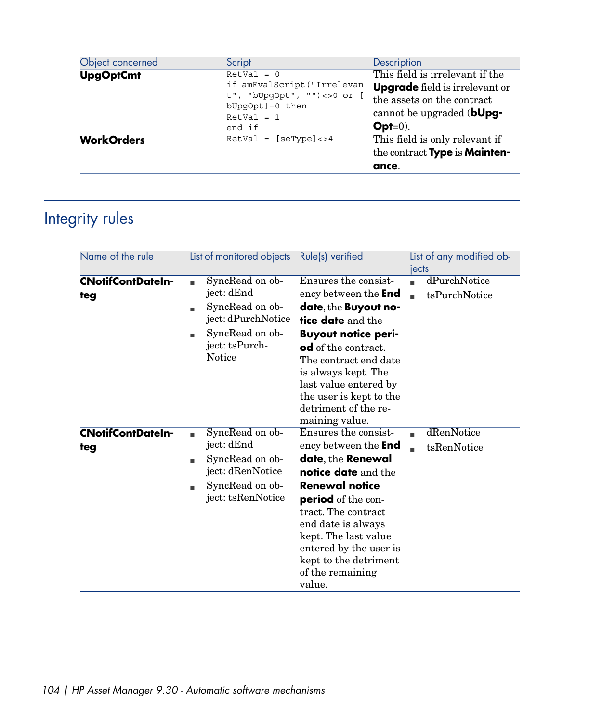| Object concerned  | Script                                                                                                                     | Description                                                                                                                                               |
|-------------------|----------------------------------------------------------------------------------------------------------------------------|-----------------------------------------------------------------------------------------------------------------------------------------------------------|
| <b>UpgOptCmt</b>  | $RetVal = 0$<br>if amEvalScript ("Irrelevan<br>t", "bUpqOpt", "") <> 0 or [<br>$bUpqOpt]=0$ then<br>$RetVal = 1$<br>end if | This field is irrelevant if the<br><b>Upgrade</b> field is irrelevant or<br>the assets on the contract<br>cannot be upgraded ( <b>bUpg</b> -<br>$Opt=0$ . |
| <b>WorkOrders</b> | $RetVal = [setVpe] < >4$                                                                                                   | This field is only relevant if<br>the contract Type is Mainten-<br>ance.                                                                                  |

## Integrity rules

| Name of the rule                | List of monitored objects                                                                                                              | Rule(s) verified                                                                                                                                                                                                                                                                                     | List of any modified ob-<br>iects |
|---------------------------------|----------------------------------------------------------------------------------------------------------------------------------------|------------------------------------------------------------------------------------------------------------------------------------------------------------------------------------------------------------------------------------------------------------------------------------------------------|-----------------------------------|
| <b>CNotifContDateIn-</b><br>teg | SyncRead on ob-<br>ject: dEnd<br>SyncRead on ob-<br>٠<br>ject: dPurchNotice<br>SyncRead on ob-<br>٠<br>ject: tsPurch-<br><b>Notice</b> | Ensures the consist-<br>ency between the <b>End</b><br>date, the Buyout no-<br>tice date and the<br><b>Buyout notice peri-</b><br>od of the contract.<br>The contract end date<br>is always kept. The<br>last value entered by<br>the user is kept to the<br>detriment of the re-<br>maining value.  | dPurchNotice<br>tsPurchNotice     |
| <b>CNotifContDateIn-</b><br>teg | SyncRead on ob-<br>٠<br>ject: dEnd<br>SyncRead on ob-<br>٠<br>ject: dRenNotice<br>SyncRead on ob-<br>٠<br>ject: tsRenNotice            | Ensures the consist-<br>ency between the <b>End</b><br>date, the Renewal<br>notice date and the<br>Renewal notice<br><b>period</b> of the con-<br>tract. The contract<br>end date is always<br>kept. The last value<br>entered by the user is<br>kept to the detriment<br>of the remaining<br>value. | dRenNotice<br>tsRenNotice         |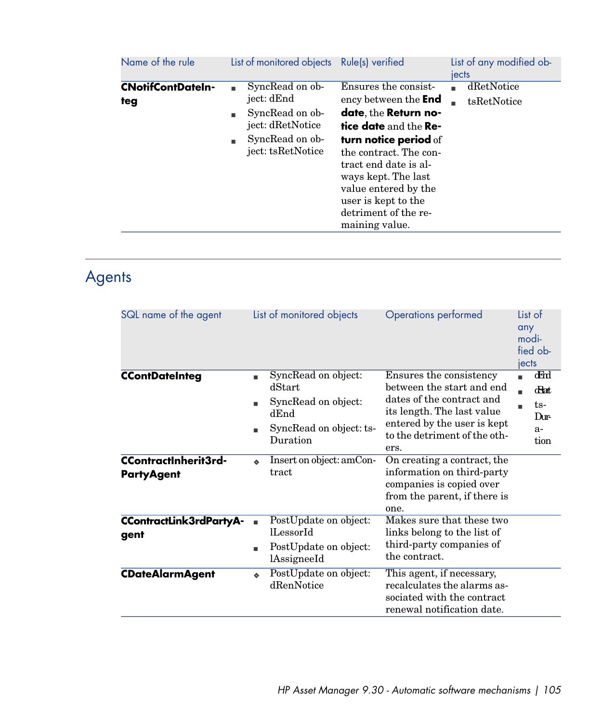| Name of the rule                | List of monitored objects Rule(s) verified                                                                   |                                                                                                                                                                                                                                                                                                  | List of any modified ob-<br>jects |
|---------------------------------|--------------------------------------------------------------------------------------------------------------|--------------------------------------------------------------------------------------------------------------------------------------------------------------------------------------------------------------------------------------------------------------------------------------------------|-----------------------------------|
| <b>CNotifContDateIn-</b><br>teg | SyncRead on ob-<br>ject: dEnd<br>SyncRead on ob-<br>ject: dRetNotice<br>SyncRead on ob-<br>ject: tsRetNotice | Ensures the consist-<br>ency between the <b>End</b><br>date, the Return no-<br>tice date and the Re-<br>turn notice period of<br>the contract. The con-<br>tract end date is al-<br>ways kept. The last<br>value entered by the<br>user is kept to the<br>detriment of the re-<br>maining value. | dRetNotice<br>tsRetNotice         |

## Agents

| SQL name of the agent                            |                  | List of monitored objects                                                                           | Operations performed                                                                                                                                                                   | any<br>jects | List of<br>modi-<br>fied ob-                 |
|--------------------------------------------------|------------------|-----------------------------------------------------------------------------------------------------|----------------------------------------------------------------------------------------------------------------------------------------------------------------------------------------|--------------|----------------------------------------------|
| <b>CContDateInteg</b>                            | ٠<br>٠<br>٠      | SyncRead on object:<br>dStart<br>SyncRead on object:<br>dEnd<br>SyncRead on object: ts-<br>Duration | Ensures the consistency<br>between the start and end<br>dates of the contract and<br>its length. The last value<br>entered by the user is kept<br>to the detriment of the oth-<br>ers. |              | dEnd<br>d Bat<br>ts-<br>Dur-<br>$a-$<br>tion |
| <b>CContractInherit3rd-</b><br><b>PartyAgent</b> | ó                | Insert on object: amCon-<br>tract                                                                   | On creating a contract, the<br>information on third-party<br>companies is copied over<br>from the parent, if there is<br>one.                                                          |              |                                              |
| <b>CContractLink3rdPartyA-</b><br>gent           | ٠                | PostUpdate on object:<br>lLessorId<br>PostUpdate on object:<br>lAssigneeId                          | Makes sure that these two<br>links belong to the list of<br>third-party companies of<br>the contract.                                                                                  |              |                                              |
| <b>CDateAlarmAgent</b>                           | $\ddot{\bullet}$ | PostUpdate on object:<br>dRenNotice                                                                 | This agent, if necessary,<br>recalculates the alarms as-<br>sociated with the contract<br>renewal notification date.                                                                   |              |                                              |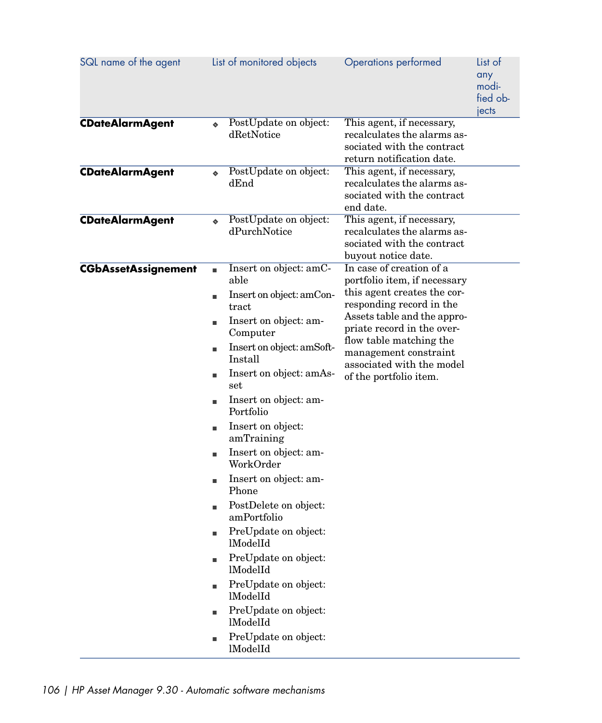| SQL name of the agent      |                  | List of monitored objects                                  | <b>Operations performed</b>                                                                                         | List of<br>any<br>modi-<br>fied ob-<br>jects |
|----------------------------|------------------|------------------------------------------------------------|---------------------------------------------------------------------------------------------------------------------|----------------------------------------------|
| <b>CDateAlarmAgent</b>     | $\ddot{\bullet}$ | PostUpdate on object:<br>dRetNotice                        | This agent, if necessary,<br>recalculates the alarms as-<br>sociated with the contract<br>return notification date. |                                              |
| <b>CDateAlarmAgent</b>     | ó.               | PostUpdate on object:<br>dEnd                              | This agent, if necessary,<br>recalculates the alarms as-<br>sociated with the contract<br>end date.                 |                                              |
| <b>CDateAlarmAgent</b>     |                  | PostUpdate on object:<br>dPurchNotice                      | This agent, if necessary,<br>recalculates the alarms as-<br>sociated with the contract<br>buyout notice date.       |                                              |
| <b>CGbAssetAssignement</b> | n.<br>٠          | Insert on object: amC-<br>able<br>Insert on object: amCon- | In case of creation of a<br>portfolio item, if necessary<br>this agent creates the cor-                             |                                              |
|                            |                  | tract                                                      | responding record in the                                                                                            |                                              |
|                            | ٠                | Insert on object: am-<br>Computer                          | Assets table and the appro-<br>priate record in the over-<br>flow table matching the<br>management constraint       |                                              |
|                            | ٠                | Insert on object: amSoft-<br>Install                       |                                                                                                                     |                                              |
|                            | ш                | Insert on object: amAs-<br>set                             | associated with the model<br>of the portfolio item.                                                                 |                                              |
|                            | ٠                | Insert on object: am-<br>Portfolio                         |                                                                                                                     |                                              |
|                            | ٠                | Insert on object:<br>amTraining                            |                                                                                                                     |                                              |
|                            | ٠                | Insert on object: am-<br>WorkOrder                         |                                                                                                                     |                                              |
|                            | ٠                | Insert on object: am-<br>Phone                             |                                                                                                                     |                                              |
|                            | ٠                | PostDelete on object:<br>amPortfolio                       |                                                                                                                     |                                              |
|                            | ٠                | PreUpdate on object:<br><b>lModelId</b>                    |                                                                                                                     |                                              |
|                            | ш                | PreUpdate on object:<br><b>lModelId</b>                    |                                                                                                                     |                                              |
|                            | ٠                | PreUpdate on object:<br><b>lModelId</b>                    |                                                                                                                     |                                              |
|                            | ٠                | PreUpdate on object:<br><b>lModelId</b>                    |                                                                                                                     |                                              |
|                            |                  | PreUpdate on object:<br><b>lModelId</b>                    |                                                                                                                     |                                              |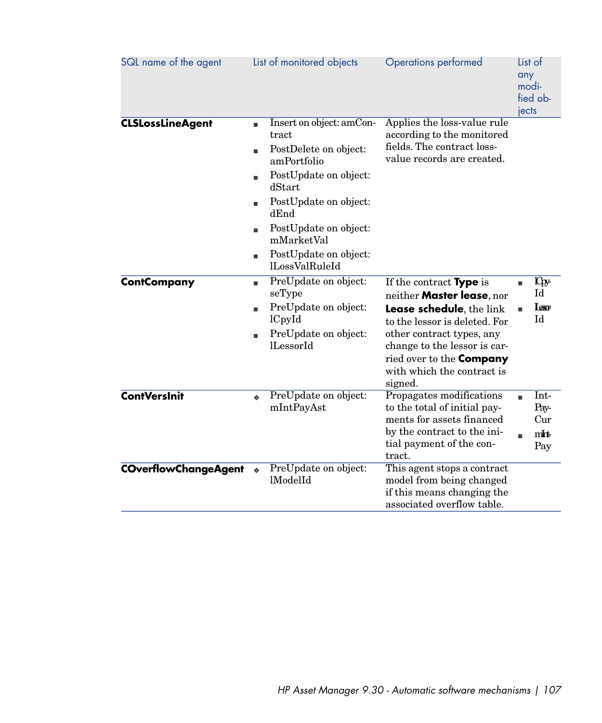| SQL name of the agent       |                       | List of monitored objects                                                                                                                                                            | Operations performed                                                                                                                                                                                                                                               | any<br>jects | List of<br>modi-<br>fied ob-                   |
|-----------------------------|-----------------------|--------------------------------------------------------------------------------------------------------------------------------------------------------------------------------------|--------------------------------------------------------------------------------------------------------------------------------------------------------------------------------------------------------------------------------------------------------------------|--------------|------------------------------------------------|
| <b>CLSLossLineAgent</b>     | ٠<br>٠<br>٠<br>ш<br>٠ | Insert on object: amCon-<br>tract<br>PostDelete on object:<br>amPortfolio<br>PostUpdate on object:<br>dStart<br>PostUpdate on object:<br>dEnd<br>PostUpdate on object:<br>mMarketVal | Applies the loss-value rule<br>according to the monitored<br>fields. The contract loss-<br>value records are created.                                                                                                                                              |              |                                                |
|                             | ٠                     | PostUpdate on object:<br>lLossValRuleId                                                                                                                                              |                                                                                                                                                                                                                                                                    |              |                                                |
| <b>ContCompany</b>          | ٠<br>٠                | PreUpdate on object:<br>seType<br>PreUpdate on object:<br>lCpyId<br>PreUpdate on object:<br><i><u>ILessorId</u></i>                                                                  | If the contract Type is<br>neither <b>Master lease</b> , nor<br>Lease schedule, the link<br>to the lessor is deleted. For<br>other contract types, any<br>change to the lessor is car-<br>ried over to the <b>Company</b><br>with which the contract is<br>signed. |              | <b>Coy-</b><br>Ы<br><b>Less</b><br><b>Id</b>   |
| <b>ContVersInit</b>         | ó                     | PreUpdate on object:<br>mIntPayAst                                                                                                                                                   | Propagates modifications<br>to the total of initial pay-<br>ments for assets financed<br>by the contract to the ini-<br>tial payment of the con-<br>tract.                                                                                                         |              | Int-<br>Pay-<br>Cur<br>$m$ <sub>I</sub><br>Pay |
| <b>COverflowChangeAgent</b> | $\ddot{\bullet}$      | PreUpdate on object:<br><b>lModelId</b>                                                                                                                                              | This agent stops a contract<br>model from being changed<br>if this means changing the<br>associated overflow table.                                                                                                                                                |              |                                                |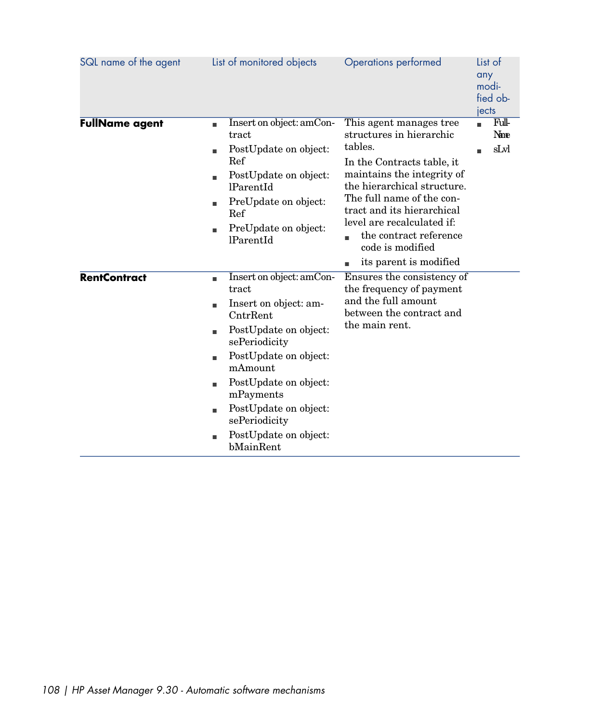| SQL name of the agent | List of monitored objects                                                                                                                                                                                                                                                                                     | Operations performed                                                                                                                                                                                                                                                                                                       | List of<br>any<br>modi-<br>fied ob-<br>jects |
|-----------------------|---------------------------------------------------------------------------------------------------------------------------------------------------------------------------------------------------------------------------------------------------------------------------------------------------------------|----------------------------------------------------------------------------------------------------------------------------------------------------------------------------------------------------------------------------------------------------------------------------------------------------------------------------|----------------------------------------------|
| <b>FullName agent</b> | Insert on object: amCon-<br>tract<br>PostUpdate on object:<br>٠<br>Ref<br>PostUpdate on object:<br>٠<br><b>lParentId</b><br>PreUpdate on object:<br>٠<br>Ref<br>PreUpdate on object:<br><b>lParentId</b>                                                                                                      | This agent manages tree<br>structures in hierarchic<br>tables.<br>In the Contracts table, it<br>maintains the integrity of<br>the hierarchical structure.<br>The full name of the con-<br>tract and its hierarchical<br>level are recalculated if:<br>the contract reference<br>code is modified<br>its parent is modified | Full-<br>٠<br>Nme<br>sLvl                    |
| <b>RentContract</b>   | Insert on object: amCon-<br>٠<br>tract<br>Insert on object: am-<br>٠<br>CntrRent<br>PostUpdate on object:<br>٠<br>sePeriodicity<br>PostUpdate on object:<br>٠<br>mAmount<br>PostUpdate on object:<br>٠<br>mPayments<br>PostUpdate on object:<br>٠<br>sePeriodicity<br>PostUpdate on object:<br>٠<br>bMainRent | Ensures the consistency of<br>the frequency of payment<br>and the full amount<br>between the contract and<br>the main rent.                                                                                                                                                                                                |                                              |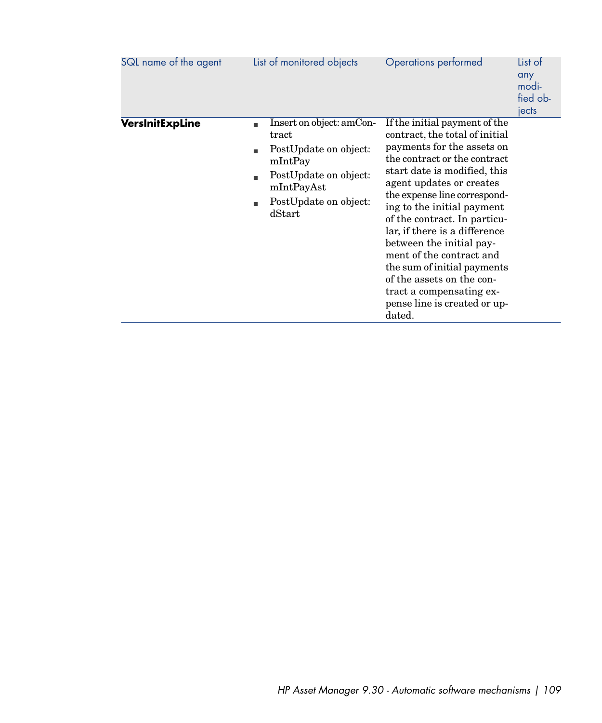| SQL name of the agent | List of monitored objects                                                                                                                       | Operations performed                                                                                                                                                                                                                                                                                                                                                                                                                                                                                               | List of<br>any<br>modi-<br>fied ob-<br>jects |
|-----------------------|-------------------------------------------------------------------------------------------------------------------------------------------------|--------------------------------------------------------------------------------------------------------------------------------------------------------------------------------------------------------------------------------------------------------------------------------------------------------------------------------------------------------------------------------------------------------------------------------------------------------------------------------------------------------------------|----------------------------------------------|
| VersInitExpLine       | Insert on object: amCon-<br>tract<br>PostUpdate on object:<br>mIntPay<br>PostUpdate on object:<br>mIntPayAst<br>PostUpdate on object:<br>dStart | If the initial payment of the<br>contract, the total of initial<br>payments for the assets on<br>the contract or the contract<br>start date is modified, this<br>agent updates or creates<br>the expense line correspond-<br>ing to the initial payment<br>of the contract. In particu-<br>lar, if there is a difference<br>between the initial pay-<br>ment of the contract and<br>the sum of initial payments<br>of the assets on the con-<br>tract a compensating ex-<br>pense line is created or up-<br>dated. |                                              |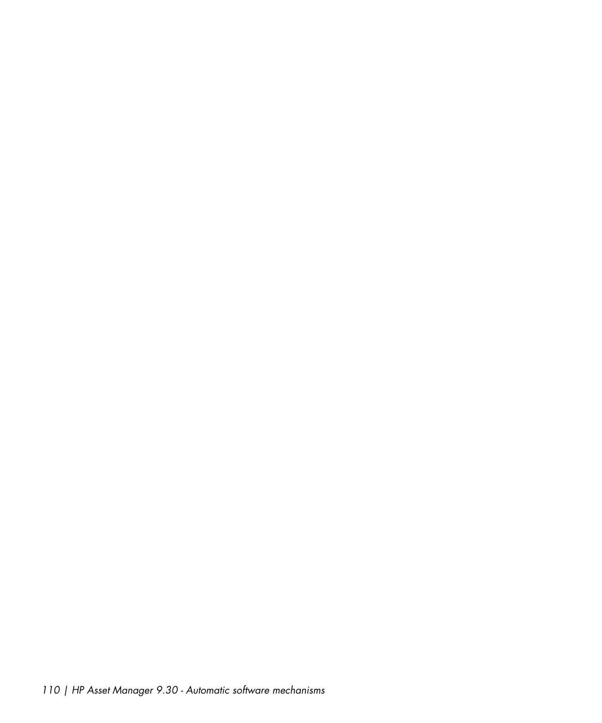*110 | HP Asset Manager 9.30 - Automatic software mechanisms*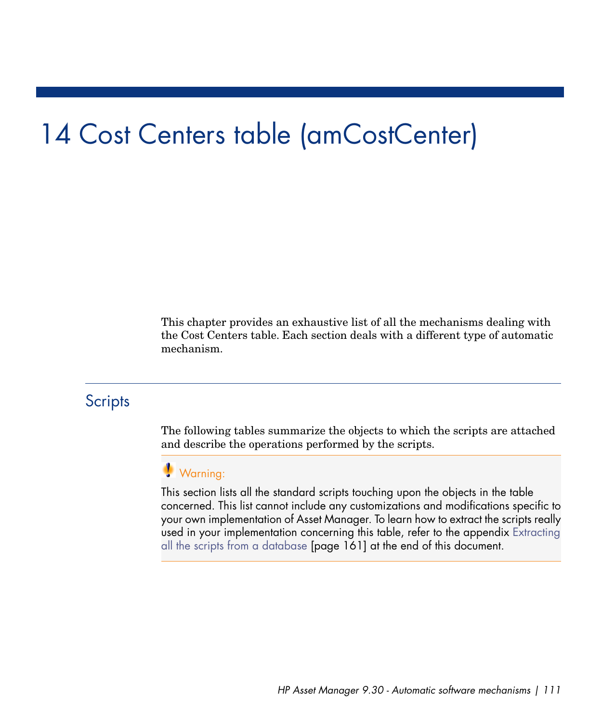# 14 Cost Centers table (amCostCenter)

This chapter provides an exhaustive list of all the mechanisms dealing with the Cost Centers table. Each section deals with a different type of automatic mechanism.

### **Scripts**

The following tables summarize the objects to which the scripts are attached and describe the operations performed by the scripts.

### Warning: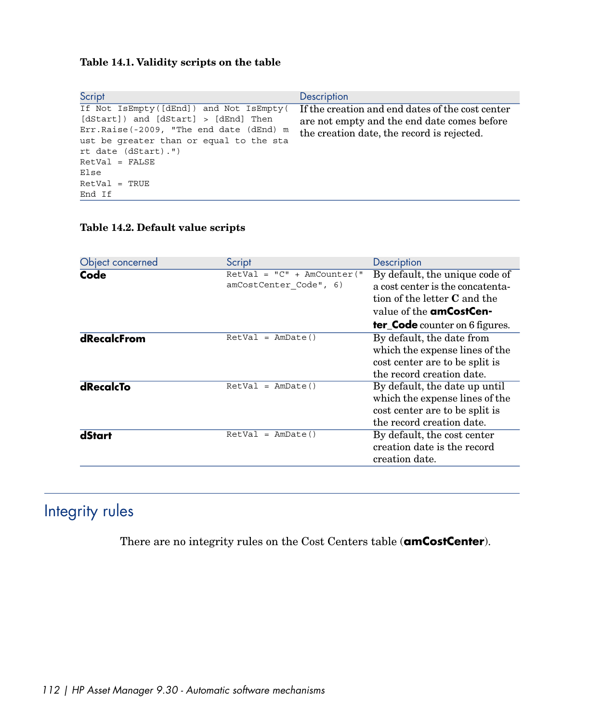#### **Table 14.1. Validity scripts on the table**

| Script                                                                                                                                                                                                                                                         | Description                                                                                                                                   |
|----------------------------------------------------------------------------------------------------------------------------------------------------------------------------------------------------------------------------------------------------------------|-----------------------------------------------------------------------------------------------------------------------------------------------|
| If Not IsEmpty([dEnd]) and Not IsEmpty(<br>$[distart]$ ) and $[distart] > [dEnd]$ Then<br>Err. Raise (-2009, "The end date (dEnd) m<br>ust be greater than or equal to the sta<br>rt date (dStart).")<br>$RetVal = FALSE$<br>Else<br>$RetVal = TRUE$<br>End If | If the creation and end dates of the cost center<br>are not empty and the end date comes before<br>the creation date, the record is rejected. |

#### **Table 14.2. Default value scripts**

| Object concerned | Script                                                 | Description                                                                                                                                                                     |
|------------------|--------------------------------------------------------|---------------------------------------------------------------------------------------------------------------------------------------------------------------------------------|
| Code             | $RetVal = "C" + AmCounter("$<br>amCostCenter Code", 6) | By default, the unique code of<br>a cost center is the concatenta-<br>tion of the letter $C$ and the<br>value of the <b>amCostCen-</b><br><b>ter Code</b> counter on 6 figures. |
| dRecalcFrom      | RetVal<br>$=$ AmDate()                                 | By default, the date from<br>which the expense lines of the<br>cost center are to be split is<br>the record creation date.                                                      |
| dRecalcTo        | $RetVal = Ambate()$                                    | By default, the date up until<br>which the expense lines of the<br>cost center are to be split is<br>the record creation date.                                                  |
| dStart           | $RetVal = Ambate()$                                    | By default, the cost center<br>creation date is the record<br>creation date.                                                                                                    |

# Integrity rules

There are no integrity rules on the Cost Centers table (**amCostCenter**).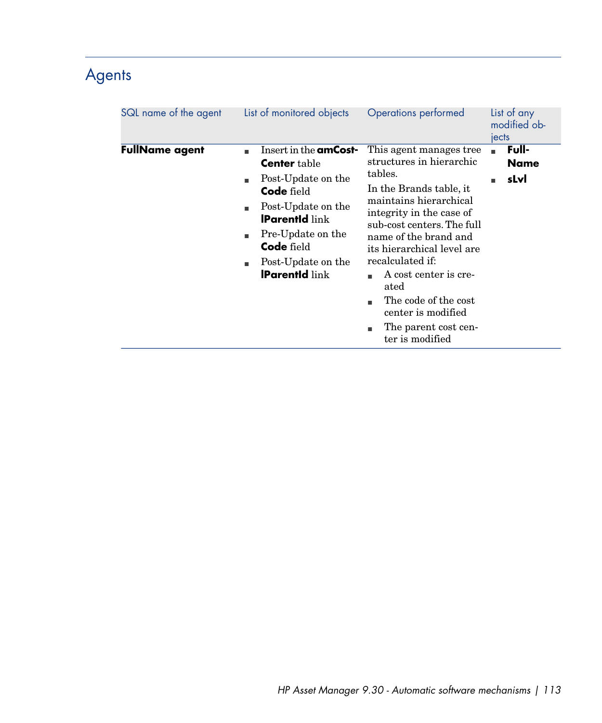# Agents

| SQL name of the agent | List of monitored objects                                                                                                                                                                                                                           | Operations performed                                                                                                                                                                                                                                                                                                                                                               | List of any<br>modified ob-<br>jects |
|-----------------------|-----------------------------------------------------------------------------------------------------------------------------------------------------------------------------------------------------------------------------------------------------|------------------------------------------------------------------------------------------------------------------------------------------------------------------------------------------------------------------------------------------------------------------------------------------------------------------------------------------------------------------------------------|--------------------------------------|
| <b>FullName agent</b> | Insert in the <b>amCost-</b><br>٠<br><b>Center</b> table<br>Post-Update on the<br>٠<br><b>Code</b> field<br>Post-Update on the<br>٠<br><b>IParentId</b> link<br>Pre-Update on the<br>٠<br>Code field<br>Post-Update on the<br><b>IParentId</b> link | This agent manages tree<br>structures in hierarchic<br>tables.<br>In the Brands table, it<br>maintains hierarchical<br>integrity in the case of<br>sub-cost centers. The full<br>name of the brand and<br>its hierarchical level are<br>recalculated if:<br>A cost center is cre-<br>ated<br>The code of the cost<br>center is modified<br>The parent cost cen-<br>ter is modified | Full-<br><b>Name</b><br>sLvl         |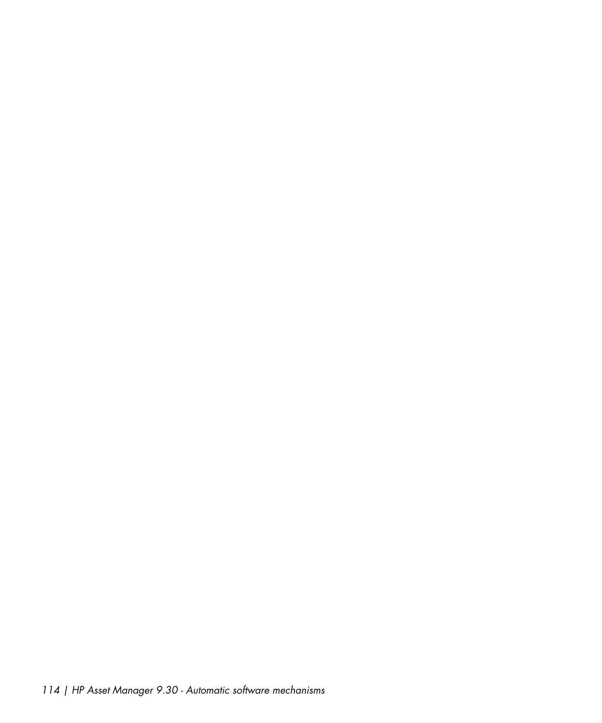*114 | HP Asset Manager 9.30 - Automatic software mechanisms*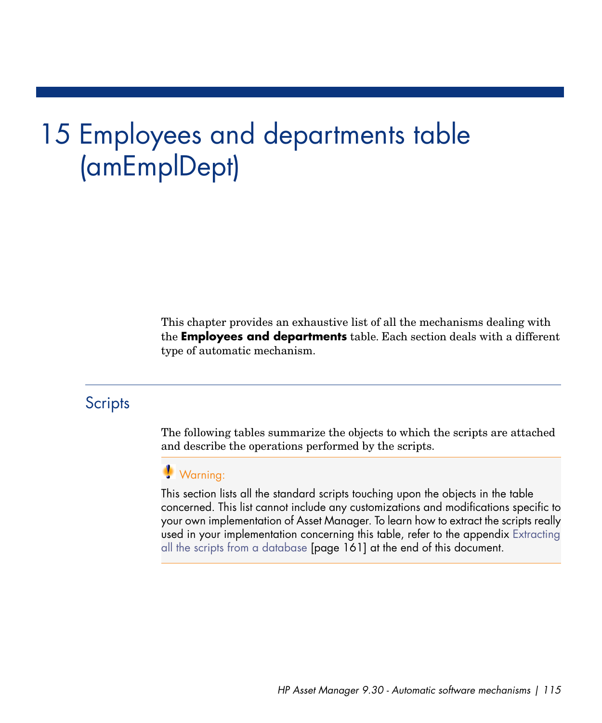# 15 Employees and departments table (amEmplDept)

This chapter provides an exhaustive list of all the mechanisms dealing with the **Employees and departments** table. Each section deals with a different type of automatic mechanism.

### **Scripts**

The following tables summarize the objects to which the scripts are attached and describe the operations performed by the scripts.

## Warning: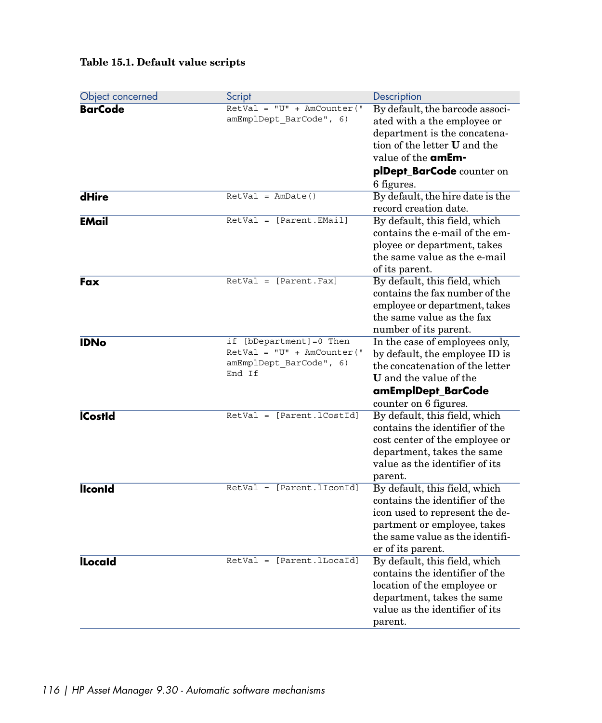### **Table 15.1. Default value scripts**

| Object concerned | Script                                                                                        | Description                                                                                                                                                                                                   |
|------------------|-----------------------------------------------------------------------------------------------|---------------------------------------------------------------------------------------------------------------------------------------------------------------------------------------------------------------|
| <b>BarCode</b>   | $RetVal = "U" + AmCounter("$<br>amEmplDept BarCode", 6)                                       | By default, the barcode associ-<br>ated with a the employee or<br>department is the concatena-<br>tion of the letter <b>U</b> and the<br>value of the <b>amEm-</b><br>plDept_BarCode counter on<br>6 figures. |
| dHire            | $RetVal = Ambate()$                                                                           | By default, the hire date is the<br>record creation date.                                                                                                                                                     |
| <b>EMail</b>     | RetVal = [Parent.EMail]                                                                       | By default, this field, which<br>contains the e-mail of the em-<br>ployee or department, takes<br>the same value as the e-mail<br>of its parent.                                                              |
| Fax              | $RetVal = [Parent.Fax]$                                                                       | By default, this field, which<br>contains the fax number of the<br>employee or department, takes<br>the same value as the fax<br>number of its parent.                                                        |
| <b>IDNo</b>      | if [bDepartment] =0 Then<br>$RetVal = "U" + AmCounter("$<br>amEmplDept BarCode", 6)<br>End If | In the case of employees only,<br>by default, the employee ID is<br>the concatenation of the letter<br><b>U</b> and the value of the<br>amEmplDept_BarCode<br>counter on 6 figures.                           |
| <b>Costld</b>    | RetVal = [Parent.lCostId]                                                                     | By default, this field, which<br>contains the identifier of the<br>cost center of the employee or<br>department, takes the same<br>value as the identifier of its<br>parent.                                  |
| llconid          | RetVal = [Parent.lIconId]                                                                     | By default, this field, which<br>contains the identifier of the<br>icon used to represent the de-<br>partment or employee, takes<br>the same value as the identifi-<br>er of its parent.                      |
| <b>ILocald</b>   | RetVal = [Parent.lLocaId]                                                                     | By default, this field, which<br>contains the identifier of the<br>location of the employee or<br>department, takes the same<br>value as the identifier of its<br>parent.                                     |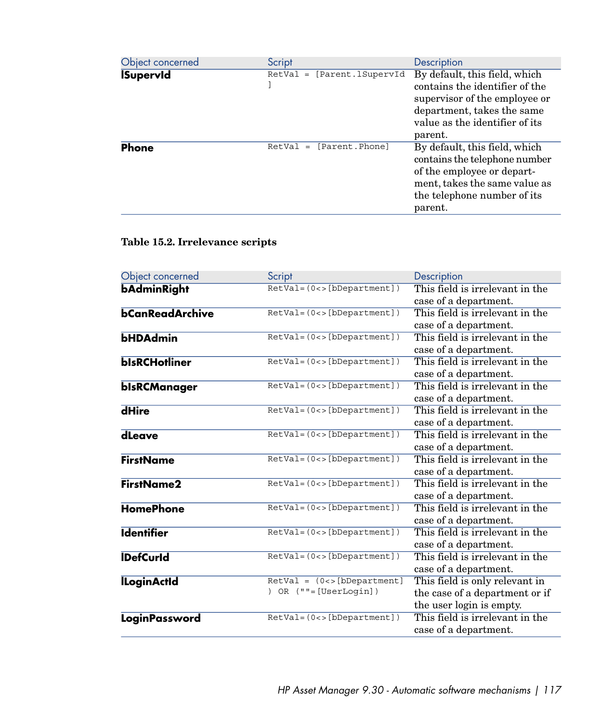| Object concerned | Script                       | Description                                                                                                                                                                 |
|------------------|------------------------------|-----------------------------------------------------------------------------------------------------------------------------------------------------------------------------|
| <b>Supervid</b>  | RetVal = [Parent.lSupervId   | By default, this field, which<br>contains the identifier of the<br>supervisor of the employee or<br>department, takes the same<br>value as the identifier of its<br>parent. |
| Phone            | [Parent.Phone]<br>$RetVal =$ | By default, this field, which<br>contains the telephone number<br>of the employee or depart-<br>ment, takes the same value as<br>the telephone number of its<br>parent.     |

### **Table 15.2. Irrelevance scripts**

| Object concerned       | Script                                      | Description                     |
|------------------------|---------------------------------------------|---------------------------------|
| bAdminRight            | RetVal=(0<>[bDepartment])                   | This field is irrelevant in the |
|                        |                                             | case of a department.           |
| <b>bCanReadArchive</b> | RetVal=(0<>[bDepartment])                   | This field is irrelevant in the |
|                        |                                             | case of a department.           |
| bHDAdmin               | RetVal=(0<>[bDepartment])                   | This field is irrelevant in the |
|                        |                                             | case of a department.           |
| blsRCHotliner          | RetVal=(0<>[bDepartment])                   | This field is irrelevant in the |
|                        |                                             | case of a department.           |
| blsRCManager           | RetVal=(0<>[bDepartment])                   | This field is irrelevant in the |
|                        |                                             | case of a department.           |
| dHire                  | RetVal=(0<>[bDepartment])                   | This field is irrelevant in the |
|                        |                                             | case of a department.           |
| dLeave                 | RetVal=(0<>[bDepartment])                   | This field is irrelevant in the |
|                        |                                             | case of a department.           |
| <b>FirstName</b>       | RetVal=(0<>[bDepartment])                   | This field is irrelevant in the |
|                        |                                             | case of a department.           |
| FirstName2             | RetVal=(0<>[bDepartment])                   | This field is irrelevant in the |
|                        |                                             | case of a department.           |
| <b>HomePhone</b>       | RetVal=(0<>[bDepartment])                   | This field is irrelevant in the |
|                        |                                             | case of a department.           |
| <b>Identifier</b>      | RetVal=(0<>[bDepartment])                   | This field is irrelevant in the |
|                        |                                             | case of a department.           |
| <b>IDefCurid</b>       | RetVal=(0<>[bDepartment])                   | This field is irrelevant in the |
|                        |                                             | case of a department.           |
| <b>ILoginActId</b>     | $RetVal = (0 \Leftrightarrow [bDepartment]$ | This field is only relevant in  |
|                        | OR $(""=[UserLogin])$                       | the case of a department or if  |
|                        |                                             | the user login is empty.        |
| LoginPassword          | RetVal=(0<>[bDepartment])                   | This field is irrelevant in the |
|                        |                                             | case of a department.           |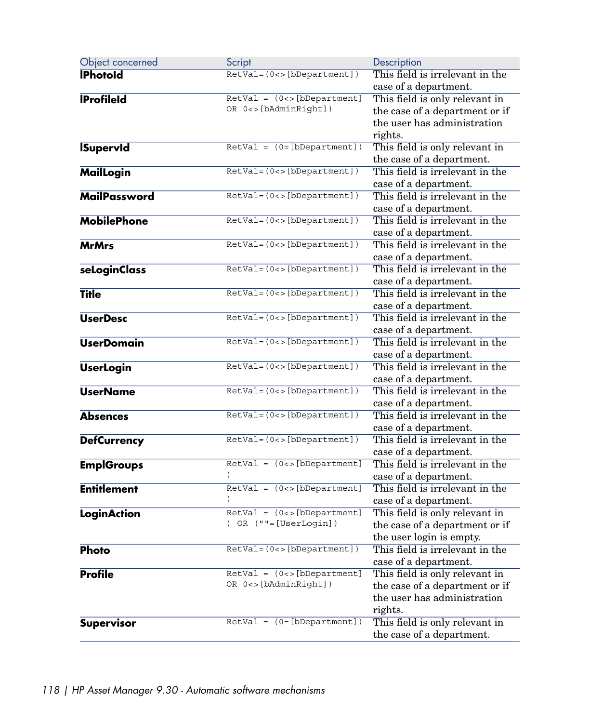| Object concerned    | Script                                                | Description                                              |
|---------------------|-------------------------------------------------------|----------------------------------------------------------|
| <b>IPhotoId</b>     | RetVal=(0<>[bDepartment])                             | This field is irrelevant in the                          |
|                     |                                                       | case of a department.                                    |
| <b>IProfileId</b>   | $RetVal = (0 \Leftrightarrow [bDepartment]$           | This field is only relevant in                           |
|                     | OR 0<>[bAdminRight])                                  | the case of a department or if                           |
|                     |                                                       | the user has administration                              |
|                     |                                                       | rights.                                                  |
| <b>ISupervid</b>    | $RetVal = (0 = [bDepartment])$                        | This field is only relevant in                           |
|                     |                                                       | the case of a department.                                |
| <b>MailLogin</b>    | RetVal=(0<>[bDepartment])                             | This field is irrelevant in the                          |
|                     |                                                       | case of a department.                                    |
| <b>MailPassword</b> | RetVal=(0<>[bDepartment])                             | This field is irrelevant in the                          |
|                     |                                                       | case of a department.                                    |
| <b>MobilePhone</b>  | RetVal=(0<>[bDepartment])                             | This field is irrelevant in the                          |
|                     |                                                       | case of a department.                                    |
| <b>MrMrs</b>        | RetVal=(0<>[bDepartment])                             | This field is irrelevant in the                          |
|                     |                                                       | case of a department.                                    |
| seLoginClass        | RetVal=(0<>[bDepartment])                             | This field is irrelevant in the                          |
|                     |                                                       | case of a department.                                    |
| <b>Title</b>        | RetVal=(0<>[bDepartment])                             | This field is irrelevant in the                          |
|                     |                                                       | case of a department.                                    |
| <b>UserDesc</b>     | RetVal=(0<>[bDepartment])                             | This field is irrelevant in the                          |
|                     |                                                       | case of a department.                                    |
| <b>UserDomain</b>   | RetVal=(0<>[bDepartment])                             | This field is irrelevant in the                          |
|                     |                                                       | case of a department.                                    |
|                     | RetVal=(0<>[bDepartment])                             | This field is irrelevant in the                          |
| <b>UserLogin</b>    |                                                       |                                                          |
| <b>UserName</b>     | RetVal=(0<>[bDepartment])                             | case of a department.<br>This field is irrelevant in the |
|                     |                                                       |                                                          |
|                     | RetVal=(0<>[bDepartment])                             | case of a department.<br>This field is irrelevant in the |
| <b>Absences</b>     |                                                       |                                                          |
|                     |                                                       | case of a department.                                    |
| <b>DefCurrency</b>  | RetVal=(0<>[bDepartment])                             | This field is irrelevant in the                          |
|                     |                                                       | case of a department.                                    |
| <b>EmplGroups</b>   | $RetVal = (0 \Leftrightarrow [bDepartment]$           | This field is irrelevant in the                          |
|                     |                                                       | case of a department.                                    |
| <b>Entitlement</b>  | $RetVal = (0 \leq [bDepartment]$<br>$\lambda$         | This field is irrelevant in the                          |
|                     |                                                       | case of a department.                                    |
| <b>LoginAction</b>  | RetVal = (0<>[bDepartment]<br>$) OR (""=[UserLogin])$ | This field is only relevant in                           |
|                     |                                                       | the case of a department or if                           |
|                     |                                                       | the user login is empty.                                 |
| Photo               | RetVal=(0<>[bDepartment])                             | This field is irrelevant in the                          |
|                     |                                                       | case of a department.                                    |
| <b>Profile</b>      | $RetVal = (0 \Leftrightarrow [bDepartment]$           | This field is only relevant in                           |
|                     | OR 0<>[bAdminRight])                                  | the case of a department or if                           |
|                     |                                                       | the user has administration                              |
|                     |                                                       | rights.                                                  |
| <b>Supervisor</b>   | $RetVal = (0 = [bDepartment])$                        | This field is only relevant in                           |
|                     |                                                       | the case of a department.                                |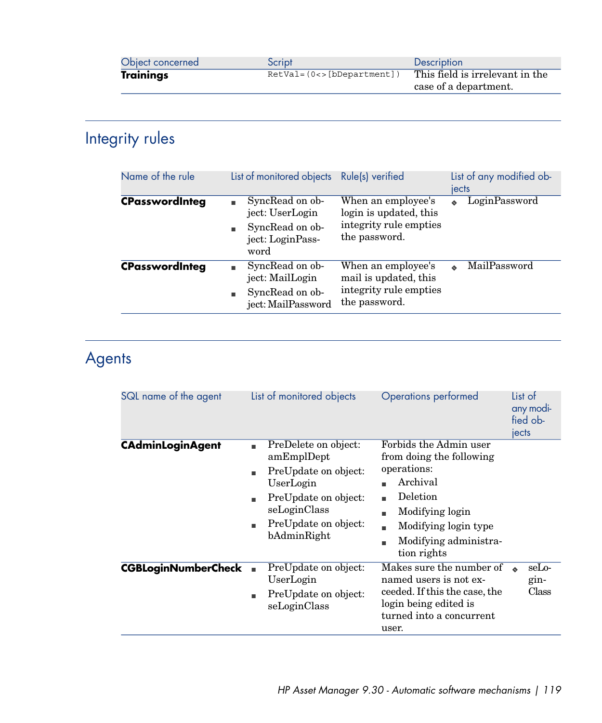| Object concerned | Script                            | <b>Description</b>                                       |
|------------------|-----------------------------------|----------------------------------------------------------|
| Trainings        | $RetVal = (0 \leq  bDepartment )$ | This field is irrelevant in the<br>case of a department. |

# Integrity rules

| Name of the rule      | List of monitored objects Rule(s) verified                                                               |                                                                                         | List of any modified ob-<br>jects |
|-----------------------|----------------------------------------------------------------------------------------------------------|-----------------------------------------------------------------------------------------|-----------------------------------|
| <b>CPasswordInteg</b> | SyncRead on ob-<br>٠<br>ject: UserLogin<br>SyncRead on ob-<br>$\blacksquare$<br>ject: LoginPass-<br>word | When an employee's<br>login is updated, this<br>integrity rule empties<br>the password. | LoginPassword                     |
| <b>CPasswordInteg</b> | SyncRead on ob-<br>٠<br>ject: MailLogin<br>SyncRead on ob-<br>٠<br>ject: MailPassword                    | When an employee's<br>mail is updated, this<br>integrity rule empties<br>the password.  | MailPassword                      |

# Agents

| SQL name of the agent      | List of monitored objects                                                                                                                                             | Operations performed                                                                                                                                                         | List of<br>any modi-<br>fied ob-<br>jects |
|----------------------------|-----------------------------------------------------------------------------------------------------------------------------------------------------------------------|------------------------------------------------------------------------------------------------------------------------------------------------------------------------------|-------------------------------------------|
| <b>CAdminLoginAgent</b>    | PreDelete on object:<br>amEmplDept<br>PreUpdate on object:<br>٠<br>UserLogin<br>PreUpdate on object:<br>٠<br>seLoginClass<br>PreUpdate on object:<br>٠<br>bAdminRight | Forbids the Admin user<br>from doing the following<br>operations:<br>Archival<br>Deletion<br>Modifying login<br>Modifying login type<br>Modifying administra-<br>tion rights |                                           |
| <b>CGBLoginNumberCheck</b> | PreUpdate on object:<br>UserLogin<br>PreUpdate on object:<br>٠<br>seLoginClass                                                                                        | Makes sure the number of<br>named users is not ex-<br>ceeded. If this the case, the<br>login being edited is<br>turned into a concurrent<br>user.                            | seLo-<br>gin-<br>Class                    |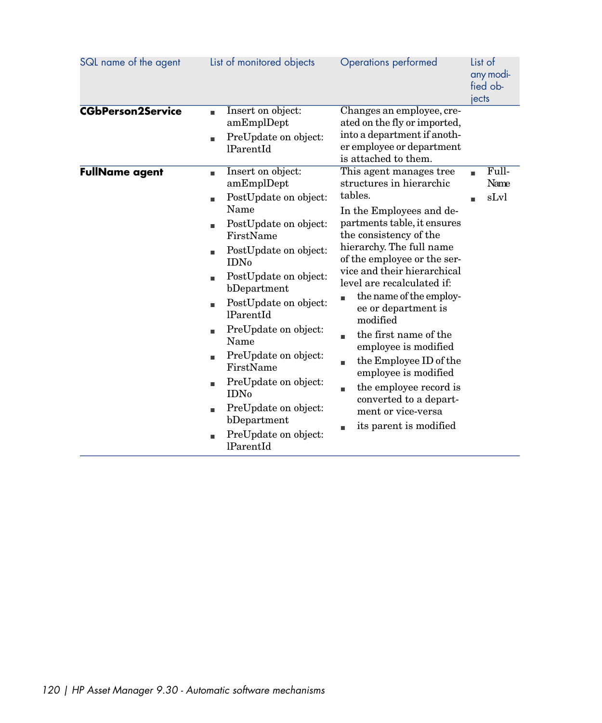| SQL name of the agent    | List of monitored objects                                                                                                                                                                                                                                                                                                                                                                                                                                                  | Operations performed                                                                                                                                                                                                                                                                                                                                                                                                                                                                                                                             | List of<br>any modi-<br>fied ob-<br>jects |
|--------------------------|----------------------------------------------------------------------------------------------------------------------------------------------------------------------------------------------------------------------------------------------------------------------------------------------------------------------------------------------------------------------------------------------------------------------------------------------------------------------------|--------------------------------------------------------------------------------------------------------------------------------------------------------------------------------------------------------------------------------------------------------------------------------------------------------------------------------------------------------------------------------------------------------------------------------------------------------------------------------------------------------------------------------------------------|-------------------------------------------|
| <b>CGbPerson2Service</b> | Insert on object:<br>٠<br>amEmplDept<br>PreUpdate on object:<br><b>lParentId</b>                                                                                                                                                                                                                                                                                                                                                                                           | Changes an employee, cre-<br>ated on the fly or imported,<br>into a department if anoth-<br>er employee or department<br>is attached to them.                                                                                                                                                                                                                                                                                                                                                                                                    |                                           |
| <b>FullName agent</b>    | Insert on object:<br>٠<br>amEmplDept<br>PostUpdate on object:<br>٠<br>Name<br>PostUpdate on object:<br>FirstName<br>PostUpdate on object:<br><b>IDNo</b><br>PostUpdate on object:<br>٠<br>bDepartment<br>PostUpdate on object:<br>ш<br><b>lParentId</b><br>PreUpdate on object:<br>٠<br>Name<br>PreUpdate on object:<br>٠<br>FirstName<br>PreUpdate on object:<br><b>IDNo</b><br>PreUpdate on object:<br>٠<br>bDepartment<br>PreUpdate on object:<br>■<br><b>lParentId</b> | This agent manages tree<br>structures in hierarchic<br>tables.<br>In the Employees and de-<br>partments table, it ensures<br>the consistency of the<br>hierarchy. The full name<br>of the employee or the ser-<br>vice and their hierarchical<br>level are recalculated if:<br>the name of the employ-<br>ee or department is<br>modified<br>the first name of the<br>employee is modified<br>the Employee ID of the<br>employee is modified<br>the employee record is<br>converted to a depart-<br>ment or vice-versa<br>its parent is modified | Full-<br>Name<br>sLvl                     |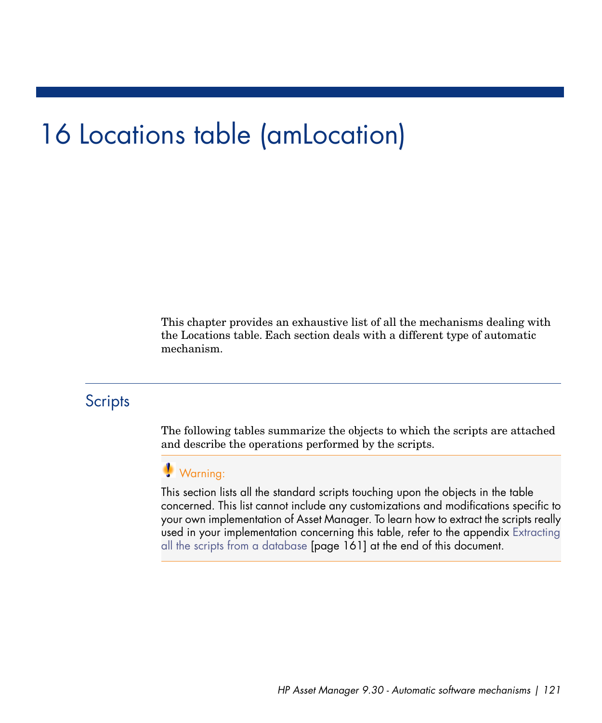# 16 Locations table (amLocation)

This chapter provides an exhaustive list of all the mechanisms dealing with the Locations table. Each section deals with a different type of automatic mechanism.

### **Scripts**

The following tables summarize the objects to which the scripts are attached and describe the operations performed by the scripts.

### Warning: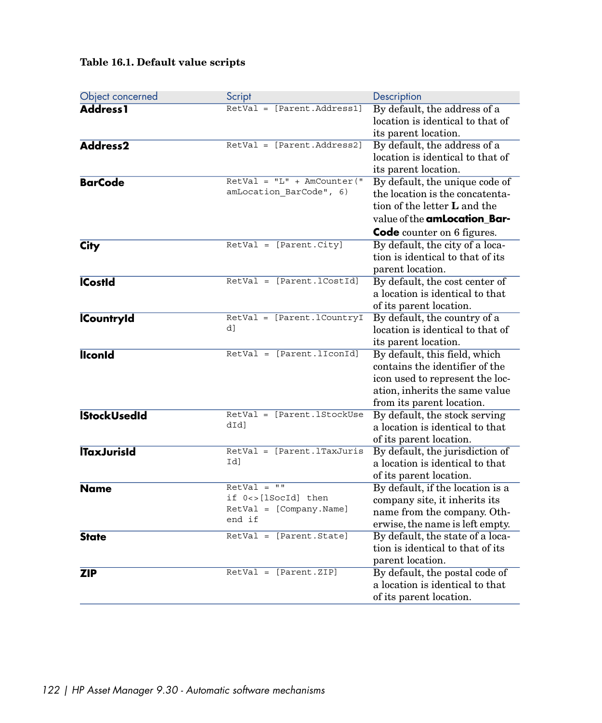### **Table 16.1. Default value scripts**

| Object concerned    | Script                               | Description                                                          |
|---------------------|--------------------------------------|----------------------------------------------------------------------|
| <b>Address1</b>     | RetVal = [Parent.Address1]           | By default, the address of a                                         |
|                     |                                      | location is identical to that of                                     |
|                     |                                      | its parent location.                                                 |
| <b>Address2</b>     | RetVal = [Parent.Address2]           | By default, the address of a                                         |
|                     |                                      | location is identical to that of                                     |
|                     |                                      | its parent location.                                                 |
| <b>BarCode</b>      | $RetVal = "L" + AmCounter("$         | By default, the unique code of                                       |
|                     | amLocation BarCode", 6)              | the location is the concatenta-                                      |
|                     |                                      | tion of the letter L and the                                         |
|                     |                                      | value of the amLocation_Bar-                                         |
|                     |                                      | Code counter on 6 figures.                                           |
| City                | RetVal = [Parent.City]               | By default, the city of a loca-                                      |
|                     |                                      | tion is identical to that of its                                     |
|                     |                                      | parent location.                                                     |
| <b>CostId</b>       | RetVal = [Parent.lCostId]            | By default, the cost center of                                       |
|                     |                                      | a location is identical to that                                      |
|                     |                                      | of its parent location.                                              |
| <b>CountryId</b>    | RetVal = [Parent.lCountryI           | By default, the country of a                                         |
|                     | d]                                   | location is identical to that of                                     |
|                     |                                      | its parent location.                                                 |
| <b>Ilconid</b>      | RetVal = [Parent.lIconId]            | By default, this field, which                                        |
|                     |                                      | contains the identifier of the                                       |
|                     |                                      | icon used to represent the loc-                                      |
|                     |                                      | ation, inherits the same value                                       |
|                     |                                      | from its parent location.                                            |
| <b>IStockUsedId</b> | RetVal = [Parent.1StockUse           | By default, the stock serving                                        |
|                     | dId]                                 | a location is identical to that                                      |
|                     |                                      | of its parent location.                                              |
| <b>TaxJurisId</b>   | RetVal = [Parent.lTaxJuris<br>Id]    | By default, the jurisdiction of                                      |
|                     |                                      | a location is identical to that                                      |
|                     |                                      | of its parent location.                                              |
| <b>Name</b>         | $RetVal = ""$<br>if 0<>[lSocId] then | By default, if the location is a                                     |
|                     | RetVal = [Company.Name]              | company site, it inherits its                                        |
|                     | end if                               | name from the company. Oth-                                          |
|                     | RetVal = [Parent.State]              | erwise, the name is left empty.                                      |
| <b>State</b>        |                                      | By default, the state of a loca-<br>tion is identical to that of its |
|                     |                                      |                                                                      |
|                     | $RetVal = [Parent.ZIP]$              | parent location.                                                     |
| <b>ZIP</b>          |                                      | By default, the postal code of<br>a location is identical to that    |
|                     |                                      |                                                                      |
|                     |                                      | of its parent location.                                              |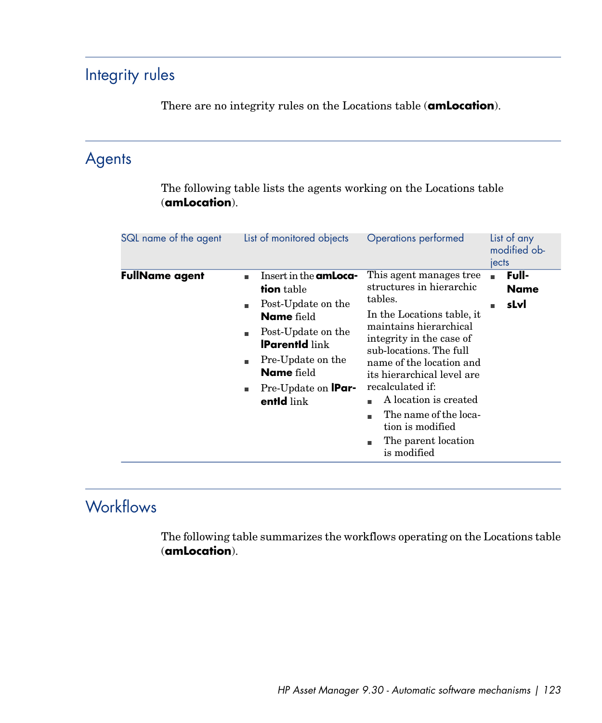## Integrity rules

There are no integrity rules on the Locations table (**amLocation**).

## **Agents**

The following table lists the agents working on the Locations table (**amLocation**).

| SQL name of the agent | List of monitored objects                                                                                                                                                                                                                           | Operations performed                                                                                                                                                                                                                                                                                                                                                              | List of any<br>modified ob-<br>jects |
|-----------------------|-----------------------------------------------------------------------------------------------------------------------------------------------------------------------------------------------------------------------------------------------------|-----------------------------------------------------------------------------------------------------------------------------------------------------------------------------------------------------------------------------------------------------------------------------------------------------------------------------------------------------------------------------------|--------------------------------------|
| <b>FullName agent</b> | Insert in the <b>amLoca-</b><br>٠<br><b>tion</b> table<br>Post-Update on the<br>٠<br><b>Name</b> field<br>Post-Update on the<br>٠<br><b>IParentId</b> link<br>Pre-Update on the<br>٠<br><b>Name</b> field<br>Pre-Update on IPar-<br>٠<br>entid link | This agent manages tree<br>structures in hierarchic<br>tables.<br>In the Locations table, it<br>maintains hierarchical<br>integrity in the case of<br>sub-locations. The full<br>name of the location and<br>its hierarchical level are<br>recalculated if:<br>A location is created<br>The name of the loca-<br>٠<br>tion is modified<br>The parent location<br>٠<br>is modified | Full-<br>Name<br>sLvl<br>٠           |

## **Workflows**

The following table summarizes the workflows operating on the Locations table (**amLocation**).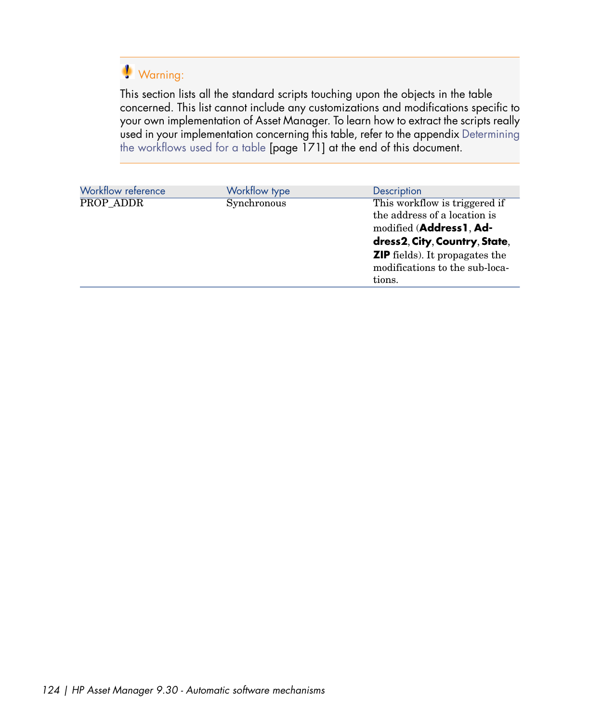# Warning:

| <b>Workflow reference</b> | Workflow type | Description                                                                                                                                                                                                    |
|---------------------------|---------------|----------------------------------------------------------------------------------------------------------------------------------------------------------------------------------------------------------------|
| PROP ADDR                 | Synchronous   | This workflow is triggered if<br>the address of a location is<br>modified (Address1, Ad-<br>dress2, City, Country, State,<br><b>ZIP</b> fields). It propagates the<br>modifications to the sub-loca-<br>tions. |
|                           |               |                                                                                                                                                                                                                |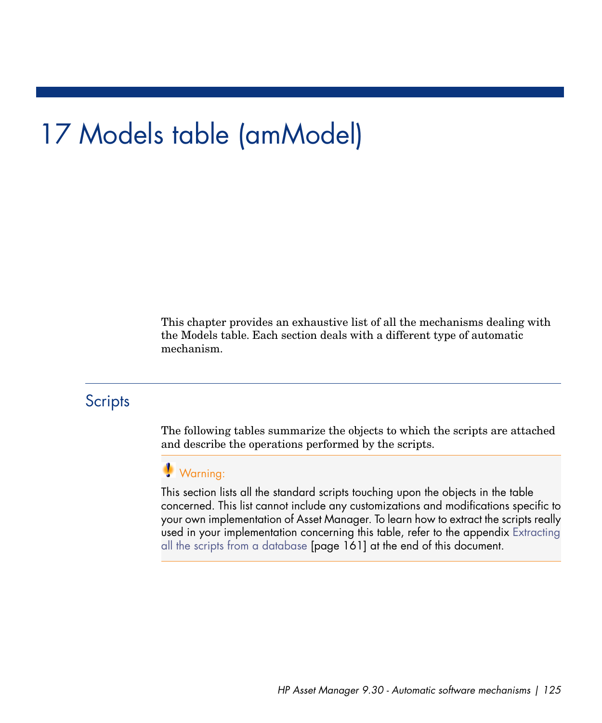# 17 Models table (amModel)

This chapter provides an exhaustive list of all the mechanisms dealing with the Models table. Each section deals with a different type of automatic mechanism.

### **Scripts**

The following tables summarize the objects to which the scripts are attached and describe the operations performed by the scripts.

### Warning: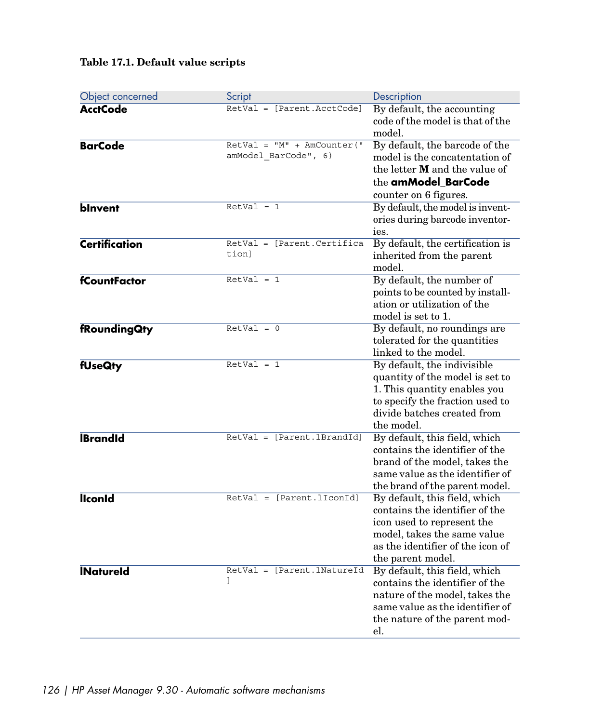### **Table 17.1. Default value scripts**

| Object concerned     | Script                                               | Description                                                                                                                                                                           |
|----------------------|------------------------------------------------------|---------------------------------------------------------------------------------------------------------------------------------------------------------------------------------------|
| <b>AcctCode</b>      | [Parent.AcctCode]<br>$RetVal =$                      | By default, the accounting<br>code of the model is that of the<br>model.                                                                                                              |
| <b>BarCode</b>       | $RetVal = "M" + AmCounter("$<br>amModel BarCode", 6) | By default, the barcode of the<br>model is the concatentation of<br>the letter M and the value of<br>the <b>amModel BarCode</b><br>counter on 6 figures.                              |
| bInvent              | $RetVal = 1$                                         | By default, the model is invent-<br>ories during barcode inventor-<br>ies.                                                                                                            |
| <b>Certification</b> | RetVal = [Parent. Certifica<br>tionl                 | By default, the certification is<br>inherited from the parent<br>model.                                                                                                               |
| <b>fCountFactor</b>  | $RetVal = 1$                                         | By default, the number of<br>points to be counted by install-<br>ation or utilization of the<br>model is set to 1.                                                                    |
| fRoundingQty         | $RetVal = 0$                                         | By default, no roundings are<br>tolerated for the quantities<br>linked to the model.                                                                                                  |
| fUseQty              | $RetVal = 1$                                         | By default, the indivisible<br>quantity of the model is set to<br>1. This quantity enables you<br>to specify the fraction used to<br>divide batches created from<br>the model.        |
| <b>IBrandId</b>      | RetVal = [Parent. lBrandId]                          | By default, this field, which<br>contains the identifier of the<br>brand of the model, takes the<br>same value as the identifier of<br>the brand of the parent model.                 |
| liconid              | RetVal = [Parent.lIconId]                            | By default, this field, which<br>contains the identifier of the<br>icon used to represent the<br>model, takes the same value<br>as the identifier of the icon of<br>the parent model. |
| <b>Natureld</b>      | $RetVal = [Parent, lNatural]$<br>1                   | By default, this field, which<br>contains the identifier of the<br>nature of the model, takes the<br>same value as the identifier of<br>the nature of the parent mod-<br>el.          |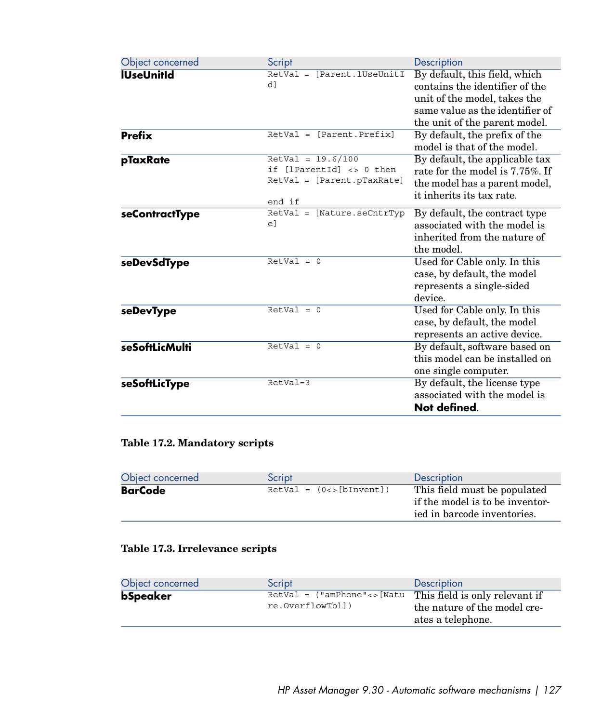| Object concerned  | Script                                                                                    | Description                                                                                                                                                         |
|-------------------|-------------------------------------------------------------------------------------------|---------------------------------------------------------------------------------------------------------------------------------------------------------------------|
| <b>IUseUnitId</b> | RetVal = [Parent.lUseUnitI<br>d]                                                          | By default, this field, which<br>contains the identifier of the<br>unit of the model, takes the<br>same value as the identifier of<br>the unit of the parent model. |
| <b>Prefix</b>     | $RetVal = [Parent.Frefix]$                                                                | By default, the prefix of the<br>model is that of the model.                                                                                                        |
| pTaxRate          | $RetVal = 19.6/100$<br>if [lParentId] <> 0 then<br>$RetVal = [Parent.pTaxRate]$<br>end if | By default, the applicable tax<br>rate for the model is 7.75%. If<br>the model has a parent model,<br>it inherits its tax rate.                                     |
| seContractType    | RetVal = [Nature.seCntrTyp<br>e <sup>1</sup>                                              | By default, the contract type<br>associated with the model is<br>inherited from the nature of<br>the model.                                                         |
| seDevSdType       | $RetVal = 0$                                                                              | Used for Cable only. In this<br>case, by default, the model<br>represents a single-sided<br>device.                                                                 |
| seDevType         | $RetVal = 0$                                                                              | Used for Cable only. In this<br>case, by default, the model<br>represents an active device.                                                                         |
| seSoftLicMulti    | $RetVal = 0$                                                                              | By default, software based on<br>this model can be installed on<br>one single computer.                                                                             |
| seSoftLicType     | $RetVal=3$                                                                                | By default, the license type<br>associated with the model is<br>Not defined.                                                                                        |

#### **Table 17.2. Mandatory scripts**

| Object concerned | Script                        | <b>Description</b>                                                                             |
|------------------|-------------------------------|------------------------------------------------------------------------------------------------|
| BarCode          | $RetVal = (0 \leq  bInvent])$ | This field must be populated<br>if the model is to be inventor-<br>ied in barcode inventories. |

#### **Table 17.3. Irrelevance scripts**

| Object concerned | Script                                                                            | Description                                       |
|------------------|-----------------------------------------------------------------------------------|---------------------------------------------------|
| bSpeaker         | $RetVal =$ ("amPhone" <> [Natu This field is only relevant if<br>re.OverflowTbl]) | the nature of the model cre-<br>ates a telephone. |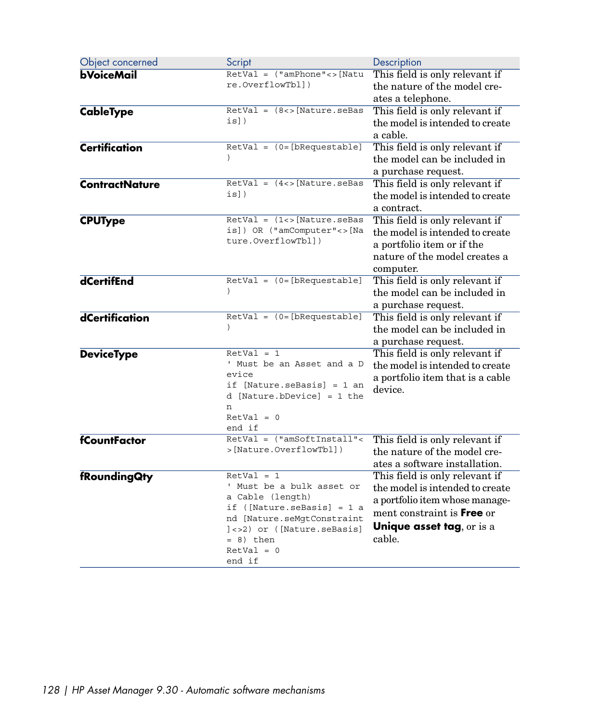| Object concerned      | Script                                                                                                                                                                                               | Description                                                                                                                                                                     |
|-----------------------|------------------------------------------------------------------------------------------------------------------------------------------------------------------------------------------------------|---------------------------------------------------------------------------------------------------------------------------------------------------------------------------------|
| <b>bVoiceMail</b>     | $RetVal =$ ("amPhone" <> [Natu<br>re.OverflowTbll)                                                                                                                                                   | This field is only relevant if<br>the nature of the model cre-<br>ates a telephone.                                                                                             |
| <b>CableType</b>      | $RetVal = (8 \ltimes [ Nature \ldots \text{seBas})$<br>is)                                                                                                                                           | This field is only relevant if<br>the model is intended to create<br>a cable.                                                                                                   |
| <b>Certification</b>  | $RetVal = (0 = [bRequestable]$                                                                                                                                                                       | This field is only relevant if<br>the model can be included in<br>a purchase request.                                                                                           |
| <b>ContractNature</b> | $RetVal = (4 \lt 5) [ Nature. seBas]$<br>is)                                                                                                                                                         | This field is only relevant if<br>the model is intended to create<br>a contract.                                                                                                |
| <b>CPUType</b>        | $RetVal = (1 \leftarrow [ Nature \cdot seBas$<br>is]) OR ("amComputer"<>[Na<br>ture.OverflowTbl])                                                                                                    | This field is only relevant if<br>the model is intended to create<br>a portfolio item or if the<br>nature of the model creates a<br>computer.                                   |
| dCertifEnd            | $RetVal = (0 = [bRequestable]$<br>$\lambda$                                                                                                                                                          | This field is only relevant if<br>the model can be included in<br>a purchase request.                                                                                           |
| dCertification        | $RetVal = (0 = [bRequestable]$<br>$\lambda$                                                                                                                                                          | This field is only relevant if<br>the model can be included in<br>a purchase request.                                                                                           |
| <b>DeviceType</b>     | $RetVal = 1$<br>' Must be an Asset and a D<br>evice<br>if $[{\texttt{Nature}.seBasis}] = 1$ an<br>$d$ [Nature.bDevice] = 1 the<br>n<br>$RetVal = 0$<br>end if                                        | This field is only relevant if<br>the model is intended to create<br>a portfolio item that is a cable<br>device.                                                                |
| <b>fCountFactor</b>   | $RetVal =$ ("amSoftInstall"<<br>>[Nature.OverflowTbl])                                                                                                                                               | This field is only relevant if<br>the nature of the model cre-<br>ates a software installation.                                                                                 |
| fRoundingQty          | $RetVal = 1$<br>' Must be a bulk asset or<br>a Cable (length)<br>if $([Nature.seBasis] = 1 a$<br>nd [Nature.seMgtConstraint<br>( <>2) or ([Nature.seBasis]<br>$= 8$ ) then<br>$RetVal = 0$<br>end if | This field is only relevant if<br>the model is intended to create<br>a portfolio item whose manage-<br>ment constraint is <b>Free</b> or<br>Unique asset tag, or is a<br>cable. |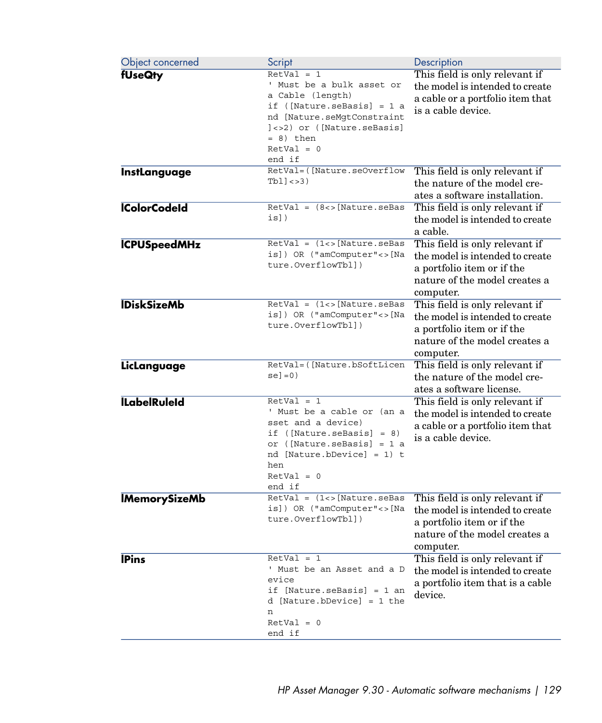| Object concerned     | Script                                                                                                                                                                                                               | Description                                                                                                                                   |
|----------------------|----------------------------------------------------------------------------------------------------------------------------------------------------------------------------------------------------------------------|-----------------------------------------------------------------------------------------------------------------------------------------------|
| fUseQty              | $RetVal = 1$<br>' Must be a bulk asset or<br>a Cable (length)<br>if $([Nature.seBasis] = 1 a$<br>nd [Nature.seMgtConstraint<br>]<>2) or ([Nature.seBasis]<br>$= 8$ ) then<br>$RetVal = 0$<br>end if                  | This field is only relevant if<br>the model is intended to create<br>a cable or a portfolio item that<br>is a cable device.                   |
| <b>InstLanguage</b>  | RetVal=([Nature.seOverflow<br>$Tb11 < >3$ )                                                                                                                                                                          | This field is only relevant if<br>the nature of the model cre-<br>ates a software installation.                                               |
| <b>ColorCodeId</b>   | $RetVal = (8 \ltimes [ Nature \ldots]$<br>is!)                                                                                                                                                                       | This field is only relevant if<br>the model is intended to create<br>a cable.                                                                 |
| <b>ICPUSpeedMHz</b>  | $RetVal = (1 \leftarrow [ Nature \cdot seBas$<br>is]) OR ("amComputer"<>[Na<br>ture.OverflowTbl])                                                                                                                    | This field is only relevant if<br>the model is intended to create<br>a portfolio item or if the<br>nature of the model creates a<br>computer. |
| <b>IDiskSizeMb</b>   | $RetVal = (1 \Leftrightarrow [ Nature. seBas$<br>is]) OR ("amComputer"<>[Na<br>ture.OverflowTbl])                                                                                                                    | This field is only relevant if<br>the model is intended to create<br>a portfolio item or if the<br>nature of the model creates a<br>computer. |
| LicLanguage          | RetVal=([Nature.bSoftLicen<br>$se]=0$ )                                                                                                                                                                              | This field is only relevant if<br>the nature of the model cre-<br>ates a software license.                                                    |
| <b>ILabelRuleId</b>  | $RetVal = 1$<br>' Must be a cable or (an a<br>sset and a device)<br>if $(Nature.eBasis] = 8)$<br>or ([Nature.seBasis] = $1$ a<br>nd $[{\texttt{Native}}. {\texttt{bDevice}}] = 1$ t<br>hen<br>$RetVal = 0$<br>end if | This field is only relevant if<br>the model is intended to create<br>a cable or a portfolio item that<br>is a cable device.                   |
| <b>IMemorySizeMb</b> | $RetVal = (1 \leftarrow [ Nature \cdot seBas$<br>is]) OR ("amComputer"<>[Na<br>ture.OverflowTbl])                                                                                                                    | This field is only relevant if<br>the model is intended to create<br>a portfolio item or if the<br>nature of the model creates a<br>computer. |
| <b>IPins</b>         | $RetVal = 1$<br>' Must be an Asset and a D<br>evice<br>if $[ Nature.seBasis] = 1$ an<br>$d$ [Nature.bDevice] = 1 the<br>n<br>$RetVal = 0$<br>end if                                                                  | This field is only relevant if<br>the model is intended to create<br>a portfolio item that is a cable<br>device.                              |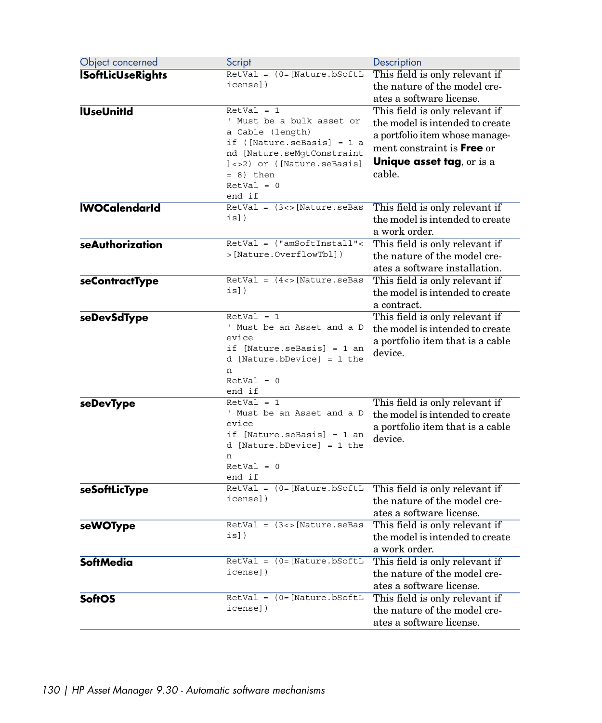| Object concerned         | Script                                                                                                                                                                                            | Description                                                                                                                                                                     |
|--------------------------|---------------------------------------------------------------------------------------------------------------------------------------------------------------------------------------------------|---------------------------------------------------------------------------------------------------------------------------------------------------------------------------------|
| <b>ISoftLicUseRights</b> | RetVal = (0=[Nature.bSoftL<br>icense])                                                                                                                                                            | This field is only relevant if<br>the nature of the model cre-<br>ates a software license.                                                                                      |
| <b>UseUnitId</b>         | $RetVal = 1$<br>' Must be a bulk asset or<br>a Cable (length)<br>if ([Nature.seBasis] = 1 a<br>nd [Nature.seMgtConstraint<br>]<>2) or ([Nature.seBasis]<br>$= 8$ ) then<br>$RetVal = 0$<br>end if | This field is only relevant if<br>the model is intended to create<br>a portfolio item whose manage-<br>ment constraint is <b>Free</b> or<br>Unique asset tag, or is a<br>cable. |
| <b>IWOCalendarId</b>     | $RetVal = (3 \ltimes [ Nature \ldots \text{seBas})$<br>isl)                                                                                                                                       | This field is only relevant if<br>the model is intended to create<br>a work order.                                                                                              |
| seAuthorization          | $RetVal =$ ("amSoftInstall"<<br>>[Nature.OverflowTbl])                                                                                                                                            | This field is only relevant if<br>the nature of the model cre-<br>ates a software installation.                                                                                 |
| seContractType           | $RetVal = (4 \lt b) [ Nature. seBas$<br>is])                                                                                                                                                      | This field is only relevant if<br>the model is intended to create<br>a contract.                                                                                                |
| seDevSdType              | $RetVal = 1$<br>' Must be an Asset and a D<br>evice<br>if [Nature.seBasis] = 1 an<br>d [Nature.bDevice] = 1 the<br>n<br>$RetVal = 0$<br>end if                                                    | This field is only relevant if<br>the model is intended to create<br>a portfolio item that is a cable<br>device.                                                                |
| seDevType                | $RetVal = 1$<br>' Must be an Asset and a D<br>evice<br>if [Nature.seBasis] = 1 an<br>$d$ [Nature.bDevice] = 1 the<br>n<br>$RetVal = 0$<br>end if                                                  | This field is only relevant if<br>the model is intended to create<br>a portfolio item that is a cable<br>device.                                                                |
| seSoftLicType            | RetVal = (0=[Nature.bSoftL<br>icense])                                                                                                                                                            | This field is only relevant if<br>the nature of the model cre-<br>ates a software license.                                                                                      |
| seWOType                 | $RetVal = (3 \ltimes [ Nature \ldots \text{seBas})$<br>isl)                                                                                                                                       | This field is only relevant if<br>the model is intended to create<br>a work order.                                                                                              |
| <b>SoftMedia</b>         | RetVal = (0=[Nature.bSoftL<br>icense])                                                                                                                                                            | This field is only relevant if<br>the nature of the model cre-<br>ates a software license.                                                                                      |
| <b>SoftOS</b>            | $RetVal = (0 = [ Nature.bSoftL])$<br>icense])                                                                                                                                                     | This field is only relevant if<br>the nature of the model cre-<br>ates a software license.                                                                                      |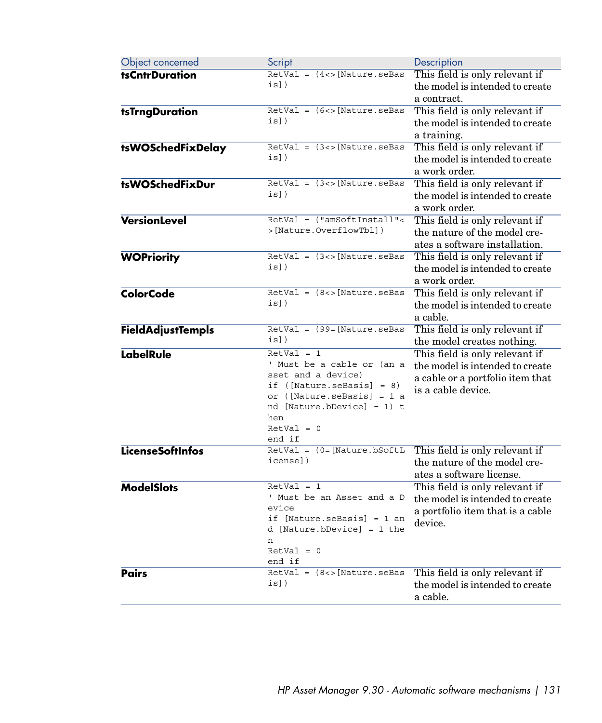| Object concerned         | Script                                                                                                                                                                                          | Description                                                                                                                 |
|--------------------------|-------------------------------------------------------------------------------------------------------------------------------------------------------------------------------------------------|-----------------------------------------------------------------------------------------------------------------------------|
| <b>tsCntrDuration</b>    | $RetVal = (4 \leftarrow [ Nature \dots \text{seBas}$<br>$is)$ )                                                                                                                                 | This field is only relevant if<br>the model is intended to create<br>a contract.                                            |
| tsTrngDuration           | $RetVal = (6 \Leftrightarrow [ Nature. seBas$<br>$is)$ )                                                                                                                                        | This field is only relevant if<br>the model is intended to create<br>a training.                                            |
| tsWOSchedFixDelay        | $RetVal = (3 \lt b) [ Nature. seBas]$<br>$is)$ )                                                                                                                                                | This field is only relevant if<br>the model is intended to create<br>a work order.                                          |
| <b>tsWOSchedFixDur</b>   | $RetVal = (3 \lt )[Nature.seBas]$<br>isl)                                                                                                                                                       | This field is only relevant if<br>the model is intended to create<br>a work order.                                          |
| <b>VersionLevel</b>      | $RetVal =$ ("amSoftInstall"<<br>>[Nature.OverflowTbl])                                                                                                                                          | This field is only relevant if<br>the nature of the model cre-<br>ates a software installation.                             |
| <b>WOPriority</b>        | $RetVal = (3 \ltimes [ Nature \ldots \text{seBas})$<br>isl)                                                                                                                                     | This field is only relevant if<br>the model is intended to create<br>a work order.                                          |
| <b>ColorCode</b>         | $RetVal = (8 \Leftrightarrow [ Nature.seBas$<br>$is]$ )                                                                                                                                         | This field is only relevant if<br>the model is intended to create<br>a cable.                                               |
| <b>FieldAdjustTempls</b> | RetVal = (99= [Nature.seBas<br>$is)$ )                                                                                                                                                          | This field is only relevant if<br>the model creates nothing.                                                                |
| <b>LabelRule</b>         | $RetVal = 1$<br>' Must be a cable or (an a<br>sset and a device)<br>if $(Nature.eBasis] = 8)$<br>or $([Nature.seBasis] = 1 a$<br>nd [Nature.bDevice] = $1$ ) t<br>hen<br>$RetVal = 0$<br>end if | This field is only relevant if<br>the model is intended to create<br>a cable or a portfolio item that<br>is a cable device. |
| <b>LicenseSoftInfos</b>  | $RetVal = (0 = [ Nature.bSoftL])$<br>icense])                                                                                                                                                   | This field is only relevant if<br>the nature of the model cre-<br>ates a software license.                                  |
| <b>ModelSlots</b>        | $RetVal = 1$<br>' Must be an Asset and a D<br>evice<br>if $[{\mathtt{Nature}}.{\mathtt{seBasis}}] = 1$ an<br>$d$ [Nature.bDevice] = 1 the<br>n<br>$RetVal = 0$<br>end if                        | This field is only relevant if<br>the model is intended to create<br>a portfolio item that is a cable<br>device.            |
| <b>Pairs</b>             | $RetVal = (8 \Leftrightarrow [ Nature. seBas$<br>is!)                                                                                                                                           | This field is only relevant if<br>the model is intended to create<br>a cable.                                               |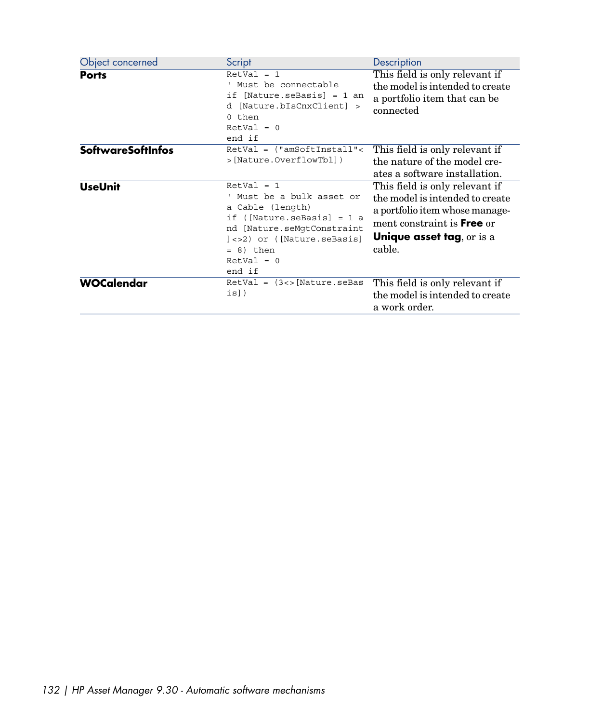| Object concerned         | Script                                                                                                                                                                                                | Description                                                                                                                                                                            |
|--------------------------|-------------------------------------------------------------------------------------------------------------------------------------------------------------------------------------------------------|----------------------------------------------------------------------------------------------------------------------------------------------------------------------------------------|
| <b>Ports</b>             | $RetVal = 1$<br>Must be connectable<br>if [Nature.seBasis] = 1 an<br>d [Nature.bIsCnxClient] ><br>$0$ then<br>$RetVal = 0$<br>end if                                                                  | This field is only relevant if<br>the model is intended to create<br>a portfolio item that can be<br>connected                                                                         |
| <b>SoftwareSoftInfos</b> | $RetVal =$ ("amSoftInstall"<<br>>[Nature.OverflowTbl])                                                                                                                                                | This field is only relevant if<br>the nature of the model cre-<br>ates a software installation.                                                                                        |
| <b>UseUnit</b>           | $RetVal = 1$<br>Must be a bulk asset or<br>a Cable (length)<br>if $( [ Nature. seBasis] = 1 a$<br>nd [Nature.seMqtConstraint<br>( <>2) or ([Nature.seBasis]<br>$= 8$ ) then<br>$RetVal = 0$<br>end if | This field is only relevant if<br>the model is intended to create<br>a portfolio item whose manage-<br>ment constraint is <b>Free</b> or<br><b>Unique asset tag, or is a</b><br>cable. |
| <b>WOCalendar</b>        | $RetVal = (3 \lt )[ Nature. seBas]$<br>$is]$ )                                                                                                                                                        | This field is only relevant if<br>the model is intended to create<br>a work order.                                                                                                     |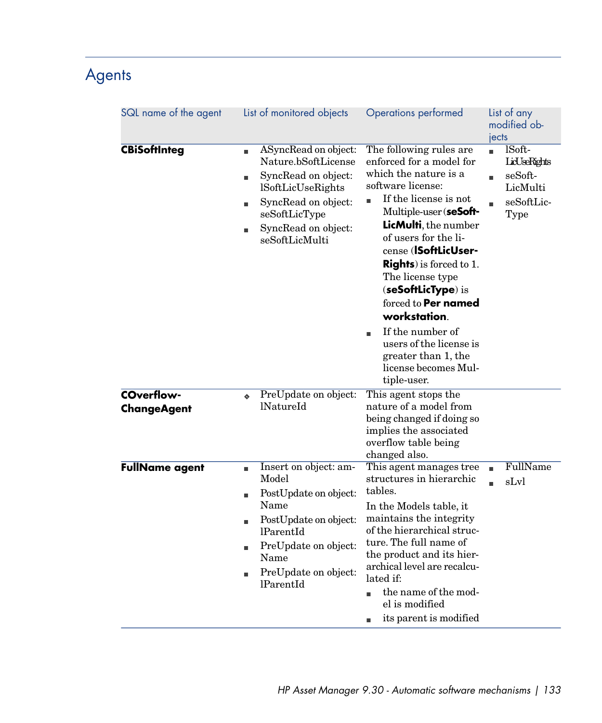# Agents

| SQL name of the agent            | List of monitored objects                                                                                                                                                                                      | <b>Operations performed</b>                                                                                                                                                                                                                                                                                                                                                                                                                                                          | List of any<br>modified ob-<br>iects                                            |
|----------------------------------|----------------------------------------------------------------------------------------------------------------------------------------------------------------------------------------------------------------|--------------------------------------------------------------------------------------------------------------------------------------------------------------------------------------------------------------------------------------------------------------------------------------------------------------------------------------------------------------------------------------------------------------------------------------------------------------------------------------|---------------------------------------------------------------------------------|
| <b>CBiSoftInteg</b>              | ASyncRead on object:<br>×.<br>Nature.bSoftLicense<br>SyncRead on object:<br>u,<br><b>lSoftLicUseRights</b><br>SyncRead on object:<br>٠<br>seSoftLicType<br>SyncRead on object:<br>seSoftLicMulti               | The following rules are<br>enforced for a model for<br>which the nature is a<br>software license:<br>If the license is not<br>$\blacksquare$<br>Multiple-user (seSoft-<br>LicMulti, the number<br>of users for the li-<br>cense (ISoftLicUser-<br><b>Rights</b> ) is forced to 1.<br>The license type<br>(seSoftLicType) is<br>forced to Per named<br>workstation.<br>If the number of<br>٠<br>users of the license is<br>greater than 1, the<br>license becomes Mul-<br>tiple-user. | ISoft-<br>ä.<br>LicUseRights<br>seSoft-<br>Ĥ.<br>LicMulti<br>seSoftLic-<br>Type |
| <b>COverflow-</b><br>ChangeAgent | PreUpdate on object:<br>$\ddot{\bullet}$<br><b>INatureId</b>                                                                                                                                                   | This agent stops the<br>nature of a model from<br>being changed if doing so<br>implies the associated<br>overflow table being<br>changed also.                                                                                                                                                                                                                                                                                                                                       |                                                                                 |
| <b>FullName agent</b>            | Insert on object: am-<br>×.<br>Model<br>PostUpdate on object:<br>I.<br>Name<br>PostUpdate on object:<br>٠<br><b>lParentId</b><br>PreUpdate on object:<br>٠<br>Name<br>PreUpdate on object:<br><b>lParentId</b> | This agent manages tree<br>structures in hierarchic<br>tables.<br>In the Models table, it<br>maintains the integrity<br>of the hierarchical struc-<br>ture. The full name of<br>the product and its hier-<br>archical level are recalcu-<br>lated if:<br>the name of the mod-<br>×.<br>el is modified<br>its parent is modified<br>٠                                                                                                                                                 | FullName<br>sLvl                                                                |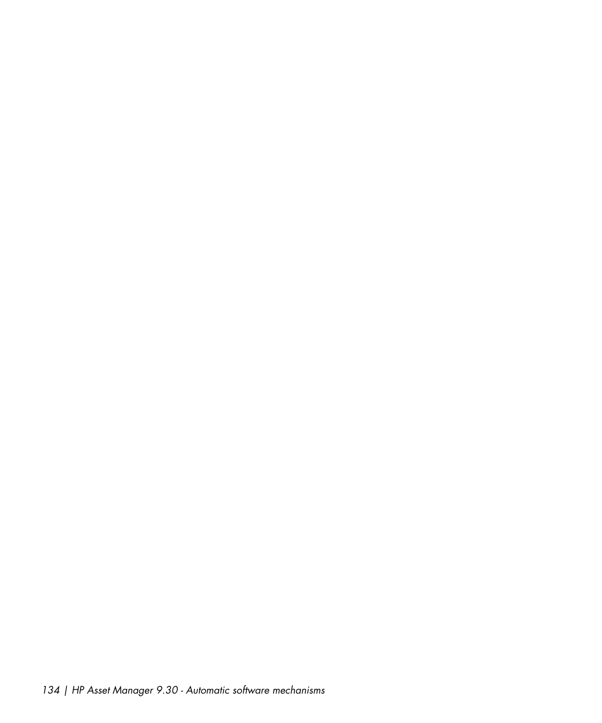*134 | HP Asset Manager 9.30 - Automatic software mechanisms*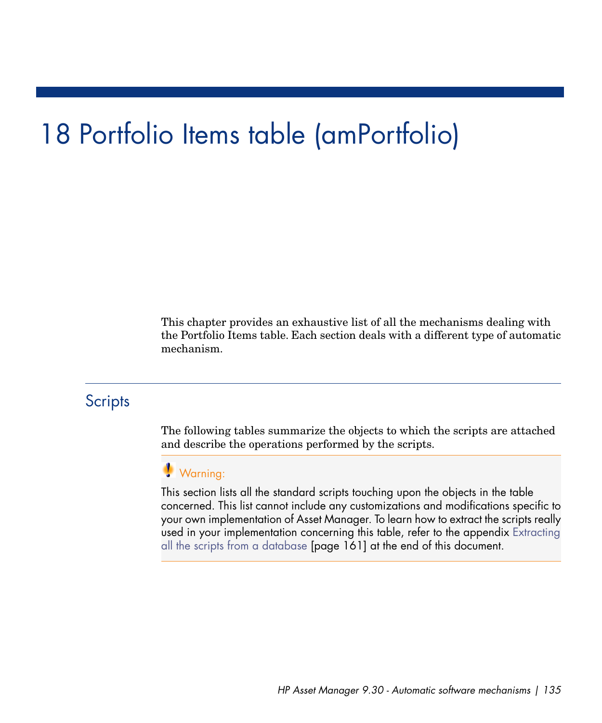# 18 Portfolio Items table (amPortfolio)

This chapter provides an exhaustive list of all the mechanisms dealing with the Portfolio Items table. Each section deals with a different type of automatic mechanism.

### **Scripts**

The following tables summarize the objects to which the scripts are attached and describe the operations performed by the scripts.

### Warning: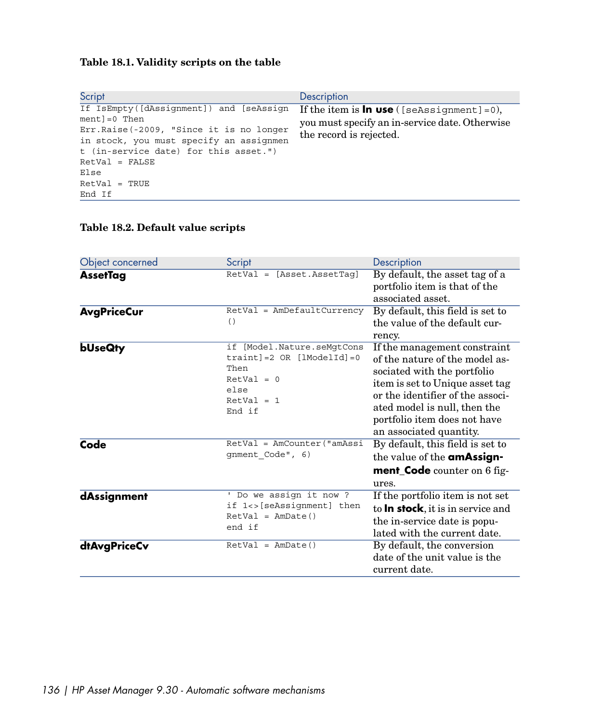### **Table 18.1. Validity scripts on the table**

| Script                                                                                                                                                                                                                                              | Description                                                                                                                      |
|-----------------------------------------------------------------------------------------------------------------------------------------------------------------------------------------------------------------------------------------------------|----------------------------------------------------------------------------------------------------------------------------------|
| If IsEmpty([dAssiqnment]) and [seAssiqn<br>$ment]=0$ Then<br>Err. Raise (-2009, "Since it is no longer<br>in stock, you must specify an assignmen<br>t (in-service date) for this asset.")<br>$RetVal = FALSE$<br>Else<br>$RetVal = TRUE$<br>End If | If the item is $\ln \text{use}$ ([seAssignment]=0),<br>you must specify an in-service date. Otherwise<br>the record is rejected. |

### **Table 18.2. Default value scripts**

| Object concerned   | Script                                                                                                                | Description                                                                                                                                                                                                                                                     |
|--------------------|-----------------------------------------------------------------------------------------------------------------------|-----------------------------------------------------------------------------------------------------------------------------------------------------------------------------------------------------------------------------------------------------------------|
| <b>AssetTag</b>    | $RetVal =$<br>[Asset.AssetTaq]                                                                                        | By default, the asset tag of a<br>portfolio item is that of the<br>associated asset.                                                                                                                                                                            |
| <b>AvgPriceCur</b> | RetVal = AmDefaultCurrency<br>( )                                                                                     | By default, this field is set to<br>the value of the default cur-<br>rency.                                                                                                                                                                                     |
| bUseQty            | if [Model.Nature.seMqtCons<br>$traint]=2$ OR $[1ModelId]=0$<br>Then<br>$RetVal = 0$<br>else<br>$RetVal = 1$<br>End if | If the management constraint<br>of the nature of the model as-<br>sociated with the portfolio<br>item is set to Unique asset tag<br>or the identifier of the associ-<br>ated model is null, then the<br>portfolio item does not have<br>an associated quantity. |
| Code               | $RetVal = AmCounter("amAssi")$<br>gnment Code", 6)                                                                    | By default, this field is set to<br>the value of the amAssign-<br><b>ment_Code</b> counter on 6 fig-<br>ures.                                                                                                                                                   |
| dAssignment        | ' Do we assign it now ?<br>if 1<>[seAssiqnment] then<br>$RetVal = Ambate()$<br>end if                                 | If the portfolio item is not set<br>to <b>In stock</b> , it is in service and<br>the in-service date is popu-<br>lated with the current date.                                                                                                                   |
| dtAvgPriceCv       | $RetVal = Ambide()$                                                                                                   | By default, the conversion<br>date of the unit value is the<br>current date.                                                                                                                                                                                    |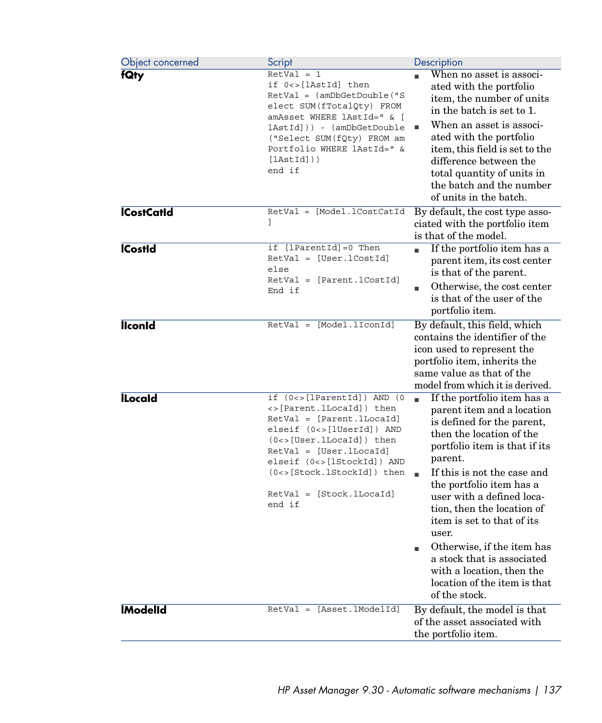| Object concerned  | Script                                                                                                                                                                                                                                                                                 | Description                                                                                                                                                                                                                                                                                                                                                                                                                                                                 |
|-------------------|----------------------------------------------------------------------------------------------------------------------------------------------------------------------------------------------------------------------------------------------------------------------------------------|-----------------------------------------------------------------------------------------------------------------------------------------------------------------------------------------------------------------------------------------------------------------------------------------------------------------------------------------------------------------------------------------------------------------------------------------------------------------------------|
| fQty              | $RetVal = 1$<br>if 0<>[lAstId] then<br>$RetVal = (amDbGetDouble)$ "S<br>elect SUM(fTotalQty) FROM<br>amAsset WHERE lAstId=" & [<br>lAstId])) - (amDbGetDouble<br>("Select SUM(fQty) FROM am<br>Portfolio WHERE lAstId=" &<br>[lastId])<br>end if                                       | When no asset is associ-<br>ated with the portfolio<br>item, the number of units<br>in the batch is set to 1.<br>When an asset is associ-<br>٠<br>ated with the portfolio<br>item, this field is set to the<br>difference between the<br>total quantity of units in<br>the batch and the number<br>of units in the batch.                                                                                                                                                   |
| <b>ICostCatId</b> | RetVal = [Model.lCostCatId<br>1                                                                                                                                                                                                                                                        | By default, the cost type asso-<br>ciated with the portfolio item<br>is that of the model.                                                                                                                                                                                                                                                                                                                                                                                  |
| <b>CostId</b>     | if [lParentId]=0 Then<br>RetVal = [User.lCostId]<br>else<br>$RetVal = [Parent.lCostId]$<br>End if                                                                                                                                                                                      | If the portfolio item has a<br>parent item, its cost center<br>is that of the parent.<br>Otherwise, the cost center<br>is that of the user of the<br>portfolio item.                                                                                                                                                                                                                                                                                                        |
| <b>Ilconid</b>    | $RetVal = [Model.IIcond]$                                                                                                                                                                                                                                                              | By default, this field, which<br>contains the identifier of the<br>icon used to represent the<br>portfolio item, inherits the<br>same value as that of the<br>model from which it is derived.                                                                                                                                                                                                                                                                               |
| <b>ILocald</b>    | if $(0 \leq x)$ [lParentId]) AND $(0$<br><>[Parent.lLocaId]) then<br>$RetVal = [Parent.lLocal]$<br>elseif (0<>[lUserId]) AND<br>(0<>[User.lLocaId]) then<br>RetVal = [User.lLocaId]<br>elseif (0<>[lStockId]) AND<br>(0<>[Stock.lStockId]) then<br>$RetVal = [Stock.ILocal]$<br>end if | If the portfolio item has a<br>parent item and a location<br>is defined for the parent,<br>then the location of the<br>portfolio item is that if its<br>parent.<br>If this is not the case and<br>٠<br>the portfolio item has a<br>user with a defined loca-<br>tion, then the location of<br>item is set to that of its<br>user.<br>Otherwise, if the item has<br>a stock that is associated<br>with a location, then the<br>location of the item is that<br>of the stock. |
| <b>IModelId</b>   | RetVal = [Asset.1ModelId]                                                                                                                                                                                                                                                              | By default, the model is that<br>of the asset associated with<br>the portfolio item.                                                                                                                                                                                                                                                                                                                                                                                        |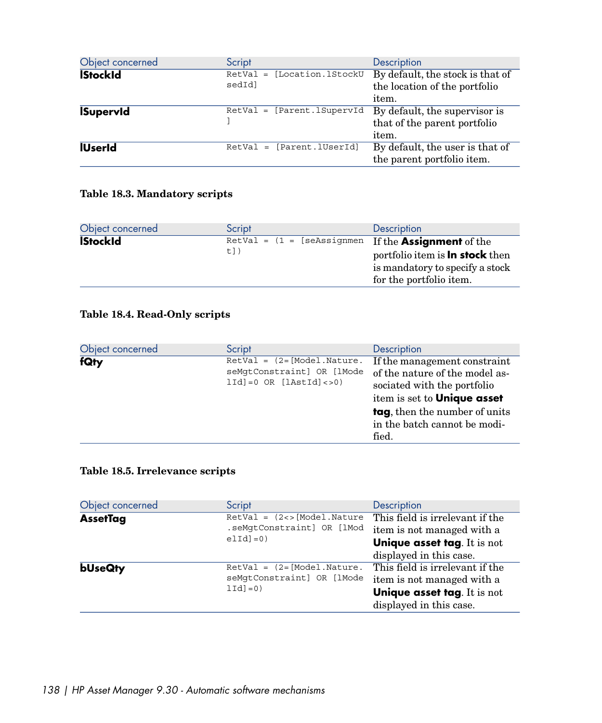| Object concerned | Script                               | Description                                                       |
|------------------|--------------------------------------|-------------------------------------------------------------------|
| <b>IStockId</b>  | RetVal = [Location.lStockU<br>sedIdl | By default, the stock is that of<br>the location of the portfolio |
|                  |                                      | item.                                                             |
| <b>Supervid</b>  | RetVal = [Parent.lSupervId           | By default, the supervisor is                                     |
|                  |                                      | that of the parent portfolio                                      |
|                  |                                      | item.                                                             |
| <b>IUserId</b>   | $RetVal = [Parent.IUserId]$          | By default, the user is that of                                   |
|                  |                                      | the parent portfolio item.                                        |

#### **Table 18.3. Mandatory scripts**

| Object concerned | Script                                | Description                                                                                                                             |
|------------------|---------------------------------------|-----------------------------------------------------------------------------------------------------------------------------------------|
| <b>IStockId</b>  | $RetVal = (1 = [seAssignment]$<br>t1) | If the <b>Assignment</b> of the<br>portfolio item is <b>In stock</b> then<br>is mandatory to specify a stock<br>for the portfolio item. |

#### **Table 18.4. Read-Only scripts**

| Object concerned | Script                                                                                | Description                                                                                                                                                                                                    |
|------------------|---------------------------------------------------------------------------------------|----------------------------------------------------------------------------------------------------------------------------------------------------------------------------------------------------------------|
| fQty             | $RetVal = (2=[Model.Nature.$<br>seMqtConstraint] OR [lMode<br>$ld]=0$ OR $[lastId]<0$ | If the management constraint<br>of the nature of the model as-<br>sociated with the portfolio<br>item is set to Unique asset<br><b>tag</b> , then the number of units<br>in the batch cannot be modi-<br>fied. |

#### **Table 18.5. Irrelevance scripts**

| Object concerned | Script                                                                  | Description                                                   |
|------------------|-------------------------------------------------------------------------|---------------------------------------------------------------|
| <b>AssetTag</b>  | $RetVal = (2 \lt b) [Model.Nature]$<br>.seMqtConstraint] OR [lMod       | This field is irrelevant if the<br>item is not managed with a |
|                  | $ellId]=0$ )                                                            | Unique asset tag. It is not                                   |
|                  |                                                                         | displayed in this case.                                       |
| bUseQty          | $RetVal = (2=[Model.Nature.$<br>seMqtConstraint] OR [lMode<br>$1Id = 0$ | This field is irrelevant if the                               |
|                  |                                                                         | item is not managed with a                                    |
|                  |                                                                         | Unique asset tag. It is not                                   |
|                  |                                                                         | displayed in this case.                                       |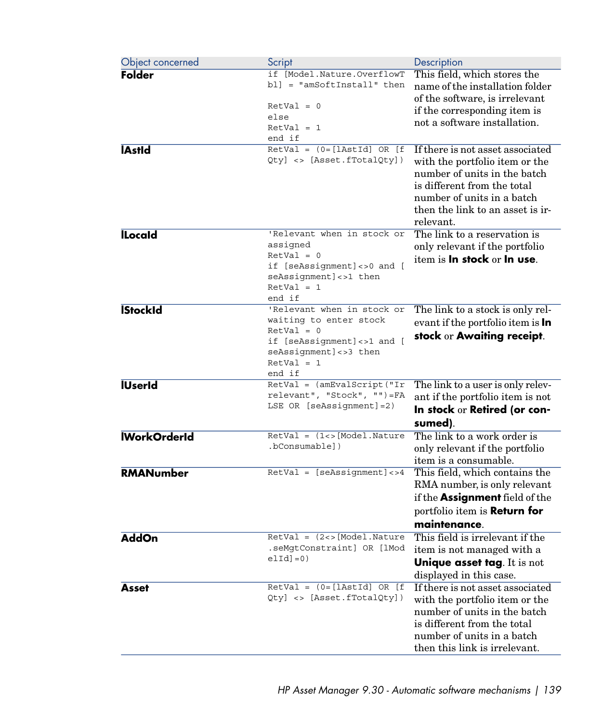| Object concerned   | Script                                                                                                                                                 | Description                                                                                                                                                                                                      |
|--------------------|--------------------------------------------------------------------------------------------------------------------------------------------------------|------------------------------------------------------------------------------------------------------------------------------------------------------------------------------------------------------------------|
| <b>Folder</b>      | if [Model.Nature.OverflowT<br>bl] = "amSoftInstall" then<br>$RetVal = 0$<br>else<br>$RetVal = 1$<br>end if                                             | This field, which stores the<br>name of the installation folder<br>of the software, is irrelevant<br>if the corresponding item is<br>not a software installation.                                                |
| <b>Astid</b>       | $RetVal = (0 = [lastId] OR [f])$<br>Qty] <> [Asset.fTotalQty])                                                                                         | If there is not asset associated<br>with the portfolio item or the<br>number of units in the batch<br>is different from the total<br>number of units in a batch<br>then the link to an asset is ir-<br>relevant. |
| <b>ILocald</b>     | 'Relevant when in stock or<br>assigned<br>$RetVal = 0$<br>if [seAssignment]<>0 and [<br>seAssignment] <>1 then<br>$RetVal = 1$<br>end if               | The link to a reservation is<br>only relevant if the portfolio<br>item is <b>In stock</b> or <b>In use</b> .                                                                                                     |
| <b>IStockId</b>    | 'Relevant when in stock or<br>waiting to enter stock<br>$RetVal = 0$<br>if [seAssignment]<>1 and [<br>seAssignment] <>3 then<br>$RetVal = 1$<br>end if | The link to a stock is only rel-<br>evant if the portfolio item is In<br>stock or Awaiting receipt.                                                                                                              |
| <b>UserId</b>      | RetVal = (amEvalScript("Ir<br>relevant", "Stock", "")=FA<br>LSE OR [seAssignment]=2)                                                                   | The link to a user is only relev-<br>ant if the portfolio item is not<br>In stock or Retired (or con-<br>sumed).                                                                                                 |
| <b>WorkOrderId</b> | $RetVal = (1 \Leftrightarrow [Model.Nature$<br>.bConsumable])                                                                                          | The link to a work order is<br>only relevant if the portfolio<br>item is a consumable.                                                                                                                           |
| <b>RMANumber</b>   | RetVal = [seAssignment] <>4                                                                                                                            | This field, which contains the<br>RMA number, is only relevant<br>if the Assignment field of the<br>portfolio item is Return for<br>maintenance.                                                                 |
| <b>AddOn</b>       | $RetVal = (2 \lt b[Model.Nature$<br>.seMgtConstraint] OR [lMod<br>$eLId]=0$ )                                                                          | This field is irrelevant if the<br>item is not managed with a<br>Unique asset tag. It is not<br>displayed in this case.                                                                                          |
| <b>Asset</b>       | $RetVal = (0 = [lastId] OR [f])$<br>Qty] <> [Asset.fTotalQty])                                                                                         | If there is not asset associated<br>with the portfolio item or the<br>number of units in the batch<br>is different from the total<br>number of units in a batch<br>then this link is irrelevant.                 |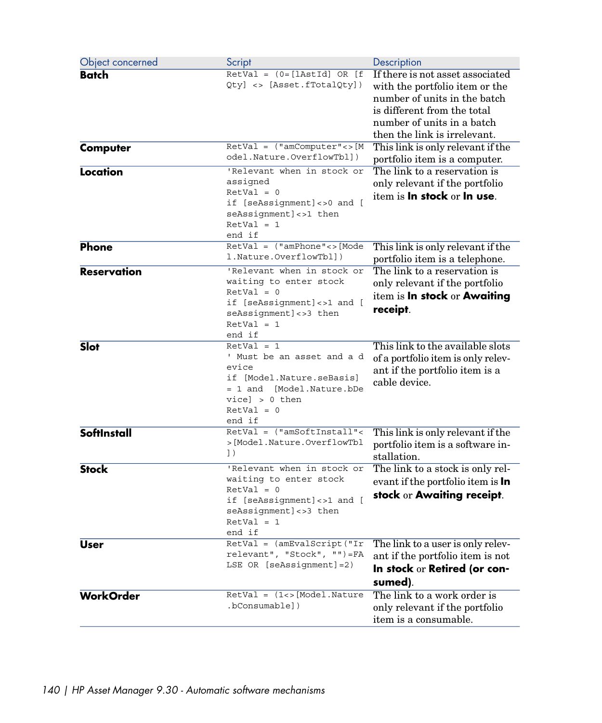| Object concerned | Script                                                                                                                                                      | Description                                                                                                                                                                                     |
|------------------|-------------------------------------------------------------------------------------------------------------------------------------------------------------|-------------------------------------------------------------------------------------------------------------------------------------------------------------------------------------------------|
| Batch            | $RetVal = (0 = [lastId] OR [f])$<br>Qty] <> [Asset.fTotalQty])                                                                                              | If there is not asset associated<br>with the portfolio item or the<br>number of units in the batch<br>is different from the total<br>number of units in a batch<br>then the link is irrelevant. |
| <b>Computer</b>  | $RetVal =$ ("amComputer" < > [M<br>odel.Nature.OverflowTbl])                                                                                                | This link is only relevant if the<br>portfolio item is a computer.                                                                                                                              |
| Location         | 'Relevant when in stock or<br>assigned<br>$RetVal = 0$<br>if [seAssignment] <> 0 and [<br>seAssignment] <>1 then<br>$RetVal = 1$<br>end if                  | The link to a reservation is<br>only relevant if the portfolio<br>item is <b>In stock</b> or <b>In use</b> .                                                                                    |
| Phone            | $RetVal =$ ("amPhone" < > [Mode<br>l.Nature.OverflowTbl])                                                                                                   | This link is only relevant if the<br>portfolio item is a telephone.                                                                                                                             |
| Reservation      | 'Relevant when in stock or<br>waiting to enter stock<br>$RetVal = 0$<br>if [seAssignment] <>1 and [<br>seAssignment] <>3 then<br>$RetVal = 1$<br>end if     | The link to a reservation is<br>only relevant if the portfolio<br>item is In stock or Awaiting<br>receipt.                                                                                      |
| <b>Slot</b>      | $RetVal = 1$<br>' Must be an asset and a d<br>evice<br>if [Model.Nature.seBasis]<br>= 1 and [Model.Nature.bDe<br>$vice] > 0$ then<br>$RetVal = 0$<br>end if | This link to the available slots<br>of a portfolio item is only relev-<br>ant if the portfolio item is a<br>cable device.                                                                       |
| SoftInstall      | RetVal = ("amSoftInstall"<<br>>[Model.Nature.OverflowTbl<br>1)                                                                                              | This link is only relevant if the<br>portfolio item is a software in-<br>stallation.                                                                                                            |
| Stock            | 'Relevant when in stock or<br>waiting to enter stock<br>$RetVal = 0$<br>if [seAssignment] <>1 and [<br>seAssignment] <>3 then<br>$RetVal = 1$<br>end if     | The link to a stock is only rel-<br>evant if the portfolio item is <b>In</b><br>stock or Awaiting receipt.                                                                                      |
| User             | RetVal = (amEvalScript("Ir<br>relevant", "Stock", "")=FA<br>LSE OR [seAssignment]=2)                                                                        | The link to a user is only relev-<br>ant if the portfolio item is not<br>In stock or Retired (or con-<br>sumed).                                                                                |
| <b>WorkOrder</b> | $RetVal = (1 \Leftrightarrow [Model.Nature$<br>.bConsumable])                                                                                               | The link to a work order is<br>only relevant if the portfolio<br>item is a consumable.                                                                                                          |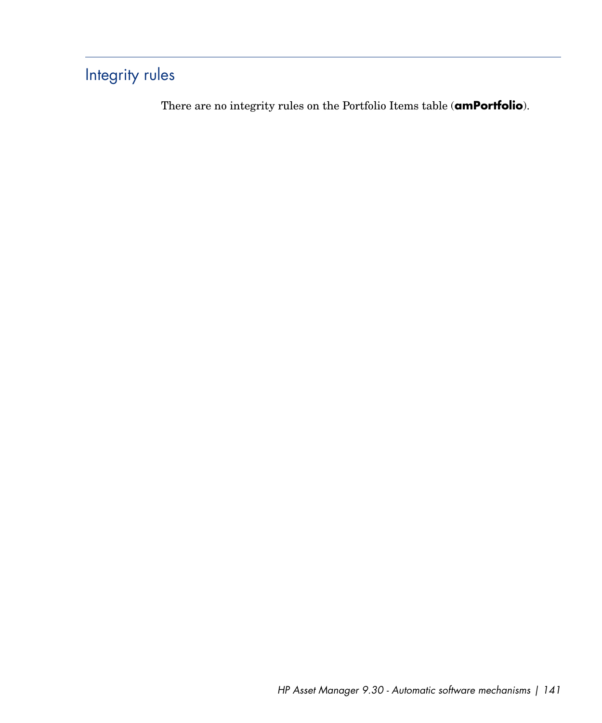# Integrity rules

There are no integrity rules on the Portfolio Items table (**amPortfolio**).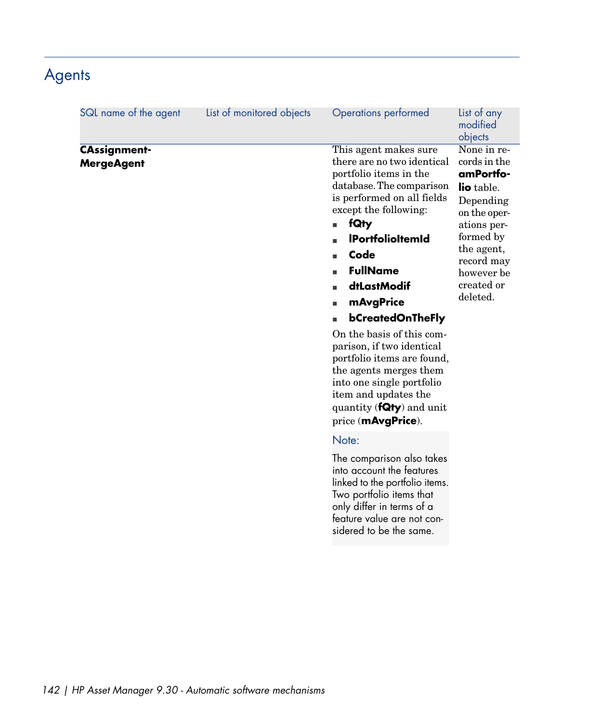# Agents

| SQL name of the agent                    | List of monitored objects | <b>Operations performed</b>                                                                                                                                                                                                                                                                                                                                                                                                                                                                                      | List of any<br>modified<br>objects                                                                                                                                                  |
|------------------------------------------|---------------------------|------------------------------------------------------------------------------------------------------------------------------------------------------------------------------------------------------------------------------------------------------------------------------------------------------------------------------------------------------------------------------------------------------------------------------------------------------------------------------------------------------------------|-------------------------------------------------------------------------------------------------------------------------------------------------------------------------------------|
| <b>CAssignment-</b><br><b>MergeAgent</b> |                           | This agent makes sure<br>there are no two identical<br>portfolio items in the<br>database. The comparison<br>is performed on all fields<br>except the following:<br>fQty<br><b>IPortfolioItemId</b><br>Code<br><b>FullName</b><br>dtLastModif<br>mAvgPrice<br><b>bCreatedOnTheFly</b><br>On the basis of this com-<br>parison, if two identical<br>portfolio items are found,<br>the agents merges them<br>into one single portfolio<br>item and updates the<br>quantity $(fQty)$ and unit<br>price (mAvgPrice). | None in re-<br>cords in the<br>amPortfo-<br>lio table.<br>Depending<br>on the oper-<br>ations per-<br>formed by<br>the agent,<br>record may<br>however be<br>created or<br>deleted. |
|                                          |                           | Note:<br>The comparison also takes<br>into account the features<br>linked to the portfolio items.<br>Two portfolio items that<br>only differ in terms of a<br>feature value are not con-<br>sidered to be the same.                                                                                                                                                                                                                                                                                              |                                                                                                                                                                                     |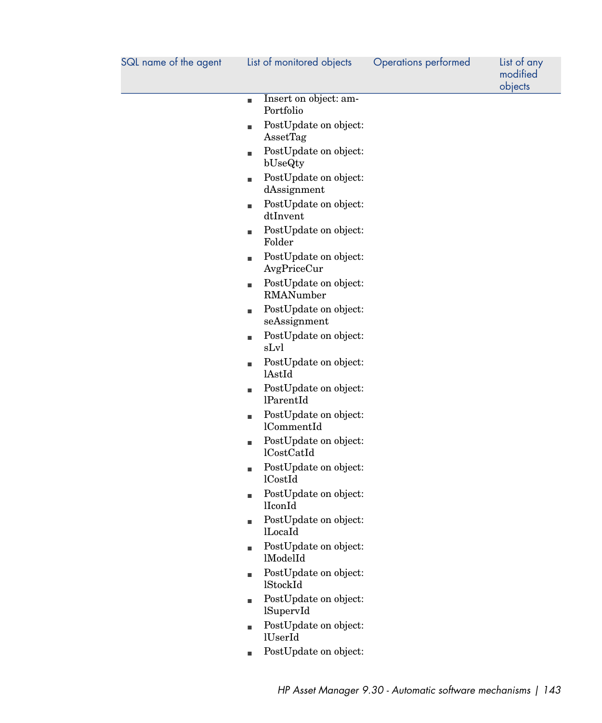| SQL name of the agent | List of monitored objects                     | Operations performed | List of any<br>modified<br>objects |
|-----------------------|-----------------------------------------------|----------------------|------------------------------------|
|                       | Insert on object: am-<br>$\blacksquare$       |                      |                                    |
|                       | Portfolio<br>PostUpdate on object:            |                      |                                    |
|                       | ٠<br>AssetTag                                 |                      |                                    |
|                       | PostUpdate on object:<br>٠<br>bUseQty         |                      |                                    |
|                       | PostUpdate on object:<br>٠<br>dAssignment     |                      |                                    |
|                       | PostUpdate on object:<br>ш<br>dtInvent        |                      |                                    |
|                       | PostUpdate on object:<br>ш<br>Folder          |                      |                                    |
|                       | PostUpdate on object:<br>٠<br>AvgPriceCur     |                      |                                    |
|                       | PostUpdate on object:<br>ш<br>RMANumber       |                      |                                    |
|                       | PostUpdate on object:<br>٠<br>seAssignment    |                      |                                    |
|                       | PostUpdate on object:<br>ш<br>sLvl            |                      |                                    |
|                       | PostUpdate on object:<br>٠<br>lAstId          |                      |                                    |
|                       | PostUpdate on object:<br>٠<br>lParentId       |                      |                                    |
|                       | PostUpdate on object:<br>٠<br>lCommentId      |                      |                                    |
|                       | PostUpdate on object:<br>٠<br>lCostCatId      |                      |                                    |
|                       | PostUpdate on object:<br>ш<br>lCostId         |                      |                                    |
|                       | PostUpdate on object:<br>٠<br>lIconId         |                      |                                    |
|                       | PostUpdate on object:<br>ш<br><b>lLocaId</b>  |                      |                                    |
|                       | PostUpdate on object:<br>lModelId             |                      |                                    |
|                       | PostUpdate on object:<br>٠<br><b>lStockId</b> |                      |                                    |
|                       | PostUpdate on object:<br><b>lSupervId</b>     |                      |                                    |
|                       | PostUpdate on object:<br>lUserId              |                      |                                    |

 $\blacksquare$  PostUpdate on object: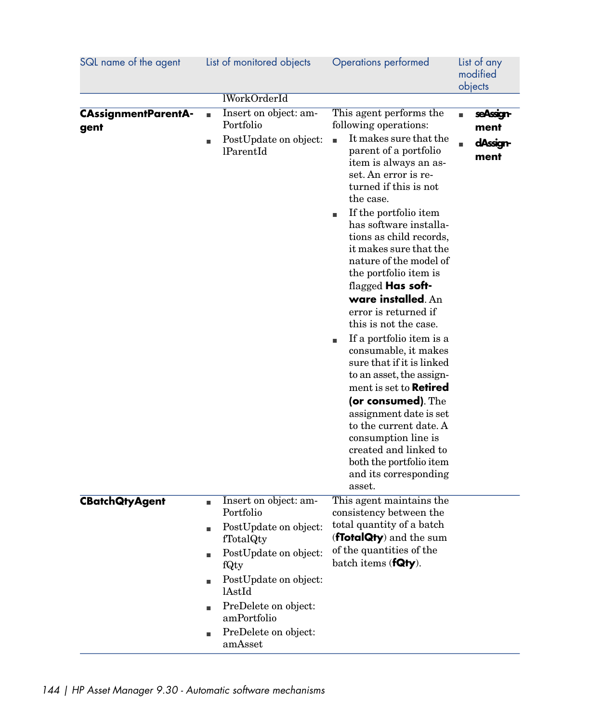| SQL name of the agent              |   | List of monitored objects                                                | <b>Operations performed</b>                                                                                                                                                                                                                                                                                                                                                                                                                                                                                                                                                                                                                                                                                                                                                                        | List of any<br>modified                      |
|------------------------------------|---|--------------------------------------------------------------------------|----------------------------------------------------------------------------------------------------------------------------------------------------------------------------------------------------------------------------------------------------------------------------------------------------------------------------------------------------------------------------------------------------------------------------------------------------------------------------------------------------------------------------------------------------------------------------------------------------------------------------------------------------------------------------------------------------------------------------------------------------------------------------------------------------|----------------------------------------------|
|                                    |   | <b>IWorkOrderId</b>                                                      |                                                                                                                                                                                                                                                                                                                                                                                                                                                                                                                                                                                                                                                                                                                                                                                                    | objects                                      |
| <b>CAssignmentParentA-</b><br>gent | ٠ | Insert on object: am-<br>Portfolio<br>PostUpdate on object:<br>lParentId | This agent performs the<br>following operations:<br>It makes sure that the<br>×.<br>parent of a portfolio<br>item is always an as-<br>set. An error is re-<br>turned if this is not<br>the case.<br>If the portfolio item<br>has software installa-<br>tions as child records,<br>it makes sure that the<br>nature of the model of<br>the portfolio item is<br>flagged Has soft-<br>ware installed. An<br>error is returned if<br>this is not the case.<br>If a portfolio item is a<br>٠<br>consumable, it makes<br>sure that if it is linked<br>to an asset, the assign-<br>ment is set to <b>Retired</b><br>(or consumed). The<br>assignment date is set<br>to the current date. A<br>consumption line is<br>created and linked to<br>both the portfolio item<br>and its corresponding<br>asset. | <b>seAssign-</b><br>ment<br>dAssign-<br>ment |
| <b>CBatchQtyAgent</b>              | ٠ | Insert on object: am-<br>Portfolio                                       | This agent maintains the<br>consistency between the                                                                                                                                                                                                                                                                                                                                                                                                                                                                                                                                                                                                                                                                                                                                                |                                              |
|                                    |   | PostUpdate on object:<br>fTotalQty                                       | total quantity of a batch<br>( <b>fTotalQty</b> ) and the sum                                                                                                                                                                                                                                                                                                                                                                                                                                                                                                                                                                                                                                                                                                                                      |                                              |
|                                    |   | PostUpdate on object:<br>fQty                                            | of the quantities of the<br>batch items (fQty).                                                                                                                                                                                                                                                                                                                                                                                                                                                                                                                                                                                                                                                                                                                                                    |                                              |
|                                    | ٠ | PostUpdate on object:<br>lAstId                                          |                                                                                                                                                                                                                                                                                                                                                                                                                                                                                                                                                                                                                                                                                                                                                                                                    |                                              |
|                                    | ٠ | PreDelete on object:<br>amPortfolio                                      |                                                                                                                                                                                                                                                                                                                                                                                                                                                                                                                                                                                                                                                                                                                                                                                                    |                                              |
|                                    |   | PreDelete on object:<br>amAsset                                          |                                                                                                                                                                                                                                                                                                                                                                                                                                                                                                                                                                                                                                                                                                                                                                                                    |                                              |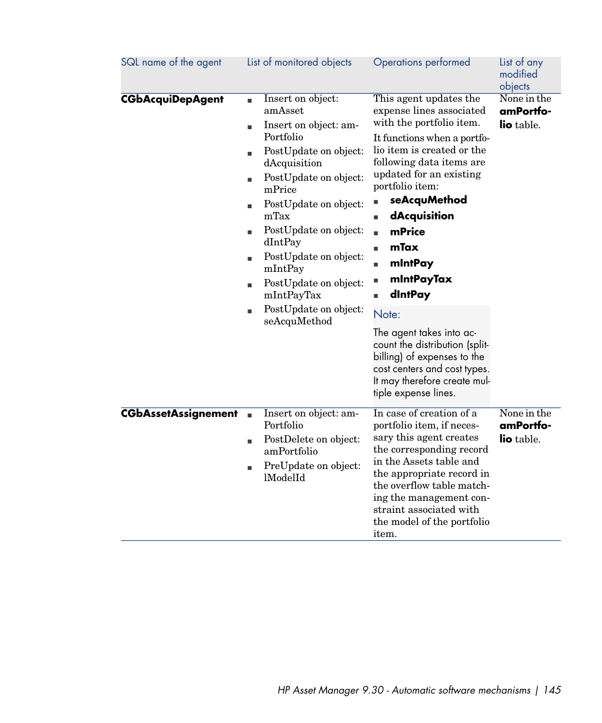| SQL name of the agent      | List of monitored objects                                                                                                                                                                                                                                                                                                                                                            | <b>Operations performed</b>                                                                                                                                                                                                                                                                                                                                                                                                                            | List of any<br>modified<br>objects     |
|----------------------------|--------------------------------------------------------------------------------------------------------------------------------------------------------------------------------------------------------------------------------------------------------------------------------------------------------------------------------------------------------------------------------------|--------------------------------------------------------------------------------------------------------------------------------------------------------------------------------------------------------------------------------------------------------------------------------------------------------------------------------------------------------------------------------------------------------------------------------------------------------|----------------------------------------|
| <b>CGbAcquiDepAgent</b>    | Insert on object:<br>٠<br>amAsset<br>Insert on object: am-<br>٠<br>Portfolio<br>PostUpdate on object:<br>٠<br>dAcquisition<br>PostUpdate on object:<br>٠<br>mPrice<br>PostUpdate on object:<br>٠<br>mTax<br>PostUpdate on object:<br>٠<br>dIntPay<br>PostUpdate on object:<br>٠<br>mIntPay<br>PostUpdate on object:<br>٠<br>mIntPayTax<br>PostUpdate on object:<br>٠<br>seAcquMethod | This agent updates the<br>expense lines associated<br>with the portfolio item.<br>It functions when a portfo-<br>lio item is created or the<br>following data items are<br>updated for an existing<br>portfolio item:<br>seAcquMethod<br>dAcquisition<br>mPrice<br>mTax<br>٠<br>mintPay<br>mIntPayTax<br>dIntPay<br>Note:<br>The agent takes into ac-<br>count the distribution (split-<br>billing) of expenses to the<br>cost centers and cost types. | None in the<br>amPortfo-<br>lio table. |
| <b>CGbAssetAssignement</b> | Insert on object: am-<br>$\blacksquare$<br>Portfolio<br>PostDelete on object:<br>٠<br>amPortfolio<br>PreUpdate on object:<br>٠<br><b>IModelId</b>                                                                                                                                                                                                                                    | It may therefore create mul-<br>tiple expense lines.<br>In case of creation of a<br>portfolio item, if neces-<br>sary this agent creates<br>the corresponding record<br>in the Assets table and<br>the appropriate record in<br>the overflow table match-<br>ing the management con-<br>straint associated with<br>the model of the portfolio<br>item.                                                                                                 | None in the<br>amPortfo-<br>lio table. |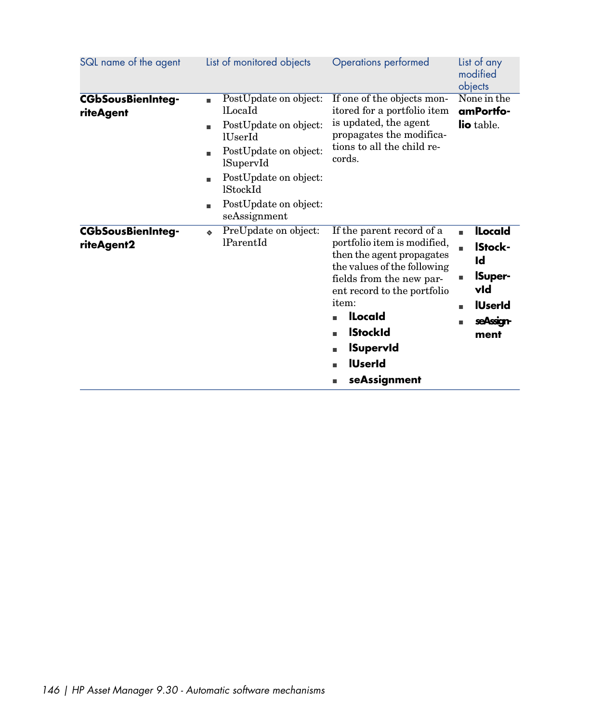| SQL name of the agent                  | List of monitored objects                                                                                                                                                                                                    | Operations performed                                                                                                                                                                                                                                                                  | List of any<br>modified<br>objects                                                              |
|----------------------------------------|------------------------------------------------------------------------------------------------------------------------------------------------------------------------------------------------------------------------------|---------------------------------------------------------------------------------------------------------------------------------------------------------------------------------------------------------------------------------------------------------------------------------------|-------------------------------------------------------------------------------------------------|
| <b>CGbSousBienInteg-</b><br>riteAgent  | PostUpdate on object:<br>hLocaId<br>PostUpdate on object:<br>٠<br><b>IUserId</b><br>PostUpdate on object:<br>٠<br><b>lSupervId</b><br>PostUpdate on object:<br>٠<br><b>IStockId</b><br>PostUpdate on object:<br>seAssignment | If one of the objects mon-<br>itored for a portfolio item<br>is updated, the agent<br>propagates the modifica-<br>tions to all the child re-<br>cords.                                                                                                                                | None in the<br>amPortfo-<br>lio table.                                                          |
| <b>CGbSousBienInteg-</b><br>riteAgent2 | PreUpdate on object:<br>ó<br><b>lParentId</b>                                                                                                                                                                                | If the parent record of a<br>portfolio item is modified,<br>then the agent propagates<br>the values of the following<br>fields from the new par-<br>ent record to the portfolio<br>item:<br>lLocald<br><b>IStockId</b><br><b>Supervid</b><br><b>IUserId</b><br>٠<br>seAssignment<br>٠ | <b>ILocald</b><br>IStock-<br>Ιd<br><b>ISuper-</b><br>vid<br><b>IUserId</b><br>seAssign-<br>ment |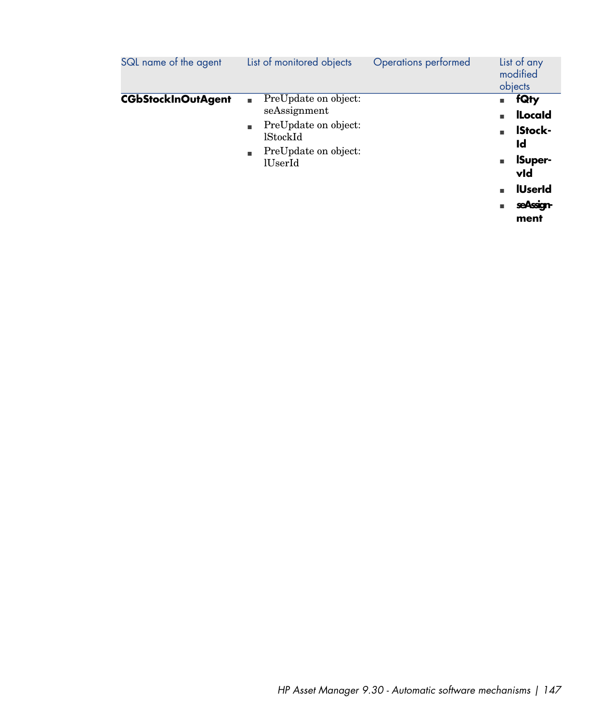| SQL name of the agent     | List of monitored objects                                                                                                    | Operations performed | List of any<br>modified<br>objects                                                                                                |
|---------------------------|------------------------------------------------------------------------------------------------------------------------------|----------------------|-----------------------------------------------------------------------------------------------------------------------------------|
| <b>CGbStockInOutAgent</b> | PreUpdate on object:<br>seAssignment<br>PreUpdate on object:<br>٠<br><b>IStockId</b><br>PreUpdate on object:<br>٠<br>lUserId |                      | fQty<br><b>ILocald</b><br>٠<br><b>IStock-</b><br>٠<br>Id<br><b>Super-</b><br>٠<br>vid<br><b>IUserId</b><br>٠<br>seAssign-<br>ment |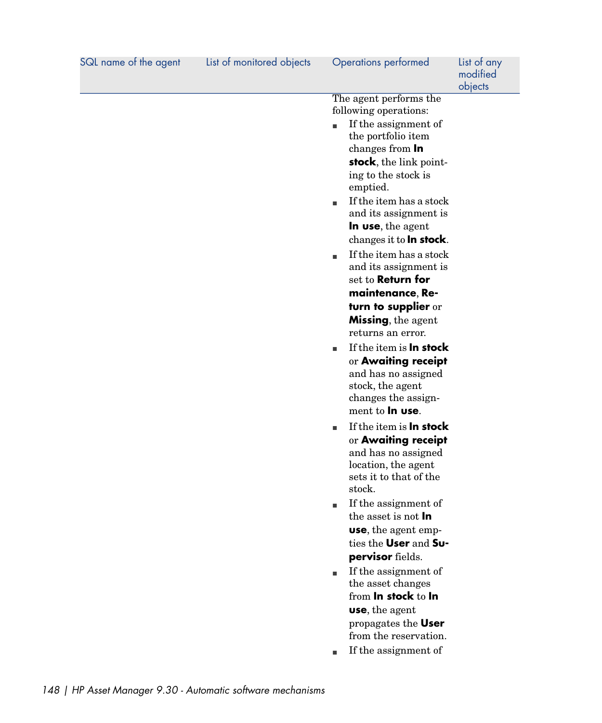| SQL name of the agent | List of monitored objects | <b>Operations performed</b>                                                                                                                                                                                                                                                                                                                                                                                                                                                                                                                     | List of any<br>modified<br>objects |
|-----------------------|---------------------------|-------------------------------------------------------------------------------------------------------------------------------------------------------------------------------------------------------------------------------------------------------------------------------------------------------------------------------------------------------------------------------------------------------------------------------------------------------------------------------------------------------------------------------------------------|------------------------------------|
|                       |                           | The agent performs the<br>following operations:<br>If the assignment of<br>the portfolio item<br>changes from <b>In</b><br>stock, the link point-<br>ing to the stock is<br>emptied.<br>If the item has a stock<br>٠<br>and its assignment is<br>In use, the agent<br>changes it to <b>In stock</b> .<br>If the item has a stock<br>٠<br>and its assignment is<br>set to Return for<br>maintenance, Re-<br>turn to supplier or<br><b>Missing</b> , the agent<br>returns an error.<br>If the item is <b>In stock</b><br>٠<br>or Awaiting receipt |                                    |
|                       |                           | and has no assigned<br>stock, the agent<br>changes the assign-<br>ment to <b>In use</b> .                                                                                                                                                                                                                                                                                                                                                                                                                                                       |                                    |
|                       |                           | If the item is <b>In stock</b><br>٠<br>or Awaiting receipt<br>and has no assigned<br>location, the agent<br>sets it to that of the<br>stock.                                                                                                                                                                                                                                                                                                                                                                                                    |                                    |
|                       |                           | If the assignment of<br>٠<br>the asset is not <b>In</b><br><b>use</b> , the agent emp-<br>ties the User and Su-<br>pervisor fields.                                                                                                                                                                                                                                                                                                                                                                                                             |                                    |
|                       |                           | If the assignment of<br>the asset changes<br>from In stock to In<br><b>use</b> , the agent<br>propagates the User                                                                                                                                                                                                                                                                                                                                                                                                                               |                                    |
|                       |                           | from the reservation.<br>If the assignment of                                                                                                                                                                                                                                                                                                                                                                                                                                                                                                   |                                    |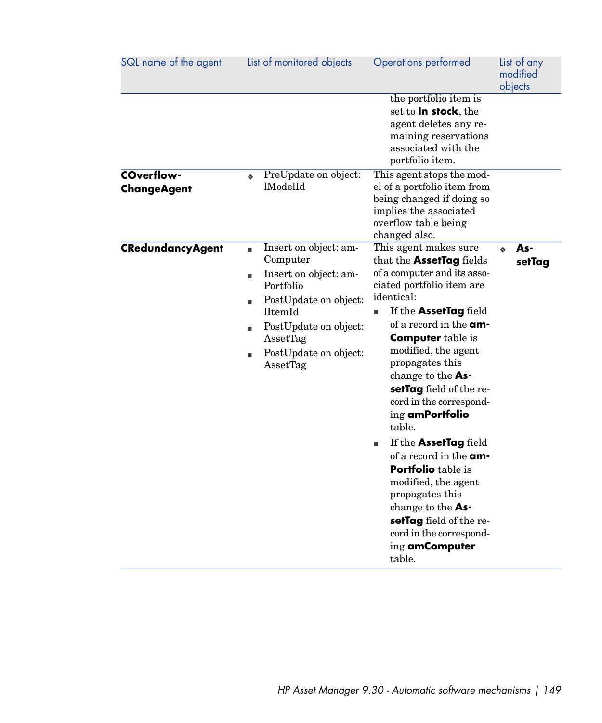| SQL name of the agent            | List of monitored objects                                                                                                                                                                       | Operations performed                                                                                                                                                                                                                                                                                                                                                                                                                                                                                                                                                                                                           | List of any<br>modified<br>objects |
|----------------------------------|-------------------------------------------------------------------------------------------------------------------------------------------------------------------------------------------------|--------------------------------------------------------------------------------------------------------------------------------------------------------------------------------------------------------------------------------------------------------------------------------------------------------------------------------------------------------------------------------------------------------------------------------------------------------------------------------------------------------------------------------------------------------------------------------------------------------------------------------|------------------------------------|
|                                  |                                                                                                                                                                                                 | the portfolio item is<br>set to In stock, the<br>agent deletes any re-<br>maining reservations<br>associated with the<br>portfolio item.                                                                                                                                                                                                                                                                                                                                                                                                                                                                                       |                                    |
| COverflow-<br><b>ChangeAgent</b> | PreUpdate on object:<br>$\ddot{\bullet}$<br><b>lModelId</b>                                                                                                                                     | This agent stops the mod-<br>el of a portfolio item from<br>being changed if doing so<br>implies the associated<br>overflow table being<br>changed also.                                                                                                                                                                                                                                                                                                                                                                                                                                                                       |                                    |
| <b>CRedundancyAgent</b>          | Insert on object: am-<br>٠<br>Computer<br>Insert on object: am-<br>٠<br>Portfolio<br>PostUpdate on object:<br>lItemId<br>PostUpdate on object:<br>AssetTag<br>PostUpdate on object:<br>AssetTag | This agent makes sure<br>that the AssetTag fields<br>of a computer and its asso-<br>ciated portfolio item are<br>identical:<br>If the AssetTag field<br>of a record in the <b>am-</b><br><b>Computer</b> table is<br>modified, the agent<br>propagates this<br>change to the As-<br>setTag field of the re-<br>cord in the correspond-<br>ing amPortfolio<br>table.<br>If the <b>AssetTag</b> field<br>٠<br>of a record in the <b>am-</b><br><b>Portfolio</b> table is<br>modified, the agent<br>propagates this<br>change to the <b>As-</b><br>setTag field of the re-<br>cord in the correspond-<br>ing amComputer<br>table. | As-<br>setTag                      |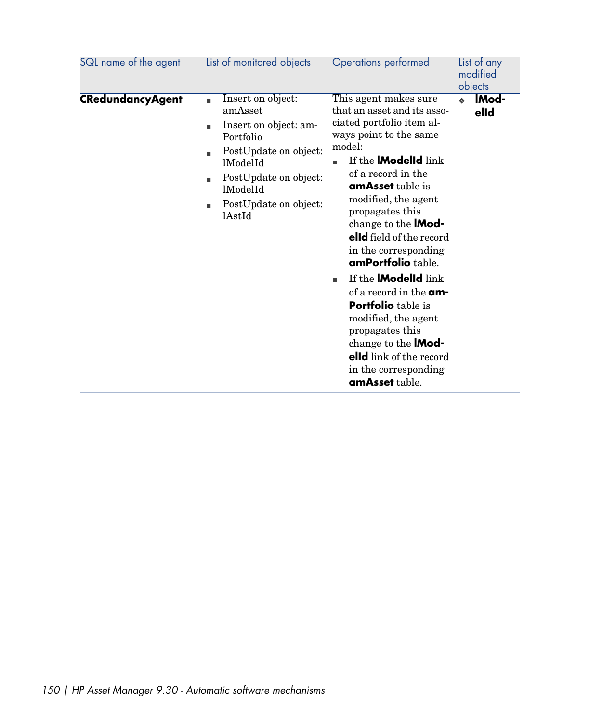| SQL name of the agent   | List of monitored objects                                                                                                                                                                                    | Operations performed                                                                                                                                                                                                                                                                                                                                                                                                                                                                                                                                                                                        | List of any<br>modified<br>objects |
|-------------------------|--------------------------------------------------------------------------------------------------------------------------------------------------------------------------------------------------------------|-------------------------------------------------------------------------------------------------------------------------------------------------------------------------------------------------------------------------------------------------------------------------------------------------------------------------------------------------------------------------------------------------------------------------------------------------------------------------------------------------------------------------------------------------------------------------------------------------------------|------------------------------------|
| <b>CRedundancyAgent</b> | Insert on object:<br>٠<br>amAsset<br>Insert on object: am-<br>Portfolio<br>PostUpdate on object:<br><b>IModelId</b><br>PostUpdate on object:<br>٠<br><b>IModelId</b><br>PostUpdate on object:<br>٠<br>lAstId | This agent makes sure<br>that an asset and its asso-<br>ciated portfolio item al-<br>ways point to the same<br>model:<br>If the <b>IModelId</b> link<br>٠<br>of a record in the<br><b>amAsset</b> table is<br>modified, the agent<br>propagates this<br>change to the <b>IMod-</b><br>elld field of the record<br>in the corresponding<br>amPortfolio table.<br>If the <b>IModelid</b> link<br>٠<br>of a record in the <b>am-</b><br><b>Portfolio</b> table is<br>modified, the agent<br>propagates this<br>change to the <b>IMod-</b><br>elld link of the record<br>in the corresponding<br>amAsset table. | IMod-<br>$\ddot{\bullet}$<br>elId  |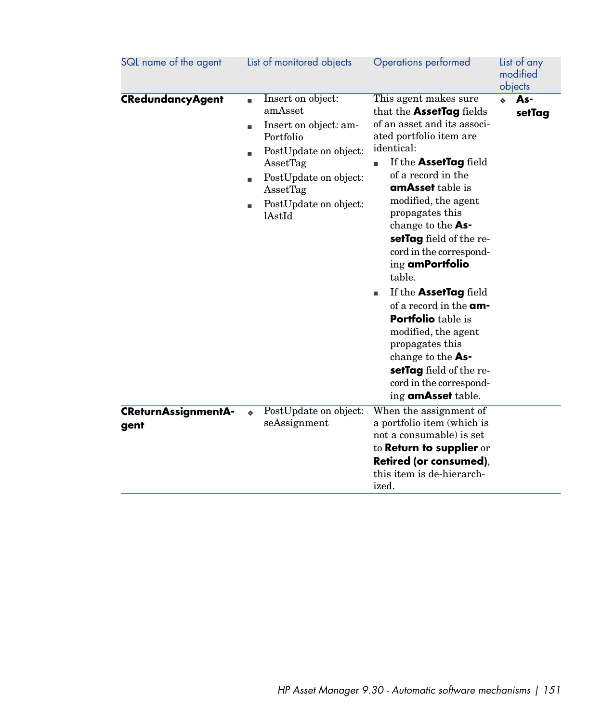| SQL name of the agent              | List of monitored objects                                                                                                                                                                      | Operations performed                                                                                                                                                                                                                                                                                                                                                                                                                                                                                                                                                                           | List of any<br>modified<br>objects |
|------------------------------------|------------------------------------------------------------------------------------------------------------------------------------------------------------------------------------------------|------------------------------------------------------------------------------------------------------------------------------------------------------------------------------------------------------------------------------------------------------------------------------------------------------------------------------------------------------------------------------------------------------------------------------------------------------------------------------------------------------------------------------------------------------------------------------------------------|------------------------------------|
| <b>CRedundancyAgent</b>            | Insert on object:<br>٠<br>amAsset<br>Insert on object: am-<br>٠<br>Portfolio<br>PostUpdate on object:<br>٠<br>AssetTag<br>PostUpdate on object:<br>AssetTag<br>PostUpdate on object:<br>lAstId | This agent makes sure<br>that the AssetTag fields<br>of an asset and its associ-<br>ated portfolio item are<br>identical:<br>If the AssetTag field<br>٠<br>of a record in the<br><b>amAsset</b> table is<br>modified, the agent<br>propagates this<br>change to the As-<br>setTag field of the re-<br>cord in the correspond-<br>ing amPortfolio<br>table.<br>If the AssetTag field<br>٠<br>of a record in the $am-$<br><b>Portfolio</b> table is<br>modified, the agent<br>propagates this<br>change to the $As-$<br>setTag field of the re-<br>cord in the correspond-<br>ing amAsset table. | As-<br>۰<br>setTag                 |
| <b>CReturnAssignmentA-</b><br>gent | PostUpdate on object:<br>ò<br>seAssignment                                                                                                                                                     | When the assignment of<br>a portfolio item (which is<br>not a consumable) is set<br>to Return to supplier or<br>Retired (or consumed),<br>this item is de-hierarch-<br>ized.                                                                                                                                                                                                                                                                                                                                                                                                                   |                                    |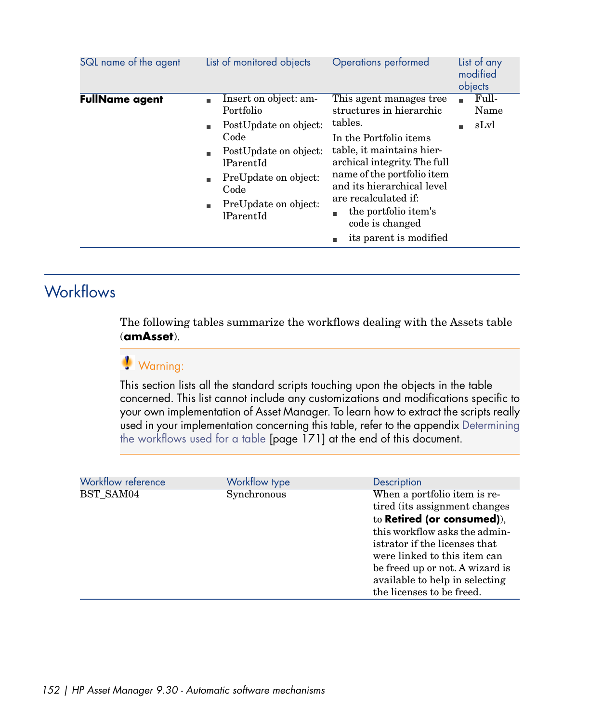| SQL name of the agent | List of monitored objects                                                                                                                                                                                             | Operations performed                                                                                                                                                                                                                                                                                           | List of any<br>modified<br>objects |
|-----------------------|-----------------------------------------------------------------------------------------------------------------------------------------------------------------------------------------------------------------------|----------------------------------------------------------------------------------------------------------------------------------------------------------------------------------------------------------------------------------------------------------------------------------------------------------------|------------------------------------|
| <b>FullName agent</b> | Insert on object: am-<br>٠<br>Portfolio<br>PostUpdate on object:<br>٠<br>Code<br>PostUpdate on object:<br>٠<br><b>lParentId</b><br>PreUpdate on object:<br>٠<br>Code<br>PreUpdate on object:<br>٠<br><b>lParentId</b> | This agent manages tree<br>structures in hierarchic<br>tables.<br>In the Portfolio items<br>table, it maintains hier-<br>archical integrity. The full<br>name of the portfolio item<br>and its hierarchical level<br>are recalculated if:<br>the portfolio item's<br>code is changed<br>its parent is modified | Full-<br>Name<br>sLyl              |

# **Workflows**

The following tables summarize the workflows dealing with the Assets table (**amAsset**).

# Warning:

This section lists all the standard scripts touching upon the objects in the table concerned. This list cannot include any customizations and modifications specific to your own implementation of Asset Manager. To learn how to extract the scripts really used in your implementation concerning this table, refer to the appendix [Determining](#page-170-0) [the workflows used for a table](#page-170-0) [page 171] at the end of this document.

| <b>Workflow reference</b> | Workflow type | Description                     |
|---------------------------|---------------|---------------------------------|
| BST SAM04                 | Synchronous   | When a portfolio item is re-    |
|                           |               | tired (its assignment changes   |
|                           |               | to Retired (or consumed)),      |
|                           |               | this workflow asks the admin-   |
|                           |               | istrator if the licenses that   |
|                           |               | were linked to this item can    |
|                           |               | be freed up or not. A wizard is |
|                           |               | available to help in selecting  |
|                           |               | the licenses to be freed.       |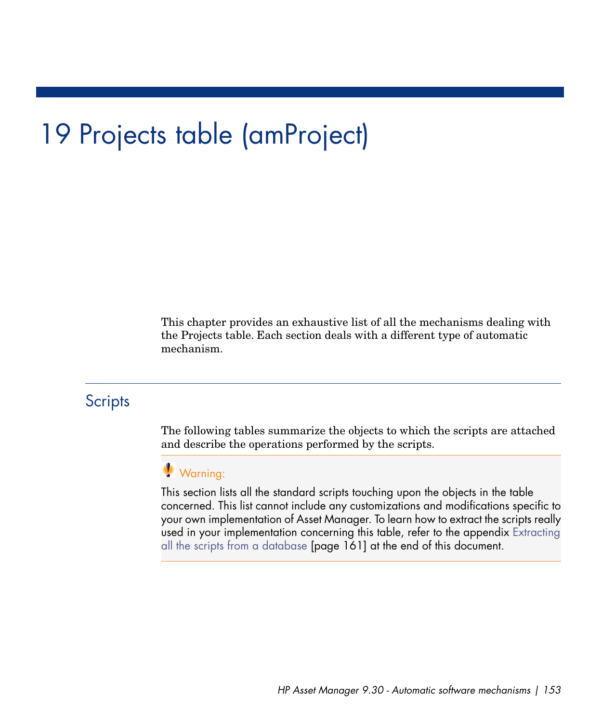# 19 Projects table (amProject)

This chapter provides an exhaustive list of all the mechanisms dealing with the Projects table. Each section deals with a different type of automatic mechanism.

## **Scripts**

The following tables summarize the objects to which the scripts are attached and describe the operations performed by the scripts.

# Warning:

This section lists all the standard scripts touching upon the objects in the table concerned. This list cannot include any customizations and modifications specific to your own implementation of Asset Manager. To learn how to extract the scripts really used in your implementation concerning this table, refer to the appendix [Extracting](#page-160-0) [all the scripts from a database](#page-160-0) [page 161] at the end of this document.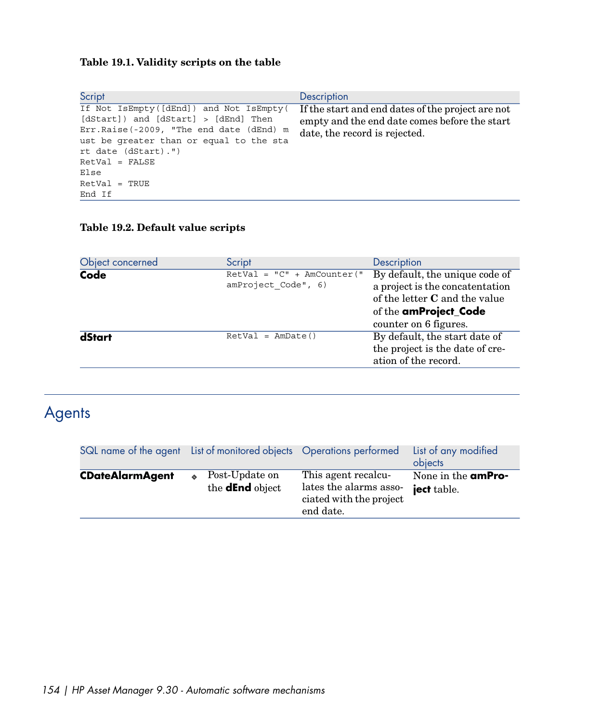### **Table 19.1. Validity scripts on the table**

| Script                                                                                                                                                                                                                                                         | Description                                                                                                                         |
|----------------------------------------------------------------------------------------------------------------------------------------------------------------------------------------------------------------------------------------------------------------|-------------------------------------------------------------------------------------------------------------------------------------|
| If Not IsEmpty([dEnd]) and Not IsEmpty(<br>$[distart]$ ) and $[distart] > [dEnd]$ Then<br>Err. Raise (-2009, "The end date (dEnd) m<br>ust be greater than or equal to the sta<br>rt date (dStart).")<br>$RetVal = FALSE$<br>Else<br>$RetVal = TRUE$<br>End If | If the start and end dates of the project are not<br>empty and the end date comes before the start<br>date, the record is rejected. |

### **Table 19.2. Default value scripts**

| Object concerned | Script                                              | Description                                                                                                                                          |
|------------------|-----------------------------------------------------|------------------------------------------------------------------------------------------------------------------------------------------------------|
| Code             | $RetVal = "C" + AmCounter("$<br>amProject Code", 6) | By default, the unique code of<br>a project is the concatentation<br>of the letter C and the value<br>of the amProject_Code<br>counter on 6 figures. |
| dStart           | $RetVal = Ambate()$                                 | By default, the start date of<br>the project is the date of cre-<br>ation of the record.                                                             |

# Agents

| SQL name of the agent List of monitored objects Operations performed |                                          |                                                                                       | List of any modified<br>objects          |
|----------------------------------------------------------------------|------------------------------------------|---------------------------------------------------------------------------------------|------------------------------------------|
| <b>CDateAlarmAgent</b>                                               | Post-Update on<br>the <b>dEnd</b> object | This agent recalcu-<br>lates the alarms asso-<br>ciated with the project<br>end date. | None in the <b>amPro-</b><br>ject table. |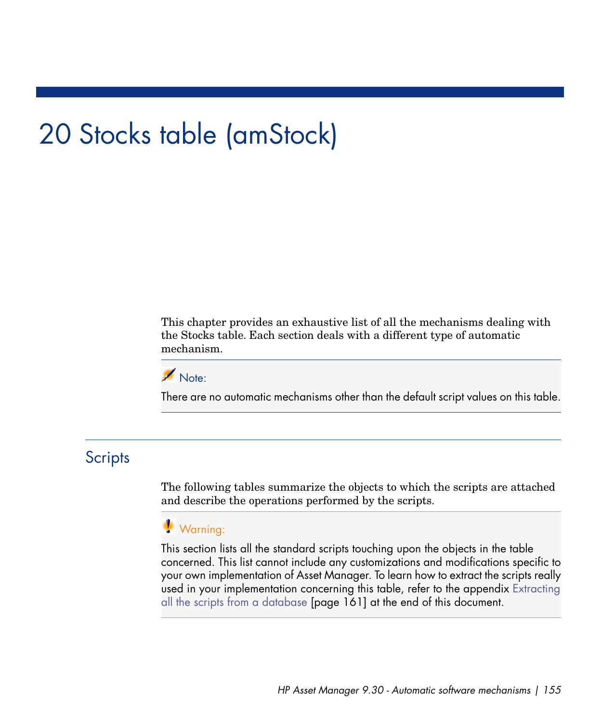# 20 Stocks table (amStock)

This chapter provides an exhaustive list of all the mechanisms dealing with the Stocks table. Each section deals with a different type of automatic mechanism.

## Note:

There are no automatic mechanisms other than the default script values on this table.

## **Scripts**

The following tables summarize the objects to which the scripts are attached and describe the operations performed by the scripts.

# Warning:

This section lists all the standard scripts touching upon the objects in the table concerned. This list cannot include any customizations and modifications specific to your own implementation of Asset Manager. To learn how to extract the scripts really used in your implementation concerning this table, refer to the appendix [Extracting](#page-160-0) [all the scripts from a database](#page-160-0) [page 161] at the end of this document.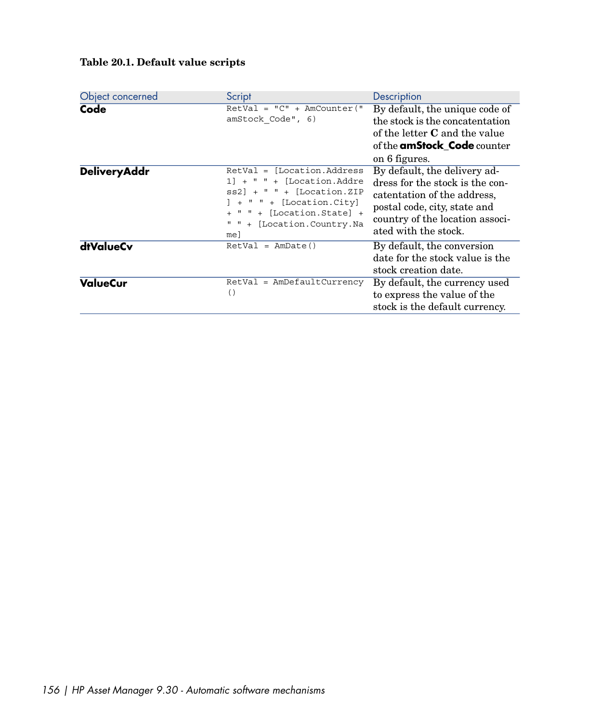### **Table 20.1. Default value scripts**

| Object concerned    | Script                                                                                                                                                                                                                       | Description                                                                                                                                                                               |
|---------------------|------------------------------------------------------------------------------------------------------------------------------------------------------------------------------------------------------------------------------|-------------------------------------------------------------------------------------------------------------------------------------------------------------------------------------------|
| Code                | $RetVal = "C" + AmCounter("$<br>amStock Code", 6)                                                                                                                                                                            | By default, the unique code of<br>the stock is the concatentation<br>of the letter $C$ and the value<br>of the <b>amStock Code</b> counter<br>on 6 figures.                               |
| <b>DeliveryAddr</b> | $RetVal = [Location. Address$<br>+ [Location.Addre<br>$11 +$<br>$\mathbf{u}$ $\mathbf{u}$<br>$ss2$ ] + " " + [Location.ZIP<br>$] + " " + [Location.City]$<br>+ " " + [Location.State] +<br>" " + [Location.Country.Na<br>me] | By default, the delivery ad-<br>dress for the stock is the con-<br>catentation of the address,<br>postal code, city, state and<br>country of the location associ-<br>ated with the stock. |
| <b>dtValueCv</b>    | $RetVal = Ambate()$                                                                                                                                                                                                          | By default, the conversion<br>date for the stock value is the<br>stock creation date.                                                                                                     |
| <b>ValueCur</b>     | RetVal = AmDefaultCurrency<br>$\left( \right)$                                                                                                                                                                               | By default, the currency used<br>to express the value of the<br>stock is the default currency.                                                                                            |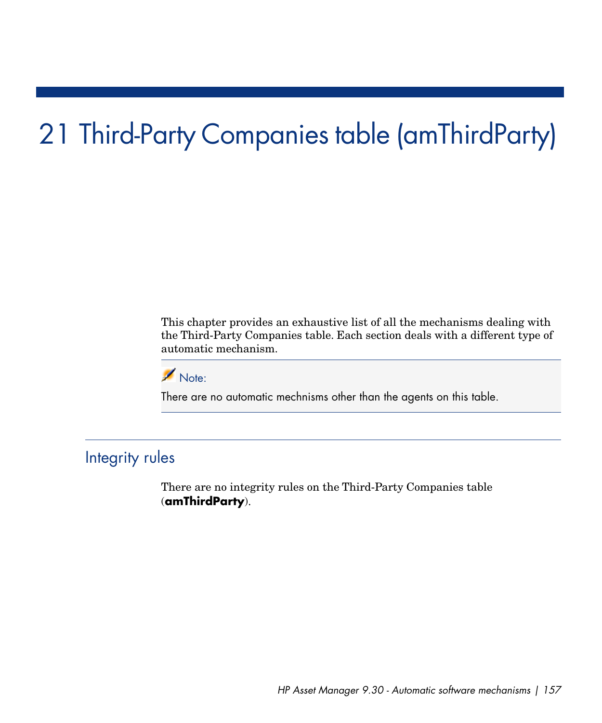# 21 Third-Party Companies table (amThirdParty)

This chapter provides an exhaustive list of all the mechanisms dealing with the Third-Party Companies table. Each section deals with a different type of automatic mechanism.



There are no automatic mechnisms other than the agents on this table.

# Integrity rules

There are no integrity rules on the Third-Party Companies table (**amThirdParty**).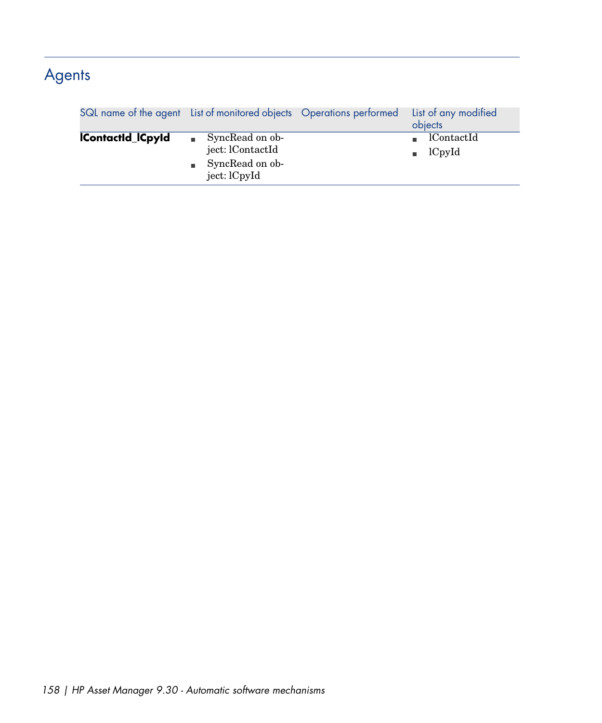# Agents

|                          | SQL name of the agent List of monitored objects Operations performed   | List of any modified<br>objects |
|--------------------------|------------------------------------------------------------------------|---------------------------------|
| <b>IContactId_ICpyId</b> | SyncRead on ob-<br>ject: lContactId<br>SyncRead on ob-<br>ject: lCpyId | <b>lContactId</b><br>$l$ CpyId  |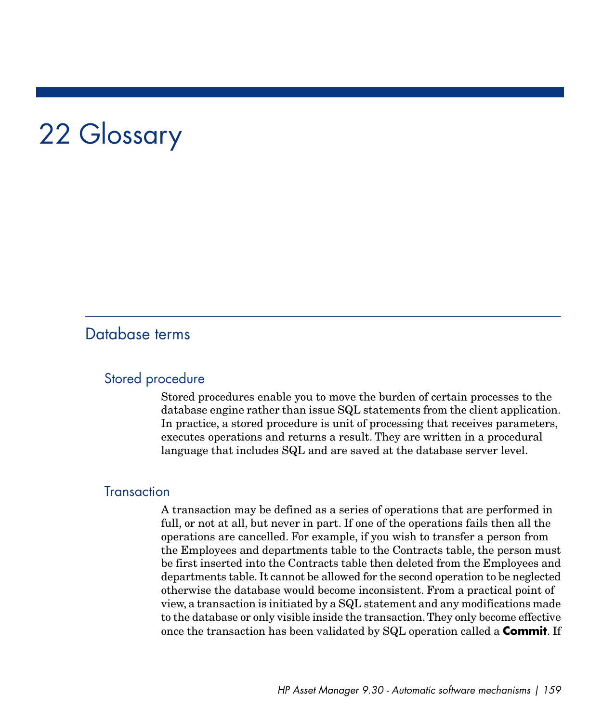# 22 Glossary

# Database terms

### Stored procedure

Stored procedures enable you to move the burden of certain processes to the database engine rather than issue SQL statements from the client application. In practice, a stored procedure is unit of processing that receives parameters, executes operations and returns a result. They are written in a procedural language that includes SQL and are saved at the database server level.

#### Transaction

A transaction may be defined as a series of operations that are performed in full, or not at all, but never in part. If one of the operations fails then all the operations are cancelled. For example, if you wish to transfer a person from the Employees and departments table to the Contracts table, the person must be first inserted into the Contracts table then deleted from the Employees and departments table. It cannot be allowed for the second operation to be neglected otherwise the database would become inconsistent. From a practical point of view, a transaction is initiated by a SQL statement and any modifications made to the database or only visible inside the transaction.They only become effective once the transaction has been validated by SQL operation called a **Commit**. If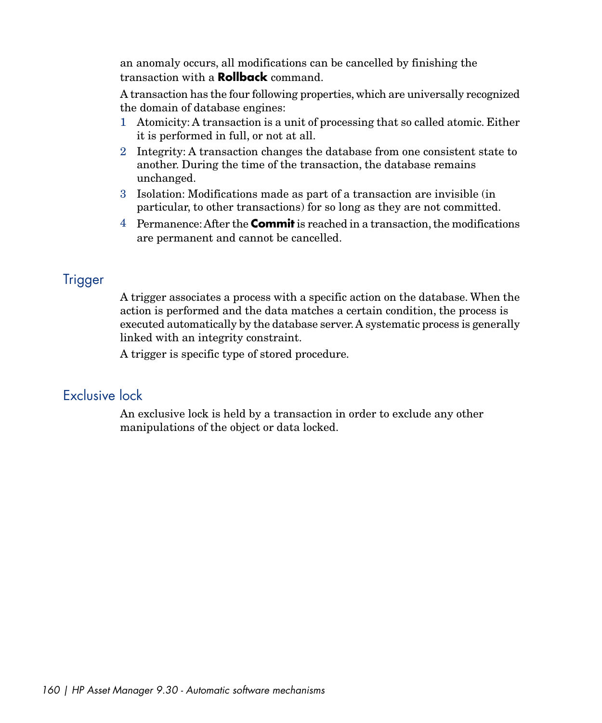an anomaly occurs, all modifications can be cancelled by finishing the transaction with a **Rollback** command.

A transaction has the four following properties, which are universally recognized the domain of database engines:

- 1 Atomicity: A transaction is a unit of processing that so called atomic. Either it is performed in full, or not at all.
- 2 Integrity: A transaction changes the database from one consistent state to another. During the time of the transaction, the database remains unchanged.
- 3 Isolation: Modifications made as part of a transaction are invisible (in particular, to other transactions) for so long as they are not committed.
- 4 Permanence:After the **Commit** is reached in a transaction, the modifications are permanent and cannot be cancelled.

## **Trigger**

A trigger associates a process with a specific action on the database. When the action is performed and the data matches a certain condition, the process is executed automatically by the database server.A systematic process is generally linked with an integrity constraint.

A trigger is specific type of stored procedure.

# Exclusive lock

An exclusive lock is held by a transaction in order to exclude any other manipulations of the object or data locked.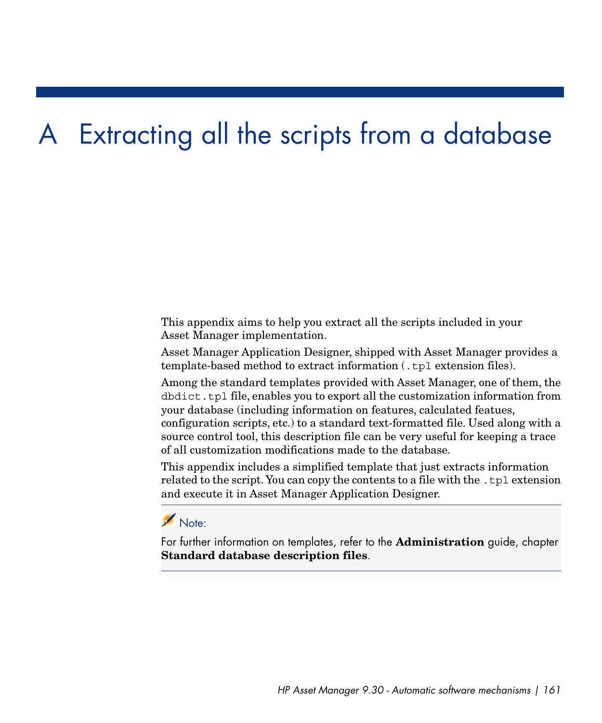# A Extracting all the scripts from a database

<span id="page-160-0"></span>This appendix aims to help you extract all the scripts included in your Asset Manager implementation.

Asset Manager Application Designer, shipped with Asset Manager provides a template-based method to extract information (.tpl extension files).

Among the standard templates provided with Asset Manager, one of them, the dbdict.tpl file, enables you to export all the customization information from your database (including information on features, calculated featues, configuration scripts, etc.) to a standard text-formatted file. Used along with a source control tool, this description file can be very useful for keeping a trace of all customization modifications made to the database.

This appendix includes a simplified template that just extracts information related to the script. You can copy the contents to a file with the .tpl extension and execute it in Asset Manager Application Designer.

# Note:

For further information on templates, refer to the **Administration** guide, chapter **Standard database description files**.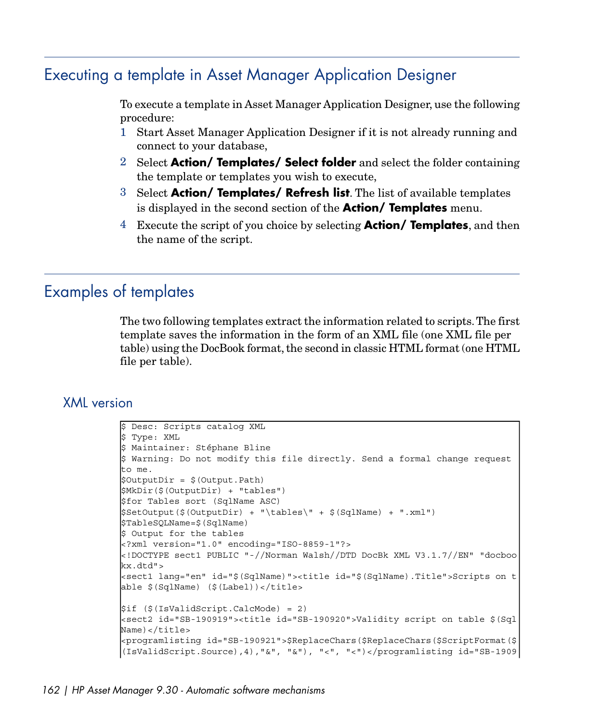# Executing a template in Asset Manager Application Designer

To execute a template in Asset Manager Application Designer, use the following procedure:

- 1 Start Asset Manager Application Designer if it is not already running and connect to your database,
- 2 Select **Action/ Templates/ Select folder** and select the folder containing the template or templates you wish to execute,
- 3 Select **Action/ Templates/ Refresh list**. The list of available templates is displayed in the second section of the **Action/ Templates** menu.
- 4 Execute the script of you choice by selecting **Action/ Templates**, and then the name of the script.

# Examples of templates

The two following templates extract the information related to scripts.The first template saves the information in the form of an XML file (one XML file per table) using the DocBook format, the second in classic HTML format (one HTML file per table).

### XML version

```
$ Desc: Scripts catalog XML
$ Type: XML
$ Maintainer: Stéphane Bline
$ Warning: Do not modify this file directly. Send a formal change request
to me.
\text{South} = \text{$}(\text{Output}.\text{Path})$MkDir($(OutputDir) + "tables")
$for Tables sort (SqlName ASC)
\frac{\text{SsetOutput}(\$(OutputDir) + "\tables\" + \$(SqName) + ".xml")$TableSQLName=$(SqlName)
\frac{1}{2} Output for the tables
<?xml version="1.0" encoding="ISO-8859-1"?>
<!DOCTYPE sect1 PUBLIC "-//Norman Walsh//DTD DocBk XML V3.1.7//EN" "docboo
kx.dtd">
<sect1 lang="en" id="$(SqlName)"><title id="$(SqlName).Title">Scripts on t
able $(SqlName) ($(Label))</title>
\sin f ($(IsValidScript.CalcMode) = 2)
<sect2 id="SB-190919"><title id="SB-190920">Validity script on table $(Sql
Name)</title>
<programlisting id="SB-190921">$ReplaceChars($ReplaceChars($ScriptFormat($
(IsValidScript.Source),4),"&", "&"), "<", "<")</programlisting id="SB-1909
```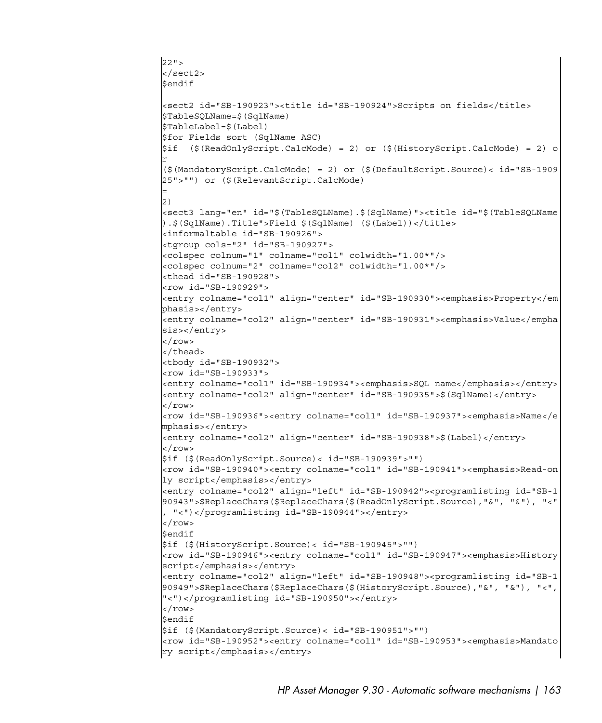```
22"</sect2>
$endif
<sect2 id="SB-190923"><title id="SB-190924">Scripts on fields</title>
$TableSQLName=$(SqlName)
$TableLabel=$(Label)
$for Fields sort (SqlName ASC)
$if ($(ReadOnlyScript.CalcMode) = 2) or ($(HistoryScript.CalcMode) = 2) o
r
($(MandatoryScript.CalcMode) = 2) or ($(DefaultScript.Source)< id="SB-1909
25">"") or ($(RelevantScript.CalcMode)
=
2)<sect3 lang="en" id="$(TableSQLName).$(SqlName)"><title id="$(TableSQLName
).$(SqlName).Title">Field $(SqlName) ($(Label))</title>
<informaltable id="SB-190926">
<tgroup cols="2" id="SB-190927">
<colspec colnum="1" colname="col1" colwidth="1.00*"/>
<colspec colnum="2" colname="col2" colwidth="1.00*"/>
<thead id="SB-190928">
<row id="SB-190929">
<entry colname="col1" align="center" id="SB-190930"><emphasis>Property</em
phasis></entry>
<entry colname="col2" align="center" id="SB-190931"><emphasis>Value</empha
sis></entry>
</row>
</thead>
<tbody id="SB-190932">
<row id="SB-190933">
<entry colname="col1" id="SB-190934"><emphasis>SQL name</emphasis></entry>
<entry colname="col2" align="center" id="SB-190935">$(SqlName)</entry>
</row>
<row id="SB-190936"><entry colname="col1" id="SB-190937"><emphasis>Name</e
mphasis></entry>
<entry colname="col2" align="center" id="SB-190938">$(Label)</entry>
</row>
$if ($(ReadOnlyScript.Source)< id="SB-190939">"")
<row id="SB-190940"><entry colname="col1" id="SB-190941"><emphasis>Read-on
ly script</emphasis></entry>
<entry colname="col2" align="left" id="SB-190942"><programlisting id="SB-1
90943">$ReplaceChars($ReplaceChars($(ReadOnlyScript.Source),"&", "&"), "<"
, "<")</programlisting id="SB-190944"></entry>
</row>
$endif
$if ($(HistoryScript.Source)< id="SB-190945">"")
<row id="SB-190946"><entry colname="col1" id="SB-190947"><emphasis>History
script</emphasis></entry>
<entry colname="col2" align="left" id="SB-190948"><programlisting id="SB-1
90949">$ReplaceChars($ReplaceChars($(HistoryScript.Source),"&", "&"), "<",
"<")</programlisting id="SB-190950"></entry>
</row>
$endif
$if ($(MandatoryScript.Source)< id="SB-190951">"")
<row id="SB-190952"><entry colname="col1" id="SB-190953"><emphasis>Mandato
ry script</emphasis></entry>
```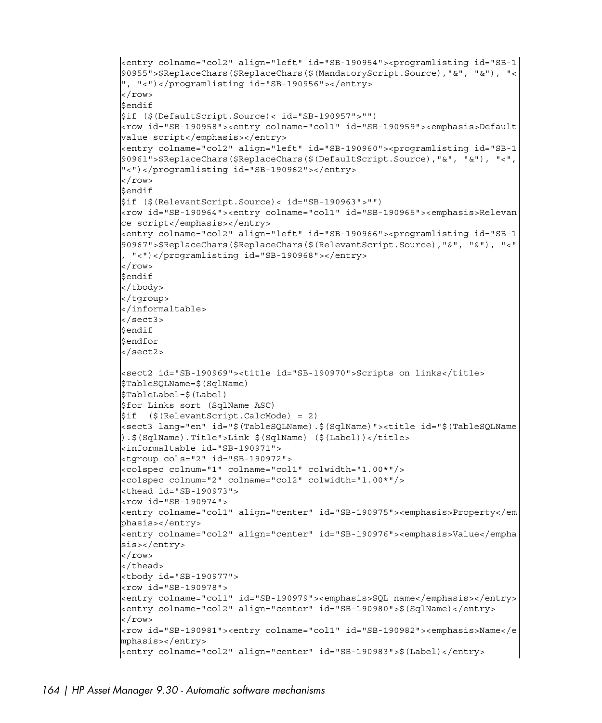```
<entry colname="col2" align="left" id="SB-190954"><programlisting id="SB-1
90955">$ReplaceChars($ReplaceChars($(MandatoryScript.Source),"&", "&"), "<
", "<")</programlisting id="SB-190956"></entry>
</row>
$endif
$if ($(DefaultScript.Source)< id="SB-190957">"")
<row id="SB-190958"><entry colname="col1" id="SB-190959"><emphasis>Default
value script</emphasis></entry>
<entry colname="col2" align="left" id="SB-190960"><programlisting id="SB-1
90961">$ReplaceChars($ReplaceChars($(DefaultScript.Source),"&", "&"), "<",
"<")</programlisting id="SB-190962"></entry>
</row>
$endif
$if ($(RelevantScript.Source)< id="SB-190963">"")
<row id="SB-190964"><entry colname="col1" id="SB-190965"><emphasis>Relevan
ce script</emphasis></entry>
<entry colname="col2" align="left" id="SB-190966"><programlisting id="SB-1
90967">$ReplaceChars($ReplaceChars($(RelevantScript.Source),"&", "&"), "<"
, "<")</programlisting id="SB-190968"></entry>
\langlerow>
$endif
</tbody>
</tgroup>
</informaltable>
</sect3>
$endif
$endfor
</sect2>
<sect2 id="SB-190969"><title id="SB-190970">Scripts on links</title>
$TableSQLName=$(SqlName)
$TableLabel=$(Label)
$for Links sort (SqlName ASC)
$if ($(RelevantScript.CalcMode) = 2))
<sect3 lang="en" id="$(TableSQLName).$(SqlName)"><title id="$(TableSQLName
).$(SqlName).Title">Link $(SqlName) ($(Label))</title>
<informaltable id="SB-190971">
<tgroup cols="2" id="SB-190972">
<colspec colnum="1" colname="col1" colwidth="1.00*"/>
<colspec colnum="2" colname="col2" colwidth="1.00*"/>
<thead id="SB-190973">
<row id="SB-190974">
<entry colname="col1" align="center" id="SB-190975"><emphasis>Property</em
phasis></entry>
<entry colname="col2" align="center" id="SB-190976"><emphasis>Value</empha
sis></entry>
\langle row>
</thead>
<tbody id="SB-190977">
<row id="SB-190978">
<entry colname="col1" id="SB-190979"><emphasis>SQL name</emphasis></entry>
<entry colname="col2" align="center" id="SB-190980">$(SqlName)</entry>
</row>
<row id="SB-190981"><entry colname="col1" id="SB-190982"><emphasis>Name</e
mphasis></entry>
<entry colname="col2" align="center" id="SB-190983">$(Label)</entry>
```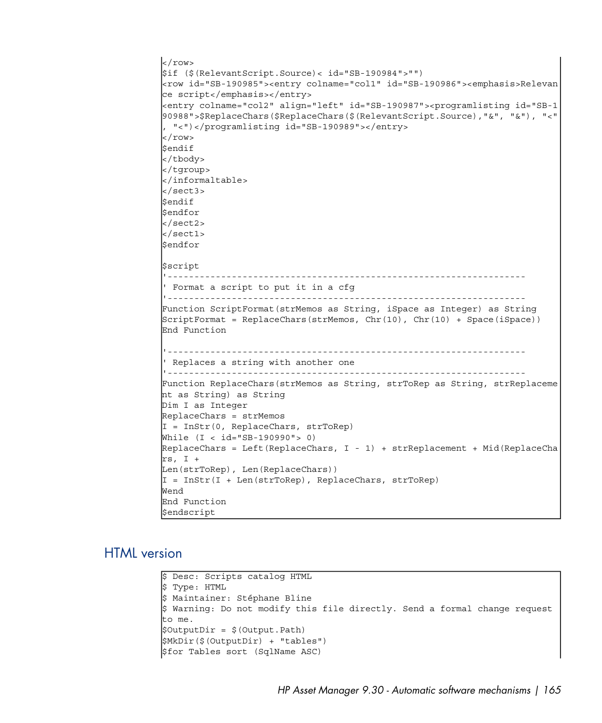```
</row>
$if ($(RelevantScript.Source)< id="SB-190984">"")
<row id="SB-190985"><entry colname="col1" id="SB-190986"><emphasis>Relevan
ce script</emphasis></entry>
<entry colname="col2" align="left" id="SB-190987"><programlisting id="SB-1
90988">$ReplaceChars($ReplaceChars($(RelevantScript.Source),"&", "&"), "<"
, "<")</programlisting id="SB-190989"></entry>
</row>
$endif
</tbody>
</tgroup>
</informaltable>
</sect3>
$endif
$endfor
</sect2>
</sect1>
$endfor
$script
'-------------------------------------------------------------------
' Format a script to put it in a cfg
'-------------------------------------------------------------------
Function ScriptFormat(strMemos as String, iSpace as Integer) as String
ScriptFormat = ReplaceChars(strMemos, Chr(10), Chr(10) + Space(iSpace))
End Function
              '-------------------------------------------------------------------
' Replaces a string with another one
'-------------------------------------------------------------------
Function ReplaceChars(strMemos as String, strToRep as String, strReplaceme
nt as String) as String
Dim I as Integer
ReplaceChars = strMemos
I = \text{InStr}(0, \text{ReplaceChars}, \text{strToRep})While (I < id="SB-190990"> 0)
ReplaceChars = Left(ReplaceChars, I - 1) + strReplacement + Mid(ReplaceCha
rs, I +Len(strToRep), Len(ReplaceChars))
I = \text{InStr}(I + \text{Len}(\text{strToRep}), ReplaceChars, strToRep)
Wend
End Function
$endscript
```
### HTML version

```
$ Desc: Scripts catalog HTML
$ Type: HTML
$ Maintainer: Stéphane Bline
$ Warning: Do not modify this file directly. Send a formal change request
to me.
\betaOutputDir = \beta (Output. Path)
$MkDir($(OutputDir) + "tables")
$for Tables sort (SqlName ASC)
```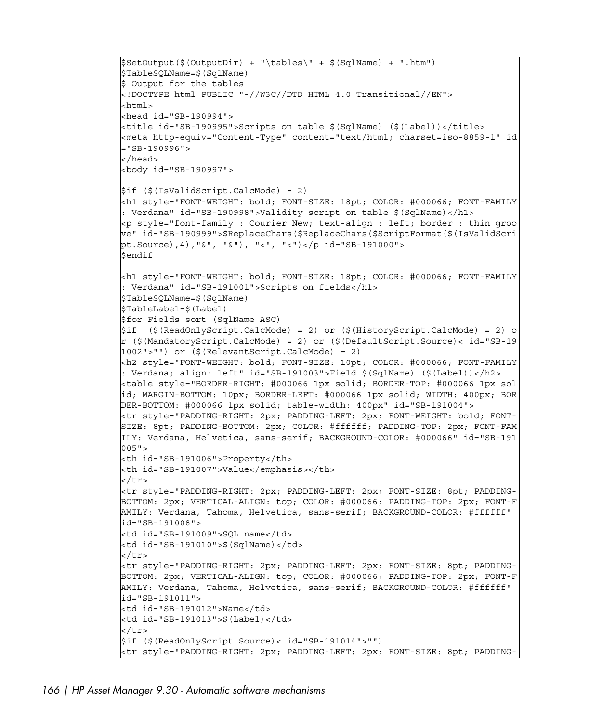```
$SetOutput($(OutputDir) + "\tables\" + $(SqlName) + ".htm")
$TableSQLName=$(SqlName)
$ Output for the tables
<!DOCTYPE html PUBLIC "-//W3C//DTD HTML 4.0 Transitional//EN">
<html>
<head id="SB-190994">
<title id="SB-190995">Scripts on table $(SqlName) ($(Label))</title>
<meta http-equiv="Content-Type" content="text/html; charset=iso-8859-1" id
="SB-190996">
</head>
<body id="SB-190997">
$if ($(IsValidScript.CalcMode) = 2)
<h1 style="FONT-WEIGHT: bold; FONT-SIZE: 18pt; COLOR: #000066; FONT-FAMILY
: Verdana" id="SB-190998">Validity script on table $(SqlName)</h1>
<p style="font-family : Courier New; text-align : left; border : thin groo
ve" id="SB-190999">$ReplaceChars($ReplaceChars($ScriptFormat($(IsValidScri
pt.Source),4),"&", "&"), "<", "<")</p id="SB-191000">
$endif
<h1 style="FONT-WEIGHT: bold; FONT-SIZE: 18pt; COLOR: #000066; FONT-FAMILY
: Verdana" id="SB-191001">Scripts on fields</h1>
$TableSQLName=$(SqlName)
$TableLabel=$(Label)
$for Fields sort (SqlName ASC)
$if (§ (ReadOnlyScript.CalcMode) = 2) or (§ (HistoryScript.CalcMode) = 2) or ($(MandatoryScript.CalcMode) = 2) or ($(DefaultScript.Source)< id="SB-19
1002">"") or ($(RelevantScript.CalcMode) = 2)
<h2 style="FONT-WEIGHT: bold; FONT-SIZE: 10pt; COLOR: #000066; FONT-FAMILY
: Verdana; align: left" id="SB-191003">Field $(SqlName) ($(Label))</h2>
<table style="BORDER-RIGHT: #000066 1px solid; BORDER-TOP: #000066 1px sol
id; MARGIN-BOTTOM: 10px; BORDER-LEFT: #000066 1px solid; WIDTH: 400px; BOR
DER-BOTTOM: #000066 1px solid; table-width: 400px" id="SB-191004">
<tr style="PADDING-RIGHT: 2px; PADDING-LEFT: 2px; FONT-WEIGHT: bold; FONT-
SIZE: 8pt; PADDING-BOTTOM: 2px; COLOR: #ffffff; PADDING-TOP: 2px; FONT-FAM
ILY: Verdana, Helvetica, sans-serif; BACKGROUND-COLOR: #000066" id="SB-191
005"<th id="SB-191006">Property</th>
<th id="SB-191007">Value</emphasis></th>
\langletr>
<tr style="PADDING-RIGHT: 2px; PADDING-LEFT: 2px; FONT-SIZE: 8pt; PADDING-
BOTTOM: 2px; VERTICAL-ALIGN: top; COLOR: #000066; PADDING-TOP: 2px; FONT-F
AMILY: Verdana, Tahoma, Helvetica, sans-serif; BACKGROUND-COLOR: #ffffff"
id="SB-191008">
<td id="SB-191009">SQL name</td>
<td id="SB-191010">$(SqlName)</td>
</tr>
<tr style="PADDING-RIGHT: 2px; PADDING-LEFT: 2px; FONT-SIZE: 8pt; PADDING-
BOTTOM: 2px; VERTICAL-ALIGN: top; COLOR: #000066; PADDING-TOP: 2px; FONT-F
AMILY: Verdana, Tahoma, Helvetica, sans-serif; BACKGROUND-COLOR: #ffffff"
id="SB-191011">
<td id="SB-191012">Name</td>
<td id="SB-191013">$(Label)</td>
\epsilon/tr>
$if ($(ReadOnlyScript.Source)< id="SB-191014">"")
<tr style="PADDING-RIGHT: 2px; PADDING-LEFT: 2px; FONT-SIZE: 8pt; PADDING-
```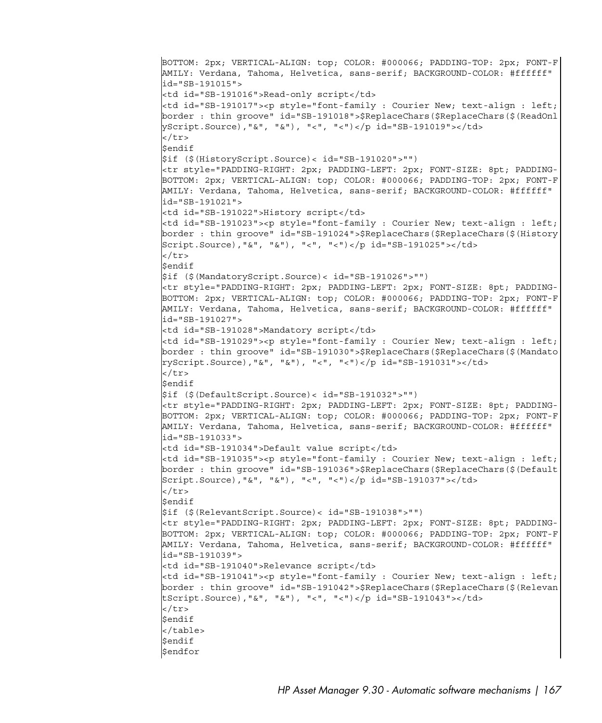```
BOTTOM: 2px; VERTICAL-ALIGN: top; COLOR: #000066; PADDING-TOP: 2px; FONT-F
AMILY: Verdana, Tahoma, Helvetica, sans-serif; BACKGROUND-COLOR: #ffffff"
id="SB-191015">
<td id="SB-191016">Read-only script</td>
<td id="SB-191017"><p style="font-family : Courier New; text-align : left;
border : thin groove" id="SB-191018">$ReplaceChars($ReplaceChars($(ReadOnl
yScript.Source),"&", "&"), "<", "<")</p id="SB-191019"></td>
</tr>
$endif
$if ($(HistoryScript.Source)< id="SB-191020">"")
<tr style="PADDING-RIGHT: 2px; PADDING-LEFT: 2px; FONT-SIZE: 8pt; PADDING-
BOTTOM: 2px; VERTICAL-ALIGN: top; COLOR: #000066; PADDING-TOP: 2px; FONT-F
AMILY: Verdana, Tahoma, Helvetica, sans-serif; BACKGROUND-COLOR: #ffffff"
id="SB-191021">
<td id="SB-191022">History script</td>
<td id="SB-191023"><p style="font-family : Courier New; text-align : left;
border : thin groove" id="SB-191024">$ReplaceChars($ReplaceChars($(History
Script.Source),"&", "&"), "<", "<")</p id="SB-191025"></td>
\langletr>
$endif
$if ($(MandatoryScript.Source)< id="SB-191026">"")
<tr style="PADDING-RIGHT: 2px; PADDING-LEFT: 2px; FONT-SIZE: 8pt; PADDING-
BOTTOM: 2px; VERTICAL-ALIGN: top; COLOR: #000066; PADDING-TOP: 2px; FONT-F
AMILY: Verdana, Tahoma, Helvetica, sans-serif; BACKGROUND-COLOR: #ffffff"
id="SB-191027">
<td id="SB-191028">Mandatory script</td>
<td id="SB-191029"><p style="font-family : Courier New; text-align : left;
border : thin groove" id="SB-191030">$ReplaceChars($ReplaceChars($(Mandato
ryScript.Source),"&", "&"), "<", "<")</p id="SB-191031"></td>
</tr>
$endif
$if ($(DefaultScript.Source)< id="SB-191032">"")
<tr style="PADDING-RIGHT: 2px; PADDING-LEFT: 2px; FONT-SIZE: 8pt; PADDING-
BOTTOM: 2px; VERTICAL-ALIGN: top; COLOR: #000066; PADDING-TOP: 2px; FONT-F
AMILY: Verdana, Tahoma, Helvetica, sans-serif; BACKGROUND-COLOR: #ffffff"
id="SB-191033">
<td id="SB-191034">Default value script</td>
<td id="SB-191035"><p style="font-family : Courier New; text-align : left;
border : thin groove" id="SB-191036">$ReplaceChars($ReplaceChars($(Default
Script.Source),"&", "&"), "<", "<")</p id="SB-191037"></td>
\langletr>
$endif
$if ($(RelevantScript.Source)< id="SB-191038">"")
<tr style="PADDING-RIGHT: 2px; PADDING-LEFT: 2px; FONT-SIZE: 8pt; PADDING-
BOTTOM: 2px; VERTICAL-ALIGN: top; COLOR: #000066; PADDING-TOP: 2px; FONT-F
AMILY: Verdana, Tahoma, Helvetica, sans-serif; BACKGROUND-COLOR: #ffffff"
id="SB-191039">
<td id="SB-191040">Relevance script</td>
<td id="SB-191041"><p style="font-family : Courier New; text-align : left;
border : thin groove" id="SB-191042">$ReplaceChars($ReplaceChars($(Relevan
tScript.Source),"&", "&"), "<", "<")</p id="SB-191043"></td>
</tr>
$endif
</table>
$endif
$endfor
```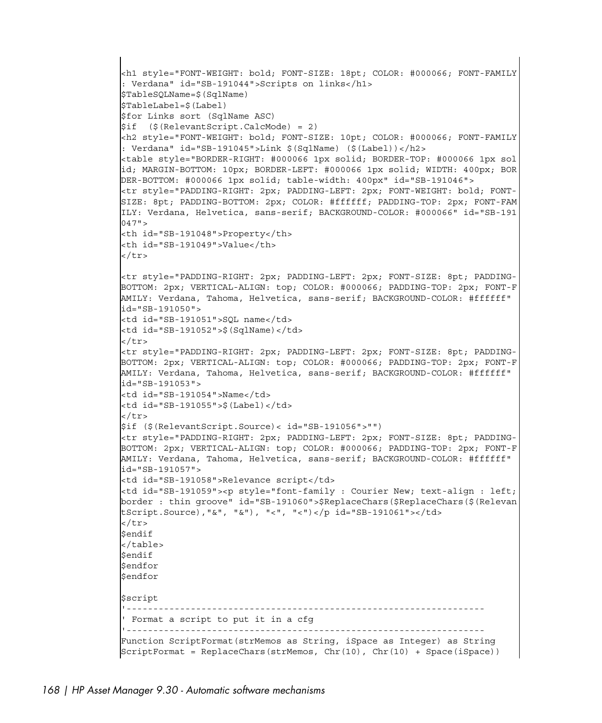```
<h1 style="FONT-WEIGHT: bold; FONT-SIZE: 18pt; COLOR: #000066; FONT-FAMILY
: Verdana" id="SB-191044">Scripts on links</h1>
$TableSQLName=$(SqlName)
$TableLabel=$(Label)
$for Links sort (SqlName ASC)
$if ($(RelevantScript.CalcMode) = 2)
<h2 style="FONT-WEIGHT: bold; FONT-SIZE: 10pt; COLOR: #000066; FONT-FAMILY
: Verdana" id="SB-191045">Link $(SqlName) ($(Label))</h2>
<table style="BORDER-RIGHT: #000066 1px solid; BORDER-TOP: #000066 1px sol
id; MARGIN-BOTTOM: 10px; BORDER-LEFT: #000066 1px solid; WIDTH: 400px; BOR
DER-BOTTOM: #000066 1px solid; table-width: 400px" id="SB-191046">
<tr style="PADDING-RIGHT: 2px; PADDING-LEFT: 2px; FONT-WEIGHT: bold; FONT-
SIZE: 8pt; PADDING-BOTTOM: 2px; COLOR: #ffffff; PADDING-TOP: 2px; FONT-FAM
ILY: Verdana, Helvetica, sans-serif; BACKGROUND-COLOR: #000066" id="SB-191
047"<th id="SB-191048">Property</th>
<th id="SB-191049">Value</th>
\epsilon/tr>
<tr style="PADDING-RIGHT: 2px; PADDING-LEFT: 2px; FONT-SIZE: 8pt; PADDING-
BOTTOM: 2px; VERTICAL-ALIGN: top; COLOR: #000066; PADDING-TOP: 2px; FONT-F
AMILY: Verdana, Tahoma, Helvetica, sans-serif; BACKGROUND-COLOR: #ffffff"
id="SB-191050">
<td id="SB-191051">SQL name</td>
<td id="SB-191052">$(SqlName)</td>
\langletr>
<tr style="PADDING-RIGHT: 2px; PADDING-LEFT: 2px; FONT-SIZE: 8pt; PADDING-
BOTTOM: 2px; VERTICAL-ALIGN: top; COLOR: #000066; PADDING-TOP: 2px; FONT-F
AMILY: Verdana, Tahoma, Helvetica, sans-serif; BACKGROUND-COLOR: #ffffff"
id="SB-191053">
<td id="SB-191054">Name</td>
<td id="SB-191055">$(Label)</td>
\langletr>
$if ($(RelevantScript.Source)< id="SB-191056">"")
<tr style="PADDING-RIGHT: 2px; PADDING-LEFT: 2px; FONT-SIZE: 8pt; PADDING-
BOTTOM: 2px; VERTICAL-ALIGN: top; COLOR: #000066; PADDING-TOP: 2px; FONT-F
AMILY: Verdana, Tahoma, Helvetica, sans-serif; BACKGROUND-COLOR: #ffffff"
id="SB-191057">
<td id="SB-191058">Relevance script</td>
<td id="SB-191059"><p style="font-family : Courier New; text-align : left;
border : thin groove" id="SB-191060">$ReplaceChars($ReplaceChars($(Relevan
tScript.Source),"&", "&"), "<", "<")</p id="SB-191061"></td>
\langletr>
$endif
</table>
$endif
$endfor
$endfor
$script
'-------------------------------------------------------------------
' Format a script to put it in a cfg
'-------------------------------------------------------------------
Function ScriptFormat(strMemos as String, iSpace as Integer) as String
ScriptFormat = ReplaceChars(strMemos, Chr(10), Chr(10) + Space(iSpace))
```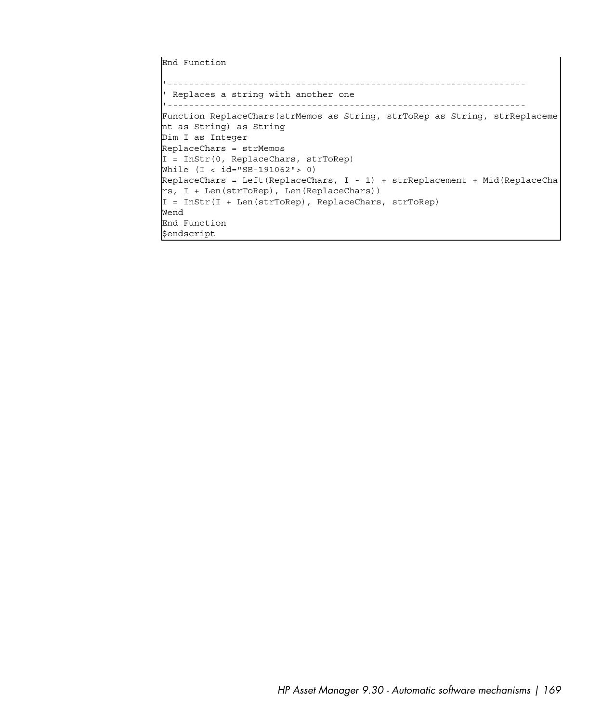End Function

```
'-------------------------------------------------------------------
' Replaces a string with another one
'-------------------------------------------------------------------
Function ReplaceChars(strMemos as String, strToRep as String, strReplaceme
nt as String) as String
Dim I as Integer
ReplaceChars = strMemos
I = InStr(0, ReplaceChars, strToRep)
While (I < id="SB-191062"> 0)
ReplaceChars = Left(ReplaceChars, I - 1) + strReplacement + Mid(ReplaceCha
rs, I + Len(strToRep), Len(ReplaceChars))
I = \text{InStr}(I + \text{Len}(\text{strToRep}), \text{ReplaceChars}, \text{strToRep})Wend
End Function
$endscript
```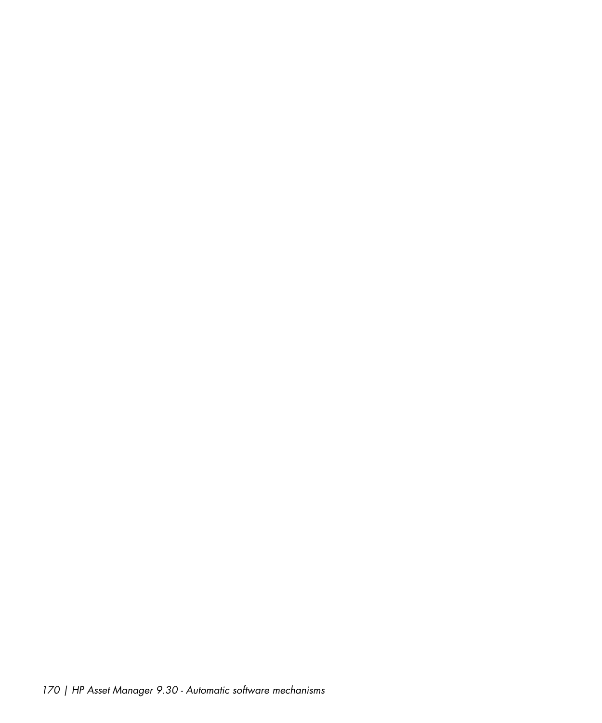*170 | HP Asset Manager 9.30 - Automatic software mechanisms*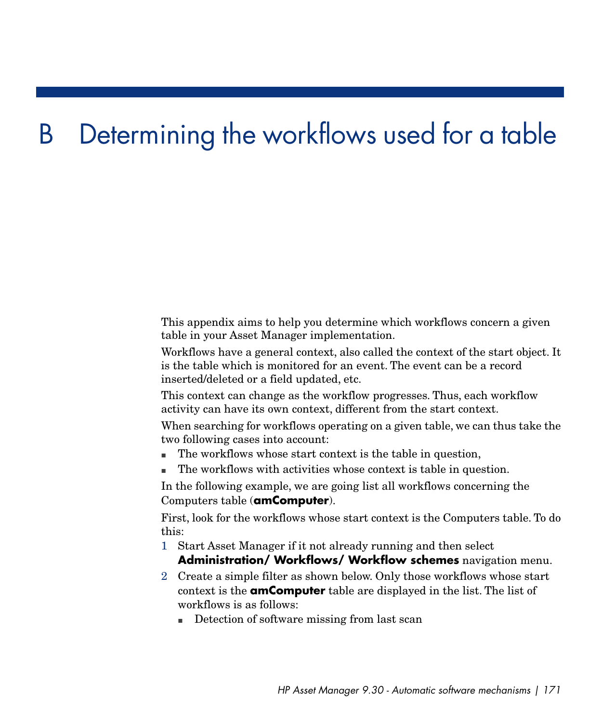# B Determining the workflows used for a table

<span id="page-170-0"></span>This appendix aims to help you determine which workflows concern a given table in your Asset Manager implementation.

Workflows have a general context, also called the context of the start object. It is the table which is monitored for an event. The event can be a record inserted/deleted or a field updated, etc.

This context can change as the workflow progresses. Thus, each workflow activity can have its own context, different from the start context.

When searching for workflows operating on a given table, we can thus take the two following cases into account:

- $\blacksquare$  The workflows whose start context is the table in question,
- The workflows with activities whose context is table in question.

In the following example, we are going list all workflows concerning the Computers table (**amComputer**).

First, look for the workflows whose start context is the Computers table. To do this:

- 1 Start Asset Manager if it not already running and then select **Administration/ Workflows/ Workflow schemes** navigation menu.
- 2 Create a simple filter as shown below. Only those workflows whose start context is the **amComputer** table are displayed in the list. The list of workflows is as follows:
	- Detection of software missing from last scan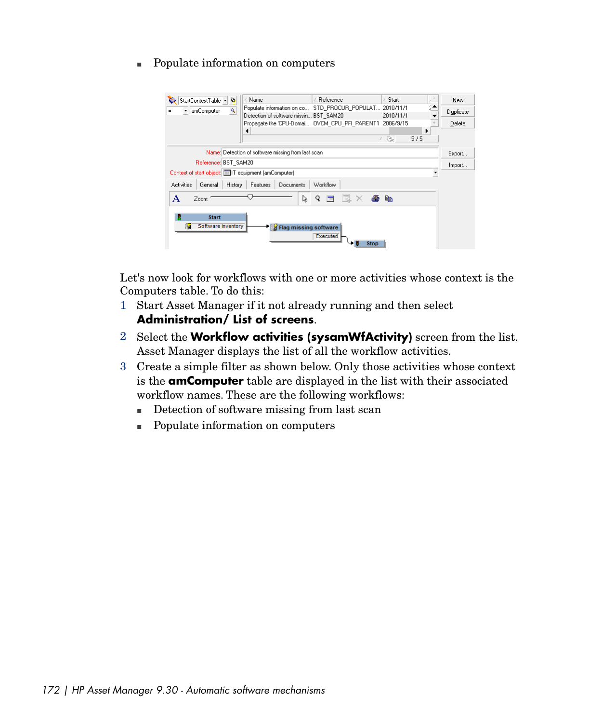<sup>n</sup> Populate information on computers



Let's now look for workflows with one or more activities whose context is the Computers table. To do this:

- 1 Start Asset Manager if it not already running and then select **Administration/ List of screens**.
- 2 Select the **Workflow activities (sysamWfActivity)** screen from the list. Asset Manager displays the list of all the workflow activities.
- 3 Create a simple filter as shown below. Only those activities whose context is the **amComputer** table are displayed in the list with their associated workflow names. These are the following workflows:
	- $\blacksquare$  Detection of software missing from last scan
	- Populate information on computers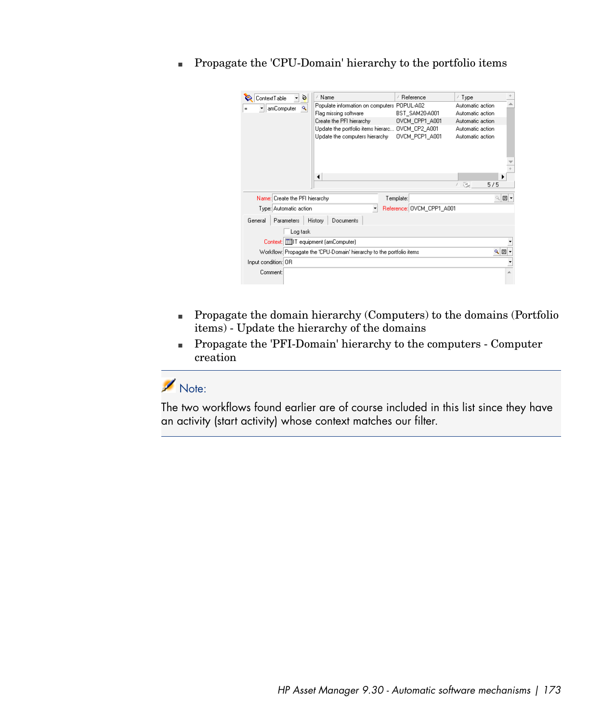<sup>n</sup> Propagate the 'CPU-Domain' hierarchy to the portfolio items



- <sup>n</sup> Propagate the domain hierarchy (Computers) to the domains (Portfolio items) - Update the hierarchy of the domains
- <sup>n</sup> Propagate the 'PFI-Domain' hierarchy to the computers Computer creation

# Note:

The two workflows found earlier are of course included in this list since they have an activity (start activity) whose context matches our filter.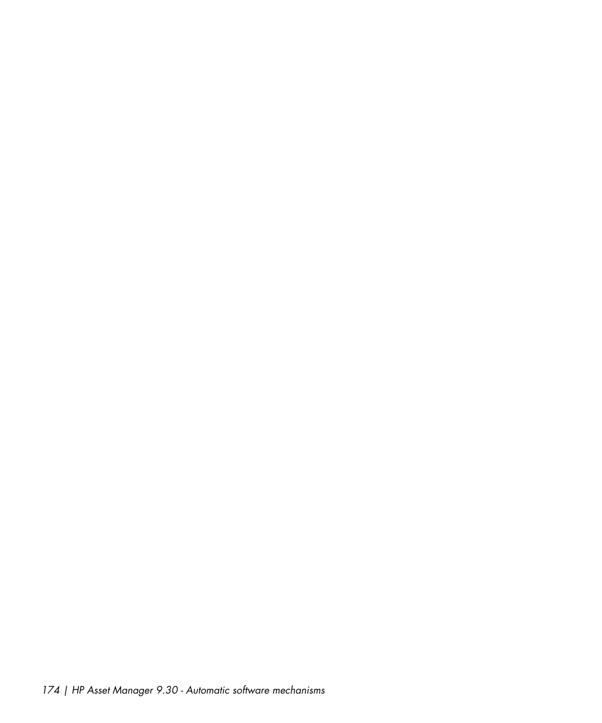*174 | HP Asset Manager 9.30 - Automatic software mechanisms*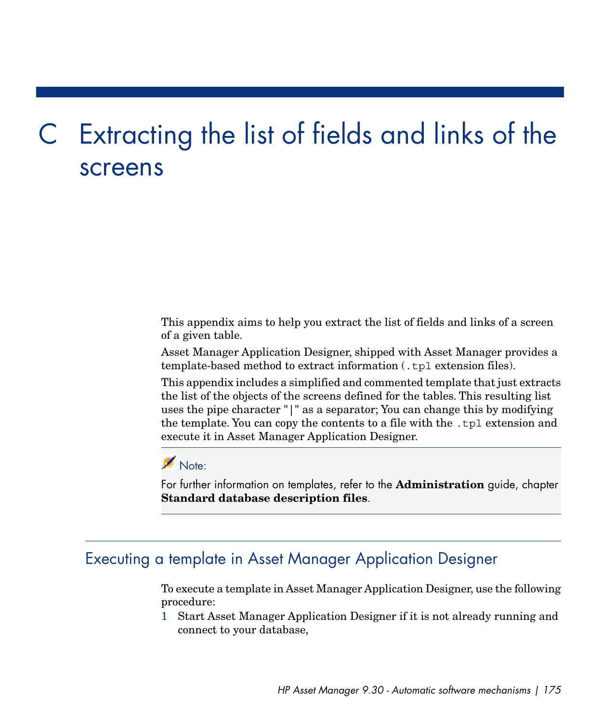# Extracting the list of fields and links of the Cscreens

This appendix aims to help you extract the list of fields and links of a screen of a given table.

Asset Manager Application Designer, shipped with Asset Manager provides a template-based method to extract information (.tpl extension files).

This appendix includes a simplified and commented template that just extracts the list of the objects of the screens defined for the tables. This resulting list uses the pipe character "|" as a separator; You can change this by modifying the template. You can copy the contents to a file with the .tpl extension and execute it in Asset Manager Application Designer.

# Note:

For further information on templates, refer to the **Administration** guide, chapter **Standard database description files**.

# Executing a template in Asset Manager Application Designer

To execute a template in Asset Manager Application Designer, use the following procedure:

1 Start Asset Manager Application Designer if it is not already running and connect to your database,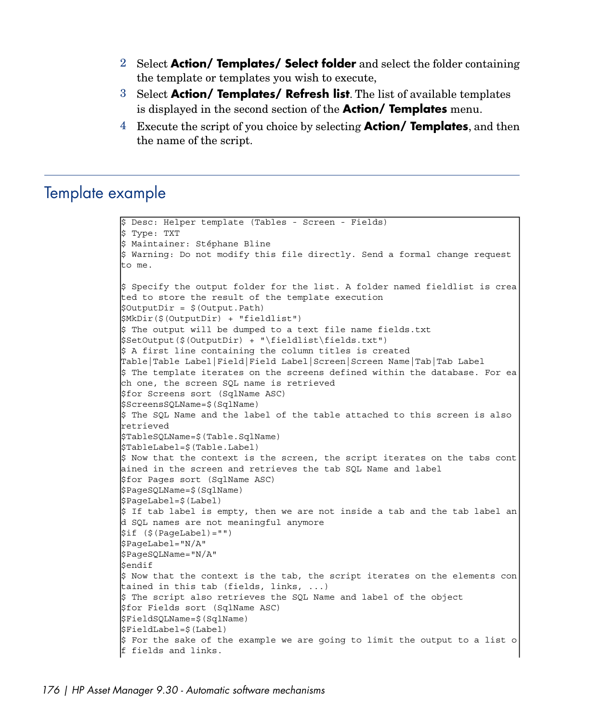- 2 Select **Action/ Templates/ Select folder** and select the folder containing the template or templates you wish to execute,
- 3 Select **Action/ Templates/ Refresh list**. The list of available templates is displayed in the second section of the **Action/ Templates** menu.
- 4 Execute the script of you choice by selecting **Action/ Templates**, and then the name of the script.

# Template example

```
$ Desc: Helper template (Tables - Screen - Fields)
$ Type: TXT
$ Maintainer: Stéphane Bline
$ Warning: Do not modify this file directly. Send a formal change request
to me.
\frac{1}{5} Specify the output folder for the list. A folder named fieldlist is crea
ted to store the result of the template execution
$OutputDir = $(Output.Path)$MkDir($(OutputDir) + "fieldlist")
$ The output will be dumped to a text file name fields.txt
\frac{\text{SsetOutput}}{\text{Sub}} (OutputDir) + "\fieldlist\fields.txt")
$ A first line containing the column titles is created
Table|Table Label|Field|Field Label|Screen|Screen Name|Tab|Tab Label
$ The template iterates on the screens defined within the database. For ea
ch one, the screen SQL name is retrieved
$for Screens sort (SqlName ASC)
$ScreensSQLName=$(SqlName)
$ The SQL Name and the label of the table attached to this screen is also
retrieved
$TableSQLName=$(Table.SqlName)
$TableLabel=$(Table.Label)
$ Now that the context is the screen, the script iterates on the tabs cont
ained in the screen and retrieves the tab SQL Name and label
$for Pages sort (SqlName ASC)
$PageSQLName=$(SqlName)
$PageLabel=$(Label)
$ If tab label is empty, then we are not inside a tab and the tab label an
d SQL names are not meaningful anymore
\sin f ($(PageLabel)="")
$PageLabel="N/A"
$PageSQLName="N/A"
$endif
\frac{1}{5} Now that the context is the tab, the script iterates on the elements con
tained in this tab (fields, links, ...)
$ The script also retrieves the SQL Name and label of the object
$for Fields sort (SqlName ASC)
$FieldSQLName=$(SqlName)
$FieldLabel=$(Label)
$ For the sake of the example we are going to limit the output to a list o
f fields and links.
```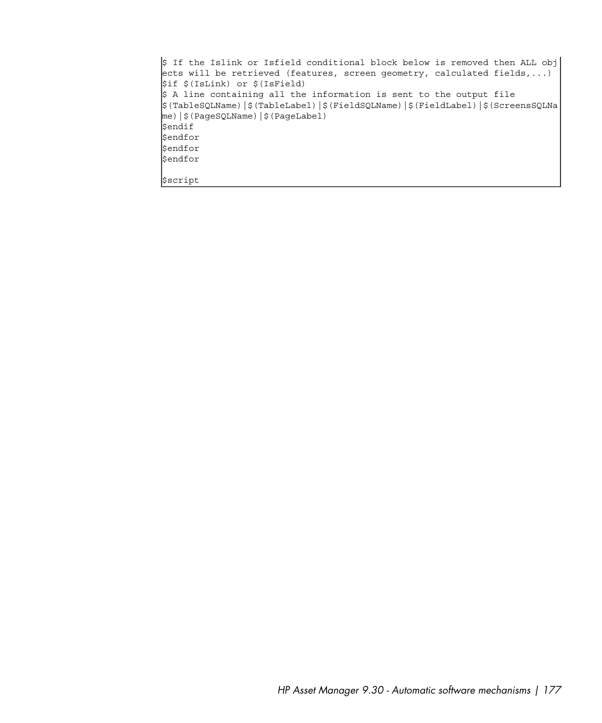```
$ If the Islink or Isfield conditional block below is removed then ALL obj
ects will be retrieved (features, screen geometry, calculated fields,...)
$if $(IsLink) or $(IsField)
\frac{1}{2} A line containing all the information is sent to the output file
$(TableSQLName)|$(TableLabel)|$(FieldSQLName)|$(FieldLabel)|$(ScreensSQLNa
me)|$(PageSQLName)|$(PageLabel)
$endif
$endfor
$endfor
$endfor
$script
```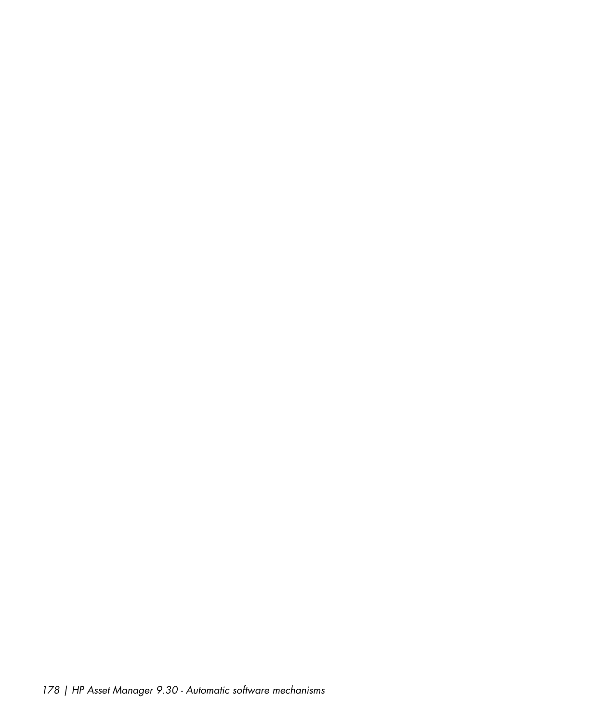*178 | HP Asset Manager 9.30 - Automatic software mechanisms*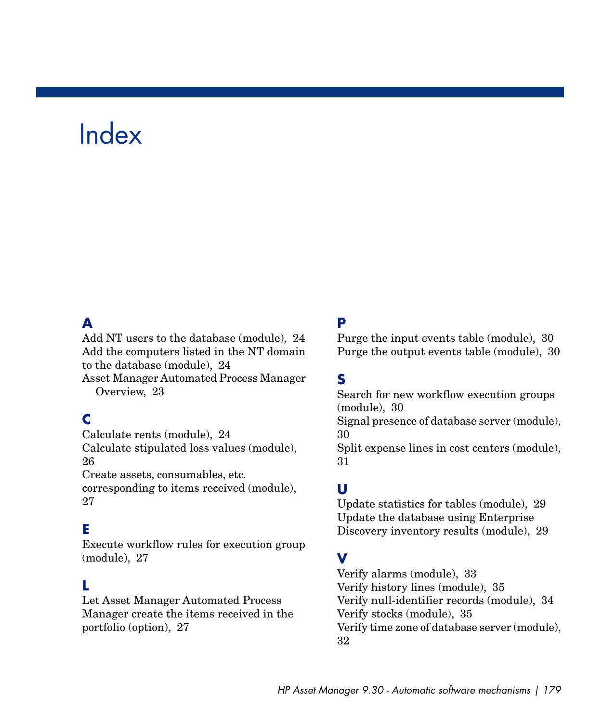# Index

# **A**

Add NT users to the database (module), [24](#page-23-0) Add the computers listed in the NT domain to the database (module), [24](#page-23-1) Asset Manager Automated Process Manager

Overview, [23](#page-22-0)

# **C**

Calculate rents (module), [24](#page-23-2) Calculate stipulated loss values (module), [26](#page-25-0) Create assets, consumables, etc. corresponding to items received (module), [27](#page-26-0)

## **E**

Execute workflow rules for execution group (module), [27](#page-26-1)

## **L**

Let Asset Manager Automated Process Manager create the items received in the portfolio (option), [27](#page-26-2)

# **P**

Purge the input events table (module), [30](#page-29-0) Purge the output events table (module), [30](#page-29-1)

## **S**

Search for new workflow execution groups (module), [30](#page-29-2) Signal presence of database server (module), [30](#page-29-3) Split expense lines in cost centers (module), [31](#page-30-0)

## **U**

Update statistics for tables (module), [29](#page-28-0) Update the database using Enterprise Discovery inventory results (module), [29](#page-28-1)

### **V**

Verify alarms (module), [33](#page-32-0) Verify history lines (module), [35](#page-34-0) Verify null-identifier records (module), [34](#page-33-0) Verify stocks (module), [35](#page-34-1) Verify time zone of database server (module), [32](#page-31-0)